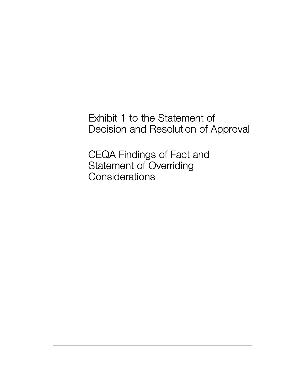Exhibit 1 to the Statement of Decision and Resolution of Approval

CEQA Findings of Fact and Statement of Overriding **Considerations**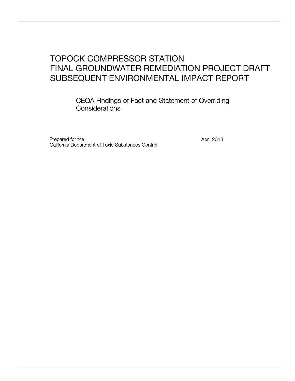## TOPOCK COMPRESSOR STATION FINAL GROUNDWATER REMEDIATION PROJECT DRAFT SUBSEQUENT ENVIRONMENTAL IMPACT REPORT

CEQA Findings of Fact and Statement of Overriding **Considerations** 

Prepared for the April 2018 California Department of Toxic Substances Control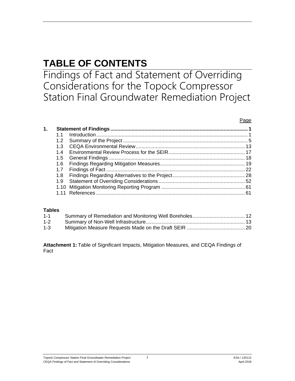# **TABLE OF CONTENTS**

Findings of Fact and Statement of Overriding Considerations for the Topock Compressor Station Final Groundwater Remediation Project

#### Page

| 1. |     |  |
|----|-----|--|
|    |     |  |
|    | 1.2 |  |
|    | 1.3 |  |
|    | 14  |  |
|    |     |  |
|    | 1.6 |  |
|    | 1.7 |  |
|    | 1.8 |  |
|    | 1.9 |  |
|    |     |  |
|    |     |  |

#### **Tables**

| $1 - 1$ |  |
|---------|--|
| $1 - 2$ |  |
| $1-3$   |  |

**Attachment 1:** Table of Significant Impacts, Mitigation Measures, and CEQA Findings of Fact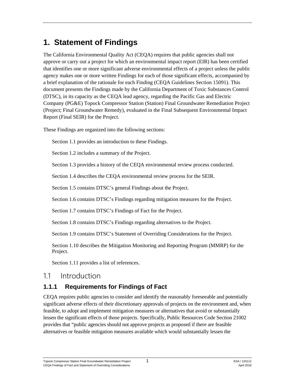## <span id="page-3-0"></span>**1. Statement of Findings**

The California Environmental Quality Act (CEQA) requires that public agencies shall not approve or carry out a project for which an environmental impact report (EIR) has been certified that identifies one or more significant adverse environmental effects of a project unless the public agency makes one or more written Findings for each of those significant effects, accompanied by a brief explanation of the rationale for each Finding (CEQA Guidelines Section 15091). This document presents the Findings made by the California Department of Toxic Substances Control (DTSC), in its capacity as the CEQA lead agency, regarding the Pacific Gas and Electric Company (PG&E) Topock Compressor Station (Station) Final Groundwater Remediation Project (Project; Final Groundwater Remedy), evaluated in the Final Subsequent Environmental Impact Report (Final SEIR) for the Project.

These Findings are organized into the following sections:

Section 1.1 provides an introduction to these Findings.

Section 1.2 includes a summary of the Project.

Section 1.3 provides a history of the CEQA environmental review process conducted.

Section 1.4 describes the CEQA environmental review process for the SEIR.

Section 1.5 contains DTSC's general Findings about the Project.

Section 1.6 contains DTSC's Findings regarding mitigation measures for the Project.

Section 1.7 contains DTSC's Findings of Fact for the Project.

Section 1.8 contains DTSC's Findings regarding alternatives to the Project.

Section 1.9 contains DTSC's Statement of Overriding Considerations for the Project.

Section 1.10 describes the Mitigation Monitoring and Reporting Program (MMRP) for the Project.

Section 1.11 provides a list of references.

### <span id="page-3-1"></span>1.1 Introduction

### **1.1.1 Requirements for Findings of Fact**

CEQA requires public agencies to consider and identify the reasonably foreseeable and potentially significant adverse effects of their discretionary approvals of projects on the environment and, when feasible, to adopt and implement mitigation measures or alternatives that avoid or substantially lessen the significant effects of those projects. Specifically, Public Resources Code Section 21002 provides that "public agencies should not approve projects as proposed if there are feasible alternatives or feasible mitigation measures available which would substantially lessen the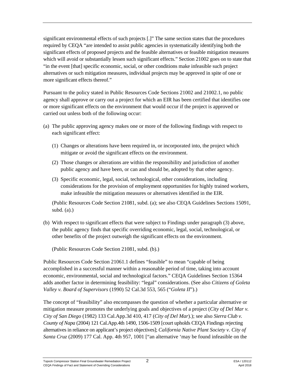significant environmental effects of such projects [.]" The same section states that the procedures required by CEQA "are intended to assist public agencies in systematically identifying both the significant effects of proposed projects and the feasible alternatives or feasible mitigation measures which will avoid or substantially lessen such significant effects." Section 21002 goes on to state that "in the event [that] specific economic, social, or other conditions make infeasible such project alternatives or such mitigation measures, individual projects may be approved in spite of one or more significant effects thereof."

Pursuant to the policy stated in Public Resources Code Sections 21002 and 21002.1, no public agency shall approve or carry out a project for which an EIR has been certified that identifies one or more significant effects on the environment that would occur if the project is approved or carried out unless both of the following occur:

- (a) The public approving agency makes one or more of the following findings with respect to each significant effect:
	- (1) Changes or alterations have been required in, or incorporated into, the project which mitigate or avoid the significant effects on the environment.
	- (2) Those changes or alterations are within the responsibility and jurisdiction of another public agency and have been, or can and should be, adopted by that other agency.
	- (3) Specific economic, legal, social, technological, other considerations, including considerations for the provision of employment opportunities for highly trained workers, make infeasible the mitigation measures or alternatives identified in the EIR.

(Public Resources Code Section 21081, subd. (a); see also CEQA Guidelines Sections 15091, subd.  $(a)$ .)

(b) With respect to significant effects that were subject to Findings under paragraph (3) above, the public agency finds that specific overriding economic, legal, social, technological, or other benefits of the project outweigh the significant effects on the environment.

(Public Resources Code Section 21081, subd. (b).)

Public Resources Code Section 21061.1 defines "feasible" to mean "capable of being accomplished in a successful manner within a reasonable period of time, taking into account economic, environmental, social and technological factors." CEQA Guidelines Section 15364 adds another factor in determining feasibility: "legal" considerations. (See also *Citizens of Goleta Valley v. Board of Supervisors* (1990) 52 Cal.3d 553, 565 ("*Goleta II*").)

The concept of "feasibility" also encompasses the question of whether a particular alternative or mitigation measure promotes the underlying goals and objectives of a project (*City of Del Mar v. City of San Diego* (1982) 133 Cal.App.3d 410, 417 (*City of Del Mar*).); see also *Sierra Club v. County of Napa* (2004) 121 Cal.App.4th 1490, 1506-1509 [court upholds CEQA Findings rejecting alternatives in reliance on applicant's project objectives]; *California Native Plant Society v. City of Santa Cruz* (2009) 177 Cal. App. 4th 957, 1001 ["an alternative 'may be found infeasible on the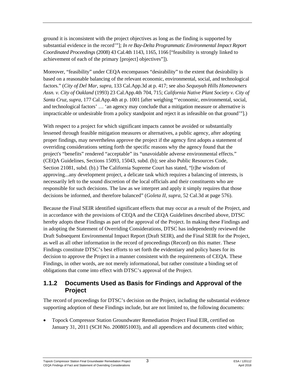ground it is inconsistent with the project objectives as long as the finding is supported by substantial evidence in the record'"]; *In re Bay-Delta Programmatic Environmental Impact Report Coordinated Proceedings* (2008) 43 Cal.4th 1143, 1165, 1166 ["feasibility is strongly linked to achievement of each of the primary [project] objectives"]).

Moreover, "feasibility" under CEQA encompasses "desirability" to the extent that desirability is based on a reasonable balancing of the relevant economic, environmental, social, and technological factors." (*City of Del Mar, supra,* 133 Cal.App.3d at p. 417; see also *Sequoyah Hills Homeowners Assn. v. City of Oakland* (1993) 23 Cal.App.4th 704, 715; *California Native Plant Society v. City of Santa Cruz, supra,* 177 Cal.App.4th at p. 1001 [after weighing "'economic, environmental, social, and technological factors' … 'an agency may conclude that a mitigation measure or alternative is impracticable or undesirable from a policy standpoint and reject it as infeasible on that ground'"].)

With respect to a project for which significant impacts cannot be avoided or substantially lessened through feasible mitigation measures or alternatives, a public agency, after adopting proper findings, may nevertheless approve the project if the agency first adopts a statement of overriding considerations setting forth the specific reasons why the agency found that the project's "benefits" rendered "acceptable" its "unavoidable adverse environmental effects." (CEQA Guidelines, Sections 15093, 15043, subd. (b); see also Public Resources Code, Section 21081, subd. (b).) The California Supreme Court has stated, "[t]he wisdom of approving...any development project, a delicate task which requires a balancing of interests, is necessarily left to the sound discretion of the local officials and their constituents who are responsible for such decisions. The law as we interpret and apply it simply requires that those decisions be informed, and therefore balanced" (*Goleta II*, *supra*, 52 Cal.3d at page 576).

Because the Final SEIR identified significant effects that may occur as a result of the Project, and in accordance with the provisions of CEQA and the CEQA Guidelines described above, DTSC hereby adopts these Findings as part of the approval of the Project. In making these Findings and in adopting the Statement of Overriding Considerations, DTSC has independently reviewed the Draft Subsequent Environmental Impact Report (Draft SEIR), and the Final SEIR for the Project, as well as all other information in the record of proceedings (Record) on this matter. These Findings constitute DTSC's best efforts to set forth the evidentiary and policy bases for its decision to approve the Project in a manner consistent with the requirements of CEQA. These Findings, in other words, are not merely informational, but rather constitute a binding set of obligations that come into effect with DTSC's approval of the Project.

#### **1.1.2 Documents Used as Basis for Findings and Approval of the Project**

The record of proceedings for DTSC's decision on the Project, including the substantial evidence supporting adoption of these Findings include, but are not limited to, the following documents:

• Topock Compressor Station Groundwater Remediation Project Final EIR, certified on January 31, 2011 (SCH No. 2008051003), and all appendices and documents cited within;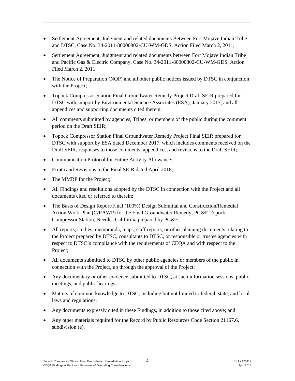- Settlement Agreement, Judgment and related documents Between Fort Mojave Indian Tribe and DTSC, Case No. 34-2011-80000802-CU-WM-GDS, Action Filed March 2, 2011;
- Settlement Agreement, Judgment and related documents between Fort Mojave Indian Tribe and Pacific Gas & Electric Company, Case No. 34-2011-80000802-CU-WM-GDS, Action Filed March 2, 2011;
- The Notice of Preparation (NOP) and all other public notices issued by DTSC in conjunction with the Project;
- Topock Compressor Station Final Groundwater Remedy Project Draft SEIR prepared for DTSC with support by Environmental Science Associates (ESA), January 2017, and all appendices and supporting documents cited therein;
- All comments submitted by agencies, Tribes, or members of the public during the comment period on the Draft SEIR;
- Topock Compressor Station Final Groundwater Remedy Project Final SEIR prepared for DTSC with support by ESA dated December 2017, which includes comments received on the Draft SEIR, responses to those comments, appendices, and revisions to the Draft SEIR;
- Communication Protocol for Future Activity Allowance;
- Errata and Revisions to the Final SEIR dated April 2018;
- The MMRP for the Project;
- All Findings and resolutions adopted by the DTSC in connection with the Project and all documents cited or referred to therein;
- The Basis of Design Report/Final (100%) Design Submittal and Construction/Remedial Action Work Plan (C/RAWP) for the Final Groundwater Remedy, PG&E Topock Compressor Station, Needles California prepared by PG&E;
- All reports, studies, memoranda, maps, staff reports, or other planning documents relating to the Project prepared by DTSC, consultants to DTSC, or responsible or trustee agencies with respect to DTSC's compliance with the requirements of CEQA and with respect to the Project;
- All documents submitted to DTSC by other public agencies or members of the public in connection with the Project, up through the approval of the Project;
- Any documentary or other evidence submitted to DTSC, at such information sessions, public meetings, and public hearings;
- Matters of common knowledge to DTSC, including but not limited to federal, state, and local laws and regulations;
- Any documents expressly cited in these Findings, in addition to those cited above; and
- Any other materials required for the Record by Public Resources Code Section 21167.6, subdivision (e).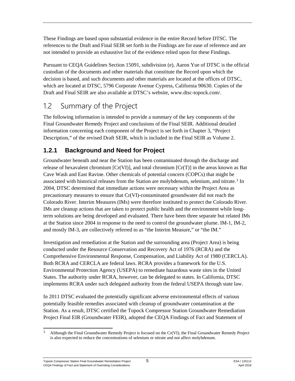These Findings are based upon substantial evidence in the entire Record before DTSC. The references to the Draft and Final SEIR set forth in the Findings are for ease of reference and are not intended to provide an exhaustive list of the evidence relied upon for these Findings.

Pursuant to CEQA Guidelines Section 15091, subdivision (e), Aaron Yue of DTSC is the official custodian of the documents and other materials that constitute the Record upon which the decision is based, and such documents and other materials are located at the offices of DTSC, which are located at DTSC, 5796 Corporate Avenue Cypress, California 90630. Copies of the Draft and Final SEIR are also available at DTSC's website, [www.dtsc-topock.com/.](http://www.dtsc-topock.com/)

## <span id="page-7-0"></span>1.2 Summary of the Project

The following information is intended to provide a summary of the key components of the Final Groundwater Remedy Project and conclusions of the Final SEIR. Additional detailed information concerning each component of the Project is set forth in Chapter 3, "Project Description," of the revised Draft SEIR, which is included in the Final SEIR as Volume 2.

## **1.2.1 Background and Need for Project**

Groundwater beneath and near the Station has been contaminated through the discharge and release of hexavalent chromium  $[Cr(VI)]$ , and total chromium  $[Cr(T)]$  in the areas known as Bat Cave Wash and East Ravine. Other chemicals of potential concern (COPCs) that might be associated with historical releases from the Station are molybdenum, selenium, and nitrate.<sup>[1](#page-7-1)</sup> In 2004, DTSC determined that immediate actions were necessary within the Project Area as precautionary measures to ensure that Cr(VI)-contaminated groundwater did not reach the Colorado River. Interim Measures (IMs) were therefore instituted to protect the Colorado River. IMs are cleanup actions that are taken to protect public health and the environment while longterm solutions are being developed and evaluated. There have been three separate but related IMs at the Station since 2004 in response to the need to control the groundwater plume. IM-1, IM-2, and mostly IM-3, are collectively referred to as "the Interim Measure," or "the IM."

Investigation and remediation at the Station and the surrounding area (Project Area) is being conducted under the Resource Conservation and Recovery Act of 1976 (RCRA) and the Comprehensive Environmental Response, Compensation, and Liability Act of 1980 (CERCLA). Both RCRA and CERCLA are federal laws. RCRA provides a framework for the U.S. Environmental Protection Agency (USEPA) to remediate hazardous waste sites in the United States. The authority under RCRA, however, can be delegated to states. In California, DTSC implements RCRA under such delegated authority from the federal USEPA through state law.

In 2011 DTSC evaluated the potentially significant adverse environmental effects of various potentially feasible remedies associated with cleanup of groundwater contamination at the Station. As a result, DTSC certified the Topock Compressor Station Groundwater Remediation Project Final EIR (Groundwater FEIR), adopted the CEQA Findings of Fact and Statement of

<span id="page-7-1"></span><sup>&</sup>lt;sup>1</sup> Although the Final Groundwater Remedy Project is focused on the Cr(VI), the Final Groundwater Remedy Project is also expected to reduce the concentrations of selenium or nitrate and not affect molybdenum.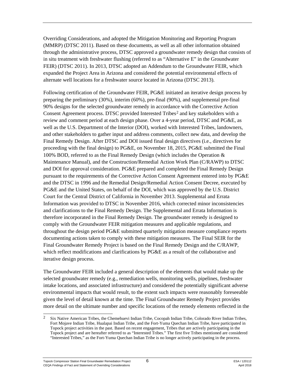Overriding Considerations, and adopted the Mitigation Monitoring and Reporting Program (MMRP) (DTSC 2011). Based on these documents, as well as all other information obtained through the administrative process, DTSC approved a groundwater remedy design that consists of in situ treatment with freshwater flushing (referred to as "Alternative E" in the Groundwater FEIR) (DTSC 2011). In 2013, DTSC adopted an Addendum to the Groundwater FEIR, which expanded the Project Area in Arizona and considered the potential environmental effects of alternate well locations for a freshwater source located in Arizona (DTSC 2013).

Following certification of the Groundwater FEIR, PG&E initiated an iterative design process by preparing the preliminary (30%), interim (60%), pre-final (90%), and supplemental pre-final 90% designs for the selected groundwater remedy in accordance with the Corrective Action Consent Agreement process. DTSC provided Interested Tribes<sup>[2](#page-8-0)</sup> and key stakeholders with a review and comment period at each design phase. Over a 4-year period, DTSC and PG&E, as well as the U.S. Department of the Interior (DOI), worked with Interested Tribes, landowners, and other stakeholders to gather input and address comments, collect new data, and develop the Final Remedy Design. After DTSC and DOI issued final design directives (i.e., directives for proceeding with the final design) to PG&E, on November 18, 2015, PG&E submitted the Final 100% BOD, referred to as the Final Remedy Design (which includes the Operation & Maintenance Manual), and the Construction/Remedial Action Work Plan (C/RAWP) to DTSC and DOI for approval consideration. PG&E prepared and completed the Final Remedy Design pursuant to the requirements of the Corrective Action Consent Agreement entered into by PG&E and the DTSC in 1996 and the Remedial Design/Remedial Action Consent Decree, executed by PG&E and the United States, on behalf of the DOI, which was approved by the U.S. District Court for the Central District of California in November 2013. Supplemental and Errata Information was provided to DTSC in November 2016, which corrected minor inconsistencies and clarifications to the Final Remedy Design. The Supplemental and Errata Information is therefore incorporated in the Final Remedy Design. The groundwater remedy is designed to comply with the Groundwater FEIR mitigation measures and applicable regulations, and throughout the design period PG&E submitted quarterly mitigation measure compliance reports documenting actions taken to comply with these mitigation measures. The Final SEIR for the Final Groundwater Remedy Project is based on the Final Remedy Design and the C/RAWP, which reflect modifications and clarifications by PG&E as a result of the collaborative and iterative design process.

The Groundwater FEIR included a general description of the elements that would make up the selected groundwater remedy (e.g., remediation wells, monitoring wells, pipelines, freshwater intake locations, and associated infrastructure) and considered the potentially significant adverse environmental impacts that would result, to the extent such impacts were reasonably foreseeable given the level of detail known at the time. The Final Groundwater Remedy Project provides more detail on the ultimate number and specific locations of the remedy elements reflected in the

<span id="page-8-0"></span> <sup>2</sup> Six Native American Tribes, the Chemehuevi Indian Tribe, Cocopah Indian Tribe, Colorado River Indian Tribes, Fort Mojave Indian Tribe, Hualapai Indian Tribe, and the Fort-Yuma Quechan Indian Tribe, have participated in Topock project activities in the past. Based on recent engagement, Tribes that are actively participating in the Topock project and are hereafter referred to as "Interested Tribes." The first five Tribes mentioned are considered "Interested Tribes," as the Fort-Yuma Quechan Indian Tribe is no longer actively participating in the process.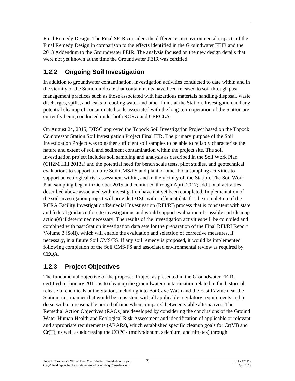Final Remedy Design. The Final SEIR considers the differences in environmental impacts of the Final Remedy Design in comparison to the effects identified in the Groundwater FEIR and the 2013 Addendum to the Groundwater FEIR. The analysis focused on the new design details that were not yet known at the time the Groundwater FEIR was certified.

### **1.2.2 Ongoing Soil Investigation**

In addition to groundwater contamination, investigation activities conducted to date within and in the vicinity of the Station indicate that contaminants have been released to soil through past management practices such as those associated with hazardous materials handling/disposal, waste discharges, spills, and leaks of cooling water and other fluids at the Station. Investigation and any potential cleanup of contaminated soils associated with the long-term operation of the Station are currently being conducted under both RCRA and CERCLA.

On August 24, 2015, DTSC approved the Topock Soil Investigation Project based on the Topock Compressor Station Soil Investigation Project Final EIR. The primary purpose of the Soil Investigation Project was to gather sufficient soil samples to be able to reliably characterize the nature and extent of soil and sediment contamination within the project site. The soil investigation project includes soil sampling and analysis as described in the Soil Work Plan (CH2M Hill 2013a) and the potential need for bench scale tests, pilot studies, and geotechnical evaluations to support a future Soil CMS/FS and plant or other biota sampling activities to support an ecological risk assessment within, and in the vicinity of, the Station. The Soil Work Plan sampling began in October 2015 and continued through April 2017; additional activities described above associated with investigation have not yet been completed. Implementation of the soil investigation project will provide DTSC with sufficient data for the completion of the RCRA Facility Investigation/Remedial Investigation (RFI/RI) process that is consistent with state and federal guidance for site investigations and would support evaluation of possible soil cleanup action(s) if determined necessary. The results of the investigation activities will be compiled and combined with past Station investigation data sets for the preparation of the Final RFI/RI Report Volume 3 (Soil), which will enable the evaluation and selection of corrective measures, if necessary, in a future Soil CMS/FS. If any soil remedy is proposed, it would be implemented following completion of the Soil CMS/FS and associated environmental review as required by CEQA.

### **1.2.3 Project Objectives**

The fundamental objective of the proposed Project as presented in the Groundwater FEIR, certified in January 2011, is to clean up the groundwater contamination related to the historical release of chemicals at the Station, including into Bat Cave Wash and the East Ravine near the Station, in a manner that would be consistent with all applicable regulatory requirements and to do so within a reasonable period of time when compared between viable alternatives. The Remedial Action Objectives (RAOs) are developed by considering the conclusions of the Ground Water Human Health and Ecological Risk Assessment and identification of applicable or relevant and appropriate requirements (ARARs), which established specific cleanup goals for Cr(VI) and Cr(T), as well as addressing the COPCs (molybdenum, selenium, and nitrates) through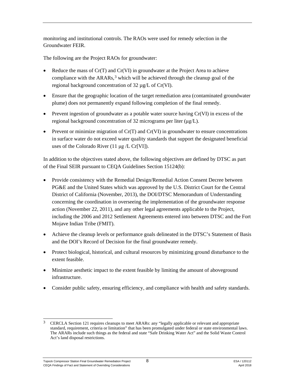monitoring and institutional controls. The RAOs were used for remedy selection in the Groundwater FEIR.

The following are the Project RAOs for groundwater:

- Reduce the mass of  $Cr(T)$  and  $Cr(VI)$  in groundwater at the Project Area to achieve compliance with the  $ARARs<sub>3</sub>$  $ARARs<sub>3</sub>$  $ARARs<sub>3</sub>$ <sup>3</sup> which will be achieved through the cleanup goal of the regional background concentration of 32 µg/L of Cr(VI).
- Ensure that the geographic location of the target remediation area (contaminated groundwater plume) does not permanently expand following completion of the final remedy.
- Prevent ingestion of groundwater as a potable water source having Cr(VI) in excess of the regional background concentration of 32 micrograms per liter (μg/L).
- Prevent or minimize migration of  $Cr(T)$  and  $Cr(VI)$  in groundwater to ensure concentrations in surface water do not exceed water quality standards that support the designated beneficial uses of the Colorado River (11  $\mu$ g /L Cr[VI]).

In addition to the objectives stated above, the following objectives are defined by DTSC as part of the Final SEIR pursuant to CEQA Guidelines Section 15124(b):

- Provide consistency with the Remedial Design/Remedial Action Consent Decree between PG&E and the United States which was approved by the U.S. District Court for the Central District of California (November, 2013), the DOI/DTSC Memorandum of Understanding concerning the coordination in overseeing the implementation of the groundwater response action (November 22, 2011), and any other legal agreements applicable to the Project, including the 2006 and 2012 Settlement Agreements entered into between DTSC and the Fort Mojave Indian Tribe (FMIT).
- Achieve the cleanup levels or performance goals delineated in the DTSC's Statement of Basis and the DOI's Record of Decision for the final groundwater remedy.
- Protect biological, historical, and cultural resources by minimizing ground disturbance to the extent feasible.
- Minimize aesthetic impact to the extent feasible by limiting the amount of aboveground infrastructure.
- Consider public safety, ensuring efficiency, and compliance with health and safety standards.

<span id="page-10-0"></span><sup>&</sup>lt;sup>3</sup> CERCLA Section 121 requires cleanups to meet ARARs: any "legally applicable or relevant and appropriate standard, requirement, criteria or limitation" that has been promulgated under federal or state environmental laws. The ARARs include such things as the federal and state "Safe Drinking Water Act" and the Solid Waste Control Act's land disposal restrictions.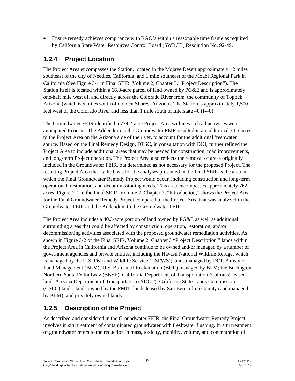• Ensure remedy achieves compliance with RAO's within a reasonable time frame as required by California State Water Resources Control Board (SWRCB) Resolution No. 92-49.

### **1.2.4 Project Location**

The Project Area encompasses the Station, located in the Mojave Desert approximately 12 miles southeast of the city of Needles, California, and 1 mile southeast of the Moabi Regional Park in California (See Figure 3-1 in Final SEIR, Volume 2, Chapter 3, "Project Description"). The Station itself is located within a 66.8-acre parcel of land owned by PG&E and is approximately one-half mile west of, and directly across the Colorado River from, the community of Topock, Arizona (which is 5 miles south of Golden Shores, Arizona). The Station is approximately 1,500 feet west of the Colorado River and less than 1 mile south of Interstate 40 (I-40).

The Groundwater FEIR identified a 779.2-acre Project Area within which all activities were anticipated to occur. The Addendum to the Groundwater FEIR resulted in an additional 74.5 acres to the Project Area on the Arizona side of the river, to account for the additional freshwater source. Based on the Final Remedy Design, DTSC, in consultation with DOI, further refined the Project Area to include additional areas that may be needed for construction, road improvements, and long-term Project operation. The Project Area also reflects the removal of areas originally included in the Groundwater FEIR, but determined as not necessary for the proposed Project. The resulting Project Area that is the basis for the analyses presented in the Final SEIR is the area in which the Final Groundwater Remedy Project would occur, including construction and long-term operational, restoration, and decommissioning needs. This area encompasses approximately 762 acres. Figure 2-1 in the Final SEIR, Volume 2, Chapter 2, "Introduction," shows the Project Area for the Final Groundwater Remedy Project compared to the Project Area that was analyzed in the Groundwater FEIR and the Addendum to the Groundwater FEIR.

The Project Area includes a 40.3-acre portion of land owned by PG&E as well as additional surrounding areas that could be affected by construction, operation, restoration, and/or decommissioning activities associated with the proposed groundwater remediation activities. As shown in Figure 3-2 of the Final SEIR, Volume 2, Chapter 3 "Project Description," lands within the Project Area in California and Arizona continue to be owned and/or managed by a number of government agencies and private entities, including the Havasu National Wildlife Refuge, which is managed by the U.S. Fish and Wildlife Service (USFWS); lands managed by DOI, Bureau of Land Management (BLM); U.S. Bureau of Reclamation (BOR) managed by BLM; the Burlington Northern Santa Fe Railway (BNSF); California Department of Transportation (Caltrans)-leased land; Arizona Department of Transportation (ADOT); California State Lands Commission (CSLC) lands; lands owned by the FMIT; lands leased by San Bernardino County (and managed by BLM); and privately owned lands.

### **1.2.5 Description of the Project**

As described and considered in the Groundwater FEIR, the Final Groundwater Remedy Project involves in situ treatment of contaminated groundwater with freshwater flushing. In situ treatment of groundwater refers to the reduction in mass, toxicity, mobility, volume, and concentration of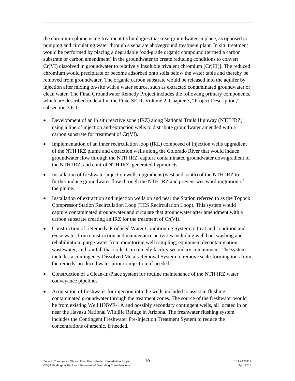the chromium plume using treatment technologies that treat groundwater in place, as opposed to pumping and circulating water through a separate aboveground treatment plant. In situ treatment would be performed by placing a degradable food-grade organic compound (termed a carbon substrate or carbon amendment) in the groundwater to create reducing conditions to convert Cr(VI) dissolved in groundwater to relatively insoluble trivalent chromium [Cr(III)]. The reduced chromium would precipitate or become adsorbed onto soils below the water table and thereby be removed from groundwater. The organic carbon substrate would be released into the aquifer by injection after mixing on-site with a water source, such as extracted contaminated groundwater or clean water. The Final Groundwater Remedy Project includes the following primary components, which are described in detail in the Final SEIR, Volume 2, Chapter 3, "Project Description," subsection 3.6.1:

- Development of an in situ reactive zone (IRZ) along National Trails Highway (NTH IRZ) using a line of injection and extraction wells to distribute groundwater amended with a carbon substrate for treatment of Cr(VI).
- Implementation of an inner recirculation loop (IRL) composed of injection wells upgradient of the NTH IRZ plume and extraction wells along the Colorado River that would induce groundwater flow through the NTH IRZ, capture contaminated groundwater downgradient of the NTH IRZ, and control NTH IRZ–generated byproducts.
- Installation of freshwater injection wells upgradient (west and south) of the NTH IRZ to further induce groundwater flow through the NTH IRZ and prevent westward migration of the plume.
- Installation of extraction and injection wells on and near the Station referred to as the Topock Compressor Station Recirculation Loop (TCS Recirculation Loop). This system would capture contaminated groundwater and circulate that groundwater after amendment with a carbon substrate creating an IRZ for the treatment of Cr(VI).
- Construction of a Remedy-Produced Water Conditioning System to treat and condition and reuse water from construction and maintenance activities including well backwashing and rehabilitation, purge water from monitoring well sampling, equipment decontamination wastewater, and rainfall that collects in remedy facility secondary containment. The system includes a contingency Dissolved Metals Removal System to remove scale-forming ions from the remedy-produced water prior to injection, if needed.
- Construction of a Clean-In-Place system for routine maintenance of the NTH IRZ water conveyance pipelines.
- Acquisition of freshwater for injection into the wells included to assist in flushing contaminated groundwater through the treatment zones. The source of the freshwater would be from existing Well HNWR-1A and possibly secondary contingent wells, all located in or near the Havasu National Wildlife Refuge in Arizona. The freshwater flushing system includes the Contingent Freshwater Pre-Injection Treatment System to reduce the concentrations of arsenic, if needed.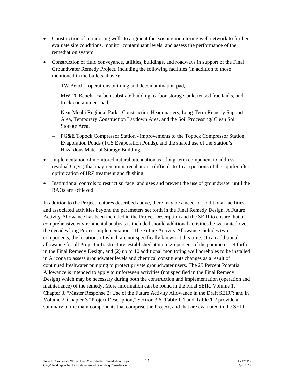- Construction of monitoring wells to augment the existing monitoring well network to further evaluate site conditions, monitor contaminant levels, and assess the performance of the remediation system.
- Construction of fluid conveyance, utilities, buildings, and roadways in support of the Final Groundwater Remedy Project, including the following facilities (in addition to those mentioned in the bullets above):
	- TW Bench operations building and decontamination pad,
	- MW-20 Bench carbon substrate building, carbon storage tank, reused frac tanks, and truck containment pad,
	- Near Moabi Regional Park Construction Headquarters, Long-Term Remedy Support Area, Temporary Construction Laydown Area, and the Soil Processing/ Clean Soil Storage Area.
	- PG&E Topock Compressor Station improvements to the Topock Compressor Station Evaporation Ponds (TCS Evaporation Ponds), and the shared use of the Station's Hazardous Material Storage Building.
- Implementation of monitored natural attenuation as a long-term component to address residual Cr(VI) that may remain in recalcitrant (difficult-to-treat) portions of the aquifer after optimization of IRZ treatment and flushing.
- Institutional controls to restrict surface land uses and prevent the use of groundwater until the RAOs are achieved.

In addition to the Project features described above, there may be a need for additional facilities and associated activities beyond the parameters set forth in the Final Remedy Design. A Future Activity Allowance has been included in the Project Description and the SEIR to ensure that a comprehensive environmental analysis is included should additional activities be warranted over the decades long Project implementation. The Future Activity Allowance includes two components, the locations of which are not specifically known at this time: (1) an additional allowance for all Project infrastructure, established at up to 25 percent of the parameter set forth in the Final Remedy Design, and (2) up to 10 additional monitoring well boreholes to be installed in Arizona to assess groundwater levels and chemical constituents changes as a result of continued freshwater pumping to protect private groundwater users. The 25 Percent Potential Allowance is intended to apply to unforeseen activities (not specified in the Final Remedy Design) which may be necessary during both the construction and implementation (operation and maintenance) of the remedy. More information can be found in the Final SEIR, Volume 1, Chapter 3, "Master Response 2: Use of the Future Activity Allowance in the Draft SEIR"; and in Volume 2, Chapter 3 "Project Description," Section 3.6. **Table 1-1** and **Table 1-2** provide a summary of the main components that comprise the Project, and that are evaluated in the SEIR.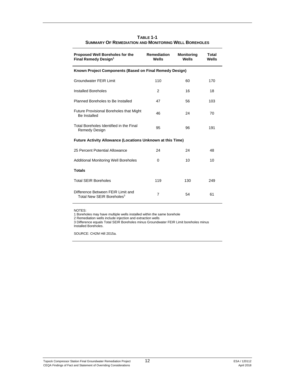<span id="page-14-0"></span>

| <b>Proposed Well Boreholes for the</b><br>Final Remedy Design <sup>1</sup> | <b>Remediation</b><br>Wells | <b>Monitoring</b><br>Wells | Total<br>Wells |
|----------------------------------------------------------------------------|-----------------------------|----------------------------|----------------|
| Known Project Components (Based on Final Remedy Design)                    |                             |                            |                |
| <b>Groundwater FEIR Limit</b>                                              | 110                         | 60                         | 170            |
| Installed Boreholes                                                        | 2                           | 16                         | 18             |
| Planned Boreholes to Be Installed                                          | 47                          | 56                         | 103            |
| <b>Future Provisional Boreholes that Might</b><br><b>Be Installed</b>      | 46                          | 24                         | 70             |
| Total Boreholes Identified in the Final<br><b>Remedy Design</b>            | 95                          | 96                         | 191            |
| <b>Future Activity Allowance (Locations Unknown at this Time)</b>          |                             |                            |                |
| 25 Percent Potential Allowance                                             | 24                          | 24                         | 48             |
| <b>Additional Monitoring Well Boreholes</b>                                | $\Omega$                    | 10                         | 10             |
| <b>Totals</b>                                                              |                             |                            |                |
| <b>Total SEIR Boreholes</b>                                                | 119                         | 130                        | 249            |
| Difference Between FEIR Limit and<br>Total New SFIR Boreholes <sup>3</sup> | 7                           | 54                         | 61             |

**TABLE 1-1 SUMMARY OF REMEDIATION AND MONITORING WELL BOREHOLES**

NOTES:

1 Boreholes may have multiple wells installed within the same borehole

2 Remediation wells include injection and extraction wells

3 Difference equals Total SEIR Boreholes minus Groundwater FEIR Limit boreholes minus Installed Boreholes.

SOURCE: CH2M Hill 2015a.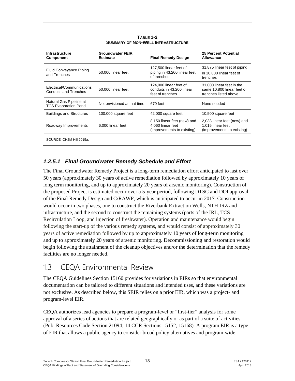<span id="page-15-1"></span>

| <b>Infrastructure</b><br><b>Component</b>                 | <b>Groundwater FEIR</b><br><b>Estimate</b> | <b>Final Remedy Design</b>                                                     | <b>25 Percent Potential</b><br><b>Allowance</b>                                  |
|-----------------------------------------------------------|--------------------------------------------|--------------------------------------------------------------------------------|----------------------------------------------------------------------------------|
| <b>Fluid Conveyance Piping</b><br>and Trenches            | 50,000 linear feet                         | 127,500 linear feet of<br>piping in 43,200 linear feet<br>of trenches          | 31,875 linear feet of piping<br>in 10,800 linear feet of<br>trenches             |
| Electrical/Communications<br><b>Conduits and Trenches</b> | 50,000 linear feet                         | 124,000 linear feet of<br>conduits in 43.200 linear<br>feet of trenches        | 31,000 linear feet in the<br>same 10.800 linear feet of<br>trenches listed above |
| Natural Gas Pipeline at<br><b>TCS Evaporation Pond</b>    | Not envisioned at that time                | 670 feet                                                                       | None needed                                                                      |
| <b>Buildings and Structures</b>                           | 100,000 square feet                        | 42,000 square feet                                                             | 10,500 square feet                                                               |
| Roadway Improvements                                      | 6,000 linear feet                          | 8,150 linear feet (new) and<br>4.060 linear feet<br>(improvements to existing) | 2,038 linear feet (new) and<br>1.015 linear feet<br>(improvements to existing)   |
| SOURCE: CH2M Hill 2015a.                                  |                                            |                                                                                |                                                                                  |

**TABLE 1-2 SUMMARY OF NON-WELL INFRASTRUCTURE**

#### *1.2.5.1 Final Groundwater Remedy Schedule and Effort*

The Final Groundwater Remedy Project is a long-term remediation effort anticipated to last over 50 years (approximately 30 years of active remediation followed by approximately 10 years of long term monitoring, and up to approximately 20 years of arsenic monitoring). Construction of the proposed Project is estimated occur over a 5-year period, following DTSC and DOI approval of the Final Remedy Design and C/RAWP, which is anticipated to occur in 2017. Construction would occur in two phases, one to construct the Riverbank Extraction Wells, NTH IRZ and infrastructure, and the second to construct the remaining systems (parts of the IRL, TCS Recirculation Loop, and injection of freshwater). Operation and maintenance would begin following the start-up of the various remedy systems, and would consist of approximately 30 years of active remediation followed by up to approximately 10 years of long-term monitoring and up to approximately 20 years of arsenic monitoring. Decommissioning and restoration would begin following the attainment of the cleanup objectives and/or the determination that the remedy facilities are no longer needed.

## <span id="page-15-0"></span>1.3 CEQA Environmental Review

The CEQA Guidelines Section 15160 provides for variations in EIRs so that environmental documentation can be tailored to different situations and intended uses, and these variations are not exclusive. As described below, this SEIR relies on a prior EIR, which was a project- and program-level EIR.

CEQA authorizes lead agencies to prepare a program-level or "first-tier" analysis for some approval of a series of actions that are related geographically or as part of a suite of activities (Pub. Resources Code Section 21094; 14 CCR Sections 15152, 15168). A program EIR is a type of EIR that allows a public agency to consider broad policy alternatives and program-wide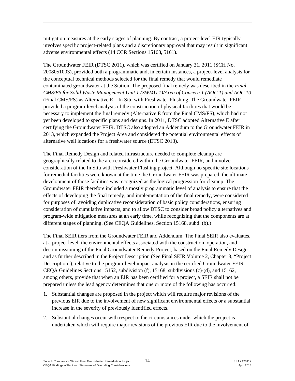mitigation measures at the early stages of planning. By contrast, a project-level EIR typically involves specific project-related plans and a discretionary approval that may result in significant adverse environmental effects (14 CCR Sections 15168, 5161).

The Groundwater FEIR (DTSC 2011), which was certified on January 31, 2011 (SCH No. 2008051003), provided both a programmatic and, in certain instances, a project-level analysis for the conceptual technical methods selected for the final remedy that would remediate contaminated groundwater at the Station. The proposed final remedy was described in the *Final CMS/FS for Solid Waste Management Unit 1 (SWMU 1)/Area of Concern 1 (AOC 1) and AOC 10* (Final CMS/FS) as Alternative E—In Situ with Freshwater Flushing. The Groundwater FEIR provided a program-level analysis of the construction of physical facilities that would be necessary to implement the final remedy (Alternative E from the Final CMS/FS), which had not yet been developed to specific plans and designs. In 2011, DTSC adopted Alternative E after certifying the Groundwater FEIR. DTSC also adopted an Addendum to the Groundwater FEIR in 2013, which expanded the Project Area and considered the potential environmental effects of alternative well locations for a freshwater source (DTSC 2013).

The Final Remedy Design and related infrastructure needed to complete cleanup are geographically related to the area considered within the Groundwater FEIR, and involve consideration of the In Situ with Freshwater Flushing project. Although no specific site locations for remedial facilities were known at the time the Groundwater FEIR was prepared, the ultimate development of those facilities was recognized as the logical progression for cleanup. The Groundwater FEIR therefore included a mostly programmatic level of analysis to ensure that the effects of developing the final remedy, and implementation of the final remedy, were considered for purposes of: avoiding duplicative reconsideration of basic policy considerations, ensuring consideration of cumulative impacts, and to allow DTSC to consider broad policy alternatives and program-wide mitigation measures at an early time, while recognizing that the components are at different stages of planning. (See CEQA Guidelines, Section 15168, subd. (b).)

The Final SEIR tiers from the Groundwater FEIR and Addendum. The Final SEIR also evaluates, at a project level, the environmental effects associated with the construction, operation, and decommissioning of the Final Groundwater Remedy Project, based on the Final Remedy Design and as further described in the Project Description (See Final SEIR Volume 2, Chapter 3, "Project Description"), relative to the program-level impact analysis in the certified Groundwater FEIR. CEQA Guidelines Sections 15152, subdivision (f), 15168, subdivisions (c)-(d), and 15162, among others, provide that when an EIR has been certified for a project, a SEIR shall not be prepared unless the lead agency determines that one or more of the following has occurred:

- 1. Substantial changes are proposed in the project which will require major revisions of the previous EIR due to the involvement of new significant environmental effects or a substantial increase in the severity of previously identified effects.
- 2. Substantial changes occur with respect to the circumstances under which the project is undertaken which will require major revisions of the previous EIR due to the involvement of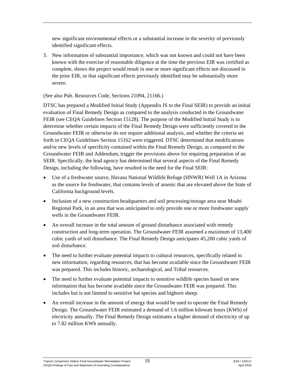new significant environmental effects or a substantial increase in the severity of previously identified significant effects.

3. New information of substantial importance, which was not known and could not have been known with the exercise of reasonable diligence at the time the previous EIR was certified as complete, shows the project would result in one or more significant effects not discussed in the prior EIR, or that significant effects previously identified may be substantially more severe.

(See also Pub. Resources Code, Sections 21094, 21166.)

DTSC has prepared a Modified Initial Study (Appendix IS to the Final SEIR) to provide an initial evaluation of Final Remedy Design as compared to the analysis conducted in the Groundwater FEIR (see CEQA Guidelines Section 15128). The purpose of the Modified Initial Study is to determine whether certain impacts of the Final Remedy Design were sufficiently covered in the Groundwater FEIR or otherwise do not require additional analysis, and whether the criteria set forth in CEQA Guidelines Section 15162 were triggered. DTSC determined that modifications and/or new levels of specificity contained within the Final Remedy Design, as compared to the Groundwater FEIR and Addendum, trigger the provisions above for requiring preparation of an SEIR. Specifically, the lead agency has determined that several aspects of the Final Remedy Design, including the following, have resulted in the need for the Final SEIR:

- Use of a freshwater source, Havasu National Wildlife Refuge (HNWR) Well 1A in Arizona as the source for freshwater, that contains levels of arsenic that are elevated above the State of California background levels.
- Inclusion of a new construction headquarters and soil processing/storage area near Moabi Regional Park, in an area that was anticipated to only provide one or more freshwater supply wells in the Groundwater FEIR.
- An overall increase in the total amount of ground disturbance associated with remedy construction and long-term operation. The Groundwater FEIR assumed a maximum of 13,400 cubic yards of soil disturbance. The Final Remedy Design anticipates 45,200 cubic yards of soil disturbance.
- The need to further evaluate potential impacts to cultural resources, specifically related to new information, regarding resources, that has become available since the Groundwater FEIR was prepared. This includes historic, archaeological, and Tribal resources.
- The need to further evaluate potential impacts to sensitive wildlife species based on new information that has become available since the Groundwater FEIR was prepared. This includes but is not limited to sensitive bat species and bighorn sheep.
- An overall increase in the amount of energy that would be used to operate the Final Remedy Design. The Groundwater FEIR estimated a demand of 1.6 million kilowatt hours (KWh) of electricity annually. The Final Remedy Design estimates a higher demand of electricity of up to 7.82 million KWh annually.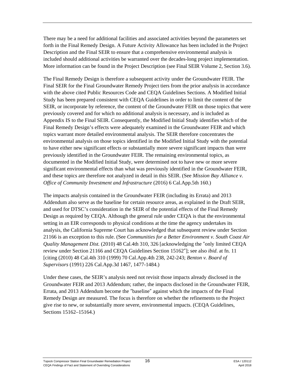There may be a need for additional facilities and associated activities beyond the parameters set forth in the Final Remedy Design. A Future Activity Allowance has been included in the Project Description and the Final SEIR to ensure that a comprehensive environmental analysis is included should additional activities be warranted over the decades-long project implementation. More information can be found in the Project Description (see Final SEIR Volume 2, Section 3.6).

The Final Remedy Design is therefore a subsequent activity under the Groundwater FEIR. The Final SEIR for the Final Groundwater Remedy Project tiers from the prior analysis in accordance with the above cited Public Resources Code and CEQA Guidelines Sections. A Modified Initial Study has been prepared consistent with CEQA Guidelines in order to limit the content of the SEIR, or incorporate by reference, the content of the Groundwater FEIR on those topics that were previously covered and for which no additional analysis is necessary, and is included as Appendix IS to the Final SEIR. Consequently, the Modified Initial Study identifies which of the Final Remedy Design's effects were adequately examined in the Groundwater FEIR and which topics warrant more detailed environmental analysis. The SEIR therefore concentrates the environmental analysis on those topics identified in the Modified Initial Study with the potential to have either new significant effects or substantially more severe significant impacts than were previously identified in the Groundwater FEIR. The remaining environmental topics, as documented in the Modified Initial Study, were determined not to have new or more severe significant environmental effects than what was previously identified in the Groundwater FEIR, and these topics are therefore not analyzed in detail in this SEIR. (See *Mission Bay Alliance v. Office of Community Investment and Infrastructure* (2016) 6 Cal.App.5th 160.)

The impacts analysis contained in the Groundwater FEIR (including its Errata) and 2013 Addendum also serve as the baseline for certain resource areas, as explained in the Draft SEIR, and used for DTSC's consideration in the SEIR of the potential effects of the Final Remedy Design as required by CEQA. Although the general rule under CEQA is that the environmental setting in an EIR corresponds to physical conditions at the time the agency undertakes its analysis, the California Supreme Court has acknowledged that subsequent review under Section 21166 is an exception to this rule. (See *Communities for a Better Environment v. South Coast Air Quality Management Dist.* (2010) 48 Cal.4th 310, 326 [acknowledging the "only limited CEQA review under Section 21166 and CEQA Guidelines Section 15162"]; see also *ibid*. at fn. 11 [citing (2010) 48 Cal.4th 310 (1999) 70 Cal.App.4th 238, 242-243; *Benton v. Board of Supervisors* (1991) 226 Cal.App.3d 1467, 1477-1484.)

Under these cases, the SEIR's analysis need not revisit those impacts already disclosed in the Groundwater FEIR and 2013 Addendum; rather, the impacts disclosed in the Groundwater FEIR, Errata, and 2013 Addendum become the "baseline" against which the impacts of the Final Remedy Design are measured. The focus is therefore on whether the refinements to the Project give rise to new, or substantially more severe, environmental impacts. (CEQA Guidelines, Sections 15162–15164.)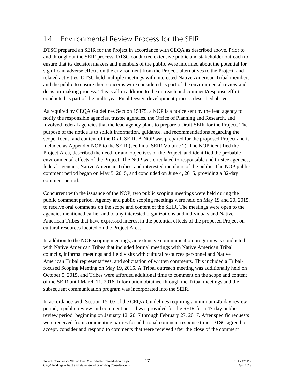## <span id="page-19-0"></span>1.4 Environmental Review Process for the SEIR

DTSC prepared an SEIR for the Project in accordance with CEQA as described above. Prior to and throughout the SEIR process, DTSC conducted extensive public and stakeholder outreach to ensure that its decision makers and members of the public were informed about the potential for significant adverse effects on the environment from the Project, alternatives to the Project, and related activities. DTSC held multiple meetings with interested Native American Tribal members and the public to ensure their concerns were considered as part of the environmental review and decision-making process. This is all in addition to the outreach and comment/response efforts conducted as part of the multi-year Final Design development process described above.

As required by CEQA Guidelines Section 15375, a NOP is a notice sent by the lead agency to notify the responsible agencies, trustee agencies, the Office of Planning and Research, and involved federal agencies that the lead agency plans to prepare a Draft SEIR for the Project. The purpose of the notice is to solicit information, guidance, and recommendations regarding the scope, focus, and content of the Draft SEIR. A NOP was prepared for the proposed Project and is included as Appendix NOP to the SEIR (see Final SEIR Volume 2). The NOP identified the Project Area, described the need for and objectives of the Project, and identified the probable environmental effects of the Project. The NOP was circulated to responsible and trustee agencies, federal agencies, Native American Tribes, and interested members of the public. The NOP public comment period began on May 5, 2015, and concluded on June 4, 2015, providing a 32-day comment period.

Concurrent with the issuance of the NOP, two public scoping meetings were held during the public comment period. Agency and public scoping meetings were held on May 19 and 20, 2015, to receive oral comments on the scope and content of the SEIR. The meetings were open to the agencies mentioned earlier and to any interested organizations and individuals and Native American Tribes that have expressed interest in the potential effects of the proposed Project on cultural resources located on the Project Area.

In addition to the NOP scoping meetings, an extensive communication program was conducted with Native American Tribes that included formal meetings with Native American Tribal councils, informal meetings and field visits with cultural resources personnel and Native American Tribal representatives, and solicitation of written comments. This included a Tribalfocused Scoping Meeting on May 19, 2015. A Tribal outreach meeting was additionally held on October 5, 2015, and Tribes were afforded additional time to comment on the scope and content of the SEIR until March 11, 2016. Information obtained through the Tribal meetings and the subsequent communication program was incorporated into the SEIR.

In accordance with Section 15105 of the CEQA Guidelines requiring a minimum 45-day review period, a public review and comment period was provided for the SEIR for a 47-day public review period, beginning on January 12, 2017 through February 27, 2017. After specific requests were received from commenting parties for additional comment response time, DTSC agreed to accept, consider and respond to comments that were received after the close of the comment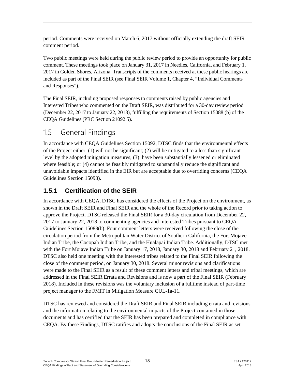period. Comments were received on March 6, 2017 without officially extending the draft SEIR comment period.

Two public meetings were held during the public review period to provide an opportunity for public comment. These meetings took place on January 31, 2017 in Needles, California, and February 1, 2017 in Golden Shores, Arizona. Transcripts of the comments received at these public hearings are included as part of the Final SEIR (see Final SEIR Volume 1, Chapter 4, "Individual Comments and Responses").

The Final SEIR, including proposed responses to comments raised by public agencies and Interested Tribes who commented on the Draft SEIR, was distributed for a 30-day review period (December 22, 2017 to January 22, 2018), fulfilling the requirements of Section 15088 (b) of the CEQA Guidelines (PRC Section 21092.5).

# <span id="page-20-0"></span>1.5 General Findings

In accordance with CEQA Guidelines Section 15092, DTSC finds that the environmental effects of the Project either: (1) will not be significant; (2) will be mitigated to a less than significant level by the adopted mitigation measures; (3) have been substantially lessened or eliminated where feasible; or (4) cannot be feasibly mitigated to substantially reduce the significant and unavoidable impacts identified in the EIR but are acceptable due to overriding concerns (CEQA Guidelines Section 15093).

### **1.5.1 Certification of the SEIR**

In accordance with CEQA, DTSC has considered the effects of the Project on the environment, as shown in the Draft SEIR and Final SEIR and the whole of the Record prior to taking action to approve the Project. DTSC released the Final SEIR for a 30-day circulation from December 22, 2017 to January 22, 2018 to commenting agencies and Interested Tribes pursuant to CEQA Guidelines Section 15088(b). Four comment letters were received following the close of the circulation period from the Metropolitan Water District of Southern California, the Fort Mojave Indian Tribe, the Cocopah Indian Tribe, and the Hualapai Indian Tribe. Additionally, DTSC met with the Fort Mojave Indian Tribe on January 17, 2018, January 30, 2018 and February 21, 2018. DTSC also held one meeting with the Interested tribes related to the Final SEIR following the close of the comment period, on January 30, 2018. Several minor revisions and clarifications were made to the Final SEIR as a result of these comment letters and tribal meetings, which are addressed in the Final SEIR Errata and Revisions and is now a part of the Final SEIR (February 2018). Included in these revisions was the voluntary inclusion of a fulltime instead of part-time project manager to the FMIT in Mitigation Measure CUL-1a-11.

DTSC has reviewed and considered the Draft SEIR and Final SEIR including errata and revisions and the information relating to the environmental impacts of the Project contained in those documents and has certified that the SEIR has been prepared and completed in compliance with CEQA. By these Findings, DTSC ratifies and adopts the conclusions of the Final SEIR as set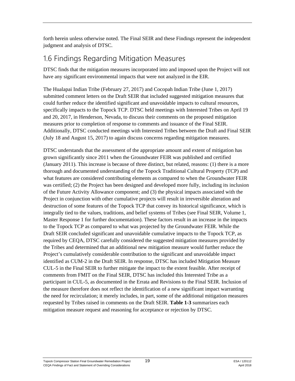forth herein unless otherwise noted. The Final SEIR and these Findings represent the independent judgment and analysis of DTSC.

## <span id="page-21-0"></span>1.6 Findings Regarding Mitigation Measures

DTSC finds that the mitigation measures incorporated into and imposed upon the Project will not have any significant environmental impacts that were not analyzed in the EIR.

The Hualapai Indian Tribe (February 27, 2017) and Cocopah Indian Tribe (June 1, 2017) submitted comment letters on the Draft SEIR that included suggested mitigation measures that could further reduce the identified significant and unavoidable impacts to cultural resources, specifically impacts to the Topock TCP. DTSC held meetings with Interested Tribes on April 19 and 20, 2017, in Henderson, Nevada, to discuss their comments on the proposed mitigation measures prior to completion of response to comments and issuance of the Final SEIR. Additionally, DTSC conducted meetings with Interested Tribes between the Draft and Final SEIR (July 18 and August 15, 2017) to again discuss concerns regarding mitigation measures.

DTSC understands that the assessment of the appropriate amount and extent of mitigation has grown significantly since 2011 when the Groundwater FEIR was published and certified (January 2011). This increase is because of three distinct, but related, reasons: (1) there is a more thorough and documented understanding of the Topock Traditional Cultural Property (TCP) and what features are considered contributing elements as compared to when the Groundwater FEIR was certified; (2) the Project has been designed and developed more fully, including its inclusion of the Future Activity Allowance component; and (3) the physical impacts associated with the Project in conjunction with other cumulative projects will result in irreversible alteration and destruction of some features of the Topock TCP that convey its historical significance, which is integrally tied to the values, traditions, and belief systems of Tribes (see Final SEIR, Volume 1, Master Response 1 for further documentation). These factors result in an increase in the impacts to the Topock TCP as compared to what was projected by the Groundwater FEIR. While the Draft SEIR concluded significant and unavoidable cumulative impacts to the Topock TCP, as required by CEQA, DTSC carefully considered the suggested mitigation measures provided by the Tribes and determined that an additional new mitigation measure would further reduce the Project's cumulatively considerable contribution to the significant and unavoidable impact identified as CUM-2 in the Draft SEIR. In response, DTSC has included Mitigation Measure CUL-5 in the Final SEIR to further mitigate the impact to the extent feasible. After receipt of comments from FMIT on the Final SEIR, DTSC has included this Interested Tribe as a participant in CUL-5, as documented in the Errata and Revisions to the Final SEIR. Inclusion of the measure therefore does not reflect the identification of a new significant impact warranting the need for recirculation; it merely includes, in part, some of the additional mitigation measures requested by Tribes raised in comments on the Draft SEIR. **Table 1-3** summarizes each mitigation measure request and reasoning for acceptance or rejection by DTSC.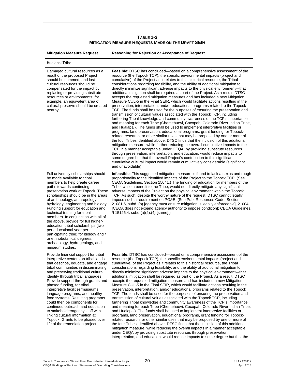**TABLE 1-3 MITIGATION MEASURE REQUESTS MADE ON THE DRAFT SEIR**

| <b>Mitigation Measure Request</b>                                                                                                                                                                                                                                                                                                                                                                                                                                                                                                                                                                                                       | Reasoning for Rejection or Acceptance of Request                                                                                                                                                                                                                                                                                                                                                                                                                                                                                                                                                                                                                                                                                                                                                                                                                                                                                                                                                                                                                                                                                                                                                                                                                                                                                                                                                                                                                                                                                                                                                                                                                                                                                                                                                                                                                                  |  |
|-----------------------------------------------------------------------------------------------------------------------------------------------------------------------------------------------------------------------------------------------------------------------------------------------------------------------------------------------------------------------------------------------------------------------------------------------------------------------------------------------------------------------------------------------------------------------------------------------------------------------------------------|-----------------------------------------------------------------------------------------------------------------------------------------------------------------------------------------------------------------------------------------------------------------------------------------------------------------------------------------------------------------------------------------------------------------------------------------------------------------------------------------------------------------------------------------------------------------------------------------------------------------------------------------------------------------------------------------------------------------------------------------------------------------------------------------------------------------------------------------------------------------------------------------------------------------------------------------------------------------------------------------------------------------------------------------------------------------------------------------------------------------------------------------------------------------------------------------------------------------------------------------------------------------------------------------------------------------------------------------------------------------------------------------------------------------------------------------------------------------------------------------------------------------------------------------------------------------------------------------------------------------------------------------------------------------------------------------------------------------------------------------------------------------------------------------------------------------------------------------------------------------------------------|--|
| Hualapai Tribe                                                                                                                                                                                                                                                                                                                                                                                                                                                                                                                                                                                                                          |                                                                                                                                                                                                                                                                                                                                                                                                                                                                                                                                                                                                                                                                                                                                                                                                                                                                                                                                                                                                                                                                                                                                                                                                                                                                                                                                                                                                                                                                                                                                                                                                                                                                                                                                                                                                                                                                                   |  |
| Damaged cultural resources as a<br>result of the proposed Project<br>should be summed, and lost<br>cultural resources should be<br>compensated for the impact by<br>replacing or providing substitute<br>resources or environments; for<br>example, an equivalent area of<br>cultural preserve should be created<br>nearby.                                                                                                                                                                                                                                                                                                             | <b>Feasible:</b> DTSC has concluded—based on a comprehensive assessment of the<br>resource (the Topock TCP), the specific environmental impacts (project and<br>cumulative) of the Project as it relates to this historical resource, the Tribal<br>considerations regarding feasibility, and the ability of additional mitigation to<br>directly minimize significant adverse impacts to the physical environment—that<br>additional mitigation shall be required as part of the Project. As a result, DTSC<br>accepts the requested mitigation measures and has included a new Mitigation<br>Measure CUL-5 in the Final SEIR, which would facilitate actions resulting in the<br>preservation, interpretation, and/or educational programs related to the Topock<br>TCP. The funds shall be used for the purposes of ensuring the preservation and<br>transmission of cultural values associated with the Topock TCP, including<br>furthering Tribal knowledge and community awareness of the TCP's importance<br>and meaning for each Tribe (Chemehuevi, Cocopah, Colorado River Indian Tribe,<br>and Hualapai). The funds shall be used to implement interpretive facilities or<br>programs, land preservation, educational programs, grant funding for Topock-<br>related research, or other similar uses that may be proposed by one or more of<br>the four Tribes identified above. DTSC finds that the inclusion of this additional<br>mitigation measure, while further reducing the overall cumulative impacts to the<br>TCP in a manner acceptable under CEQA, by providing substitute resources<br>through preservation, interpretation, and education, would reduce impacts to<br>some degree but that the overall Project's contribution to this significant<br>cumulative cultural impact would remain cumulatively considerable (significant<br>and unavoidable). |  |
| Full university scholarships should<br>be made available to tribal<br>members to help create career<br>paths towards continuing<br>preservation work at Topock. These<br>scholarships should be in the areas<br>of archaeology, anthropology,<br>hydrology, engineering and biology.<br>Funding support for education and<br>technical training for tribal<br>members. In conjunction with all of<br>the above, provide for full higher-<br>education tribal scholarships (two<br>per educational year per<br>participating tribe) for biology and /<br>or ethnobotanical degrees,<br>archaeology, hydrogeology, and<br>museum studies. | <b>Infeasible</b> : This suggested mitigation measure is found to lack a nexus and rough<br>proportionality to the identified impacts of the Project to the Topock TCP. (See<br>CEQA Guidelines, Section 15041.) The funding of education for members of the<br>Tribe, while a benefit to the Tribe, would not directly mitigate any significant<br>adverse impacts of the Project on the physical environment within the Topock<br>TCP. As such, despite the worthy nature of the request, DTSC cannot legally<br>impose such a requirement on PG&E. (See Pub. Resources Code, Section<br>21081.6, subd. (b) [agency must ensure mitigation is legally enforceable], 21004<br>[CEQA does not expand agency authority to impose condition]; CEQA Guidelines,<br>$\S$ 15126.4, subd.(a)(2),(4) [same].)                                                                                                                                                                                                                                                                                                                                                                                                                                                                                                                                                                                                                                                                                                                                                                                                                                                                                                                                                                                                                                                                            |  |
| Provide financial support for tribal<br>interpretive centers on tribal lands<br>that describe, educate, and engage<br>tribal communities in disseminating<br>and preserving traditional cultural<br>identity through tribal languages.<br>Provide support through grants and<br>phased funding, for tribal<br>interpretive facilities/museums,<br>language programs, and healthy<br>food systems. Resulting programs<br>could then be components for<br>continued outreach and education<br>to stakeholder/agency staff with<br>linking cultural information at<br>Topock. Grants to be phased over<br>life of the remediation project. | <b>Feasible:</b> DTSC has concluded—based on a comprehensive assessment of the<br>resource (the Topock TCP), the specific environmental impacts (project and<br>cumulative) of the Project as it relates to this historical resource, the Tribal<br>considerations regarding feasibility, and the ability of additional mitigation to<br>directly minimize significant adverse impacts to the physical environment—that<br>additional mitigation shall be required as part of the Project. As a result, DTSC<br>accepts the requested mitigation measure and has included a new Mitigation<br>Measure CUL-5 in the Final SEIR, which would facilitate actions resulting in the<br>preservation, interpretation, and/or educational programs related to the Topock<br>TCP. The funds shall be used for the purposes of ensuring the preservation and<br>transmission of cultural values associated with the Topock TCP, including<br>furthering Tribal knowledge and community awareness of the TCP's importance<br>and meaning for each Tribe (Chemehuevi, Cocopah, Colorado River Indian Tribe,<br>and Hualapai). The funds shall be used to implement interpretive facilities or<br>programs, land preservation, educational programs, grant funding for Topock-<br>related research, or other similar uses that may be proposed by one or more of<br>the four Tribes identified above. DTSC finds that the inclusion of this additional<br>mitigation measure, while reducing the overall impacts in a manner acceptable<br>under CEQA by providing substitute resources through preservation,<br>interpretation, and education, would reduce impacts to some degree but that the                                                                                                                                                                                              |  |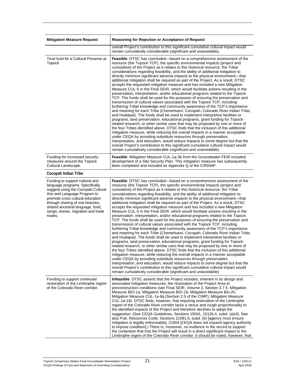| <b>Mitigation Measure Request</b>                                                                                                                                                                                                                                                                         | Reasoning for Rejection or Acceptance of Request                                                                                                                                                                                                                                                                                                                                                                                                                                                                                                                                                                                                                                                                                                                                                                                                                                                                                                                                                                                                                                                                                                                                                                                                                                                                                                                                                                                                                                                                                                                                                                                                                                                                                                                                                                                        |  |
|-----------------------------------------------------------------------------------------------------------------------------------------------------------------------------------------------------------------------------------------------------------------------------------------------------------|-----------------------------------------------------------------------------------------------------------------------------------------------------------------------------------------------------------------------------------------------------------------------------------------------------------------------------------------------------------------------------------------------------------------------------------------------------------------------------------------------------------------------------------------------------------------------------------------------------------------------------------------------------------------------------------------------------------------------------------------------------------------------------------------------------------------------------------------------------------------------------------------------------------------------------------------------------------------------------------------------------------------------------------------------------------------------------------------------------------------------------------------------------------------------------------------------------------------------------------------------------------------------------------------------------------------------------------------------------------------------------------------------------------------------------------------------------------------------------------------------------------------------------------------------------------------------------------------------------------------------------------------------------------------------------------------------------------------------------------------------------------------------------------------------------------------------------------------|--|
|                                                                                                                                                                                                                                                                                                           | overall Project's contribution to this significant cumulative cultural impact would<br>remain cumulatively considerable (significant and unavoidable).                                                                                                                                                                                                                                                                                                                                                                                                                                                                                                                                                                                                                                                                                                                                                                                                                                                                                                                                                                                                                                                                                                                                                                                                                                                                                                                                                                                                                                                                                                                                                                                                                                                                                  |  |
| Trust fund for a Cultural Preserve at<br><b>Topock</b>                                                                                                                                                                                                                                                    | Feasible: DTSC has concluded—based on a comprehensive assessment of the<br>resource (the Topock TCP), the specific environmental impacts (project and<br>cumulative) of the Project as it relates to this historical resource, the Tribal<br>considerations regarding feasibility, and the ability of additional mitigation to<br>directly minimize significant adverse impacts to the physical environment-that<br>additional mitigation shall be required as part of the Project. As a result, DTSC<br>accepts the requested mitigation measure and has included a new Mitigation<br>Measure CUL-5 in the Final SEIR, which would facilitate actions resulting in the<br>preservation, interpretation, and/or educational programs related to the Topock<br>TCP. The funds shall be used for the purposes of ensuring the preservation and<br>transmission of cultural values associated with the Topock TCP, including<br>furthering Tribal knowledge and community awareness of the TCP's importance<br>and meaning for each Tribe (Chemehuevi, Cocopah, Colorado River Indian Tribe,<br>and Hualapai). The funds shall be used to implement interpretive facilities or<br>programs, land preservation, educational programs, grant funding for Topock-<br>related research, or other similar uses that may be proposed by one or more of<br>the four Tribes identified above. DTSC finds that the inclusion of this additional<br>mitigation measure, while reducing the overall impacts in a manner acceptable<br>under CEQA by providing substitute resources through preservation,<br>interpretation, and education, would reduce impacts to some degree but that the<br>overall Project's contribution to this significant cumulative cultural impact would<br>remain cumulatively considerable (significant and unavoidable). |  |
| Funding for increased security<br>measures around the Topock<br>Cultural Landscape.                                                                                                                                                                                                                       | <b>Feasible:</b> Mitigation Measure CUL-1a-3b from the Groundwater FEIR included<br>development of a Site Security Plan. This mitigation measure has subsequently<br>been completed and included as Appendix Q of the C/RAWP.                                                                                                                                                                                                                                                                                                                                                                                                                                                                                                                                                                                                                                                                                                                                                                                                                                                                                                                                                                                                                                                                                                                                                                                                                                                                                                                                                                                                                                                                                                                                                                                                           |  |
| Cocopah Indian Tribe                                                                                                                                                                                                                                                                                      |                                                                                                                                                                                                                                                                                                                                                                                                                                                                                                                                                                                                                                                                                                                                                                                                                                                                                                                                                                                                                                                                                                                                                                                                                                                                                                                                                                                                                                                                                                                                                                                                                                                                                                                                                                                                                                         |  |
| Funding to support cultural and<br>language programs. Specifically,<br>suggest using the Cocopah Cultural<br>Arts and Language Program to<br>promote cross cultural education<br>through sharing of oral histories,<br>shared ancestral language, food,<br>songs, stories, migration and trade<br>routes. | Feasible: DTSC has concluded—based on a comprehensive assessment of the<br>resource (the Topock TCP), the specific environmental impacts (project and<br>cumulative) of the Project as it relates to this historical resource, the Tribal<br>considerations regarding feasibility, and the ability of additional mitigation to<br>directly minimize significant adverse impacts to the physical environment—that<br>additional mitigation shall be required as part of the Project. As a result, DTSC<br>accepts the requested mitigation measure and has included a new Mitigation<br>Measure CUL-5 in the Final SEIR, which would facilitate actions resulting in the<br>preservation, interpretation, and/or educational programs related to the Topock<br>TCP. The funds shall be used for the purposes of ensuring the preservation and<br>transmission of cultural values associated with the Topock TCP, including<br>furthering Tribal knowledge and community awareness of the TCP's importance<br>and meaning for each Tribe (Chemehuevi, Cocopah, Colorado River Indian Tribe,<br>and Hualapai). The funds shall be used to implement interpretive facilities or<br>programs, land preservation, educational programs, grant funding for Topock-<br>related research, or other similar uses that may be proposed by one or more of<br>the four Tribes identified above. DTSC finds that the inclusion of this additional<br>mitigation measure, while reducing the overall impacts in a manner acceptable<br>under CEQA by providing substitute resources through preservation.<br>interpretation, and education, would reduce impacts to some degree but that the<br>overall Project's contribution to this significant cumulative cultural impact would<br>remain cumulatively considerable (significant and unavoidable). |  |
| Funding to support continued<br>restoration of the Limitrophe region<br>of the Colorado River corridor.                                                                                                                                                                                                   | <b>Infeasible:</b> DTSC asserts that the Project includes, inherent in its design and<br>associated mitigation measures, the restoration of the Project Area to<br>preconstruction conditions (see Final SEIR, Volume 2, Section 3.7.5; Mitigation<br>Measure BIO-1a; Mitigation Measure BIO-1b; Mitigation Measure Bio-2h;<br>Mitigation Measure CUL-1a-8q (Section 2.5 of the CIMP); Mitigation Measure<br>CUL-1a-16). DTSC finds, however, that requiring restoration of the Limitrophe<br>region of the Colorado River corridor lacks a nexus and rough proportionality to<br>the identified impacts of the Project and therefore declines to adopt the<br>suggestion. (See CEQA Guidelines, Sections 15041, 15126.4, subd. (a)(4), See<br>also Pub. Resources Code, Sections 21081.6, subd. (b) [agency must ensure<br>mitigation is legally enforceable], 21004 [CEQA does not expand agency authority<br>to impose condition].) There is, moreover, no evidence in the record to support<br>the contention that that the Project will result in a direct significant impact to the<br>Limitrophe region of the Colorado River corridor. It should be noted, however, that                                                                                                                                                                                                                                                                                                                                                                                                                                                                                                                                                                                                                                                        |  |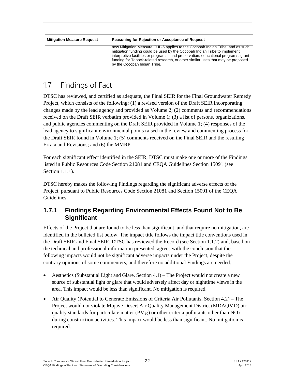| <b>Mitigation Measure Request</b> | Reasoning for Rejection or Acceptance of Request                                                                                                                                                                                                                                                                                                                      |
|-----------------------------------|-----------------------------------------------------------------------------------------------------------------------------------------------------------------------------------------------------------------------------------------------------------------------------------------------------------------------------------------------------------------------|
|                                   | new Mitigation Measure CUL-5 applies to the Cocopah Indian Tribe, and as such,<br>mitigation funding could be used by the Cocopah Indian Tribe to implement<br>interpretive facilities or programs, land preservation, educational programs, grant<br>funding for Topock-related research, or other similar uses that may be proposed<br>by the Cocopah Indian Tribe. |

## <span id="page-24-0"></span>1.7 Findings of Fact

DTSC has reviewed, and certified as adequate, the Final SEIR for the Final Groundwater Remedy Project, which consists of the following: (1) a revised version of the Draft SEIR incorporating changes made by the lead agency and provided as Volume 2; (2) comments and recommendations received on the Draft SEIR verbatim provided in Volume 1; (3) a list of persons, organizations, and public agencies commenting on the Draft SEIR provided in Volume 1; (4) responses of the lead agency to significant environmental points raised in the review and commenting process for the Draft SEIR found in Volume 1; (5) comments received on the Final SEIR and the resulting Errata and Revisions; and (6) the MMRP.

For each significant effect identified in the SEIR, DTSC must make one or more of the Findings listed in Public Resources Code Section 21081 and CEQA Guidelines Section 15091 (see Section 1.1.1).

DTSC hereby makes the following Findings regarding the significant adverse effects of the Project, pursuant to Public Resources Code Section 21081 and Section 15091 of the CEQA Guidelines.

#### **1.7.1 Findings Regarding Environmental Effects Found Not to Be Significant**

Effects of the Project that are found to be less than significant, and that require no mitigation, are identified in the bulleted list below. The impact title follows the impact title conventions used in the Draft SEIR and Final SEIR. DTSC has reviewed the Record (see Section 1.1.2) and, based on the technical and professional information presented, agrees with the conclusion that the following impacts would not be significant adverse impacts under the Project, despite the contrary opinions of some commenters, and therefore no additional Findings are needed.

- Aesthetics (Substantial Light and Glare, Section  $4.1$ ) The Project would not create a new source of substantial light or glare that would adversely affect day or nighttime views in the area. This impact would be less than significant. No mitigation is required.
- Air Quality (Potential to Generate Emissions of Criteria Air Pollutants, Section 4.2) The Project would not violate Mojave Desert Air Quality Management District (MDAQMD) air quality standards for particulate matter  $(PM_{10})$  or other criteria pollutants other than NOx during construction activities. This impact would be less than significant. No mitigation is required.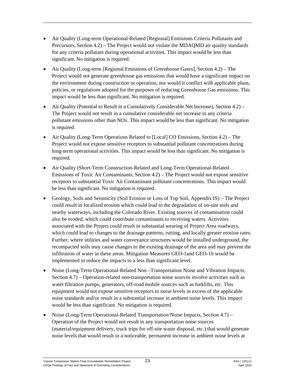- Air Quality (Long-term Operational-Related [Regional] Emissions Criteria Pollutants and Precursors, Section 4.2) – The Project would not violate the MDAQMD air quality standards for any criteria pollutant during operational activities. This impact would be less than significant. No mitigation is required.
- Air Quality (Long-term [Regional Emissions of Greenhouse Gases], Section 4.2) The Project would not generate greenhouse gas emissions that would have a significant impact on the environment during construction or operation, nor would it conflict with applicable plans, policies, or regulations adopted for the purposes of reducing Greenhouse Gas emissions. This impact would be less than significant. No mitigation is required.
- Air Quality (Potential to Result in a Cumulatively Considerable Net Increase), Section 4.2) The Project would not result in a cumulative considerable net increase in any criteria pollutant emissions other than NOx. This impact would be less than significant. No mitigation is required.
- Air Quality (Long-Term Operations Related to [Local] CO Emissions, Section 4.2) The Project would not expose sensitive receptors to substantial pollutant concentrations during long-term operational activities. This impact would be less than significant. No mitigation is required.
- Air Quality (Short-Term Construction-Related and Long-Term Operational-Related Emissions of Toxic Air Contaminants, Section 4.2) – The Project would not expose sensitive receptors to substantial Toxic Air Contaminant pollutant concentrations. This impact would be less than significant. No mitigation is required.
- Geology, Soils and Seismicity (Soil Erosion or Loss of Top Soil, Appendix IS) The Project could result in localized erosion which could lead to the degradation of on-site soils and nearby waterways, including the Colorado River. Existing sources of contamination could also be eroded, which could contribute contaminants to receiving waters. Activities associated with the Project could result in substantial wearing of Project Area roadways, which could lead to changes to the drainage patterns, rutting, and locally greater erosion rates. Further, where utilities and water conveyance structures would be installed underground, the recompacted soils may cause changes to the existing drainage of the area and may prevent the infiltration of water in these areas. Mitigation Measures GEO-1and GEO-1b would be implemented to reduce the impacts to a less than significant level.
- Noise (Long-Term Operational-Related Non –Transportation Noise and Vibration Impacts, Section 4.7) – Operation-related non-transportation noise sources involve activities such as water filtration pumps, generators, off-road mobile sources such as forklifts, etc. This equipment would not expose sensitive receptors to noise levels in excess of the applicable noise standards and/or result in a substantial increase in ambient noise levels. This impact would be less than significant. No mitigation is required.
- Noise (Long-Term Operational-Related Transportation Noise Impacts, Section 4.7) Operation of the Project would not result in any transportation noise sources (material/equipment delivery, truck trips for off-site waste disposal, etc.) that would generate noise levels that would result in a noticeable, permanent increase in ambient noise levels at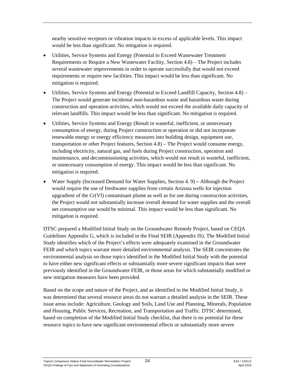nearby sensitive receptors or vibration impacts in excess of applicable levels. This impact would be less than significant. No mitigation is required.

- Utilities, Service Systems and Energy (Potential to Exceed Wastewater Treatment Requirements or Require a New Wastewater Facility, Section 4.8) – The Project includes several wastewater improvements in order to operate successfully that would not exceed requirements or require new facilities. This impact would be less than significant. No mitigation is required.
- Utilities, Service Systems and Energy (Potential to Exceed Landfill Capacity, Section 4.8) The Project would generate incidental non-hazardous waste and hazardous waste during construction and operation activities, which would not exceed the available daily capacity of relevant landfills. This impact would be less than significant. No mitigation is required.
- Utilities, Service Systems and Energy (Result in wasteful, inefficient, or unnecessary consumption of energy, during Project construction or operation or did not incorporate renewable energy or energy efficiency measures into building design, equipment use, transportation or other Project features, Section 4.8) – The Project would consume energy, including electricity, natural gas, and fuels during Project construction, operation and maintenance, and decommissioning activities, which would not result in wasteful, inefficient, or unnecessary consumption of energy. This impact would be less than significant. No mitigation is required.
- Water Supply (Increased Demand for Water Supplies, Section 4. 9) **–** Although the Project would require the use of freshwater supplies from certain Arizona wells for injection upgradient of the Cr(VI) contaminant plume as well as for use during construction activities, the Project would not substantially increase overall demand for water supplies and the overall net consumptive use would be minimal. This impact would be less than significant. No mitigation is required.

DTSC prepared a Modified Initial Study on the Groundwater Remedy Project, based on CEQA Guidelines Appendix G, which is included in the Final SEIR (Appendix IS). The Modified Initial Study identifies which of the Project's effects were adequately examined in the Groundwater FEIR and which topics warrant more detailed environmental analysis. The SEIR concentrates the environmental analysis on those topics identified in the Modified Initial Study with the potential to have either new significant effects or substantially more severe significant impacts than were previously identified in the Groundwater FEIR, or those areas for which substantially modified or new mitigation measures have been provided.

Based on the scope and nature of the Project, and as identified in the Modified Initial Study, it was determined that several resource areas do not warrant a detailed analysis in the SEIR. These issue areas include: Agriculture, Geology and Soils, Land Use and Planning, Minerals, Population and Housing, Public Services, Recreation, and Transportation and Traffic. DTSC determined, based on completion of the Modified Initial Study checklist, that there is no potential for these resource topics to have new significant environmental effects or substantially more severe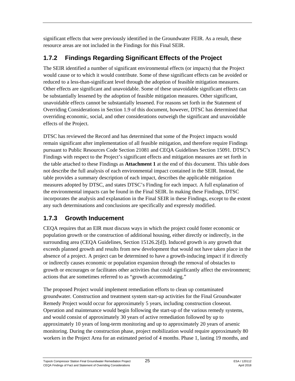significant effects that were previously identified in the Groundwater FEIR. As a result, these resource areas are not included in the Findings for this Final SEIR.

### **1.7.2 Findings Regarding Significant Effects of the Project**

The SEIR identified a number of significant environmental effects (or impacts) that the Project would cause or to which it would contribute. Some of these significant effects can be avoided or reduced to a less-than-significant level through the adoption of feasible mitigation measures. Other effects are significant and unavoidable. Some of these unavoidable significant effects can be substantially lessened by the adoption of feasible mitigation measures. Other significant, unavoidable effects cannot be substantially lessened. For reasons set forth in the Statement of Overriding Considerations in Section 1.9 of this document, however, DTSC has determined that overriding economic, social, and other considerations outweigh the significant and unavoidable effects of the Project.

DTSC has reviewed the Record and has determined that some of the Project impacts would remain significant after implementation of all feasible mitigation, and therefore require Findings pursuant to Public Resources Code Section 21081 and CEQA Guidelines Section 15091. DTSC's Findings with respect to the Project's significant effects and mitigation measures are set forth in the table attached to these Findings as **Attachment 1** at the end of this document. This table does not describe the full analysis of each environmental impact contained in the SEIR. Instead, the table provides a summary description of each impact, describes the applicable mitigation measures adopted by DTSC, and states DTSC's Finding for each impact. A full explanation of the environmental impacts can be found in the Final SEIR. In making these Findings, DTSC incorporates the analysis and explanation in the Final SEIR in these Findings, except to the extent any such determinations and conclusions are specifically and expressly modified.

### **1.7.3 Growth Inducement**

CEQA requires that an EIR must discuss ways in which the project could foster economic or population growth or the construction of additional housing, either directly or indirectly, in the surrounding area (CEQA Guidelines, Section 15126.2[d]). Induced growth is any growth that exceeds planned growth and results from new development that would not have taken place in the absence of a project. A project can be determined to have a growth-inducing impact if it directly or indirectly causes economic or population expansion through the removal of obstacles to growth or encourages or facilitates other activities that could significantly affect the environment; actions that are sometimes referred to as "growth accommodating."

The proposed Project would implement remediation efforts to clean up contaminated groundwater. Construction and treatment system start-up activities for the Final Groundwater Remedy Project would occur for approximately 5 years, including construction closeout. Operation and maintenance would begin following the start-up of the various remedy systems, and would consist of approximately 30 years of active remediation followed by up to approximately 10 years of long-term monitoring and up to approximately 20 years of arsenic monitoring. During the construction phase, project mobilization would require approximately 80 workers in the Project Area for an estimated period of 4 months. Phase 1, lasting 19 months, and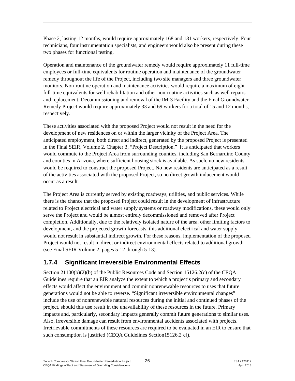Phase 2, lasting 12 months, would require approximately 168 and 181 workers, respectively. Four technicians, four instrumentation specialists, and engineers would also be present during these two phases for functional testing.

Operation and maintenance of the groundwater remedy would require approximately 11 full-time employees or full-time equivalents for routine operation and maintenance of the groundwater remedy throughout the life of the Project, including two site managers and three groundwater monitors. Non-routine operation and maintenance activities would require a maximum of eight full-time equivalents for well rehabilitation and other non-routine activities such as well repairs and replacement. Decommissioning and removal of the IM-3 Facility and the Final Groundwater Remedy Project would require approximately 33 and 69 workers for a total of 15 and 12 months, respectively.

These activities associated with the proposed Project would not result in the need for the development of new residences on or within the larger vicinity of the Project Area. The anticipated employment, both direct and indirect, generated by the proposed Project is presented in the Final SEIR, Volume 2, Chapter 3, "Project Description." It is anticipated that workers would commute to the Project Area from surrounding counties, including San Bernardino County and counties in Arizona, where sufficient housing stock is available. As such, no new residents would be required to construct the proposed Project. No new residents are anticipated as a result of the activities associated with the proposed Project, so no direct growth inducement would occur as a result.

The Project Area is currently served by existing roadways, utilities, and public services. While there is the chance that the proposed Project could result in the development of infrastructure related to Project electrical and water supply systems or roadway modifications, these would only serve the Project and would be almost entirely decommissioned and removed after Project completion. Additionally, due to the relatively isolated nature of the area, other limiting factors to development, and the projected growth forecasts, this additional electrical and water supply would not result in substantial indirect growth. For these reasons, implementation of the proposed Project would not result in direct or indirect environmental effects related to additional growth (see Final SEIR Volume 2, pages 5-12 through 5-13).

### **1.7.4 Significant Irreversible Environmental Effects**

Section 21100(b)(2)(b) of the Public Resources Code and Section 15126.2(c) of the CEQA Guidelines require that an EIR analyze the extent to which a project's primary and secondary effects would affect the environment and commit nonrenewable resources to uses that future generations would not be able to reverse. "Significant irreversible environmental changes" include the use of nonrenewable natural resources during the initial and continued phases of the project, should this use result in the unavailability of these resources in the future. Primary impacts and, particularly, secondary impacts generally commit future generations to similar uses. Also, irreversible damage can result from environmental accidents associated with projects. Irretrievable commitments of these resources are required to be evaluated in an EIR to ensure that such consumption is justified (CEQA Guidelines Section15126.2[c]).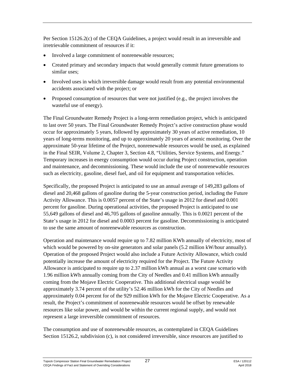Per Section 15126.2(c) of the CEQA Guidelines, a project would result in an irreversible and irretrievable commitment of resources if it:

- Involved a large commitment of nonrenewable resources;
- Created primary and secondary impacts that would generally commit future generations to similar uses;
- Involved uses in which irreversible damage would result from any potential environmental accidents associated with the project; or
- Proposed consumption of resources that were not justified (e.g., the project involves the wasteful use of energy).

The Final Groundwater Remedy Project is a long-term remediation project, which is anticipated to last over 50 years. The Final Groundwater Remedy Project's active construction phase would occur for approximately 5 years, followed by approximately 30 years of active remediation, 10 years of long-terms monitoring, and up to approximately 20 years of arsenic monitoring. Over the approximate 50-year lifetime of the Project, nonrenewable resources would be used, as explained in the Final SEIR, Volume 2, Chapter 3, Section 4.8, "Utilities, Service Systems, and Energy." Temporary increases in energy consumption would occur during Project construction, operation and maintenance, and decommissioning. These would include the use of nonrenewable resources such as electricity, gasoline, diesel fuel, and oil for equipment and transportation vehicles.

Specifically, the proposed Project is anticipated to use an annual average of 149,283 gallons of diesel and 20,468 gallons of gasoline during the 5-year construction period, including the Future Activity Allowance. This is 0.0057 percent of the State's usage in 2012 for diesel and 0.001 percent for gasoline. During operational activities, the proposed Project is anticipated to use 55,649 gallons of diesel and 46,705 gallons of gasoline annually. This is 0.0021 percent of the State's usage in 2012 for diesel and 0.0003 percent for gasoline. Decommissioning is anticipated to use the same amount of nonrenewable resources as construction.

Operation and maintenance would require up to 7.82 million KWh annually of electricity, most of which would be powered by on-site generators and solar panels (5.2 million kW/hour annually). Operation of the proposed Project would also include a Future Activity Allowance, which could potentially increase the amount of electricity required for the Project. The Future Activity Allowance is anticipated to require up to 2.37 million kWh annual as a worst case scenario with 1.96 million kWh annually coming from the City of Needles and 0.41 million kWh annually coming from the Mojave Electric Cooperative. This additional electrical usage would be approximately 3.74 percent of the utility's 52.46 million kWh for the City of Needles and approximately 0.04 percent for of the 929 million kWh for the Mojave Electric Cooperative. As a result, the Project's commitment of nonrenewable resources would be offset by renewable resources like solar power, and would be within the current regional supply, and would not represent a large irreversible commitment of resources.

The consumption and use of nonrenewable resources, as contemplated in CEQA Guidelines Section 15126.2, subdivision (c), is not considered irreversible, since resources are justified to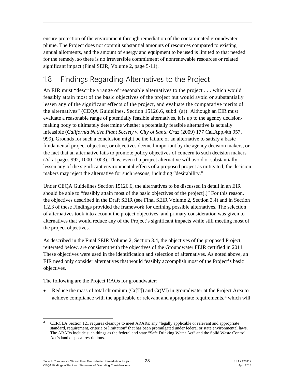ensure protection of the environment through remediation of the contaminated groundwater plume. The Project does not commit substantial amounts of resources compared to existing annual allotments, and the amount of energy and equipment to be used is limited to that needed for the remedy, so there is no irreversible commitment of nonrenewable resources or related significant impact (Final SEIR, Volume 2, page 5-11).

## <span id="page-30-0"></span>1.8 Findings Regarding Alternatives to the Project

An EIR must "describe a range of reasonable alternatives to the project . . . which would feasibly attain most of the basic objectives of the project but would avoid or substantially lessen any of the significant effects of the project, and evaluate the comparative merits of the alternatives" (CEQA Guidelines, Section 15126.6, subd. (a)). Although an EIR must evaluate a reasonable range of potentially feasible alternatives, it is up to the agency decisionmaking body to ultimately determine whether a potentially feasible alternative is actually infeasible (*California Native Plant Society v. City of Santa Cruz* (2009) 177 Cal.App.4th 957, 999). Grounds for such a conclusion might be the failure of an alternative to satisfy a basic fundamental project objective, or objectives deemed important by the agency decision makers, or the fact that an alternative fails to promote policy objectives of concern to such decision makers (*Id.* at pages 992, 1000–1003). Thus, even if a project alternative will avoid or substantially lessen any of the significant environmental effects of a proposed project as mitigated, the decision makers may reject the alternative for such reasons, including "desirability."

Under CEQA Guidelines Section 15126.6, the alternatives to be discussed in detail in an EIR should be able to "feasibly attain most of the basic objectives of the project[.]" For this reason, the objectives described in the Draft SEIR (see Final SEIR Volume 2, Section 3.4) and in Section 1.2.3 of these Findings provided the framework for defining possible alternatives. The selection of alternatives took into account the project objectives, and primary consideration was given to alternatives that would reduce any of the Project's significant impacts while still meeting most of the project objectives.

As described in the Final SEIR Volume 2, Section 3.4, the objectives of the proposed Project, reiterated below, are consistent with the objectives of the Groundwater FEIR certified in 2011*.* These objectives were used in the identification and selection of alternatives. As noted above, an EIR need only consider alternatives that would feasibly accomplish most of the Project's basic objectives.

The following are the Project RAOs for groundwater:

• Reduce the mass of total chromium ( $Cr[T]$ ) and  $Cr(VI)$  in groundwater at the Project Area to achieve compliance with the applicable or relevant and appropriate requirements,<sup>[4](#page-30-1)</sup> which will

<span id="page-30-1"></span> <sup>4</sup> CERCLA Section 121 requires cleanups to meet ARARs: any "legally applicable or relevant and appropriate standard, requirement, criteria or limitation" that has been promulgated under federal or state environmental laws. The ARARs include such things as the federal and state "Safe Drinking Water Act" and the Solid Waste Control Act's land disposal restrictions.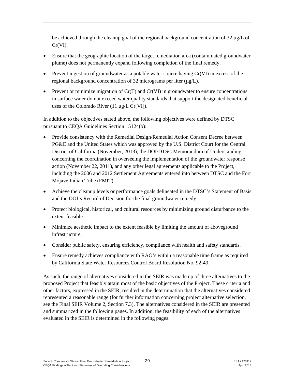be achieved through the cleanup goal of the regional background concentration of 32 µg/L of Cr(VI).

- Ensure that the geographic location of the target remediation area (contaminated groundwater plume) does not permanently expand following completion of the final remedy.
- Prevent ingestion of groundwater as a potable water source having Cr(VI) in excess of the regional background concentration of 32 micrograms per liter (μg/L).
- Prevent or minimize migration of  $Cr(T)$  and  $Cr(VI)$  in groundwater to ensure concentrations in surface water do not exceed water quality standards that support the designated beneficial uses of the Colorado River (11 μg/L Cr[VI]).

In addition to the objectives stated above, the following objectives were defined by DTSC pursuant to CEQA Guidelines Section 15124(b):

- Provide consistency with the Remedial Design/Remedial Action Consent Decree between PG&E and the United States which was approved by the U.S. District Court for the Central District of California (November, 2013), the DOI/DTSC Memorandum of Understanding concerning the coordination in overseeing the implementation of the groundwater response action (November 22, 2011), and any other legal agreements applicable to the Project, including the 2006 and 2012 Settlement Agreements entered into between DTSC and the Fort Mojave Indian Tribe (FMIT).
- Achieve the cleanup levels or performance goals delineated in the DTSC's Statement of Basis and the DOI's Record of Decision for the final groundwater remedy.
- Protect biological, historical, and cultural resources by minimizing ground disturbance to the extent feasible.
- Minimize aesthetic impact to the extent feasible by limiting the amount of above ground infrastructure.
- Consider public safety, ensuring efficiency, compliance with health and safety standards.
- Ensure remedy achieves compliance with RAO's within a reasonable time frame as required by California State Water Resources Control Board Resolution No. 92-49.

As such, the range of alternatives considered in the SEIR was made up of three alternatives to the proposed Project that feasibly attain most of the basic objectives of the Project. These criteria and other factors, expressed in the SEIR, resulted in the determination that the alternatives considered represented a reasonable range (for further information concerning project alternative selection, see the Final SEIR Volume 2, Section 7.3). The alternatives considered in the SEIR are presented and summarized in the following pages. In addition, the feasibility of each of the alternatives evaluated in the SEIR is determined in the following pages.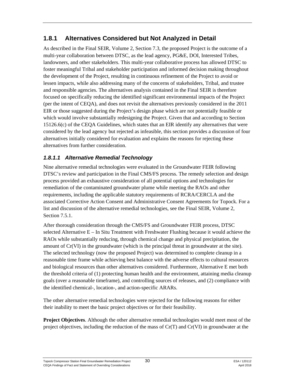### **1.8.1 Alternatives Considered but Not Analyzed in Detail**

As described in the Final SEIR, Volume 2, Section 7.3, the proposed Project is the outcome of a multi-year collaboration between DTSC, as the lead agency, PG&E, DOI, Interested Tribes, landowners, and other stakeholders. This multi-year collaborative process has allowed DTSC to foster meaningful Tribal and stakeholder participation and informed decision making throughout the development of the Project, resulting in continuous refinement of the Project to avoid or lessen impacts, while also addressing many of the concerns of stakeholders, Tribal, and trustee and responsible agencies. The alternatives analysis contained in the Final SEIR is therefore focused on specifically reducing the identified significant environmental impacts of the Project (per the intent of CEQA), and does not revisit the alternatives previously considered in the 2011 EIR or those suggested during the Project's design phase which are not potentially feasible or which would involve substantially redesigning the Project. Given that and according to Section 15126.6(c) of the CEQA Guidelines, which states that an EIR identify any alternatives that were considered by the lead agency but rejected as infeasible, this section provides a discussion of four alternatives initially considered for evaluation and explains the reasons for rejecting these alternatives from further consideration.

#### *1.8.1.1 Alternative Remedial Technology*

Nine alternative remedial technologies were evaluated in the Groundwater FEIR following DTSC's review and participation in the Final CMS/FS process. The remedy selection and design process provided an exhaustive consideration of all potential options and technologies for remediation of the contaminated groundwater plume while meeting the RAOs and other requirements, including the applicable statutory requirements of RCRA/CERCLA and the associated Corrective Action Consent and Administrative Consent Agreements for Topock. For a list and discussion of the alternative remedial technologies, see the Final SEIR, Volume 2, Section 7.5.1.

After thorough consideration through the CMS/FS and Groundwater FEIR process, DTSC selected Alternative E – In Situ Treatment with Freshwater Flushing because it would achieve the RAOs while substantially reducing, through chemical change and physical precipitation, the amount of Cr(VI) in the groundwater (which is the principal threat in groundwater at the site). The selected technology (now the proposed Project) was determined to complete cleanup in a reasonable time frame while achieving best balance with the adverse effects to cultural resources and biological resources than other alternatives considered. Furthermore, Alternative E met both the threshold criteria of (1) protecting human health and the environment, attaining media cleanup goals (over a reasonable timeframe), and controlling sources of releases, and (2) compliance with the identified chemical-, location-, and action-specific ARARs.

The other alternative remedial technologies were rejected for the following reasons for either their inability to meet the basic project objectives or for their feasibility.

**Project Objectives**. Although the other alternative remedial technologies would meet most of the project objectives, including the reduction of the mass of Cr(T) and Cr(VI) in groundwater at the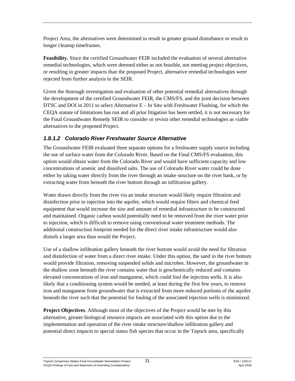Project Area, the alternatives were determined to result in greater ground disturbance or result in longer cleanup timeframes.

**Feasibility.** Since the certified Groundwater FEIR included the evaluation of several alternative remedial technologies, which were deemed either as not feasible, not meeting project objectives, or resulting in greater impacts than the proposed Project, alternative remedial technologies were rejected from further analysis in the SEIR.

Given the thorough investigation and evaluation of other potential remedial alternatives through the development of the certified Groundwater FEIR, the CMS/FS, and the joint decision between DTSC and DOI in 2011 to select Alternative  $E - In$  Situ with Freshwater Flushing, for which the CEQA statute of limitations has run and all prior litigation has been settled, it is not necessary for the Final Groundwater Remedy SEIR to consider or revisit other remedial technologies as viable alternatives to the proposed Project.

#### *1.8.1.2 Colorado River Freshwater Source Alternative*

The Groundwater FEIR evaluated three separate options for a freshwater supply source including the use of surface water from the Colorado River. Based on the Final CMS/FS evaluation, this option would obtain water from the Colorado River and would have sufficient capacity and low concentrations of arsenic and dissolved salts. The use of Colorado River water could be done either by taking water directly from the river through an intake structure on the river bank, or by extracting water from beneath the river bottom through an infiltration gallery.

Water drawn directly from the river via an intake structure would likely require filtration and disinfection prior to injection into the aquifer, which would require filters and chemical feed equipment that would increase the size and amount of remedial infrastructure to be constructed and maintained. Organic carbon would potentially need to be removed from the river water prior to injection, which is difficult to remove using conventional water treatment methods. The additional construction footprint needed for the direct river intake infrastructure would also disturb a larger area than would the Project.

Use of a shallow infiltration gallery beneath the river bottom would avoid the need for filtration and disinfection of water from a direct river intake. Under this option, the sand in the river bottom would provide filtration, removing suspended solids and microbes. However, the groundwater in the shallow zone beneath the river contains water that is geochemically reduced and contains elevated concentrations of iron and manganese, which could foul the injection wells. It is also likely that a conditioning system would be needed, at least during the first few years, to remove iron and manganese from groundwater that is extracted from more reduced portions of the aquifer beneath the river such that the potential for fouling of the associated injection wells is minimized.

**Project Objectives**. Although most of the objectives of the Project would be met by this alternative, greater biological resource impacts are associated with this option due to the implementation and operation of the river intake structure/shallow infiltration gallery and potential direct impacts to special status fish species that occur in the Topock area, specifically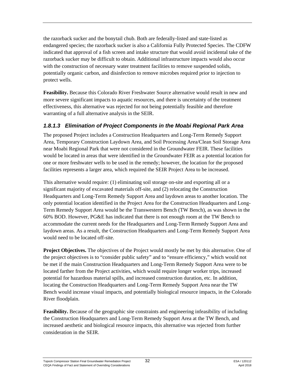the razorback sucker and the bonytail chub. Both are federally-listed and state-listed as endangered species; the razorback sucker is also a California Fully Protected Species. The CDFW indicated that approval of a fish screen and intake structure that would avoid incidental take of the razorback sucker may be difficult to obtain. Additional infrastructure impacts would also occur with the construction of necessary water treatment facilities to remove suspended solids, potentially organic carbon, and disinfection to remove microbes required prior to injection to protect wells.

**Feasibility.** Because this Colorado River Freshwater Source alternative would result in new and more severe significant impacts to aquatic resources, and there is uncertainty of the treatment effectiveness, this alternative was rejected for not being potentially feasible and therefore warranting of a full alternative analysis in the SEIR.

#### *1.8.1.3 Elimination of Project Components in the Moabi Regional Park Area*

The proposed Project includes a Construction Headquarters and Long-Term Remedy Support Area, Temporary Construction Laydown Area, and Soil Processing Area/Clean Soil Storage Area near Moabi Regional Park that were not considered in the Groundwater FEIR. These facilities would be located in areas that were identified in the Groundwater FEIR as a potential location for one or more freshwater wells to be used in the remedy; however, the location for the proposed facilities represents a larger area, which required the SEIR Project Area to be increased.

This alternative would require: (1) eliminating soil storage on-site and exporting all or a significant majority of excavated materials off-site, and (2) relocating the Construction Headquarters and Long-Term Remedy Support Area and laydown areas to another location. The only potential location identified in the Project Area for the Construction Headquarters and Long-Term Remedy Support Area would be the Transwestern Bench (TW Bench), as was shown in the 60% BOD. However, PG&E has indicated that there is not enough room at the TW Bench to accommodate the current needs for the Headquarters and Long-Term Remedy Support Area and laydown areas. As a result, the Construction Headquarters and Long-Term Remedy Support Area would need to be located off-site.

**Project Objectives.** The objectives of the Project would mostly be met by this alternative. One of the project objectives is to "consider public safety" and to "ensure efficiency," which would not be met if the main Construction Headquarters and Long-Term Remedy Support Area were to be located farther from the Project activities, which would require longer worker trips, increased potential for hazardous material spills, and increased construction duration, etc. In addition, locating the Construction Headquarters and Long-Term Remedy Support Area near the TW Bench would increase visual impacts, and potentially biological resource impacts, in the Colorado River floodplain.

**Feasibility.** Because of the geographic site constraints and engineering infeasibility of including the Construction Headquarters and Long-Term Remedy Support Area at the TW Bench, and increased aesthetic and biological resource impacts, this alternative was rejected from further consideration in the SEIR.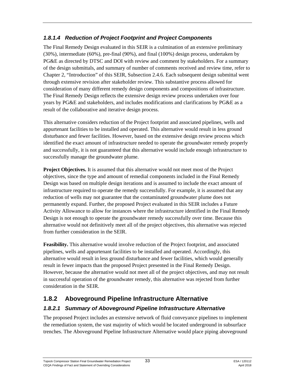#### *1.8.1.4 Reduction of Project Footprint and Project Components*

The Final Remedy Design evaluated in this SEIR is a culmination of an extensive preliminary (30%), intermediate (60%), pre-final (90%), and final (100%) design process, undertaken by PG&E as directed by DTSC and DOI with review and comment by stakeholders. For a summary of the design submittals, and summary of number of comments received and review time, refer to Chapter 2, "Introduction" of this SEIR, Subsection 2.4.6. Each subsequent design submittal went through extensive revision after stakeholder review. This substantive process allowed for consideration of many different remedy design components and compositions of infrastructure. The Final Remedy Design reflects the extensive design review process undertaken over four years by PG&E and stakeholders, and includes modifications and clarifications by PG&E as a result of the collaborative and iterative design process.

This alternative considers reduction of the Project footprint and associated pipelines, wells and appurtenant facilities to be installed and operated. This alternative would result in less ground disturbance and fewer facilities. However, based on the extensive design review process which identified the exact amount of infrastructure needed to operate the groundwater remedy properly and successfully, it is not guaranteed that this alternative would include enough infrastructure to successfully manage the groundwater plume.

**Project Objectives.** It is assumed that this alternative would not meet most of the Project objectives, since the type and amount of remedial components included in the Final Remedy Design was based on multiple design iterations and is assumed to include the exact amount of infrastructure required to operate the remedy successfully. For example, it is assumed that any reduction of wells may not guarantee that the contaminated groundwater plume does not permanently expand. Further, the proposed Project evaluated in this SEIR includes a Future Activity Allowance to allow for instances where the infrastructure identified in the Final Remedy Design is not enough to operate the groundwater remedy successfully over time. Because this alternative would not definitively meet all of the project objectives, this alternative was rejected from further consideration in the SEIR.

**Feasibility.** This alternative would involve reduction of the Project footprint, and associated pipelines, wells and appurtenant facilities to be installed and operated. Accordingly, this alternative would result in less ground disturbance and fewer facilities, which would generally result in fewer impacts than the proposed Project presented in the Final Remedy Design. However, because the alternative would not meet all of the project objectives, and may not result in successful operation of the groundwater remedy, this alternative was rejected from further consideration in the SEIR.

### **1.8.2 Aboveground Pipeline Infrastructure Alternative**

### *1.8.2.1 Summary of Aboveground Pipeline Infrastructure Alternative*

The proposed Project includes an extensive network of fluid conveyance pipelines to implement the remediation system, the vast majority of which would be located underground in subsurface trenches. The Aboveground Pipeline Infrastructure Alternative would place piping aboveground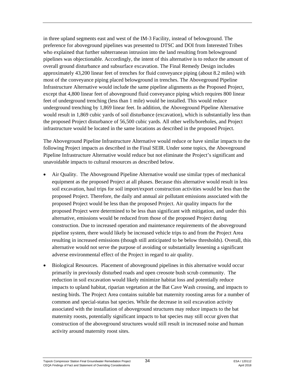in three upland segments east and west of the IM-3 Facility, instead of belowground. The preference for aboveground pipelines was presented to DTSC and DOI from Interested Tribes who explained that further subterranean intrusion into the land resulting from belowground pipelines was objectionable. Accordingly, the intent of this alternative is to reduce the amount of overall ground disturbance and subsurface excavation. The Final Remedy Design includes approximately 43,200 linear feet of trenches for fluid conveyance piping (about 8.2 miles) with most of the conveyance piping placed belowground in trenches. The Aboveground Pipeline Infrastructure Alternative would include the same pipeline alignments as the Proposed Project, except that 4,800 linear feet of aboveground fluid conveyance piping which requires 800 linear feet of underground trenching (less than 1 mile) would be installed. This would reduce underground trenching by 1,869 linear feet. In addition, the Aboveground Pipeline Alternative would result in 1,869 cubic yards of soil disturbance (excavation), which is substantially less than the proposed Project disturbance of 56,500 cubic yards. All other wells/boreholes, and Project infrastructure would be located in the same locations as described in the proposed Project.

The Aboveground Pipeline Infrastructure Alternative would reduce or have similar impacts to the following Project impacts as described in the Final SEIR. Under some topics, the Aboveground Pipeline Infrastructure Alternative would reduce but not eliminate the Project's significant and unavoidable impacts to cultural resources as described below.

- Air Quality. The Aboveground Pipeline Alternative would use similar types of mechanical equipment as the proposed Project at all phases. Because this alternative would result in less soil excavation, haul trips for soil import/export construction activities would be less than the proposed Project. Therefore, the daily and annual air pollutant emissions associated with the proposed Project would be less than the proposed Project. Air quality impacts for the proposed Project were determined to be less than significant with mitigation, and under this alternative, emissions would be reduced from those of the proposed Project during construction. Due to increased operation and maintenance requirements of the aboveground pipeline system, there would likely be increased vehicle trips to and from the Project Area resulting in increased emissions (though still anticipated to be below thresholds). Overall, this alternative would not serve the purpose of avoiding or substantially lessening a significant adverse environmental effect of the Project in regard to air quality.
- Biological Resources. Placement of aboveground pipelines in this alternative would occur primarily in previously disturbed roads and open creosote bush scrub community. The reduction in soil excavation would likely minimize habitat loss and potentially reduce impacts to upland habitat, riparian vegetation at the Bat Cave Wash crossing, and impacts to nesting birds. The Project Area contains suitable bat maternity roosting areas for a number of common and special-status bat species. While the decrease in soil excavation activity associated with the installation of aboveground structures may reduce impacts to the bat maternity roosts, potentially significant impacts to bat species may still occur given that construction of the aboveground structures would still result in increased noise and human activity around maternity roost sites.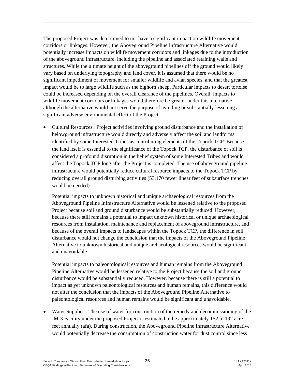The proposed Project was determined to not have a significant impact on wildlife movement corridors or linkages. However, the Aboveground Pipeline Infrastructure Alternative would potentially increase impacts on wildlife movement corridors and linkages due to the introduction of the aboveground infrastructure, including the pipeline and associated retaining walls and structures. While the ultimate height of the aboveground pipelines off the ground would likely vary based on underlying topography and land cover, it is assumed that there would be no significant impediment of movement for smaller wildlife and avian species, and that the greatest impact would be to large wildlife such as the bighorn sheep. Particular impacts to desert tortoise could be increased depending on the overall clearance of the pipelines. Overall, impacts to wildlife movement corridors or linkages would therefore be greater under this alternative, although the alternative would not serve the purpose of avoiding or substantially lessening a significant adverse environmental effect of the Project.

• Cultural Resources. Project activities involving ground disturbance and the installation of belowground infrastructure would directly and adversely affect the soil and landforms identified by some Interested Tribes as contributing elements of the Topock TCP. Because the land itself is essential to the significance of the Topock TCP, the disturbance of soil is considered a profound disruption in the belief system of some Interested Tribes and would affect the Topock TCP long after the Project is completed. The use of aboveground pipeline infrastructure would potentially reduce cultural resource impacts to the Topock TCP by reducing overall ground disturbing activities (53,170 fewer linear feet of subsurface trenches would be needed).

Potential impacts to unknown historical and unique archaeological resources from the Aboveground Pipeline Infrastructure Alternative would be lessened relative to the proposed Project because soil and ground disturbance would be substantially reduced. However, because there still remains a potential to impact unknown historical or unique archaeological resources from installation, maintenance and replacement of aboveground infrastructure, and because of the overall impacts to landscapes within the Topock TCP, the difference in soil disturbance would not change the conclusion that the impacts of the Aboveground Pipeline Alternative to unknown historical and unique archaeological resources would be significant and unavoidable.

Potential impacts to paleontological resources and human remains from the Aboveground Pipeline Alternative would be lessened relative to the Project because the soil and ground disturbance would be substantially reduced. However, because there is still a potential to impact as yet unknown paleontological resources and human remains, this difference would not alter the conclusion that the impacts of the Aboveground Pipeline Alternative to paleontological resources and human remains would be significant and unavoidable.

• Water Supplies. The use of water for construction of the remedy and decommissioning of the IM-3 Facility under the proposed Project is estimated to be approximately 152 to 192 acre feet annually (afa). During construction, the Aboveground Pipeline Infrastructure Alternative would potentially decrease the consumption of construction water for dust control since less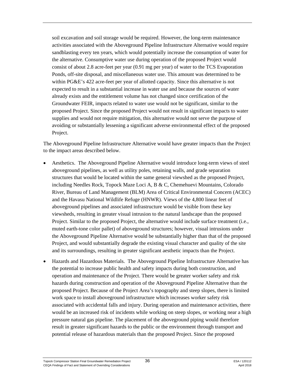soil excavation and soil storage would be required. However, the long-term maintenance activities associated with the Aboveground Pipeline Infrastructure Alternative would require sandblasting every ten years, which would potentially increase the consumption of water for the alternative. Consumptive water use during operation of the proposed Project would consist of about 2.8 acre-feet per year (0.91 mg per year) of water to the TCS Evaporation Ponds, off-site disposal, and miscellaneous water use. This amount was determined to be within PG&E's 422 acre-feet per year of allotted capacity. Since this alternative is not expected to result in a substantial increase in water use and because the sources of water already exists and the entitlement volume has not changed since certification of the Groundwater FEIR, impacts related to water use would not be significant, similar to the proposed Project. Since the proposed Project would not result in significant impacts to water supplies and would not require mitigation, this alternative would not serve the purpose of avoiding or substantially lessening a significant adverse environmental effect of the proposed Project.

The Aboveground Pipeline Infrastructure Alternative would have greater impacts than the Project to the impact areas described below.

- Aesthetics. The Aboveground Pipeline Alternative would introduce long-term views of steel aboveground pipelines, as well as utility poles, retaining walls, and grade separation structures that would be located within the same general viewshed as the proposed Project, including Needles Rock, Topock Maze Loci A, B & C, Chemehuevi Mountains, Colorado River, Bureau of Land Management (BLM) Area of Critical Environmental Concern (ACEC) and the Havasu National Wildlife Refuge (HNWR). Views of the 4,800 linear feet of aboveground pipelines and associated infrastructure would be visible from these key viewsheds, resulting in greater visual intrusion to the natural landscape than the proposed Project. Similar to the proposed Project, the alternative would include surface treatment (i.e., muted earth-tone color pallet) of aboveground structures; however, visual intrusions under the Aboveground Pipeline Alternative would be substantially higher than that of the proposed Project, and would substantially degrade the existing visual character and quality of the site and its surroundings, resulting in greater significant aesthetic impacts than the Project.
- Hazards and Hazardous Materials. The Aboveground Pipeline Infrastructure Alternative has the potential to increase public health and safety impacts during both construction, and operation and maintenance of the Project. There would be greater worker safety and risk hazards during construction and operation of the Aboveground Pipeline Alternative than the proposed Project. Because of the Project Area's topography and steep slopes, there is limited work space to install aboveground infrastructure which increases worker safety risk associated with accidental falls and injury. During operation and maintenance activities, there would be an increased risk of incidents while working on steep slopes, or working near a high pressure natural gas pipeline. The placement of the aboveground piping would therefore result in greater significant hazards to the public or the environment through transport and potential release of hazardous materials than the proposed Project. Since the proposed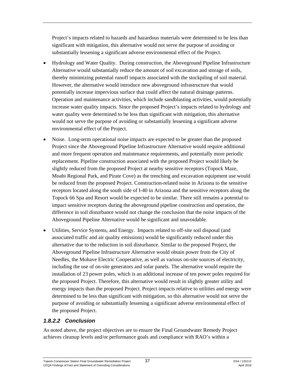Project's impacts related to hazards and hazardous materials were determined to be less than significant with mitigation, this alternative would not serve the purpose of avoiding or substantially lessening a significant adverse environmental effect of the Project.

- Hydrology and Water Quality. During construction, the Aboveground Pipeline Infrastructure Alternative would substantially reduce the amount of soil excavation and storage of soils, thereby minimizing potential runoff impacts associated with the stockpiling of soil material. However, the alternative would introduce new aboveground infrastructure that would potentially increase impervious surface that could affect the natural drainage patterns. Operation and maintenance activities, which include sandblasting activities, would potentially increase water quality impacts. Since the proposed Project's impacts related to hydrology and water quality were determined to be less than significant with mitigation, this alternative would not serve the purpose of avoiding or substantially lessening a significant adverse environmental effect of the Project.
- Noise. Long-term operational noise impacts are expected to be greater than the proposed Project since the Aboveground Pipeline Infrastructure Alternative would require additional and more frequent operation and maintenance requirements, and potentially more periodic replacement. Pipeline construction associated with the proposed Project would likely be slightly reduced from the proposed Project at nearby sensitive receptors (Topock Maze, Moabi Regional Park, and Pirate Cove) as the trenching and excavation equipment use would be reduced from the proposed Project. Construction-related noise in Arizona to the sensitive receptors located along the south side of I-40 in Arizona and the sensitive receptors along the Topock 66 Spa and Resort would be expected to be similar. There still remains a potential to impact sensitive receptors during the aboveground pipeline construction and operation, the difference in soil disturbance would not change the conclusion that the noise impacts of the Aboveground Pipeline Alternative would be significant and unavoidable.
- Utilities, Service Systems, and Energy. Impacts related to off-site soil disposal (and associated traffic and air quality emissions) would be significantly reduced under this alternative due to the reduction in soil disturbance. Similar to the proposed Project, the Aboveground Pipeline Infrastructure Alternative would obtain power from the City of Needles, the Mohave Electric Cooperative, as well as various on-site sources of electricity, including the use of on-site generators and solar panels. The alternative would require the installation of 23 power poles, which is an additional increase of ten power poles required for the proposed Project. Therefore, this alternative would result in slightly greater utility and energy impacts than the proposed Project. Project impacts relative to utilities and energy were determined to be less than significant with mitigation, so this alternative would not serve the purpose of avoiding or substantially lessening a significant adverse environmental effect of the proposed Project.

#### *1.8.2.2 Conclusion*

As noted above, the project objectives are to ensure the Final Groundwater Remedy Project achieves cleanup levels and/or performance goals and compliance with RAO's within a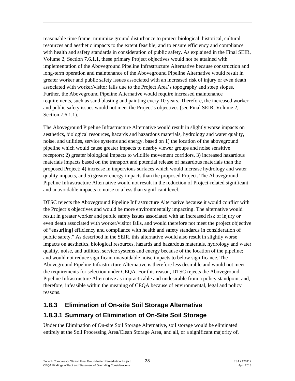reasonable time frame; minimize ground disturbance to protect biological, historical, cultural resources and aesthetic impacts to the extent feasible; and to ensure efficiency and compliance with health and safety standards in consideration of public safety. As explained in the Final SEIR, Volume 2, Section 7.6.1.1, these primary Project objectives would not be attained with implementation of the Aboveground Pipeline Infrastructure Alternative because construction and long-term operation and maintenance of the Aboveground Pipeline Alternative would result in greater worker and public safety issues associated with an increased risk of injury or even death associated with worker/visitor falls due to the Project Area's topography and steep slopes. Further, the Aboveground Pipeline Alternative would require increased maintenance requirements, such as sand blasting and painting every 10 years. Therefore, the increased worker and public safety issues would not meet the Project's objectives (see Final SEIR, Volume 2, Section 7.6.1.1).

The Aboveground Pipeline Infrastructure Alternative would result in slightly worse impacts on aesthetics, biological resources, hazards and hazardous materials, hydrology and water quality, noise, and utilities, service systems and energy, based on 1) the location of the aboveground pipeline which would cause greater impacts to nearby viewer groups and noise sensitive receptors; 2) greater biological impacts to wildlife movement corridors, 3) increased hazardous materials impacts based on the transport and potential release of hazardous materials than the proposed Project; 4) increase in impervious surfaces which would increase hydrology and water quality impacts, and 5) greater energy impacts than the proposed Project. The Aboveground Pipeline Infrastructure Alternative would not result in the reduction of Project-related significant and unavoidable impacts to noise to a less than significant level.

DTSC rejects the Aboveground Pipeline Infrastructure Alternative because it would conflict with the Project's objectives and would be more environmentally impacting. The alternative would result in greater worker and public safety issues associated with an increased risk of injury or even death associated with worker/visitor falls, and would therefore not meet the project objective of "ensur[ing] efficiency and compliance with health and safety standards in consideration of public safety." As described in the SEIR, this alternative would also result in slightly worse impacts on aesthetics, biological resources, hazards and hazardous materials, hydrology and water quality, noise, and utilities, service systems and energy because of the location of the pipeline; and would not reduce significant unavoidable noise impacts to below significance. The Aboveground Pipeline Infrastructure Alternative is therefore less desirable and would not meet the requirements for selection under CEQA. For this reason, DTSC rejects the Aboveground Pipeline Infrastructure Alternative as impracticable and undesirable from a policy standpoint and, therefore, infeasible within the meaning of CEQA because of environmental, legal and policy reasons.

## **1.8.3 Elimination of On-site Soil Storage Alternative**

## **1.8.3.1 Summary of Elimination of On-Site Soil Storage**

Under the Elimination of On-site Soil Storage Alternative, soil storage would be eliminated entirely at the Soil Processing Area/Clean Storage Area, and all, or a significant majority of,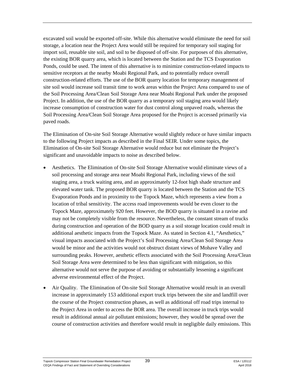excavated soil would be exported off-site. While this alternative would eliminate the need for soil storage, a location near the Project Area would still be required for temporary soil staging for import soil, reusable site soil, and soil to be disposed of off-site. For purposes of this alternative, the existing BOR quarry area, which is located between the Station and the TCS Evaporation Ponds, could be used. The intent of this alternative is to minimize construction-related impacts to sensitive receptors at the nearby Moabi Regional Park, and to potentially reduce overall construction-related efforts. The use of the BOR quarry location for temporary management of site soil would increase soil transit time to work areas within the Project Area compared to use of the Soil Processing Area/Clean Soil Storage Area near Moabi Regional Park under the proposed Project. In addition, the use of the BOR quarry as a temporary soil staging area would likely increase consumption of construction water for dust control along unpaved roads, whereas the Soil Processing Area/Clean Soil Storage Area proposed for the Project is accessed primarily via paved roads.

The Elimination of On-site Soil Storage Alternative would slightly reduce or have similar impacts to the following Project impacts as described in the Final SEIR. Under some topics, the Elimination of On-site Soil Storage Alternative would reduce but not eliminate the Project's significant and unavoidable impacts to noise as described below.

- Aesthetics. The Elimination of On-site Soil Storage Alternative would eliminate views of a soil processing and storage area near Moabi Regional Park, including views of the soil staging area, a truck waiting area, and an approximately 12-foot high shade structure and elevated water tank. The proposed BOR quarry is located between the Station and the TCS Evaporation Ponds and in proximity to the Topock Maze, which represents a view from a location of tribal sensitivity. The access road improvements would be even closer to the Topock Maze, approximately 920 feet. However, the BOD quarry is situated in a ravine and may not be completely visible from the resource. Nevertheless, the constant stream of trucks during construction and operation of the BOD quarry as a soil storage location could result in additional aesthetic impacts from the Topock Maze. As stated in Section 4.1, "Aesthetics," visual impacts associated with the Project's Soil Processing Area/Clean Soil Storage Area would be minor and the activities would not obstruct distant views of Mohave Valley and surrounding peaks. However, aesthetic effects associated with the Soil Processing Area/Clean Soil Storage Area were determined to be less than significant with mitigation, so this alternative would not serve the purpose of avoiding or substantially lessening a significant adverse environmental effect of the Project.
- Air Quality. The Elimination of On-site Soil Storage Alternative would result in an overall increase in approximately 153 additional export truck trips between the site and landfill over the course of the Project construction phases, as well as additional off road trips internal to the Project Area in order to access the BOR area. The overall increase in truck trips would result in additional annual air pollutant emissions; however, they would be spread over the course of construction activities and therefore would result in negligible daily emissions. This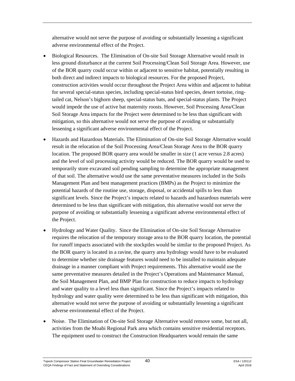alternative would not serve the purpose of avoiding or substantially lessening a significant adverse environmental effect of the Project.

- Biological Resources. The Elimination of On-site Soil Storage Alternative would result in less ground disturbance at the current Soil Processing/Clean Soil Storage Area. However, use of the BOR quarry could occur within or adjacent to sensitive habitat, potentially resulting in both direct and indirect impacts to biological resources. For the proposed Project, construction activities would occur throughout the Project Area within and adjacent to habitat for several special-status species, including special-status bird species, desert tortoise, ringtailed cat, Nelson's bighorn sheep, special-status bats, and special-status plants. The Project would impede the use of active bat maternity roosts. However, Soil Processing Area/Clean Soil Storage Area impacts for the Project were determined to be less than significant with mitigation, so this alternative would not serve the purpose of avoiding or substantially lessening a significant adverse environmental effect of the Project.
- Hazards and Hazardous Materials. The Elimination of On-site Soil Storage Alternative would result in the relocation of the Soil Processing Area/Clean Storage Area to the BOR quarry location. The proposed BOR quarry area would be smaller in size (1 acre versus 2.8 acres) and the level of soil processing activity would be reduced. The BOR quarry would be used to temporarily store excavated soil pending sampling to determine the appropriate management of that soil. The alternative would use the same preventative measures included in the Soils Management Plan and best management practices (BMPs) as the Project to minimize the potential hazards of the routine use, storage, disposal, or accidental spills to less than significant levels. Since the Project's impacts related to hazards and hazardous materials were determined to be less than significant with mitigation, this alternative would not serve the purpose of avoiding or substantially lessening a significant adverse environmental effect of the Project.
- Hydrology and Water Quality. Since the Elimination of On-site Soil Storage Alternative requires the relocation of the temporary storage area to the BOR quarry location, the potential for runoff impacts associated with the stockpiles would be similar to the proposed Project. As the BOR quarry is located in a ravine, the quarry area hydrology would have to be evaluated to determine whether site drainage features would need to be installed to maintain adequate drainage in a manner compliant with Project requirements. This alternative would use the same preventative measures detailed in the Project's Operations and Maintenance Manual, the Soil Management Plan, and BMP Plan for construction to reduce impacts to hydrology and water quality to a level less than significant. Since the Project's impacts related to hydrology and water quality were determined to be less than significant with mitigation, this alternative would not serve the purpose of avoiding or substantially lessening a significant adverse environmental effect of the Project.
- Noise. The Elimination of On-site Soil Storage Alternative would remove some, but not all, activities from the Moabi Regional Park area which contains sensitive residential receptors. The equipment used to construct the Construction Headquarters would remain the same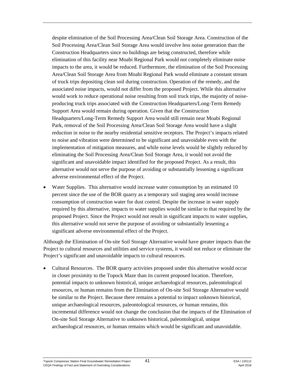despite elimination of the Soil Processing Area/Clean Soil Storage Area. Construction of the Soil Processing Area/Clean Soil Storage Area would involve less noise generation than the Construction Headquarters since no buildings are being constructed, therefore while elimination of this facility near Moabi Regional Park would not completely eliminate noise impacts to the area, it would be reduced. Furthermore, the elimination of the Soil Processing Area/Clean Soil Storage Area from Moabi Regional Park would eliminate a constant stream of truck trips depositing clean soil during construction. Operation of the remedy, and the associated noise impacts, would not differ from the proposed Project. While this alternative would work to reduce operational noise resulting from soil truck trips, the majority of noiseproducing truck trips associated with the Construction Headquarters/Long-Term Remedy Support Area would remain during operation. Given that the Construction Headquarters/Long-Term Remedy Support Area would still remain near Moabi Regional Park, removal of the Soil Processing Area/Clean Soil Storage Area would have a slight reduction in noise to the nearby residential sensitive receptors. The Project's impacts related to noise and vibration were determined to be significant and unavoidable even with the implementation of mitigation measures, and while noise levels would be slightly reduced by eliminating the Soil Processing Area/Clean Soil Storage Area, it would not avoid the significant and unavoidable impact identified for the proposed Project. As a result, this alternative would not serve the purpose of avoiding or substantially lessening a significant adverse environmental effect of the Project.

Water Supplies. This alternative would increase water consumption by an estimated 10 percent since the use of the BOR quarry as a temporary soil staging area would increase consumption of construction water for dust control. Despite the increase in water supply required by this alternative, impacts to water supplies would be similar to that required by the proposed Project. Since the Project would not result in significant impacts to water supplies, this alternative would not serve the purpose of avoiding or substantially lessening a significant adverse environmental effect of the Project.

Although the Elimination of On-site Soil Storage Alternative would have greater impacts than the Project to cultural resources and utilities and service systems, it would not reduce or eliminate the Project's significant and unavoidable impacts to cultural resources.

• Cultural Resources. The BOR quarry activities proposed under this alternative would occur in closer proximity to the Topock Maze than its current proposed location. Therefore, potential impacts to unknown historical, unique archaeological resources, paleontological resources, or human remains from the Elimination of On-site Soil Storage Alternative would be similar to the Project. Because there remains a potential to impact unknown historical, unique archaeological resources, paleontological resources, or human remains, this incremental difference would not change the conclusion that the impacts of the Elimination of On-site Soil Storage Alternative to unknown historical, paleontological, unique archaeological resources, or human remains which would be significant and unavoidable.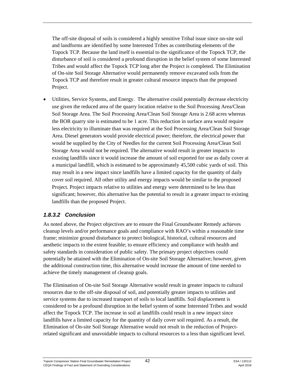The off-site disposal of soils is considered a highly sensitive Tribal issue since on-site soil and landforms are identified by some Interested Tribes as contributing elements of the Topock TCP. Because the land itself is essential to the significance of the Topock TCP, the disturbance of soil is considered a profound disruption in the belief system of some Interested Tribes and would affect the Topock TCP long after the Project is completed. The Elimination of On-site Soil Storage Alternative would permanently remove excavated soils from the Topock TCP and therefore result in greater cultural resource impacts than the proposed Project.

• Utilities, Service Systems, and Energy. The alternative could potentially decrease electricity use given the reduced area of the quarry location relative to the Soil Processing Area/Clean Soil Storage Area. The Soil Processing Area/Clean Soil Storage Area is 2.68 acres whereas the BOR quarry site is estimated to be 1 acre. This reduction in surface area would require less electricity to illuminate than was required at the Soil Processing Area/Clean Soil Storage Area. Diesel generators would provide electrical power; therefore, the electrical power that would be supplied by the City of Needles for the current Soil Processing Area/Clean Soil Storage Area would not be required. The alternative would result in greater impacts to existing landfills since it would increase the amount of soil exported for use as daily cover at a municipal landfill, which is estimated to be approximately 45,500 cubic yards of soil. This may result in a new impact since landfills have a limited capacity for the quantity of daily cover soil required. All other utility and energy impacts would be similar to the proposed Project. Project impacts relative to utilities and energy were determined to be less than significant; however, this alternative has the potential to result in a greater impact to existing landfills than the proposed Project.

#### *1.8.3.2 Conclusion*

As noted above, the Project objectives are to ensure the Final Groundwater Remedy achieves cleanup levels and/or performance goals and compliance with RAO's within a reasonable time frame; minimize ground disturbance to protect biological, historical, cultural resources and aesthetic impacts to the extent feasible; to ensure efficiency and compliance with health and safety standards in consideration of public safety. The primary project objectives could potentially be attained with the Elimination of On-site Soil Storage Alternative; however, given the additional construction time, this alternative would increase the amount of time needed to achieve the timely management of cleanup goals.

The Elimination of On-site Soil Storage Alternative would result in greater impacts to cultural resources due to the off-site disposal of soil, and potentially greater impacts to utilities and service systems due to increased transport of soils to local landfills. Soil displacement is considered to be a profound disruption in the belief system of some Interested Tribes and would affect the Topock TCP. The increase in soil at landfills could result in a new impact since landfills have a limited capacity for the quantity of daily cover soil required. As a result, the Elimination of On-site Soil Storage Alternative would not result in the reduction of Projectrelated significant and unavoidable impacts to cultural resources to a less than significant level.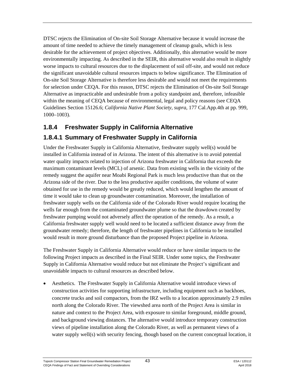DTSC rejects the Elimination of On-site Soil Storage Alternative because it would increase the amount of time needed to achieve the timely management of cleanup goals, which is less desirable for the achievement of project objectives. Additionally, this alternative would be more environmentally impacting. As described in the SEIR, this alternative would also result in slightly worse impacts to cultural resources due to the displacement of soil off-site, and would not reduce the significant unavoidable cultural resources impacts to below significance. The Elimination of On-site Soil Storage Alternative is therefore less desirable and would not meet the requirements for selection under CEQA. For this reason, DTSC rejects the Elimination of On-site Soil Storage Alternative as impracticable and undesirable from a policy standpoint and, therefore, infeasible within the meaning of CEQA because of environmental, legal and policy reasons (see CEQA Guidelines Section 15126.6; *California Native Plant Society*, *supra*, 177 Cal.App.4th at pp. 999, 1000–1003).

## **1.8.4 Freshwater Supply in California Alternative**

## **1.8.4.1 Summary of Freshwater Supply in California**

Under the Freshwater Supply in California Alternative, freshwater supply well(s) would be installed in California instead of in Arizona. The intent of this alternative is to avoid potential water quality impacts related to injection of Arizona freshwater in California that exceeds the maximum contaminant levels (MCL) of arsenic. Data from existing wells in the vicinity of the remedy suggest the aquifer near Moabi Regional Park is much less productive than that on the Arizona side of the river. Due to the less productive aquifer conditions, the volume of water obtained for use in the remedy would be greatly reduced, which would lengthen the amount of time it would take to clean up groundwater contamination. Moreover, the installation of freshwater supply wells on the California side of the Colorado River would require locating the wells far enough from the contaminated groundwater plume so that the drawdown created by freshwater pumping would not adversely affect the operation of the remedy. As a result, a California freshwater supply well would need to be located a sufficient distance away from the groundwater remedy; therefore, the length of freshwater pipelines in California to be installed would result in more ground disturbance than the proposed Project pipeline in Arizona.

The Freshwater Supply in California Alternative would reduce or have similar impacts to the following Project impacts as described in the Final SEIR. Under some topics, the Freshwater Supply in California Alternative would reduce but not eliminate the Project's significant and unavoidable impacts to cultural resources as described below.

• Aesthetics. The Freshwater Supply in California Alternative would introduce views of construction activities for supporting infrastructure, including equipment such as backhoes, concrete trucks and soil compactors, from the IRZ wells to a location approximately 2.9 miles north along the Colorado River. The viewshed area north of the Project Area is similar in nature and context to the Project Area, with exposure to similar foreground, middle ground, and background viewing distances. The alternative would introduce temporary construction views of pipeline installation along the Colorado River, as well as permanent views of a water supply well(s) with security fencing, though based on the current conceptual location, it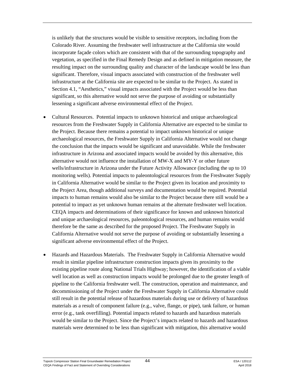is unlikely that the structures would be visible to sensitive receptors, including from the Colorado River. Assuming the freshwater well infrastructure at the California site would incorporate façade colors which are consistent with that of the surrounding topography and vegetation, as specified in the Final Remedy Design and as defined in mitigation measure, the resulting impact on the surrounding quality and character of the landscape would be less than significant. Therefore, visual impacts associated with construction of the freshwater well infrastructure at the California site are expected to be similar to the Project. As stated in Section 4.1, "Aesthetics," visual impacts associated with the Project would be less than significant, so this alternative would not serve the purpose of avoiding or substantially lessening a significant adverse environmental effect of the Project.

- Cultural Resources. Potential impacts to unknown historical and unique archaeological resources from the Freshwater Supply in California Alternative are expected to be similar to the Project. Because there remains a potential to impact unknown historical or unique archaeological resources, the Freshwater Supply in California Alternative would not change the conclusion that the impacts would be significant and unavoidable. While the freshwater infrastructure in Arizona and associated impacts would be avoided by this alternative, this alternative would not influence the installation of MW-X and MY-Y or other future wells/infrastructure in Arizona under the Future Activity Allowance (including the up to 10 monitoring wells). Potential impacts to paleontological resources from the Freshwater Supply in California Alternative would be similar to the Project given its location and proximity to the Project Area, though additional surveys and documentation would be required. Potential impacts to human remains would also be similar to the Project because there still would be a potential to impact as yet unknown human remains at the alternate freshwater well location. CEQA impacts and determinations of their significance for known and unknown historical and unique archaeological resources, paleontological resources, and human remains would therefore be the same as described for the proposed Project. The Freshwater Supply in California Alternative would not serve the purpose of avoiding or substantially lessening a significant adverse environmental effect of the Project.
- Hazards and Hazardous Materials. The Freshwater Supply in California Alternative would result in similar pipeline infrastructure construction impacts given its proximity to the existing pipeline route along National Trials Highway; however, the identification of a viable well location as well as construction impacts would be prolonged due to the greater length of pipeline to the California freshwater well. The construction, operation and maintenance, and decommissioning of the Project under the Freshwater Supply in California Alternative could still result in the potential release of hazardous materials during use or delivery of hazardous materials as a result of component failure (e.g., valve, flange, or pipe), tank failure, or human error (e.g., tank overfilling). Potential impacts related to hazards and hazardous materials would be similar to the Project. Since the Project's impacts related to hazards and hazardous materials were determined to be less than significant with mitigation, this alternative would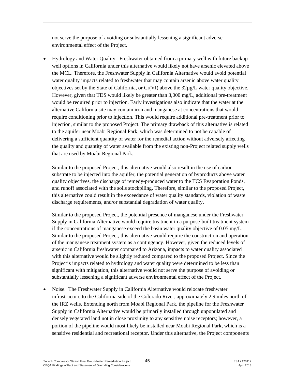not serve the purpose of avoiding or substantially lessening a significant adverse environmental effect of the Project.

• Hydrology and Water Quality. Freshwater obtained from a primary well with future backup well options in California under this alternative would likely not have arsenic elevated above the MCL. Therefore, the Freshwater Supply in California Alternative would avoid potential water quality impacts related to freshwater that may contain arsenic above water quality objectives set by the State of California, or Cr(VI) above the 32µg/L water quality objective. However, given that TDS would likely be greater than 3,000 mg/L, additional pre-treatment would be required prior to injection. Early investigations also indicate that the water at the alternative California site may contain iron and manganese at concentrations that would require conditioning prior to injection. This would require additional pre-treatment prior to injection, similar to the proposed Project. The primary drawback of this alternative is related to the aquifer near Moabi Regional Park, which was determined to not be capable of delivering a sufficient quantity of water for the remedial action without adversely affecting the quality and quantity of water available from the existing non-Project related supply wells that are used by Moabi Regional Park.

Similar to the proposed Project, this alternative would also result in the use of carbon substrate to be injected into the aquifer, the potential generation of byproducts above water quality objectives, the discharge of remedy-produced water to the TCS Evaporation Ponds, and runoff associated with the soils stockpiling. Therefore, similar to the proposed Project, this alternative could result in the exceedance of water quality standards, violation of waste discharge requirements, and/or substantial degradation of water quality.

Similar to the proposed Project, the potential presence of manganese under the Freshwater Supply in California Alternative would require treatment in a purpose-built treatment system if the concentrations of manganese exceed the basin water quality objective of 0.05 mg/L. Similar to the proposed Project, this alternative would require the construction and operation of the manganese treatment system as a contingency. However, given the reduced levels of arsenic in California freshwater compared to Arizona, impacts to water quality associated with this alternative would be slightly reduced compared to the proposed Project. Since the Project's impacts related to hydrology and water quality were determined to be less than significant with mitigation, this alternative would not serve the purpose of avoiding or substantially lessening a significant adverse environmental effect of the Project.

• Noise. The Freshwater Supply in California Alternative would relocate freshwater infrastructure to the California side of the Colorado River, approximately 2.9 miles north of the IRZ wells. Extending north from Moabi Regional Park, the pipeline for the Freshwater Supply in California Alternative would be primarily installed through unpopulated and densely vegetated land not in close proximity to any sensitive noise receptors; however, a portion of the pipeline would most likely be installed near Moabi Regional Park, which is a sensitive residential and recreational receptor. Under this alternative, the Project components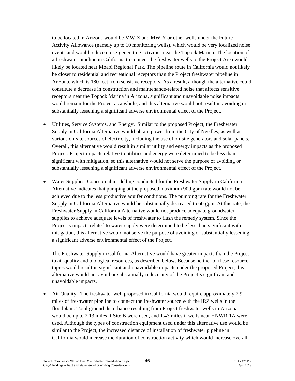to be located in Arizona would be MW-X and MW-Y or other wells under the Future Activity Allowance (namely up to 10 monitoring wells), which would be very localized noise events and would reduce noise-generating activities near the Topock Marina. The location of a freshwater pipeline in California to connect the freshwater wells to the Project Area would likely be located near Moabi Regional Park. The pipeline route in California would not likely be closer to residential and recreational receptors than the Project freshwater pipeline in Arizona, which is 180 feet from sensitive receptors. As a result, although the alternative could constitute a decrease in construction and maintenance-related noise that affects sensitive receptors near the Topock Marina in Arizona, significant and unavoidable noise impacts would remain for the Project as a whole, and this alternative would not result in avoiding or substantially lessening a significant adverse environmental effect of the Project.

- Utilities, Service Systems, and Energy. Similar to the proposed Project, the Freshwater Supply in California Alternative would obtain power from the City of Needles, as well as various on-site sources of electricity, including the use of on-site generators and solar panels. Overall, this alternative would result in similar utility and energy impacts as the proposed Project. Project impacts relative to utilities and energy were determined to be less than significant with mitigation, so this alternative would not serve the purpose of avoiding or substantially lessening a significant adverse environmental effect of the Project.
- Water Supplies. Conceptual modelling conducted for the Freshwater Supply in California Alternative indicates that pumping at the proposed maximum 900 gpm rate would not be achieved due to the less productive aquifer conditions. The pumping rate for the Freshwater Supply in California Alternative would be substantially decreased to 60 gpm. At this rate, the Freshwater Supply in California Alternative would not produce adequate groundwater supplies to achieve adequate levels of freshwater to flush the remedy system. Since the Project's impacts related to water supply were determined to be less than significant with mitigation, this alternative would not serve the purpose of avoiding or substantially lessening a significant adverse environmental effect of the Project.

The Freshwater Supply in California Alternative would have greater impacts than the Project to air quality and biological resources, as described below. Because neither of these resource topics would result in significant and unavoidable impacts under the proposed Project, this alternative would not avoid or substantially reduce any of the Project's significant and unavoidable impacts.

• Air Quality. The freshwater well proposed in California would require approximately 2.9 miles of freshwater pipeline to connect the freshwater source with the IRZ wells in the floodplain. Total ground disturbance resulting from Project freshwater wells in Arizona would be up to 2.13 miles if Site B were used, and 1.43 miles if wells near HNWR-1A were used. Although the types of construction equipment used under this alternative use would be similar to the Project, the increased distance of installation of freshwater pipeline in California would increase the duration of construction activity which would increase overall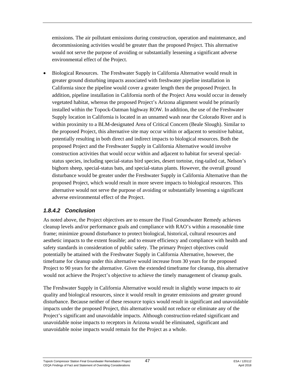emissions. The air pollutant emissions during construction, operation and maintenance, and decommissioning activities would be greater than the proposed Project. This alternative would not serve the purpose of avoiding or substantially lessening a significant adverse environmental effect of the Project.

• Biological Resources. The Freshwater Supply in California Alternative would result in greater ground disturbing impacts associated with freshwater pipeline installation in California since the pipeline would cover a greater length then the proposed Project. In addition, pipeline installation in California north of the Project Area would occur in densely vegetated habitat, whereas the proposed Project's Arizona alignment would be primarily installed within the Topock-Oatman highway ROW. In addition, the use of the Freshwater Supply location in California is located in an unnamed wash near the Colorado River and is within proximity to a BLM-designated Area of Critical Concern (Beale Slough). Similar to the proposed Project, this alternative site may occur within or adjacent to sensitive habitat, potentially resulting in both direct and indirect impacts to biological resources. Both the proposed Project and the Freshwater Supply in California Alternative would involve construction activities that would occur within and adjacent to habitat for several specialstatus species, including special-status bird species, desert tortoise, ring-tailed cat, Nelson's bighorn sheep, special-status bats, and special-status plants. However, the overall ground disturbance would be greater under the Freshwater Supply in California Alternative than the proposed Project, which would result in more severe impacts to biological resources. This alternative would not serve the purpose of avoiding or substantially lessening a significant adverse environmental effect of the Project.

#### *1.8.4.2 Conclusion*

As noted above, the Project objectives are to ensure the Final Groundwater Remedy achieves cleanup levels and/or performance goals and compliance with RAO's within a reasonable time frame; minimize ground disturbance to protect biological, historical, cultural resources and aesthetic impacts to the extent feasible; and to ensure efficiency and compliance with health and safety standards in consideration of public safety. The primary Project objectives could potentially be attained with the Freshwater Supply in California Alternative, however, the timeframe for cleanup under this alternative would increase from 30 years for the proposed Project to 90 years for the alternative. Given the extended timeframe for cleanup, this alternative would not achieve the Project's objective to achieve the timely management of cleanup goals.

The Freshwater Supply in California Alternative would result in slightly worse impacts to air quality and biological resources, since it would result in greater emissions and greater ground disturbance. Because neither of these resource topics would result in significant and unavoidable impacts under the proposed Project, this alternative would not reduce or eliminate any of the Project's significant and unavoidable impacts. Although construction-related significant and unavoidable noise impacts to receptors in Arizona would be eliminated, significant and unavoidable noise impacts would remain for the Project as a whole.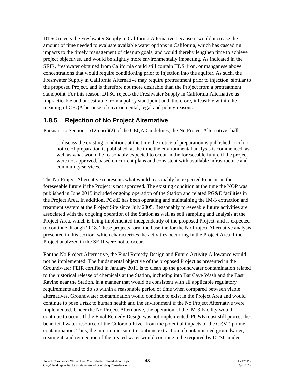DTSC rejects the Freshwater Supply in California Alternative because it would increase the amount of time needed to evaluate available water options in California, which has cascading impacts to the timely management of cleanup goals, and would thereby lengthen time to achieve project objectives, and would be slightly more environmentally impacting. As indicated in the SEIR, freshwater obtained from California could still contain TDS, iron, or manganese above concentrations that would require conditioning prior to injection into the aquifer. As such, the Freshwater Supply in California Alternative may require pretreatment prior to injection, similar to the proposed Project, and is therefore not more desirable than the Project from a pretreatment standpoint. For this reason, DTSC rejects the Freshwater Supply in California Alternative as impracticable and undesirable from a policy standpoint and, therefore, infeasible within the meaning of CEQA because of environmental, legal and policy reasons.

## **1.8.5 Rejection of No Project Alternative**

Pursuant to Section 15126.6(e)(2) of the CEOA Guidelines, the No Project Alternative shall:

…discuss the existing conditions at the time the notice of preparation is published, or if no notice of preparation is published, at the time the environmental analysis is commenced, as well as what would be reasonably expected to occur in the foreseeable future if the project were not approved, based on current plans and consistent with available infrastructure and community services.

The No Project Alternative represents what would reasonably be expected to occur in the foreseeable future if the Project is not approved. The existing condition at the time the NOP was published in June 2015 included ongoing operation of the Station and related PG&E facilities in the Project Area. In addition, PG&E has been operating and maintaining the IM-3 extraction and treatment system at the Project Site since July 2005. Reasonably foreseeable future activities are associated with the ongoing operation of the Station as well as soil sampling and analysis at the Project Area, which is being implemented independently of the proposed Project, and is expected to continue through 2018. These projects form the baseline for the No Project Alternative analysis presented in this section, which characterizes the activities occurring in the Project Area if the Project analyzed in the SEIR were not to occur.

For the No Project Alternative, the Final Remedy Design and Future Activity Allowance would not be implemented. The fundamental objective of the proposed Project as presented in the Groundwater FEIR certified in January 2011 is to clean up the groundwater contamination related to the historical release of chemicals at the Station, including into Bat Cave Wash and the East Ravine near the Station, in a manner that would be consistent with all applicable regulatory requirements and to do so within a reasonable period of time when compared between viable alternatives. Groundwater contamination would continue to exist in the Project Area and would continue to pose a risk to human health and the environment if the No Project Alternative were implemented. Under the No Project Alternative, the operation of the IM-3 Facility would continue to occur. If the Final Remedy Design was not implemented, PG&E must still protect the beneficial water resource of the Colorado River from the potential impacts of the Cr(VI) plume contamination. Thus, the interim measure to continue extraction of contaminated groundwater, treatment, and reinjection of the treated water would continue to be required by DTSC under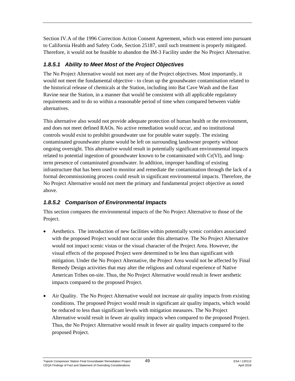Section IV.A of the 1996 Correction Action Consent Agreement, which was entered into pursuant to California Health and Safety Code, Section 25187, until such treatment is properly mitigated. Therefore, it would not be feasible to abandon the IM-3 Facility under the No Project Alternative.

#### *1.8.5.1 Ability to Meet Most of the Project Objectives*

The No Project Alternative would not meet any of the Project objectives. Most importantly, it would not meet the fundamental objective - to clean up the groundwater contamination related to the historical release of chemicals at the Station, including into Bat Cave Wash and the East Ravine near the Station, in a manner that would be consistent with all applicable regulatory requirements and to do so within a reasonable period of time when compared between viable alternatives.

This alternative also would not provide adequate protection of human health or the environment, and does not meet defined RAOs. No active remediation would occur, and no institutional controls would exist to prohibit groundwater use for potable water supply. The existing contaminated groundwater plume would be left on surrounding landowner property without ongoing oversight. This alternative would result in potentially significant environmental impacts related to potential ingestion of groundwater known to be contaminated with Cr(VI), and longterm presence of contaminated groundwater. In addition, improper handling of existing infrastructure that has been used to monitor and remediate the contamination through the lack of a formal decommissioning process could result in significant environmental impacts. Therefore, the No Project Alternative would not meet the primary and fundamental project objective as noted above.

## *1.8.5.2 Comparison of Environmental Impacts*

This section compares the environmental impacts of the No Project Alternative to those of the Project.

- Aesthetics. The introduction of new facilities within potentially scenic corridors associated with the proposed Project would not occur under this alternative. The No Project Alternative would not impact scenic vistas or the visual character of the Project Area. However, the visual effects of the proposed Project were determined to be less than significant with mitigation. Under the No Project Alternative, the Project Area would not be affected by Final Remedy Design activities that may alter the religious and cultural experience of Native American Tribes on-site. Thus, the No Project Alternative would result in fewer aesthetic impacts compared to the proposed Project.
- Air Quality. The No Project Alternative would not increase air quality impacts from existing conditions. The proposed Project would result in significant air quality impacts, which would be reduced to less than significant levels with mitigation measures. The No Project Alternative would result in fewer air quality impacts when compared to the proposed Project. Thus, the No Project Alternative would result in fewer air quality impacts compared to the proposed Project.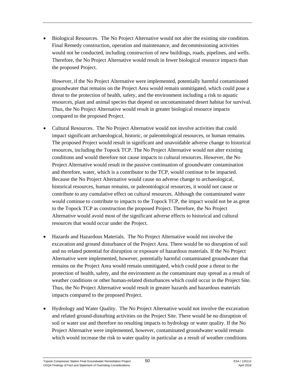• Biological Resources. The No Project Alternative would not alter the existing site condition. Final Remedy construction, operation and maintenance, and decommissioning activities would not be conducted, including construction of new buildings, roads, pipelines, and wells. Therefore, the No Project Alternative would result in fewer biological resource impacts than the proposed Project.

However, if the No Project Alternative were implemented, potentially harmful contaminated groundwater that remains on the Project Area would remain unmitigated, which could pose a threat to the protection of health, safety, and the environment including a risk to aquatic resources, plant and animal species that depend on uncontaminated desert habitat for survival. Thus, the No Project Alternative would result in greater biological resource impacts compared to the proposed Project.

- Cultural Resources. The No Project Alternative would not involve activities that could impact significant archaeological, historic, or paleontological resources, or human remains. The proposed Project would result in significant and unavoidable adverse change to historical resources, including the Topock TCP. The No Project Alternative would not alter existing conditions and would therefore not cause impacts to cultural resources. However, the No Project Alternative would result in the passive continuation of groundwater contamination and therefore, water, which is a contributor to the TCP, would continue to be impacted. Because the No Project Alternative would cause no adverse change to archaeological, historical resources, human remains, or paleontological resources, it would not cause or contribute to any cumulative effect on cultural resources. Although the contaminated water would continue to contribute to impacts to the Topock TCP, the impact would not be as great to the Topock TCP as construction the proposed Project. Therefore, the No Project Alternative would avoid most of the significant adverse effects to historical and cultural resources that would occur under the Project.
- Hazards and Hazardous Materials. The No Project Alternative would not involve the excavation and ground disturbance of the Project Area. There would be no disruption of soil and no related potential for disruption or exposure of hazardous materials. If the No Project Alternative were implemented, however, potentially harmful contaminated groundwater that remains on the Project Area would remain unmitigated, which could pose a threat to the protection of health, safety, and the environment as the contaminant may spread as a result of weather conditions or other human-related disturbances which could occur in the Project Site. Thus, the No Project Alternative would result in greater hazards and hazardous materials impacts compared to the proposed Project.
- Hydrology and Water Quality. The No Project Alternative would not involve the excavation and related ground-disturbing activities on the Project Site. There would be no disruption of soil or water use and therefore no resulting impacts to hydrology or water quality. If the No Project Alternative were implemented, however, contaminated groundwater would remain which would increase the risk to water quality in particular as a result of weather conditions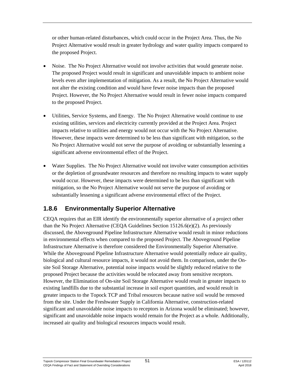or other human-related disturbances, which could occur in the Project Area. Thus, the No Project Alternative would result in greater hydrology and water quality impacts compared to the proposed Project.

- Noise. The No Project Alternative would not involve activities that would generate noise. The proposed Project would result in significant and unavoidable impacts to ambient noise levels even after implementation of mitigation. As a result, the No Project Alternative would not alter the existing condition and would have fewer noise impacts than the proposed Project. However, the No Project Alternative would result in fewer noise impacts compared to the proposed Project.
- Utilities, Service Systems, and Energy. The No Project Alternative would continue to use existing utilities, services and electricity currently provided at the Project Area. Project impacts relative to utilities and energy would not occur with the No Project Alternative. However, these impacts were determined to be less than significant with mitigation, so the No Project Alternative would not serve the purpose of avoiding or substantially lessening a significant adverse environmental effect of the Project.
- Water Supplies. The No Project Alternative would not involve water consumption activities or the depletion of groundwater resources and therefore no resulting impacts to water supply would occur. However, these impacts were determined to be less than significant with mitigation, so the No Project Alternative would not serve the purpose of avoiding or substantially lessening a significant adverse environmental effect of the Project.

## **1.8.6 Environmentally Superior Alternative**

CEQA requires that an EIR identify the environmentally superior alternative of a project other than the No Project Alternative (CEQA Guidelines Section 15126.6(e)(2). As previously discussed, the Aboveground Pipeline Infrastructure Alternative would result in minor reductions in environmental effects when compared to the proposed Project. The Aboveground Pipeline Infrastructure Alternative is therefore considered the Environmentally Superior Alternative. While the Aboveground Pipeline Infrastructure Alternative would potentially reduce air quality, biological and cultural resource impacts, it would not avoid them. In comparison, under the Onsite Soil Storage Alternative, potential noise impacts would be slightly reduced relative to the proposed Project because the activities would be relocated away from sensitive receptors. However, the Elimination of On-site Soil Storage Alternative would result in greater impacts to existing landfills due to the substantial increase in soil export quantities, and would result in greater impacts to the Topock TCP and Tribal resources because native soil would be removed from the site. Under the Freshwater Supply in California Alternative, construction-related significant and unavoidable noise impacts to receptors in Arizona would be eliminated; however, significant and unavoidable noise impacts would remain for the Project as a whole. Additionally, increased air quality and biological resources impacts would result.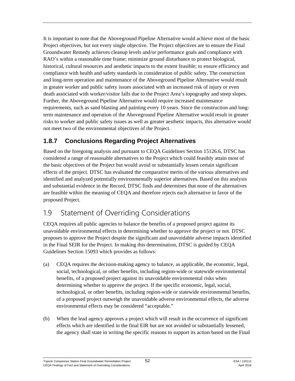It is important to note that the Aboveground Pipeline Alternative would achieve most of the basic Project objectives, but not every single objective. The Project objectives are to ensure the Final Groundwater Remedy achieves cleanup levels and/or performance goals and compliance with RAO's within a reasonable time frame; minimize ground disturbance to protect biological, historical, cultural resources and aesthetic impacts to the extent feasible; to ensure efficiency and compliance with health and safety standards in consideration of public safety. The construction and long-term operation and maintenance of the Aboveground Pipeline Alternative would result in greater worker and public safety issues associated with an increased risk of injury or even death associated with worker/visitor falls due to the Project Area's topography and steep slopes. Further, the Aboveground Pipeline Alternative would require increased maintenance requirements, such as sand blasting and painting every 10 years. Since the construction and longterm maintenance and operation of the Aboveground Pipeline Alternative would result in greater risks to worker and public safety issues as well as greater aesthetic impacts, this alternative would not meet two of the environmental objectives of the Project.

## **1.8.7 Conclusions Regarding Project Alternatives**

Based on the foregoing analysis and pursuant to CEQA Guidelines Section 15126.6, DTSC has considered a range of reasonable alternatives to the Project which could feasibly attain most of the basic objectives of the Project but would avoid or substantially lessen certain significant effects of the project. DTSC has evaluated the comparative merits of the various alternatives and identified and analyzed potentially environmentally superior alternatives. Based on this analysis and substantial evidence in the Record, DTSC finds and determines that none of the alternatives are feasible within the meaning of CEQA and therefore rejects each alternative in favor of the proposed Project.

# 1.9 Statement of Overriding Considerations

CEQA requires all public agencies to balance the benefits of a proposed project against its unavoidable environmental effects in determining whether to approve the project or not. DTSC proposes to approve the Project despite the significant and unavoidable adverse impacts identified in the Final SEIR for the Project. In making this determination, DTSC is guided by CEQA Guidelines Section 15093 which provides as follows:

- (a) CEQA requires the decision-making agency to balance, as applicable, the economic, legal, social, technological, or other benefits, including region-wide or statewide environmental benefits, of a proposed project against its unavoidable environmental risks when determining whether to approve the project. If the specific economic, legal, social, technological, or other benefits, including region-wide or statewide environmental benefits, of a proposed project outweigh the unavoidable adverse environmental effects, the adverse environmental effects may be considered "acceptable."
- (b) When the lead agency approves a project which will result in the occurrence of significant effects which are identified in the final EIR but are not avoided or substantially lessened, the agency shall state in writing the specific reasons to support its action based on the Final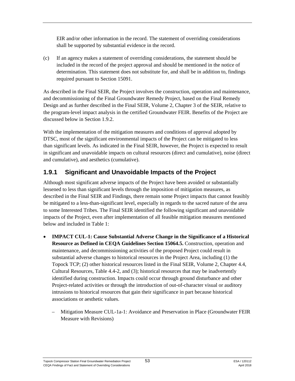EIR and/or other information in the record. The statement of overriding considerations shall be supported by substantial evidence in the record.

(c) If an agency makes a statement of overriding considerations, the statement should be included in the record of the project approval and should be mentioned in the notice of determination. This statement does not substitute for, and shall be in addition to, findings required pursuant to Section 15091.

As described in the Final SEIR, the Project involves the construction, operation and maintenance, and decommissioning of the Final Groundwater Remedy Project, based on the Final Remedy Design and as further described in the Final SEIR, Volume 2, Chapter 3 of the SEIR, relative to the program-level impact analysis in the certified Groundwater FEIR. Benefits of the Project are discussed below in Section 1.9.2.

With the implementation of the mitigation measures and conditions of approval adopted by DTSC, most of the significant environmental impacts of the Project can be mitigated to less than significant levels. As indicated in the Final SEIR, however, the Project is expected to result in significant and unavoidable impacts on cultural resources (direct and cumulative), noise (direct and cumulative), and aesthetics (cumulative).

## **1.9.1 Significant and Unavoidable Impacts of the Project**

Although most significant adverse impacts of the Project have been avoided or substantially lessened to less than significant levels through the imposition of mitigation measures, as described in the Final SEIR and Findings, there remain some Project impacts that cannot feasibly be mitigated to a less-than-significant level, especially in regards to the sacred nature of the area to some Interested Tribes. The Final SEIR identified the following significant and unavoidable impacts of the Project, even after implementation of all feasible mitigation measures mentioned below and included in Table 1:

- **IMPACT CUL-1: Cause Substantial Adverse Change in the Significance of a Historical Resource as Defined in CEQA Guidelines Section 15064.5.** Construction, operation and maintenance, and decommissioning activities of the proposed Project could result in substantial adverse changes to historical resources in the Project Area, including (1) the Topock TCP; (2) other historical resources listed in the Final SEIR, Volume 2, Chapter 4.4, Cultural Resources, Table 4.4-2, and (3); historical resources that may be inadvertently identified during construction. Impacts could occur through ground disturbance and other Project-related activities or through the introduction of out-of-character visual or auditory intrusions to historical resources that gain their significance in part because historical associations or aesthetic values.
	- Mitigation Measure CUL-1a-1: Avoidance and Preservation in Place (Groundwater FEIR Measure with Revisions)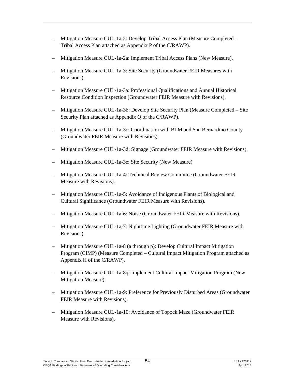- Mitigation Measure CUL-1a-2: Develop Tribal Access Plan (Measure Completed Tribal Access Plan attached as Appendix P of the C/RAWP).
- Mitigation Measure CUL-1a-2a: Implement Tribal Access Plans (New Measure).
- Mitigation Measure CUL-1a-3: Site Security (Groundwater FEIR Measures with Revisions).
- Mitigation Measure CUL-1a-3a: Professional Qualifications and Annual Historical Resource Condition Inspection (Groundwater FEIR Measure with Revisions).
- Mitigation Measure CUL-1a-3b: Develop Site Security Plan (Measure Completed Site Security Plan attached as Appendix Q of the C/RAWP).
- Mitigation Measure CUL-1a-3c: Coordination with BLM and San Bernardino County (Groundwater FEIR Measure with Revisions).
- Mitigation Measure CUL-1a-3d: Signage (Groundwater FEIR Measure with Revisions).
- Mitigation Measure CUL-1a-3e: Site Security (New Measure)
- Mitigation Measure CUL-1a-4: Technical Review Committee (Groundwater FEIR Measure with Revisions).
- Mitigation Measure CUL-1a-5: Avoidance of Indigenous Plants of Biological and Cultural Significance (Groundwater FEIR Measure with Revisions).
- Mitigation Measure CUL-1a-6: Noise (Groundwater FEIR Measure with Revisions).
- Mitigation Measure CUL-1a-7: Nighttime Lighting (Groundwater FEIR Measure with Revisions).
- Mitigation Measure CUL-1a-8 (a through p): Develop Cultural Impact Mitigation Program (CIMP) (Measure Completed – Cultural Impact Mitigation Program attached as Appendix H of the C/RAWP).
- Mitigation Measure CUL-1a-8q: Implement Cultural Impact Mitigation Program (New Mitigation Measure).
- Mitigation Measure CUL-1a-9: Preference for Previously Disturbed Areas (Groundwater FEIR Measure with Revisions).
- Mitigation Measure CUL-1a-10: Avoidance of Topock Maze (Groundwater FEIR Measure with Revisions).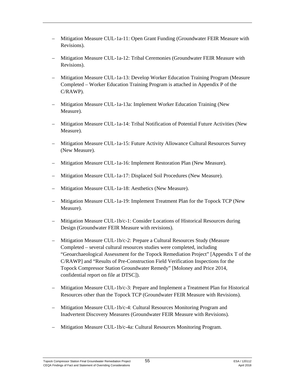- Mitigation Measure CUL-1a-11: Open Grant Funding (Groundwater FEIR Measure with Revisions).
- Mitigation Measure CUL-1a-12: Tribal Ceremonies (Groundwater FEIR Measure with Revisions).
- Mitigation Measure CUL-1a-13: Develop Worker Education Training Program (Measure Completed – Worker Education Training Program is attached in Appendix P of the C/RAWP).
- Mitigation Measure CUL-1a-13a: Implement Worker Education Training (New Measure).
- Mitigation Measure CUL-1a-14: Tribal Notification of Potential Future Activities (New Measure).
- Mitigation Measure CUL-1a-15: Future Activity Allowance Cultural Resources Survey (New Measure).
- Mitigation Measure CUL-1a-16: Implement Restoration Plan (New Measure).
- Mitigation Measure CUL-1a-17: Displaced Soil Procedures (New Measure).
- Mitigation Measure CUL-1a-18: Aesthetics (New Measure).
- Mitigation Measure CUL-1a-19: Implement Treatment Plan for the Topock TCP (New Measure).
- Mitigation Measure CUL-1b/c-1: Consider Locations of Historical Resources during Design (Groundwater FEIR Measure with revisions).
- Mitigation Measure CUL-1b/c-2: Prepare a Cultural Resources Study (Measure Completed – several cultural resources studies were completed, including "Geoarchaeological Assessment for the Topock Remediation Project" [Appendix T of the C/RAWP] and "Results of Pre-Construction Field Verification Inspections for the Topock Compressor Station Groundwater Remedy" [Moloney and Price 2014, confidential report on file at DTSC]).
- Mitigation Measure CUL-1b/c-3: Prepare and Implement a Treatment Plan for Historical Resources other than the Topock TCP (Groundwater FEIR Measure with Revisions).
- Mitigation Measure CUL-1b/c-4: Cultural Resources Monitoring Program and Inadvertent Discovery Measures (Groundwater FEIR Measure with Revisions).
- Mitigation Measure CUL-1b/c-4a: Cultural Resources Monitoring Program.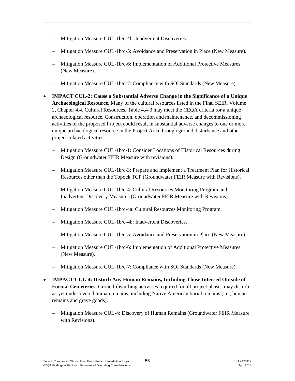- Mitigation Measure CUL-1b/c-4b: Inadvertent Discoveries.
- Mitigation Measure CUL-1b/c-5: Avoidance and Preservation in Place (New Measure).
- Mitigation Measure CUL-1b/c-6: Implementation of Additional Protective Measures (New Measure).
- Mitigation Measure CUL-1b/c-7: Compliance with SOI Standards (New Measure).
- **IMPACT CUL-2: Cause a Substantial Adverse Change in the Significance of a Unique Archaeological Resource.** Many of the cultural resources listed in the Final SEIR, Volume 2, Chapter 4.4, Cultural Resources, Table 4.4-3 may meet the CEQA criteria for a unique archaeological resource. Construction, operation and maintenance, and decommissioning activities of the proposed Project could result in substantial adverse changes to one or more unique archaeological resource in the Project Area through ground disturbance and other project-related activities.
	- Mitigation Measure CUL-1b/c-1: Consider Locations of Historical Resources during Design (Groundwater FEIR Measure with revisions).
	- Mitigation Measure CUL-1b/c-3: Prepare and Implement a Treatment Plan for Historical Resources other than the Topock TCP (Groundwater FEIR Measure with Revisions).
	- Mitigation Measure CUL-1b/c-4: Cultural Resources Monitoring Program and Inadvertent Discovery Measures (Groundwater FEIR Measure with Revisions).
	- Mitigation Measure CUL-1b/c-4a: Cultural Resources Monitoring Program.
	- Mitigation Measure CUL-1b/c-4b: Inadvertent Discoveries.
	- Mitigation Measure CUL-1b/c-5: Avoidance and Preservation in Place (New Measure).
	- Mitigation Measure CUL-1b/c-6: Implementation of Additional Protective Measures (New Measure).
	- Mitigation Measure CUL-1b/c-7: Compliance with SOI Standards (New Measure).
- **IMPACT CUL-4: Disturb Any Human Remains, Including Those Interred Outside of Formal Cemeteries.** Ground-disturbing activities required for all project phases may disturb as-yet undiscovered human remains, including Native American burial remains (i.e., human remains and grave goods).
	- Mitigation Measure CUL-4: Discovery of Human Remains (Groundwater FEIR Measure with Revisions).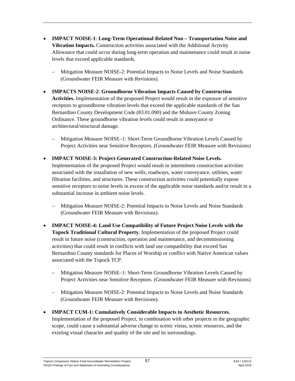- **IMPACT NOISE-1**: **Long-Term Operational-Related Non – Transportation Noise and Vibration Impacts.** Construction activities associated with the Additional Activity Allowance that could occur during long-term operation and maintenance could result in noise levels that exceed applicable standards.
	- Mitigation Measure NOISE-2: Potential Impacts to Noise Levels and Noise Standards (Groundwater FEIR Measure with Revisions).
- **IMPACTS NOISE-2**: **Groundborne Vibration Impacts Caused by Construction Activities.** Implementation of the proposed Project would result in the exposure of sensitive receptors to groundborne vibration levels that exceed the applicable standards of the San Bernardino County Development Code (83.01.090) and the Mohave County Zoning Ordinance. These groundborne vibration levels could result in annoyance or architectural/structural damage.
	- Mitigation Measure NOISE–1: Short-Term Groundborne Vibration Levels Caused by Project Activities near Sensitive Receptors. (Groundwater FEIR Measure with Revisions)
- **IMPACT NOISE-3: Project-Generated Construction-Related Noise Levels.** Implementation of the proposed Project would result in intermittent construction activities associated with the installation of new wells, roadways, water conveyance, utilities, water filtration facilities, and structures. These construction activities could potentially expose sensitive receptors to noise levels in excess of the applicable noise standards and/or result in a substantial increase in ambient noise levels.
	- Mitigation Measure NOISE-2: Potential Impacts to Noise Levels and Noise Standards (Groundwater FEIR Measure with Revisions).
- **IMPACT NOISE-4: Land Use Compatibility of Future Project Noise Levels with the Topock Traditional Cultural Property.** Implementation of the proposed Project could result in future noise (construction, operation and maintenance, and decommissioning activities) that could result in conflicts with land use compatibility that exceed San Bernardino County standards for Places of Worship or conflict with Native American values associated with the Topock TCP.
	- Mitigation Measure NOISE–1: Short-Term Groundborne Vibration Levels Caused by Project Activities near Sensitive Receptors. (Groundwater FEIR Measure with Revisions)
	- Mitigation Measure NOISE-2: Potential Impacts to Noise Levels and Noise Standards (Groundwater FEIR Measure with Revisions).
- **IMPACT CUM-1: Cumulatively Considerable Impacts to Aesthetic Resources.** Implementation of the proposed Project, in combination with other projects in the geographic scope, could cause a substantial adverse change to scenic vistas, scenic resources, and the existing visual character and quality of the site and its surroundings.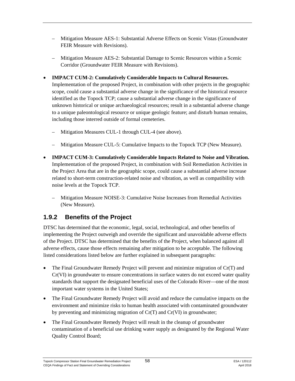- Mitigation Measure AES-1: Substantial Adverse Effects on Scenic Vistas (Groundwater FEIR Measure with Revisions).
- Mitigation Measure AES-2: Substantial Damage to Scenic Resources within a Scenic Corridor (Groundwater FEIR Measure with Revisions).
- **IMPACT CUM-2: Cumulatively Considerable Impacts to Cultural Resources.**

Implementation of the proposed Project, in combination with other projects in the geographic scope, could cause a substantial adverse change in the significance of the historical resource identified as the Topock TCP; cause a substantial adverse change in the significance of unknown historical or unique archaeological resources; result in a substantial adverse change to a unique paleontological resource or unique geologic feature; and disturb human remains, including those interred outside of formal cemeteries.

- Mitigation Measures CUL-1 through CUL-4 (see above).
- Mitigation Measure CUL-5: Cumulative Impacts to the Topock TCP (New Measure).
- **IMPACT CUM-3: Cumulatively Considerable Impacts Related to Noise and Vibration.** Implementation of the proposed Project, in combination with Soil Remediation Activities in the Project Area that are in the geographic scope, could cause a substantial adverse increase related to short-term construction-related noise and vibration, as well as compatibility with noise levels at the Topock TCP.
	- Mitigation Measure NOISE-3: Cumulative Noise Increases from Remedial Activities (New Measure).

## **1.9.2 Benefits of the Project**

DTSC has determined that the economic, legal, social, technological, and other benefits of implementing the Project outweigh and override the significant and unavoidable adverse effects of the Project. DTSC has determined that the benefits of the Project, when balanced against all adverse effects, cause those effects remaining after mitigation to be acceptable. The following listed considerations listed below are further explained in subsequent paragraphs:

- The Final Groundwater Remedy Project will prevent and minimize migration of Cr(T) and Cr(VI) in groundwater to ensure concentrations in surface waters do not exceed water quality standards that support the designated beneficial uses of the Colorado River—one of the most important water systems in the United States;
- The Final Groundwater Remedy Project will avoid and reduce the cumulative impacts on the environment and minimize risks to human health associated with contaminated groundwater by preventing and minimizing migration of  $Cr(T)$  and  $Cr(VI)$  in groundwater;
- The Final Groundwater Remedy Project will result in the cleanup of groundwater contamination of a beneficial use drinking water supply as designated by the Regional Water Quality Control Board;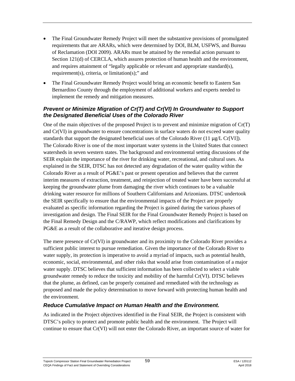- The Final Groundwater Remedy Project will meet the substantive provisions of promulgated requirements that are ARARs, which were determined by DOI, BLM, USFWS, and Bureau of Reclamation (DOI 2009). ARARs must be attained by the remedial action pursuant to Section 121(d) of CERCLA, which assures protection of human health and the environment, and requires attainment of "legally applicable or relevant and appropriate standard(s), requirement(s), criteria, or limitation(s);" and
- The Final Groundwater Remedy Project would bring an economic benefit to Eastern San Bernardino County through the employment of additional workers and experts needed to implement the remedy and mitigation measures.

#### *Prevent or Minimize Migration of Cr(T) and Cr(VI) In Groundwater to Support the Designated Beneficial Uses of the Colorado River*

One of the main objectives of the proposed Project is to prevent and minimize migration of Cr(T) and Cr(VI) in groundwater to ensure concentrations in surface waters do not exceed water quality standards that support the designated beneficial uses of the Colorado River (11  $\mu$ g/L Cr[VI]). The Colorado River is one of the most important water systems in the United States that connect watersheds in seven western states. The background and environmental setting discussions of the SEIR explain the importance of the river for drinking water, recreational, and cultural uses. As explained in the SEIR, DTSC has not detected any degradation of the water quality within the Colorado River as a result of PG&E's past or present operation and believes that the current interim measures of extraction, treatment, and reinjection of treated water have been successful at keeping the groundwater plume from damaging the river which continues to be a valuable drinking water resource for millions of Southern Californians and Arizonians. DTSC undertook the SEIR specifically to ensure that the environmental impacts of the Project are properly evaluated as specific information regarding the Project is gained during the various phases of investigation and design. The Final SEIR for the Final Groundwater Remedy Project is based on the Final Remedy Design and the C/RAWP, which reflect modifications and clarifications by PG&E as a result of the collaborative and iterative design process.

The mere presence of Cr(VI) in groundwater and its proximity to the Colorado River provides a sufficient public interest to pursue remediation. Given the importance of the Colorado River to water supply, its protection is imperative to avoid a myriad of impacts, such as potential health, economic, social, environmental, and other risks that would arise from contamination of a major water supply. DTSC believes that sufficient information has been collected to select a viable groundwater remedy to reduce the toxicity and mobility of the harmful Cr(VI). DTSC believes that the plume, as defined, can be properly contained and remediated with the technology as proposed and made the policy determination to move forward with protecting human health and the environment.

#### *Reduce Cumulative Impact on Human Health and the Environment.*

As indicated in the Project objectives identified in the Final SEIR, the Project is consistent with DTSC's policy to protect and promote public health and the environment. The Project will continue to ensure that Cr(VI) will not enter the Colorado River, an important source of water for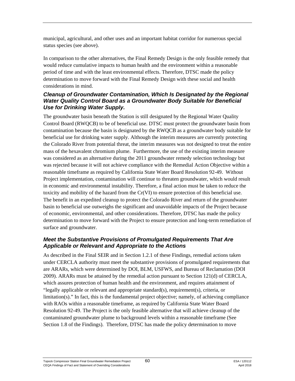municipal, agricultural, and other uses and an important habitat corridor for numerous special status species (see above).

In comparison to the other alternatives, the Final Remedy Design is the only feasible remedy that would reduce cumulative impacts to human health and the environment within a reasonable period of time and with the least environmental effects. Therefore, DTSC made the policy determination to move forward with the Final Remedy Design with these social and health considerations in mind.

#### *Cleanup of Groundwater Contamination, Which Is Designated by the Regional Water Quality Control Board as a Groundwater Body Suitable for Beneficial Use for Drinking Water Supply.*

The groundwater basin beneath the Station is still designated by the Regional Water Quality Control Board (RWQCB) to be of beneficial use. DTSC must protect the groundwater basin from contamination because the basin is designated by the RWQCB as a groundwater body suitable for beneficial use for drinking water supply. Although the interim measures are currently protecting the Colorado River from potential threat, the interim measures was not designed to treat the entire mass of the hexavalent chromium plume. Furthermore, the use of the existing interim measure was considered as an alternative during the 2011 groundwater remedy selection technology but was rejected because it will not achieve compliance with the Remedial Action Objective within a reasonable timeframe as required by California State Water Board Resolution 92-49. Without Project implementation, contamination will continue to threaten groundwater, which would result in economic and environmental instability. Therefore, a final action must be taken to reduce the toxicity and mobility of the hazard from the Cr(VI) to ensure protection of this beneficial use. The benefit in an expedited cleanup to protect the Colorado River and return of the groundwater basin to beneficial use outweighs the significant and unavoidable impacts of the Project because of economic, environmental, and other considerations. Therefore, DTSC has made the policy determination to move forward with the Project to ensure protection and long-term remediation of surface and groundwater.

#### *Meet the Substantive Provisions of Promulgated Requirements That Are Applicable or Relevant and Appropriate to the Actions*

As described in the Final SEIR and in Section 1.2.1 of these Findings, remedial actions taken under CERCLA authority must meet the substantive provisions of promulgated requirements that are ARARs, which were determined by DOI, BLM, USFWS, and Bureau of Reclamation (DOI 2009). ARARs must be attained by the remedial action pursuant to Section 121(d) of CERCLA, which assures protection of human health and the environment, and requires attainment of "legally applicable or relevant and appropriate standard(s), requirement(s), criteria, or limitation(s)." In fact, this is the fundamental project objective; namely, of achieving compliance with RAOs within a reasonable timeframe, as required by California State Water Board Resolution 92-49. The Project is the only feasible alternative that will achieve cleanup of the contaminated groundwater plume to background levels within a reasonable timeframe (See Section 1.8 of the Findings). Therefore, DTSC has made the policy determination to move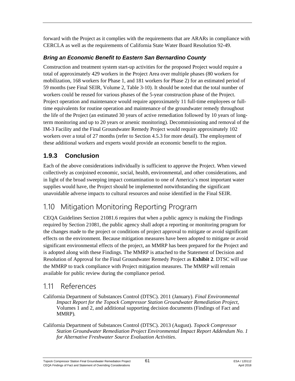forward with the Project as it complies with the requirements that are ARARs in compliance with CERCLA as well as the requirements of California State Water Board Resolution 92-49.

### *Bring an Economic Benefit to Eastern San Bernardino County*

Construction and treatment system start-up activities for the proposed Project would require a total of approximately 429 workers in the Project Area over multiple phases (80 workers for mobilization, 168 workers for Phase 1, and 181 workers for Phase 2) for an estimated period of 59 months (see Final SEIR, Volume 2, Table 3-10). It should be noted that the total number of workers could be reused for various phases of the 5-year construction phase of the Project. Project operation and maintenance would require approximately 11 full-time employees or fulltime equivalents for routine operation and maintenance of the groundwater remedy throughout the life of the Project (an estimated 30 years of active remediation followed by 10 years of longterm monitoring and up to 20 years or arsenic monitoring). Decommissioning and removal of the IM-3 Facility and the Final Groundwater Remedy Project would require approximately 102 workers over a total of 27 months (refer to Section 4.5.3 for more detail). The employment of these additional workers and experts would provide an economic benefit to the region.

## **1.9.3 Conclusion**

Each of the above considerations individually is sufficient to approve the Project. When viewed collectively as conjoined economic, social, health, environmental, and other considerations, and in light of the broad sweeping impact contamination to one of America's most important water supplies would have, the Project should be implemented notwithstanding the significant unavoidable adverse impacts to cultural resources and noise identified in the Final SEIR.

# 1.10 Mitigation Monitoring Reporting Program

CEQA Guidelines Section 21081.6 requires that when a public agency is making the Findings required by Section 21081, the public agency shall adopt a reporting or monitoring program for the changes made to the project or conditions of project approval to mitigate or avoid significant effects on the environment. Because mitigation measures have been adopted to mitigate or avoid significant environmental effects of the project, an MMRP has been prepared for the Project and is adopted along with these Findings. The MMRP is attached to the Statement of Decision and Resolution of Approval for the Final Groundwater Remedy Project as **Exhibit 2**. DTSC will use the MMRP to track compliance with Project mitigation measures. The MMRP will remain available for public review during the compliance period.

## 1.11 References

- California Department of Substances Control (DTSC). 2011 (January). *Final Environmental Impact Report for the Topock Compressor Station Groundwater Remediation Project*, Volumes 1 and 2, and additional supporting decision documents (Findings of Fact and MMRP)*.*
- California Department of Substances Control (DTSC). 2013 (August). *Topock Compressor Station Groundwater Remediation Project Environmental Impact Report Addendum No. 1 for Alternative Freshwater Source Evaluation Activities*.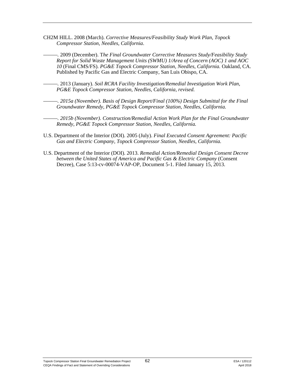- CH2M HILL. 2008 (March). *Corrective Measures/Feasibility Study Work Plan, Topock Compressor Station, Needles, California*.
	- *———.* 2009 (December). T*he Final Groundwater Corrective Measures Study/Feasibility Study Report for Solid Waste Management Units (SWMU) 1/Area of Concern (AOC) 1 and AOC 10* (Final CMS/FS). *PG&E Topock Compressor Station, Needles, California.* Oakland, CA. Published by Pacific Gas and Electric Company, San Luis Obispo, CA.
	- *———.* 2013 (January). *Soil RCRA Facility Investigation/Remedial Investigation Work Plan, PG&E Topock Compressor Station, Needles, California, revised.* 
		- *———. 2015a (November). Basis of Design Report/Final (100%) Design Submittal for the Final Groundwater Remedy, PG&E Topock Compressor Station, Needles, California.*
- *———. 2015b (November). Construction/Remedial Action Work Plan for the Final Groundwater Remedy, PG&E Topock Compressor Station, Needles, California.*
- U.S. Department of the Interior (DOI). 2005 (July). *Final Executed Consent Agreement: Pacific Gas and Electric Company, Topock Compressor Station, Needles, California.*
- U.S. Department of the Interior (DOI). 2013. *Remedial Action/Remedial Design Consent Decree between the United States of America and Pacific Gas & Electric Company* (Consent Decree), Case 5:13-cv-00074-VAP-OP, Document 5-1. Filed January 15, 2013.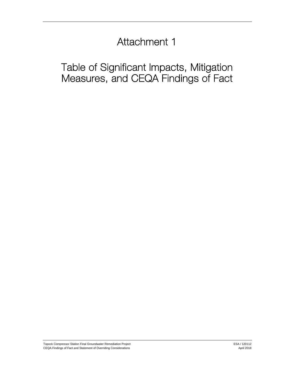# Attachment 1

# Table of Significant Impacts, Mitigation Measures, and CEQA Findings of Fact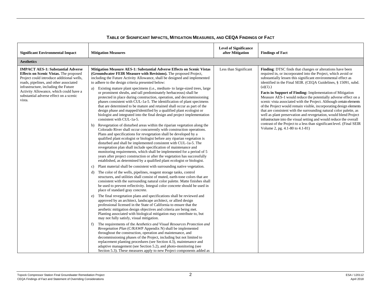| <b>Significant Environmental Impact</b>                                                                                                                                                                                                                                                                                | <b>Mitigation Measures</b>                                                                                                                                                                                                                                                                                                                                                                                                                                                                                                                                                                                                                                                                                                                                                                                                                                                                                                                                                                                                                                                                                                                                                                                                                                                                                                                                                                                                                                                                                                                                                                                                                                                                                                                                                                                                                                                                                                                                                                                                                                                                                                                                                                                                                                                                                                                                                                                                                                                                                                                                                                                                                                                                                                                                                                                                                                                                                           | <b>Level of Significance</b><br>after Mitigation | <b>Findings of Fact</b>                                                                                                                                                                                                                                                                                                                                                                                                                                                                                                                                                                                                                                                                                                                                                                                                                                                               |
|------------------------------------------------------------------------------------------------------------------------------------------------------------------------------------------------------------------------------------------------------------------------------------------------------------------------|----------------------------------------------------------------------------------------------------------------------------------------------------------------------------------------------------------------------------------------------------------------------------------------------------------------------------------------------------------------------------------------------------------------------------------------------------------------------------------------------------------------------------------------------------------------------------------------------------------------------------------------------------------------------------------------------------------------------------------------------------------------------------------------------------------------------------------------------------------------------------------------------------------------------------------------------------------------------------------------------------------------------------------------------------------------------------------------------------------------------------------------------------------------------------------------------------------------------------------------------------------------------------------------------------------------------------------------------------------------------------------------------------------------------------------------------------------------------------------------------------------------------------------------------------------------------------------------------------------------------------------------------------------------------------------------------------------------------------------------------------------------------------------------------------------------------------------------------------------------------------------------------------------------------------------------------------------------------------------------------------------------------------------------------------------------------------------------------------------------------------------------------------------------------------------------------------------------------------------------------------------------------------------------------------------------------------------------------------------------------------------------------------------------------------------------------------------------------------------------------------------------------------------------------------------------------------------------------------------------------------------------------------------------------------------------------------------------------------------------------------------------------------------------------------------------------------------------------------------------------------------------------------------------------|--------------------------------------------------|---------------------------------------------------------------------------------------------------------------------------------------------------------------------------------------------------------------------------------------------------------------------------------------------------------------------------------------------------------------------------------------------------------------------------------------------------------------------------------------------------------------------------------------------------------------------------------------------------------------------------------------------------------------------------------------------------------------------------------------------------------------------------------------------------------------------------------------------------------------------------------------|
| <b>Aesthetics</b>                                                                                                                                                                                                                                                                                                      |                                                                                                                                                                                                                                                                                                                                                                                                                                                                                                                                                                                                                                                                                                                                                                                                                                                                                                                                                                                                                                                                                                                                                                                                                                                                                                                                                                                                                                                                                                                                                                                                                                                                                                                                                                                                                                                                                                                                                                                                                                                                                                                                                                                                                                                                                                                                                                                                                                                                                                                                                                                                                                                                                                                                                                                                                                                                                                                      |                                                  |                                                                                                                                                                                                                                                                                                                                                                                                                                                                                                                                                                                                                                                                                                                                                                                                                                                                                       |
| <b>IMPACT AES-1: Substantial Adverse</b><br><b>Effects on Scenic Vistas.</b> The proposed<br>Project could introduce additional wells,<br>roads, pipelines, and other associated<br>infrastructure, including the Future<br>Activity Allowance, which could have a<br>substantial adverse effect on a scenic<br>vista. | Mitigation Measure AES-1: Substantial Adverse Effects on Scenic Vistas<br>(Groundwater FEIR Measure with Revisions). The proposed Project,<br>including the Future Activity Allowance, shall be designed and implemented<br>to adhere to the design criteria presented below:<br>Existing mature plant specimens (i.e., medium- to large-sized trees, large<br>a)<br>or prominent shrubs, and tall predominately herbaceous) shall be<br>protected in place during construction, operation, and decommissioning<br>phases consistent with CUL-1a-5. The identification of plant specimens<br>that are determined to be mature and retained shall occur as part of the<br>design phase and mapped/identified by a qualified plant ecologist or<br>biologist and integrated into the final design and project implementation<br>consistent with CUL-1a-5.<br>Revegetation of disturbed areas within the riparian vegetation along the<br>b)<br>Colorado River shall occur concurrently with construction operations.<br>Plans and specifications for revegetation shall be developed by a<br>qualified plant ecologist or biologist before any riparian vegetation is<br>disturbed and shall be implemented consistent with CUL-1a-5. The<br>revegetation plan shall include specification of maintenance and<br>monitoring requirements, which shall be implemented for a period of 5<br>years after project construction or after the vegetation has successfully<br>established, as determined by a qualified plant ecologist or biologist.<br>Plant material shall be consistent with surrounding native vegetation.<br>c)<br>The color of the wells, pipelines, reagent storage tanks, control<br>d)<br>structures, and utilities shall consist of muted, earth-tone colors that are<br>consistent with the surrounding natural color palette. Matte finishes shall<br>be used to prevent reflectivity. Integral color concrete should be used in<br>place of standard gray concrete.<br>The final revegetation plans and specifications shall be reviewed and<br>e)<br>approved by an architect, landscape architect, or allied design<br>professional licensed in the State of California to ensure that the<br>aesthetic mitigation design objectives and criteria are being met.<br>Planting associated with biological mitigation may contribute to, but<br>may not fully satisfy, visual mitigation.<br>The requirements of the Aesthetics and Visual Resources Protection and<br>f)<br>Revegetation Plan (C/RAWP Appendix N) shall be implemented<br>throughout the construction, operation and maintenance, and<br>decommissioning phases of the Project, including but not limited to<br>replacement planting procedures (see Section 4.3), maintenance and<br>adaptive management (see Section 5.2), and photo-monitoring (see<br>Section 5.3). These measures apply to new Project components added as | Less than Significant                            | Finding: DTSC finds that changes or alterations have been<br>required in, or incorporated into the Project, which avoid or<br>substantially lessen this significant environmental effect as<br>identified in the Final SEIR. (CEQA Guidelines, § 15091, subd.<br>$(a)(1)$ .)<br>Facts in Support of Finding: Implementation of Mitigation<br>Measure AES-1 would reduce the potentially adverse effect on a<br>scenic vista associated with the Project. Although certain elements<br>of the Project would remain visible, incorporating design elements<br>that are consistent with the surrounding natural color palette, as<br>well as plant preservation and revegetation, would blend Project<br>infrastructure into the visual setting and would reduce the overall<br>contrast of the Project to a less than significant level. (Final SEIR<br>Volume 2, pg. 4.1-80 to 4.1-81) |

#### **TABLE OF SIGNIFICANT IMPACTS, MITIGATION MEASURES, AND CEQA FINDINGS OF FACT**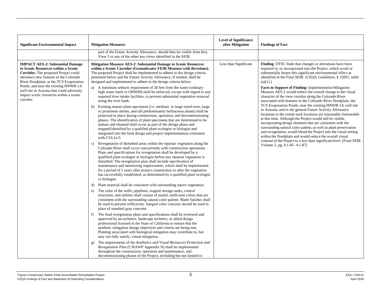| <b>Significant Environmental Impact</b>                                                                                                                                                                                                                                                                                                                          | <b>Mitigation Measures</b>                                                                                                                                                                                                                                                                                                                                                                                                                                                                                                                                                                                                                                                                                                                                                                                                                                                                                                                                                                                                                                                                                                                                                                                                                                                                                                                                                                                                                                                                                                                                                                                                                                                                                                                                                                                                                                                                                                                                                                                                                                                                                                                                                                                                                                                                                                                                                                                                                                                                                                                                                                                                                                                                                                                                                                                                                                                                                                                                                    | <b>Level of Significance</b><br>after Mitigation | <b>Findings of Fact</b>                                                                                                                                                                                                                                                                                                                                                                                                                                                                                                                                                                                                                                                                                                                                                                                                                                                                                                                                                                                                                                                                                                                                                      |
|------------------------------------------------------------------------------------------------------------------------------------------------------------------------------------------------------------------------------------------------------------------------------------------------------------------------------------------------------------------|-------------------------------------------------------------------------------------------------------------------------------------------------------------------------------------------------------------------------------------------------------------------------------------------------------------------------------------------------------------------------------------------------------------------------------------------------------------------------------------------------------------------------------------------------------------------------------------------------------------------------------------------------------------------------------------------------------------------------------------------------------------------------------------------------------------------------------------------------------------------------------------------------------------------------------------------------------------------------------------------------------------------------------------------------------------------------------------------------------------------------------------------------------------------------------------------------------------------------------------------------------------------------------------------------------------------------------------------------------------------------------------------------------------------------------------------------------------------------------------------------------------------------------------------------------------------------------------------------------------------------------------------------------------------------------------------------------------------------------------------------------------------------------------------------------------------------------------------------------------------------------------------------------------------------------------------------------------------------------------------------------------------------------------------------------------------------------------------------------------------------------------------------------------------------------------------------------------------------------------------------------------------------------------------------------------------------------------------------------------------------------------------------------------------------------------------------------------------------------------------------------------------------------------------------------------------------------------------------------------------------------------------------------------------------------------------------------------------------------------------------------------------------------------------------------------------------------------------------------------------------------------------------------------------------------------------------------------------------------|--------------------------------------------------|------------------------------------------------------------------------------------------------------------------------------------------------------------------------------------------------------------------------------------------------------------------------------------------------------------------------------------------------------------------------------------------------------------------------------------------------------------------------------------------------------------------------------------------------------------------------------------------------------------------------------------------------------------------------------------------------------------------------------------------------------------------------------------------------------------------------------------------------------------------------------------------------------------------------------------------------------------------------------------------------------------------------------------------------------------------------------------------------------------------------------------------------------------------------------|
|                                                                                                                                                                                                                                                                                                                                                                  | part of the Future Activity Allowance, should they be visible from Key<br>View 5 or any of the other key views identified in the SEIR.                                                                                                                                                                                                                                                                                                                                                                                                                                                                                                                                                                                                                                                                                                                                                                                                                                                                                                                                                                                                                                                                                                                                                                                                                                                                                                                                                                                                                                                                                                                                                                                                                                                                                                                                                                                                                                                                                                                                                                                                                                                                                                                                                                                                                                                                                                                                                                                                                                                                                                                                                                                                                                                                                                                                                                                                                                        |                                                  |                                                                                                                                                                                                                                                                                                                                                                                                                                                                                                                                                                                                                                                                                                                                                                                                                                                                                                                                                                                                                                                                                                                                                                              |
| <b>IMPACT AES-2: Substantial Damage</b><br>to Scenic Resources within a Scenic<br><b>Corridor.</b> The proposed Project could<br>introduce new features in the Colorado<br>River floodplain, at the TCS Evaporation<br>Ponds, and near the existing HNWR-1A<br>well site in Arizona that could adversely<br>impact scenic resources within a scenic<br>corridor. | Mitigation Measure AES-2: Substantial Damage to Scenic Resources<br>within a Scenic Corridor (Groundwater FEIR Measure with Revisions).<br>The proposed Project shall be implemented to adhere to the design criteria<br>presented below and the Future Activity Allowance, if needed, shall be<br>designed and implemented to adhere to the design criteria below:<br>A minimum setback requirement of 20 feet from the water (ordinary<br>a)<br>high water mark or OHWM) shall be enforced, except with regard to any<br>required river intake facilities, to prevent substantial vegetation removal<br>along the river bank.<br>Existing mature plant specimens (i.e. medium- to large-sized trees, large<br>b)<br>or prominent shrubs, and tall predominately herbaceous plants) shall be<br>protected in place during construction, operation, and decommissioning<br>phases. The identification of plant specimens that are determined to be<br>mature and retained shall occur as part of the design phase and<br>mapped/identified by a qualified plant ecologist or biologist and<br>integrated into the final design and project implementation consistent<br>with CUL1a-5.<br>Revegetation of disturbed areas within the riparian vegetation along the<br>C)<br>Colorado River shall occur concurrently with construction operations.<br>Plans and specifications for revegetation shall be developed by a<br>qualified plant ecologist or biologist before any riparian vegetation is<br>disturbed. The revegetation plan shall include specification of<br>maintenance and monitoring requirements, which shall be implemented<br>for a period of 5 years after project construction or after the vegetation<br>has successfully established, as determined by a qualified plant ecologist<br>or biologist.<br>Plant material shall be consistent with surrounding native vegetation.<br>d)<br>The color of the wells, pipelines, reagent storage tanks, control<br>e)<br>structures, and utilities shall consist of muted, earth-tone colors that are<br>consistent with the surrounding natural color palette. Matte finishes shall<br>be used to prevent reflectivity. Integral color concrete should be used in<br>place of standard gray concrete.<br>The final revegetation plans and specifications shall be reviewed and<br>f)<br>approved by an architect, landscape architect, or allied design<br>professional licensed in the State of California to ensure that the<br>aesthetic mitigation design objectives and criteria are being met.<br>Planting associated with biological mitigation may contribute to, but<br>may not fully satisfy, visual mitigation.<br>The requirements of the Aesthetics and Visual Resources Protection and<br>g)<br>Revegetation Plan (C/RAWP Appendix N) shall be implemented<br>throughout the construction, operation and maintenance, and<br>decommissioning phases of the Project, including but not limited to | Less than Significant                            | Finding: DTSC finds that changes or alterations have been<br>required in, or incorporated into the Project, which avoid or<br>substantially lessen this significant environmental effect as<br>identified in the Final SEIR. (CEQA Guidelines, § 15091, subd.<br>$(a)(1)$ .)<br>Facts in Support of Finding: Implementation Mitigation<br>Measure AES-2 would reduce the overall change to the visual<br>character of the view corridor along the Colorado River<br>associated with features in the Colorado River floodplain, the<br>TCS Evaporation Ponds, near the existing HNWR-1A well site<br>in Arizona, and to the general Future Activity Allowance<br>locations to the extent such locations are reasonably foreseeable<br>at this time. Although the Project would still be visible,<br>incorporating design elements that are consistent with the<br>surrounding natural color palette, as well as plant preservation<br>and revegetation, would blend the Project into the visual setting<br>within the floodplain and would reduce the overall visual<br>contrast of the Project to a less than significant level. (Final SEIR<br>Volume 2, pg. 4.1-85-4.1-87) |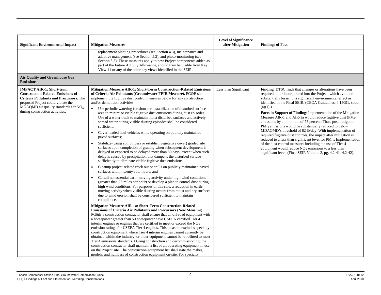| <b>Significant Environmental Impact</b>                                                                                                                                                                                                                    | <b>Mitigation Measures</b>                                                                                                                                                                                                                                                                                                                                                                                                                                                                                                                                                                                                                                                                                                                                                                                                                                                                                                                                                                                                                                                                                                                                                                                                                                                                                                                                                                                                                                                                                                                                                                                                                                                                                                                                                                                                                                                                                                                                                                                                                                                                                                                                                                                                                                                                                                                                                                                                                                                                                          | <b>Level of Significance</b><br>after Mitigation | <b>Findings of Fact</b>                                                                                                                                                                                                                                                                                                                                                                                                                                                                                                                                                                                                                                                                                                                                                                                                                                                                                                                      |
|------------------------------------------------------------------------------------------------------------------------------------------------------------------------------------------------------------------------------------------------------------|---------------------------------------------------------------------------------------------------------------------------------------------------------------------------------------------------------------------------------------------------------------------------------------------------------------------------------------------------------------------------------------------------------------------------------------------------------------------------------------------------------------------------------------------------------------------------------------------------------------------------------------------------------------------------------------------------------------------------------------------------------------------------------------------------------------------------------------------------------------------------------------------------------------------------------------------------------------------------------------------------------------------------------------------------------------------------------------------------------------------------------------------------------------------------------------------------------------------------------------------------------------------------------------------------------------------------------------------------------------------------------------------------------------------------------------------------------------------------------------------------------------------------------------------------------------------------------------------------------------------------------------------------------------------------------------------------------------------------------------------------------------------------------------------------------------------------------------------------------------------------------------------------------------------------------------------------------------------------------------------------------------------------------------------------------------------------------------------------------------------------------------------------------------------------------------------------------------------------------------------------------------------------------------------------------------------------------------------------------------------------------------------------------------------------------------------------------------------------------------------------------------------|--------------------------------------------------|----------------------------------------------------------------------------------------------------------------------------------------------------------------------------------------------------------------------------------------------------------------------------------------------------------------------------------------------------------------------------------------------------------------------------------------------------------------------------------------------------------------------------------------------------------------------------------------------------------------------------------------------------------------------------------------------------------------------------------------------------------------------------------------------------------------------------------------------------------------------------------------------------------------------------------------------|
|                                                                                                                                                                                                                                                            | replacement planting procedures (see Section 4.3), maintenance and<br>adaptive management (see Section 5.2), and photo-monitoring (see<br>Section 5.3). These measures apply to new Project components added as<br>part of the Future Activity Allowance, should they be visible from Key<br>View 11 or any of the other key views identified in the SEIR.                                                                                                                                                                                                                                                                                                                                                                                                                                                                                                                                                                                                                                                                                                                                                                                                                                                                                                                                                                                                                                                                                                                                                                                                                                                                                                                                                                                                                                                                                                                                                                                                                                                                                                                                                                                                                                                                                                                                                                                                                                                                                                                                                          |                                                  |                                                                                                                                                                                                                                                                                                                                                                                                                                                                                                                                                                                                                                                                                                                                                                                                                                                                                                                                              |
| <b>Air Quality and Greenhouse Gas</b><br><b>Emissions</b>                                                                                                                                                                                                  |                                                                                                                                                                                                                                                                                                                                                                                                                                                                                                                                                                                                                                                                                                                                                                                                                                                                                                                                                                                                                                                                                                                                                                                                                                                                                                                                                                                                                                                                                                                                                                                                                                                                                                                                                                                                                                                                                                                                                                                                                                                                                                                                                                                                                                                                                                                                                                                                                                                                                                                     |                                                  |                                                                                                                                                                                                                                                                                                                                                                                                                                                                                                                                                                                                                                                                                                                                                                                                                                                                                                                                              |
| <b>IMPACT AIR-1: Short-term</b><br><b>Construction-Related Emissions of</b><br><b>Criteria Pollutants and Precursors.</b> The<br>proposed Project could violate the<br>MDAQMD air quality standards for NO <sub>x</sub><br>during construction activities. | Mitigation Measure AIR-1: Short-Term Construction-Related Emissions<br>of Criteria Air Pollutants (Groundwater FEIR Measure). PG&E shall<br>implement the fugitive dust control measures below for any construction<br>and/or demolition activities:<br>Use periodic watering for short-term stabilization of disturbed surface<br>$\bullet$<br>area to minimize visible fugitive dust emissions during dust episodes.<br>Use of a water truck to maintain moist disturbed surfaces and actively<br>spread water during visible dusting episodes shall be considered<br>sufficient;<br>Cover loaded haul vehicles while operating on publicly maintained<br>paved surfaces;<br>Stabilize (using soil binders or establish vegetative cover) graded site<br>surfaces upon completion of grading when subsequent development is<br>delayed or expected to be delayed more than 30 days, except when such<br>delay is caused by precipitation that dampens the disturbed surface<br>sufficiently to eliminate visible fugitive dust emissions;<br>Cleanup project-related track out or spills on publicly maintained paved<br>surfaces within twenty-four hours; and<br>Curtail nonessential earth-moving activity under high wind conditions<br>$\bullet$<br>(greater than 25 miles per hour) or develop a plan to control dust during<br>high wind conditions. For purposes of this rule, a reduction in earth-<br>moving activity when visible dusting occurs from moist and dry surfaces<br>due to wind erosion shall be considered sufficient to maintain<br>compliance.<br>Mitigation Measure AIR-1a: Short-Term Construction-Related<br>Emissions of Criteria Air Pollutants and Precursors (New Measure).<br>PG&E's construction contractor shall ensure that all off-road equipment with<br>a horsepower greater than 50 horsepower have USEPA certified Tier 4<br>interim engines or engines that are certified to meet or exceed the $NOx$<br>emission ratings for USEPA Tier 4 engines. This measure excludes specialty<br>construction equipment where Tier 4 interim engines cannot currently be<br>obtained within the industry, or older equipment cannot be retrofitted to meet<br>Tier 4 emissions standards. During construction and decommissioning, the<br>construction contractor shall maintain a list of all operating equipment in use<br>on the Project site. The construction equipment list shall state the makes,<br>models, and numbers of construction equipment on-site. For specialty | Less than Significant                            | Finding: DTSC finds that changes or alterations have been<br>required in, or incorporated into the Project, which avoid or<br>substantially lessen this significant environmental effect as<br>identified in the Final SEIR. (CEQA Guidelines, § 15091, subd.<br>$(a)(1)$ .)<br>Facts in Support of Finding: Implementation of the Mitigation<br>Measure AIR-1 and AIR-1a would reduce fugitive dust $(PM_{10})$<br>emissions by a minimum of 75 percent. Thus, post mitigation<br>$PM_{10}$ emissions would be substantially reduced to below<br>MDAQMD's threshold of 82 lb/day. With implementation of<br>required fugitive dust controls, the impact after mitigation is<br>reduced to a less than significant level for $PM_{10}$ . Implementation<br>of the dust control measures including the use of Tier-4<br>equipment would reduce $NOx$ emissions to a less than<br>significant level. (Final SEIR Volume 2, pg. 4.2-41-4.2-42). |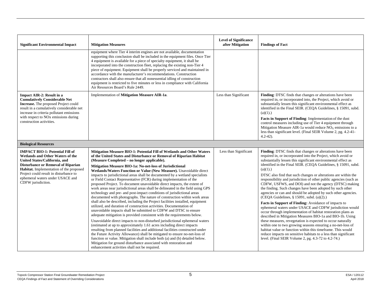| <b>Significant Environmental Impact</b>                                                                                                                                                                                                                                                                 | <b>Mitigation Measures</b>                                                                                                                                                                                                                                                                                                                                                                                                                                                                                                                                                                                                                                                                                                                                                                                                                                                                                                                                                                                                                                                                                                                                                                                                                                                                                                                                                                                                                                                                                                                                                                                                                      | <b>Level of Significance</b><br>after Mitigation | <b>Findings of Fact</b>                                                                                                                                                                                                                                                                                                                                                                                                                                                                                                                                                                                                                                                                                                                                                                                                                                                                                                                                                                                                                                                                                                                                                                                                          |
|---------------------------------------------------------------------------------------------------------------------------------------------------------------------------------------------------------------------------------------------------------------------------------------------------------|-------------------------------------------------------------------------------------------------------------------------------------------------------------------------------------------------------------------------------------------------------------------------------------------------------------------------------------------------------------------------------------------------------------------------------------------------------------------------------------------------------------------------------------------------------------------------------------------------------------------------------------------------------------------------------------------------------------------------------------------------------------------------------------------------------------------------------------------------------------------------------------------------------------------------------------------------------------------------------------------------------------------------------------------------------------------------------------------------------------------------------------------------------------------------------------------------------------------------------------------------------------------------------------------------------------------------------------------------------------------------------------------------------------------------------------------------------------------------------------------------------------------------------------------------------------------------------------------------------------------------------------------------|--------------------------------------------------|----------------------------------------------------------------------------------------------------------------------------------------------------------------------------------------------------------------------------------------------------------------------------------------------------------------------------------------------------------------------------------------------------------------------------------------------------------------------------------------------------------------------------------------------------------------------------------------------------------------------------------------------------------------------------------------------------------------------------------------------------------------------------------------------------------------------------------------------------------------------------------------------------------------------------------------------------------------------------------------------------------------------------------------------------------------------------------------------------------------------------------------------------------------------------------------------------------------------------------|
|                                                                                                                                                                                                                                                                                                         | equipment where Tier 4 interim engines are not available, documentation<br>supporting this conclusion shall be included in the equipment files. Once Tier<br>4 equipment is available for a piece of specialty equipment, it shall be<br>incorporated into the construction fleet, replacing the existing non-Tier 4<br>piece of equipment. Equipment shall be properly serviced and maintained in<br>accordance with the manufacturer's recommendations. Construction<br>contractors shall also ensure that all nonessential idling of construction<br>equipment is restricted to five minutes or less in compliance with California<br>Air Resources Board's Rule 2449.                                                                                                                                                                                                                                                                                                                                                                                                                                                                                                                                                                                                                                                                                                                                                                                                                                                                                                                                                                       |                                                  |                                                                                                                                                                                                                                                                                                                                                                                                                                                                                                                                                                                                                                                                                                                                                                                                                                                                                                                                                                                                                                                                                                                                                                                                                                  |
| <b>Impact AIR-2: Result in a</b><br><b>Cumulatively Considerable Net</b><br><b>Increase.</b> The proposed Project could<br>result in a cumulatively considerable net<br>increase in criteria pollutant emissions<br>with respect to NO <sub>x</sub> emissions during<br>construction activities.        | Implementation of Mitigation Measure AIR-1a.                                                                                                                                                                                                                                                                                                                                                                                                                                                                                                                                                                                                                                                                                                                                                                                                                                                                                                                                                                                                                                                                                                                                                                                                                                                                                                                                                                                                                                                                                                                                                                                                    | Less than Significant                            | Finding: DTSC finds that changes or alterations have been<br>required in, or incorporated into, the Project, which avoid or<br>substantially lessen this significant environmental effect as<br>identified in the Final SEIR. (CEQA Guidelines, § 15091, subd.<br>$(a)(1)$ .)<br>Facts in Support of Finding: Implementation of the dust<br>control measures including use of Tier 4 equipment through<br>Mitigation Measure AIR-1a would reduce $NOX$ emissions to a<br>less than significant level. (Final SEIR Volume 2, pg. 4.2-41-<br>$4.2 - 42$ ).                                                                                                                                                                                                                                                                                                                                                                                                                                                                                                                                                                                                                                                                         |
| <b>Biological Resources</b>                                                                                                                                                                                                                                                                             |                                                                                                                                                                                                                                                                                                                                                                                                                                                                                                                                                                                                                                                                                                                                                                                                                                                                                                                                                                                                                                                                                                                                                                                                                                                                                                                                                                                                                                                                                                                                                                                                                                                 |                                                  |                                                                                                                                                                                                                                                                                                                                                                                                                                                                                                                                                                                                                                                                                                                                                                                                                                                                                                                                                                                                                                                                                                                                                                                                                                  |
| <b>IMPACT BIO-1: Potential Fill of</b><br>Wetlands and Other Waters of the<br>United States/California, and<br><b>Disturbance or Removal of Riparian</b><br>Habitat. Implementation of the proposed<br>Project could result in disturbance to<br>ephemeral waters under USACE and<br>CDFW jurisdiction. | Mitigation Measure BIO-1: Potential Fill of Wetlands and Other Waters<br>of the United States and Disturbance or Removal of Riparian Habitat<br>(Measure Completed – no longer applicable).<br>Mitigation Measure BIO-1a: No-net-loss of Jurisdictional<br>Wetlands/Waters Function or Value (New Measure). Unavoidable direct<br>impacts to jurisdictional areas shall be documented by a wetland specialists<br>or Field Contact Representative (FCR) during implementation of the<br>proposed Project. To document unavoidable direct impacts, the extent of<br>work areas near jurisdictional areas shall be delineated in the field using GPS<br>technology and pre- and post-impact conditions of jurisdictional areas<br>documented with photographs. The nature of construction within work areas<br>shall also be described, including the Project facilities installed, equipment<br>utilized, and duration of construction activities. Documentation of<br>unavoidable impacts shall be submitted to CDFW and DTSC to ensure<br>adequate mitigation is provided consistent with the requirements below.<br>Unavoidable direct impacts to non-disturbed jurisdictional ephemeral waters<br>(estimated at up to approximately 1.61 acres including direct impacts<br>resulting from planned facilities and additional facilities constructed under<br>the Future Activity Allowance) shall be mitigated to ensure no-net-loss of<br>function or value. Mitigation shall include both (a) and (b) detailed below.<br>Mitigation for ground disturbance associated with restoration and<br>enhancement activities shall not be required. | Less than Significant                            | Finding: DTSC finds that changes or alterations have been<br>required in, or incorporated into the Project, which avoid or<br>substantially lessen this significant environmental effect as<br>identified in the Final SEIR. (CEQA Guidelines, § 15091, subd.<br>$(a)(1)$ .)<br>DTSC also find that such changes or alterations are within the<br>responsibility and jurisdiction of other public agencies (such as<br>CDFW, USFWS, and DOI) and not the agency (DTSC) making<br>the finding. Such changes have been adopted by such other<br>agencies or can and should be adopted by such other agencies.<br>(CEQA Guidelines, § 15091, subd. (a)(2).)<br>Facts in Support of Finding: Avoidance of impacts to<br>ephemeral waters under USACE and CDFW jurisdiction would<br>occur through implementation of habitat restoration plans as<br>described in Mitigation Measures BIO-1a and BIO-1b. Using<br>these measures, revegetation is expected to occur naturally<br>within one to two growing seasons ensuring a no-net-loss of<br>habitat value or function within this timeframe. This would<br>reduce impacts on sensitive habitats to a less than significant<br>level. (Final SEIR Volume 2, pg. 4.3-72 to 4.2-74.) |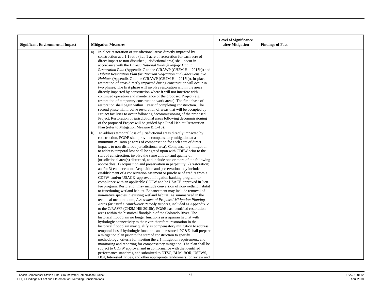|                                         |                                                                                                                                                 | <b>Level of Significance</b> |                         |
|-----------------------------------------|-------------------------------------------------------------------------------------------------------------------------------------------------|------------------------------|-------------------------|
| <b>Significant Environmental Impact</b> | <b>Mitigation Measures</b>                                                                                                                      | after Mitigation             | <b>Findings of Fact</b> |
|                                         | In-place restoration of jurisdictional areas directly impacted by<br>a)                                                                         |                              |                         |
|                                         | construction at a 1:1 ratio (i.e., 1 acre of restoration for each acre of<br>direct impact to non-disturbed jurisdictional area) shall occur in |                              |                         |
|                                         | accordance with the Havasu National Wildlife Refuge Habitat                                                                                     |                              |                         |
|                                         | Restoration Plan (Appendix G to the C/RAWP (CH2M Hill 2015b)) and                                                                               |                              |                         |
|                                         | Habitat Restoration Plan for Riparian Vegetation and Other Sensitive                                                                            |                              |                         |
|                                         | <i>Habitats</i> (Appendix O to the C/RAWP (CH2M Hill 2015b)). In-place                                                                          |                              |                         |
|                                         | restoration of areas directly impacted during construction will occur in                                                                        |                              |                         |
|                                         | two phases. The first phase will involve restoration within the areas                                                                           |                              |                         |
|                                         | directly impacted by construction where it will not interfere with                                                                              |                              |                         |
|                                         | continued operation and maintenance of the proposed Project (e.g.,                                                                              |                              |                         |
|                                         | restoration of temporary construction work areas). The first phase of<br>restoration shall begin within 1 year of completing construction. The  |                              |                         |
|                                         | second phase will involve restoration of areas that will be occupied by                                                                         |                              |                         |
|                                         | Project facilities to occur following decommissioning of the proposed                                                                           |                              |                         |
|                                         | Project. Restoration of jurisdictional areas following decommissioning                                                                          |                              |                         |
|                                         | of the proposed Project will be guided by a Final Habitat Restoration                                                                           |                              |                         |
|                                         | Plan (refer to Mitigation Measure BIO-1b).                                                                                                      |                              |                         |
|                                         | To address temporal loss of jurisdictional areas directly impacted by<br>b)                                                                     |                              |                         |
|                                         | construction, PG&E shall provide compensatory mitigation at a                                                                                   |                              |                         |
|                                         | minimum 2:1 ratio (2 acres of compensation for each acre of direct<br>impacts to non-disturbed jurisdictional area). Compensatory mitigation    |                              |                         |
|                                         | to address temporal loss shall be agreed upon with CDFW prior to the                                                                            |                              |                         |
|                                         | start of construction, involve the same amount and quality of                                                                                   |                              |                         |
|                                         | jurisdictional area(s) disturbed, and include one or more of the following                                                                      |                              |                         |
|                                         | approaches: 1) acquisition and preservation in perpetuity; 2) restoration;                                                                      |                              |                         |
|                                         | and/or 3) enhancement. Acquisition and preservation may include                                                                                 |                              |                         |
|                                         | establishment of a conservation easement or purchase of credits from a                                                                          |                              |                         |
|                                         | CDFW- and/or USACE -approved mitigation banking program, or                                                                                     |                              |                         |
|                                         | compliance with an applicable CDFW and/or USACE-approved in-lieu<br>fee program. Restoration may include conversion of non-wetland habitat      |                              |                         |
|                                         | to functioning wetland habitat. Enhancement may include removal of                                                                              |                              |                         |
|                                         | non-native species in existing wetland habitat. As summarized in the                                                                            |                              |                         |
|                                         | technical memorandum, Assessment of Proposed Mitigation Planting                                                                                |                              |                         |
|                                         | Areas for Final Groundwater Remedy Impacts, included as Appendix V                                                                              |                              |                         |
|                                         | to the C/RAWP (CH2M Hill 2015b), PG&E has identified restoration                                                                                |                              |                         |
|                                         | areas within the historical floodplain of the Colorado River. The                                                                               |                              |                         |
|                                         | historical floodplain no longer functions as a riparian habitat with                                                                            |                              |                         |
|                                         | hydrologic connectivity to the river; therefore, restoration in the<br>historical floodplain may qualify as compensatory mitigation to address  |                              |                         |
|                                         | temporal loss if hydrologic function can be restored. PG&E shall prepare                                                                        |                              |                         |
|                                         | a mitigation plan prior to the start of construction to specify                                                                                 |                              |                         |
|                                         | methodology, criteria for meeting the 2:1 mitigation requirement, and                                                                           |                              |                         |
|                                         | monitoring and reporting for compensatory mitigation. The plan shall be                                                                         |                              |                         |
|                                         | subject to CDFW approval and in conformance with the identified                                                                                 |                              |                         |
|                                         | performance standards, and submitted to DTSC, BLM, BOR, USFWS,                                                                                  |                              |                         |
|                                         | DOI, Interested Tribes, and other appropriate landowners for review and                                                                         |                              |                         |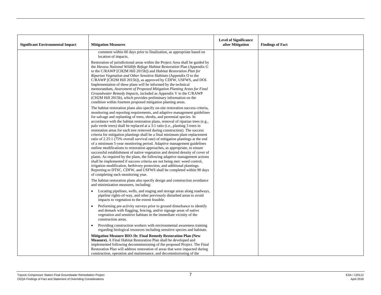| <b>Significant Environmental Impact</b> | <b>Mitigation Measures</b>                                                                                                                                                                                                                                                                                                                                                                                                                                                                                                                                                                                                                                                                                                                                                                                                                                                                                                                                                                                                                                                                                                                                                                                                                                | <b>Level of Significance</b><br>after Mitigation | <b>Findings of Fact</b> |
|-----------------------------------------|-----------------------------------------------------------------------------------------------------------------------------------------------------------------------------------------------------------------------------------------------------------------------------------------------------------------------------------------------------------------------------------------------------------------------------------------------------------------------------------------------------------------------------------------------------------------------------------------------------------------------------------------------------------------------------------------------------------------------------------------------------------------------------------------------------------------------------------------------------------------------------------------------------------------------------------------------------------------------------------------------------------------------------------------------------------------------------------------------------------------------------------------------------------------------------------------------------------------------------------------------------------|--------------------------------------------------|-------------------------|
|                                         | comment within 60 days prior to finalization, as appropriate based on<br>location of impacts.                                                                                                                                                                                                                                                                                                                                                                                                                                                                                                                                                                                                                                                                                                                                                                                                                                                                                                                                                                                                                                                                                                                                                             |                                                  |                         |
|                                         | Restoration of jurisdictional areas within the Project Area shall be guided by<br>the Havasu National Wildlife Refuge Habitat Restoration Plan (Appendix G<br>to the C/RAWP [CH2M Hill 2015b]) and Habitat Restoration Plan for<br>Riparian Vegetation and Other Sensitive Habitats (Appendix O to the<br>C/RAWP [CH2M Hill 2015b]), as approved by CDFW, USFWS, and DOI.<br>Implementation of these plans will be informed by the technical<br>memorandum, Assessment of Proposed Mitigation Planting Areas for Final<br>Groundwater Remedy Impacts, included as Appendix V to the C/RAWP<br>(CH2M Hill 2015b), which provides preliminary information on the<br>condition within fourteen proposed mitigation planting areas.                                                                                                                                                                                                                                                                                                                                                                                                                                                                                                                           |                                                  |                         |
|                                         | The habitat restoration plans also specify on-site restoration success criteria,<br>monitoring and reporting requirements, and adaptive management guidelines<br>for salvage and replanting of trees, shrubs, and perennial species. In<br>accordance with the habitat restoration plans, removal of riparian trees (e.g.,<br>palo verde trees) shall be replaced at a 3:1 ratio (i.e., planting 3 trees in<br>restoration areas for each tree removed during construction). The success<br>criteria for mitigation plantings shall be a final minimum plant replacement<br>ratio of 2.25:1 (75% overall survival rate) of mitigation plantings at the end<br>of a minimum 5-year monitoring period. Adaptive management guidelines<br>outline modifications to restoration approaches, as appropriate, to ensure<br>successful establishment of native vegetation and desired density of cover of<br>plants. As required by the plans, the following adaptive management actions<br>shall be implemented if success criteria are not being met: weed control,<br>irrigation modification, herbivory protection, and additional plantings.<br>Reporting to DTSC, CDFW, and USFWS shall be completed within 90 days<br>of completing each monitoring year. |                                                  |                         |
|                                         | The habitat restoration plans also specify design and construction avoidance<br>and minimization measures, including:                                                                                                                                                                                                                                                                                                                                                                                                                                                                                                                                                                                                                                                                                                                                                                                                                                                                                                                                                                                                                                                                                                                                     |                                                  |                         |
|                                         | Locating pipelines, wells, and staging and storage areas along roadways,<br>pipeline rights-of-way, and other previously disturbed areas to avoid<br>impacts to vegetation to the extent feasible.                                                                                                                                                                                                                                                                                                                                                                                                                                                                                                                                                                                                                                                                                                                                                                                                                                                                                                                                                                                                                                                        |                                                  |                         |
|                                         | Performing pre-activity surveys prior to ground disturbance to identify<br>and demark with flagging, fencing, and/or signage areas of native<br>vegetation and sensitive habitats in the immediate vicinity of the<br>construction areas.                                                                                                                                                                                                                                                                                                                                                                                                                                                                                                                                                                                                                                                                                                                                                                                                                                                                                                                                                                                                                 |                                                  |                         |
|                                         | Providing construction workers with environmental awareness training<br>$\bullet$<br>regarding biological resources including sensitive species and habitats.                                                                                                                                                                                                                                                                                                                                                                                                                                                                                                                                                                                                                                                                                                                                                                                                                                                                                                                                                                                                                                                                                             |                                                  |                         |
|                                         | Mitigation Measure BIO-1b: Final Remedy Restoration Plan (New<br><b>Measure).</b> A Final Habitat Restoration Plan shall be developed and<br>implemented following decommissioning of the proposed Project. The Final<br>Restoration Plan will address restoration of areas that were impacted during<br>construction, operation and maintenance, and decommissioning of the                                                                                                                                                                                                                                                                                                                                                                                                                                                                                                                                                                                                                                                                                                                                                                                                                                                                              |                                                  |                         |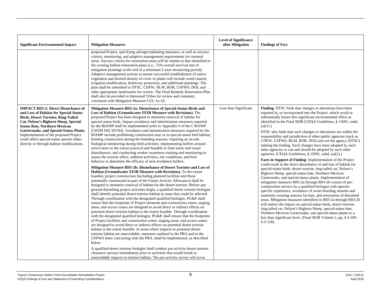| <b>Significant Environmental Impact</b>                                                                                                                                                                                                                                                                                                                                                              | <b>Mitigation Measures</b>                                                                                                                                                                                                                                                                                                                                                                                                                                                                                                                                                                                                                                                                                                                                                                                                                                                                                                                                                                                                                                                                                                                                                                                                                                                                                                                                                                                                                                                                                                                                                                                                                                                                                                                                                                                                                                                                                                                                                                                                                                                                                                                                                                                                                                                                                                                                                                                                                                                                                                                                                                                                                         | <b>Level of Significance</b><br>after Mitigation | <b>Findings of Fact</b>                                                                                                                                                                                                                                                                                                                                                                                                                                                                                                                                                                                                                                                                                                                                                                                                                                                                                                                                                                                                                                                                                                                                                                                                                                                                                                                                                                                                                                                                                                                                                                                                            |
|------------------------------------------------------------------------------------------------------------------------------------------------------------------------------------------------------------------------------------------------------------------------------------------------------------------------------------------------------------------------------------------------------|----------------------------------------------------------------------------------------------------------------------------------------------------------------------------------------------------------------------------------------------------------------------------------------------------------------------------------------------------------------------------------------------------------------------------------------------------------------------------------------------------------------------------------------------------------------------------------------------------------------------------------------------------------------------------------------------------------------------------------------------------------------------------------------------------------------------------------------------------------------------------------------------------------------------------------------------------------------------------------------------------------------------------------------------------------------------------------------------------------------------------------------------------------------------------------------------------------------------------------------------------------------------------------------------------------------------------------------------------------------------------------------------------------------------------------------------------------------------------------------------------------------------------------------------------------------------------------------------------------------------------------------------------------------------------------------------------------------------------------------------------------------------------------------------------------------------------------------------------------------------------------------------------------------------------------------------------------------------------------------------------------------------------------------------------------------------------------------------------------------------------------------------------------------------------------------------------------------------------------------------------------------------------------------------------------------------------------------------------------------------------------------------------------------------------------------------------------------------------------------------------------------------------------------------------------------------------------------------------------------------------------------------------|--------------------------------------------------|------------------------------------------------------------------------------------------------------------------------------------------------------------------------------------------------------------------------------------------------------------------------------------------------------------------------------------------------------------------------------------------------------------------------------------------------------------------------------------------------------------------------------------------------------------------------------------------------------------------------------------------------------------------------------------------------------------------------------------------------------------------------------------------------------------------------------------------------------------------------------------------------------------------------------------------------------------------------------------------------------------------------------------------------------------------------------------------------------------------------------------------------------------------------------------------------------------------------------------------------------------------------------------------------------------------------------------------------------------------------------------------------------------------------------------------------------------------------------------------------------------------------------------------------------------------------------------------------------------------------------------|
|                                                                                                                                                                                                                                                                                                                                                                                                      | proposed Project, specifying salvage/replanting measures, as well as success<br>criteria, monitoring, and adaptive management requirements for restored<br>areas. Success criteria for restoration areas will be similar to that identified in<br>the existing habitat restoration plans (i.e., 75% overall survival rate of<br>mitigation plantings at the end of a minimum 5-year monitoring period).<br>Adaptive management actions to ensure successful establishment of native<br>vegetation and desired density of cover of plants will include weed control,<br>irrigation modification, herbivory protection, and additional plantings. The<br>plan shall be submitted to DTSC, CDFW, BLM, BOR, USFWS, DOI, and<br>other appropriate landowners for review. The Final Remedy Restoration Plan<br>shall also be provided to Interested Tribes for review and comment,<br>consistent with Mitigation Measure CUL-1a-16.                                                                                                                                                                                                                                                                                                                                                                                                                                                                                                                                                                                                                                                                                                                                                                                                                                                                                                                                                                                                                                                                                                                                                                                                                                                                                                                                                                                                                                                                                                                                                                                                                                                                                                                      |                                                  |                                                                                                                                                                                                                                                                                                                                                                                                                                                                                                                                                                                                                                                                                                                                                                                                                                                                                                                                                                                                                                                                                                                                                                                                                                                                                                                                                                                                                                                                                                                                                                                                                                    |
| <b>IMPACT BIO-2: Direct Disturbance of</b><br>and Loss of Habitat for Special-Status<br><b>Birds, Desert Tortoise, Ring-Tailed</b><br>Cat, Nelson's Bighorn Sheep, Special-<br><b>Status Bats, Northern Mexican</b><br>Gartersnake, and Special-Status Plants.<br>Implementation of the proposed Project<br>could affect special-status species either<br>directly or through habitat modifications. | Mitigation Measure BIO-2a: Disturbance of Special-Status Birds and<br>Loss of Habitat (Groundwater FEIR Measure with Revisions). The<br>proposed Project has been designed to minimize removal of habitat for<br>special-status birds. Impact avoidance and minimization measures required<br>by the BIAMP shall be implemented (refer to Appendix S of the C/RAWP<br>[CH2M Hill 2015b]). Avoidance and minimization measures required by the<br>BIAMP include prohibiting construction near or in special-status bird habitat;<br>limiting construction during the breeding seasons; requiring an on-site<br>biological monitoring during field activities; implementing buffers around<br>active nests to the extent practical and feasible to limit noise and visual<br>disturbances; and conducting worker awareness training and monitoring to<br>assess the activity effect, ambient activities, site conditions, and bird<br>behavior to determine the efficacy of nest avoidance buffers.<br>Mitigation Measure BIO-2b: Disturbance of Desert Tortoise and Loss of<br>Habitat (Groundwater FEIR Measure with Revisions). To the extent<br>feasible, project construction (including planned facilities and those<br>potentially constructed as part of the Future Activity Allowance) shall be<br>designed to minimize removal of habitat for the desert tortoise. Before any<br>ground-disturbing project activities begin, a qualified desert tortoise biologist<br>shall identify potential desert tortoise habitat in areas that could be affected.<br>Through coordination with the designated qualified biologist, PG&E shall<br>ensure that the footprints of Project elements and construction zones, staging<br>areas, and access routes are designed to avoid direct or indirect effects on<br>potential desert tortoise habitat to the extent feasible. Through coordination<br>with the designated qualified biologist, PG&E shall ensure that the footprints<br>of Project facilities and construction zones, staging areas, and access routes<br>are designed to avoid direct or indirect effects on potential desert tortoise<br>habitat to the extent feasible. In areas where impacts to potential desert<br>tortoise habitat are unavoidable, measures outlined in the PBA and in the<br>USFWS letter concurring with the PBA, shall be implemented, as described<br>below.<br>A qualified desert tortoise biologist shall conduct pre-activity desert tortoise<br>clearance surveys immediately prior to activities that would result in<br>unavoidable impacts to tortoise habitat. The pre-activity survey will occur | Less than Significant                            | Finding: DTSC finds that changes or alterations have been<br>required in, or incorporated into the Project, which avoid or<br>substantially lessen this significant environmental effect as<br>identified in the Final SEIR (CEQA Guidelines, § 15091, subd.<br>$(a)(1)$ .)<br>DTSC also finds that such changes or alterations are within the<br>responsibility and jurisdiction of other public agencies (such as<br>CDFW, USFWS, BLM, BOR, DOI) and not the agency (DTSC)<br>making the finding. Such changes have been adopted by such<br>other agencies or can and should be adopted by such other<br>agencies. (CEQA Guidelines, $\S$ 15091, subd. (a)(2).)<br><b>Facts in Support of Finding:</b> Implementation of the Project<br>could result in the direct disturbance of and loss of habitat for<br>special-status birds, desert tortoise, ring-tailed cat, Nelson's<br>Bighorn Sheep, special-status bats, Northern Mexican<br>Gartersnake, and special-status plants. Implementation of<br>mitigation measures BIO-2a through BIO-2h consist of pre-<br>construction surveys by a qualified biologist with species-<br>specific experience, avoidance of avian breeding seasons and<br>maternity roosting seasons for bats, and restoration of disturbed<br>areas. Mitigation measures identified in BIO-2a through BIO-2h<br>will reduce the impact on special-status birds, desert tortoise,<br>ring-tailed cat, Nelson's Bighorn Sheep, special-status bats,<br>Northern Mexican Gartersnake, and special-status plants to a<br>less than significant level. (Final SEIR Volume 2, pp. 4.3-109 -<br>$4.3 - 118$ ). |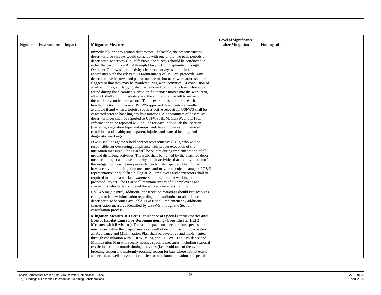| <b>Significant Environmental Impact</b> | <b>Mitigation Measures</b>                                                                                                                                                                                                                                                                                                                                                                                                                                                                                                                                                                                                                                                                                                                                                                                                                                                                                                                                                                                                                                                                                                                                                                                                                                                                                                                                                                                                                                                                                                               | <b>Level of Significance</b><br>after Mitigation | <b>Findings of Fact</b> |
|-----------------------------------------|------------------------------------------------------------------------------------------------------------------------------------------------------------------------------------------------------------------------------------------------------------------------------------------------------------------------------------------------------------------------------------------------------------------------------------------------------------------------------------------------------------------------------------------------------------------------------------------------------------------------------------------------------------------------------------------------------------------------------------------------------------------------------------------------------------------------------------------------------------------------------------------------------------------------------------------------------------------------------------------------------------------------------------------------------------------------------------------------------------------------------------------------------------------------------------------------------------------------------------------------------------------------------------------------------------------------------------------------------------------------------------------------------------------------------------------------------------------------------------------------------------------------------------------|--------------------------------------------------|-------------------------|
|                                         | immediately prior to ground-disturbance. If feasible, the preconstruction<br>desert tortoise surveys would coincide with one of the two peak periods of<br>desert tortoise activity (i.e., if feasible, the surveys should be conducted in<br>either the period from April through May, or from September through<br>October). Otherwise, pre-activity clearance surveys shall be in full<br>accordance with the substantive requirements of USFWS protocols. Any<br>desert tortoise burrows and pallets outside of, but near, work areas shall be<br>flagged so that they may be avoided during work activities. At conclusion of<br>work activities, all flagging shall be removed. Should any live tortoises be<br>found during the clearance survey, or if a tortoise moves into the work area,<br>all work shall stop immediately and the animal shall be left to move out of<br>the work area on its own accord. To the extent feasible, tortoises shall not be<br>handled. PG&E will have a USFWS-approved desert tortoise handler<br>available if and when a tortoise requires active relocation. USFWS shall be<br>contacted prior to handling any live tortoises. All encounters of desert live<br>desert tortoises shall be reported to USFWS, BLM, CDFW, and DTSC.<br>Information to be reported will include for each individual: the location<br>(narrative, vegetation type, and maps) and date of observation; general<br>conditions and health; any apparent injuries and state of healing; and<br>diagnostic markings. |                                                  |                         |
|                                         | PG&E shall designate a field contact representative (FCR) who will be<br>responsible for overseeing compliance with proper execution of the<br>mitigation measures. The FCR will be on-site during implementation of all<br>ground disturbing activities. The FCR shall be trained by the qualified desert<br>tortoise biologist and have authority to halt activities that are in violation of<br>the mitigation measures/or pose a danger to listed species. The FCR will<br>have a copy of the mitigation measures and may be a project manager, PG&E<br>representative, or qualified biologist. All employees and contractors shall be<br>required to attend a worker awareness training prior to working on the<br>proposed Project. The FCR shall maintain record of all employees and<br>contractors who have completed the worker awareness training.<br>USFWS may identify additional conservation measures should Project plans                                                                                                                                                                                                                                                                                                                                                                                                                                                                                                                                                                                                |                                                  |                         |
|                                         | change, or if new information regarding the distribution or abundance of<br>desert tortoise becomes available. PG&E shall implement any additional<br>conservation measures identified by USFWS through the Section 7<br>consultation process.                                                                                                                                                                                                                                                                                                                                                                                                                                                                                                                                                                                                                                                                                                                                                                                                                                                                                                                                                                                                                                                                                                                                                                                                                                                                                           |                                                  |                         |
|                                         | Mitigation Measure BIO-2c: Disturbance of Special-Status Species and<br><b>Loss of Habitat Caused by Decommissioning (Groundwater FEIR)</b><br>Measure with Revisions). To avoid impacts on special-status species that<br>may occur within the project area as a result of decommissioning activities,<br>an Avoidance and Minimization Plan shall be developed and implemented<br>through consultation with CDFW, BLM, and USFWS. The Avoidance and<br>Minimization Plan will specify species-specific measures, including seasonal<br>restrictions for decommissioning activities (i.e., avoidance of the avian<br>breeding season and maternity roosting season for bats where habitat exists)<br>as needed, as well as avoidance buffers around known locations of special-                                                                                                                                                                                                                                                                                                                                                                                                                                                                                                                                                                                                                                                                                                                                                         |                                                  |                         |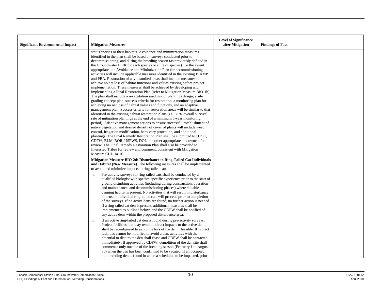| <b>Significant Environmental Impact</b> | <b>Mitigation Measures</b>                                                                                                                                                                                                                                                                                                                                                                                                                                                                                                                                                                                                                                                                                                                                                                                                                                                                                                                                                                                                                                                                                                                                                                                                                                                                                                                                                                                                                                                                                                                                                                                                                                                                                                                                                                                                       | <b>Level of Significance</b><br>after Mitigation | <b>Findings of Fact</b> |
|-----------------------------------------|----------------------------------------------------------------------------------------------------------------------------------------------------------------------------------------------------------------------------------------------------------------------------------------------------------------------------------------------------------------------------------------------------------------------------------------------------------------------------------------------------------------------------------------------------------------------------------------------------------------------------------------------------------------------------------------------------------------------------------------------------------------------------------------------------------------------------------------------------------------------------------------------------------------------------------------------------------------------------------------------------------------------------------------------------------------------------------------------------------------------------------------------------------------------------------------------------------------------------------------------------------------------------------------------------------------------------------------------------------------------------------------------------------------------------------------------------------------------------------------------------------------------------------------------------------------------------------------------------------------------------------------------------------------------------------------------------------------------------------------------------------------------------------------------------------------------------------|--------------------------------------------------|-------------------------|
|                                         | status species or their habitats. Avoidance and minimization measures<br>identified in the plan shall be based on surveys conducted prior to<br>decommissioning, and during the breeding season (as previously defined in<br>the Groundwater FEIR for each species or suite of species). To the extent<br>appropriate, the Avoidance and Minimization Plan for decommissioning<br>activities will include applicable measures identified in the existing BIAMP<br>and PBA. Restoration of any disturbed areas shall include measures to<br>achieve no net loss of habitat functions and values existing before project<br>implementation. These measures shall be achieved by developing and<br>implementing a Final Restoration Plan (refer to Mitigation Measure BIO-1b).<br>The plan shall include a revegetation seed mix or plantings design, a site<br>grading concept plan, success criteria for restoration, a monitoring plan for<br>achieving no net loss of habitat values and functions, and an adaptive<br>management plan. Success criteria for restoration areas will be similar to that<br>identified in the existing habitat restoration plans (i.e., 75% overall survival<br>rate of mitigation plantings at the end of a minimum 5-year monitoring<br>period). Adaptive management actions to ensure successful establishment of<br>native vegetation and desired density of cover of plants will include weed<br>control, irrigation modification, herbivory protection, and additional<br>plantings. The Final Remedy Restoration Plan shall be submitted to DTSC,<br>CDFW, BLM, BOR, USFWS, DOI, and other appropriate landowners for<br>review. The Final Remedy Restoration Plan shall also be provided to<br>Interested Tribes for review and comment, consistent with Mitigation<br>Measure CUL-1a-16. |                                                  |                         |
|                                         | Mitigation Measure BIO-2d: Disturbance to Ring-Tailed Cat Individuals<br>and Habitat (New Measure). The following measures shall be implemented<br>to avoid and minimize impacts to ring-tailed cat:                                                                                                                                                                                                                                                                                                                                                                                                                                                                                                                                                                                                                                                                                                                                                                                                                                                                                                                                                                                                                                                                                                                                                                                                                                                                                                                                                                                                                                                                                                                                                                                                                             |                                                  |                         |
|                                         | Pre-activity surveys for ring-tailed cats shall be conducted by a<br>i.<br>qualified biologist with species-specific experience prior to the start of<br>ground disturbing activities (including during construction, operation<br>and maintenance, and decommissioning phases) where suitable<br>denning habitat is present. No activities that will result in disturbance<br>to dens or individual ring-tailed cats will proceed prior to completion<br>of the surveys. If no active dens are found, no further action is needed.<br>If a ring-tailed cat den is present, additional measures shall be<br>implemented as outlined below, and the CDFW shall be notified of<br>any active dens within the proposed disturbance area.                                                                                                                                                                                                                                                                                                                                                                                                                                                                                                                                                                                                                                                                                                                                                                                                                                                                                                                                                                                                                                                                                            |                                                  |                         |
|                                         | If an active ring-tailed cat den is found during pre-activity surveys,<br>ii.<br>Project facilities that may result in direct impacts to the active den<br>shall be reconfigured to avoid the loss of the den if feasible. If Project<br>facilities cannot be modified to avoid a den, activities with the<br>potential to disturb the den shall cease and CDFW shall be contacted<br>immediately. If approved by CDFW, demolition of the den site shall<br>commence only outside of the breeding season (February 1 to August<br>30) when the den has been confirmed to be vacated. If an occupied<br>non-breeding den is found in an area scheduled to be impacted, prior                                                                                                                                                                                                                                                                                                                                                                                                                                                                                                                                                                                                                                                                                                                                                                                                                                                                                                                                                                                                                                                                                                                                                      |                                                  |                         |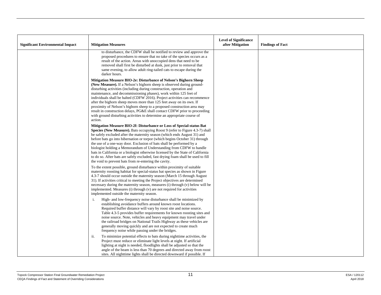| <b>Significant Environmental Impact</b> | <b>Mitigation Measures</b>                                                                                                                                                                                                                                                                                                                                                                                                                                                                                                                                                                                                                                                                    | <b>Level of Significance</b><br>after Mitigation | <b>Findings of Fact</b> |
|-----------------------------------------|-----------------------------------------------------------------------------------------------------------------------------------------------------------------------------------------------------------------------------------------------------------------------------------------------------------------------------------------------------------------------------------------------------------------------------------------------------------------------------------------------------------------------------------------------------------------------------------------------------------------------------------------------------------------------------------------------|--------------------------------------------------|-------------------------|
|                                         | to disturbance, the CDFW shall be notified to review and approve the<br>proposed procedures to ensure that no take of the species occurs as a<br>result of the action. Areas with unoccupied dens that need to be<br>removed shall first be disturbed at dusk, just prior to removal that<br>same evening, to allow adult ring-tailed cats to escape during the<br>darker hours.                                                                                                                                                                                                                                                                                                              |                                                  |                         |
|                                         | Mitigation Measure BIO-2e: Disturbance of Nelson's Bighorn Sheep<br>(New Measure). If a Nelson's bighorn sheep is observed during ground-<br>disturbing activities (including during construction, operation and<br>maintenance, and decommissioning phases), work within 125 feet of<br>individuals shall be halted (CDFW 2016). Project activities can recommence<br>after the bighorn sheep moves more than 125 feet away on its own. If<br>proximity of Nelson's bighorn sheep to a proposed construction area may<br>result in construction delays, PG&E shall contact CDFW prior to proceeding<br>with ground disturbing activities to determine an appropriate course of<br>action.    |                                                  |                         |
|                                         | Mitigation Measure BIO-2f: Disturbance or Loss of Special-status Bat<br>Species (New Measure). Bats occupying Roost 9 (refer to Figure 4.3-7) shall<br>be safely excluded after the maternity season (which ends August 31) and<br>before bats go into hibernation or torpor (which begins October 31) through<br>the use of a one-way door. Exclusion of bats shall be performed by a<br>biologist holding a Memorandum of Understanding from CDFW to handle<br>bats in California or a biologist otherwise licensed by the State of California<br>to do so. After bats are safely excluded, fast drying foam shall be used to fill<br>the void to prevent bats from re-entering the cavity. |                                                  |                         |
|                                         | To the extent possible, ground disturbance within proximity of suitable<br>maternity roosting habitat for special-status bat species as shown in Figure<br>4.3-7 should occur outside the maternity season (March 15 through August<br>31). If activities critical to meeting the Project objectives are determined<br>necessary during the maternity season, measures (i) through (v) below will be<br>implemented. Measures (i) through (v) are not required for activities<br>implemented outside the maternity season.                                                                                                                                                                    |                                                  |                         |
|                                         | High- and low-frequency noise disturbance shall be minimized by<br>i.<br>establishing avoidance buffers around known roost locations.<br>Required buffer distance will vary by roost site and noise source.<br>Table 4.3-5 provides buffer requirements for known roosting sites and<br>noise source. Note, vehicles and heavy equipment may travel under<br>the railroad bridges on National Trails Highway as these vehicles are<br>generally moving quickly and are not expected to create much<br>frequency noise while passing under the bridges.                                                                                                                                        |                                                  |                         |
|                                         | To minimize potential effects to bats during nighttime activities, the<br>ii.<br>Project must reduce or eliminate light levels at night. If artificial<br>lighting at night is needed, floodlights shall be adjusted so that the<br>angle of the beam is less than 70 degrees and directed away from roost<br>sites. All night time lights shall be directed downward if possible. If                                                                                                                                                                                                                                                                                                         |                                                  |                         |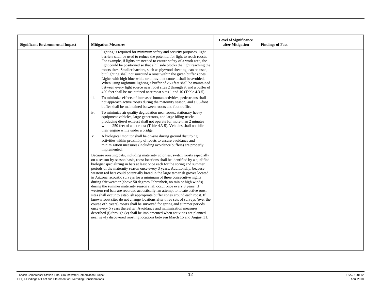| <b>Significant Environmental Impact</b> | <b>Mitigation Measures</b>                                                                                                                                                                                                                                                                                                                                                                                                                                                                                                                                                                                                                                                                                                                                                                                                                                                                                                                                                                                                                                                                                                                                                                                     | <b>Level of Significance</b><br>after Mitigation | <b>Findings of Fact</b> |
|-----------------------------------------|----------------------------------------------------------------------------------------------------------------------------------------------------------------------------------------------------------------------------------------------------------------------------------------------------------------------------------------------------------------------------------------------------------------------------------------------------------------------------------------------------------------------------------------------------------------------------------------------------------------------------------------------------------------------------------------------------------------------------------------------------------------------------------------------------------------------------------------------------------------------------------------------------------------------------------------------------------------------------------------------------------------------------------------------------------------------------------------------------------------------------------------------------------------------------------------------------------------|--------------------------------------------------|-------------------------|
|                                         | lighting is required for minimum safety and security purposes, light<br>barriers shall be used to reduce the potential for light to reach roosts.<br>For example, if lights are needed to ensure safety of a work area, the<br>light could be positioned so that a hillside blocks the light reaching the<br>roosts sites. Smaller barriers, such as plywood sheeting, can be used,<br>but lighting shall not surround a roost within the given buffer zones.<br>Lights with high blue-white or ultraviolet content shall be avoided.<br>When using nighttime lighting a buffer of 250 feet shall be maintained<br>between every light source near roost sites 2 through 9, and a buffer of<br>400 feet shall be maintained near roost sites 1 and 10 (Table 4.3-5).                                                                                                                                                                                                                                                                                                                                                                                                                                           |                                                  |                         |
|                                         | To minimize effects of increased human activities, pedestrians shall<br>iii.<br>not approach active roosts during the maternity season, and a 65-foot<br>buffer shall be maintained between roosts and foot traffic.                                                                                                                                                                                                                                                                                                                                                                                                                                                                                                                                                                                                                                                                                                                                                                                                                                                                                                                                                                                           |                                                  |                         |
|                                         | To minimize air quality degradation near roosts, stationary heavy<br>iv.<br>equipment vehicles, large generators, and large idling trucks<br>producing diesel exhaust shall not operate for more than 2 minutes<br>within 250 feet of a bat roost (Table 4.3-5). Vehicles shall not idle<br>their engine while under a bridge.                                                                                                                                                                                                                                                                                                                                                                                                                                                                                                                                                                                                                                                                                                                                                                                                                                                                                 |                                                  |                         |
|                                         | A biological monitor shall be on-site during ground disturbing<br>v.<br>activities within proximity of roosts to ensure avoidance and<br>minimization measures (including avoidance buffers) are properly<br>implemented.                                                                                                                                                                                                                                                                                                                                                                                                                                                                                                                                                                                                                                                                                                                                                                                                                                                                                                                                                                                      |                                                  |                         |
|                                         | Because roosting bats, including maternity colonies, switch roosts especially<br>on a season-by-season basis, roost locations shall be identified by a qualified<br>biologist specializing in bats at least once each for the spring and summer<br>periods of the maternity season once every 3 years. Additionally, because<br>western red bats could potentially breed in the large tamarisk groves located<br>in Arizona, acoustic surveys for a minimum of three consecutive nights<br>during fair weather (above 50 degrees Fahrenheit, no rain or high winds)<br>during the summer maternity season shall occur once every 3 years. If<br>western red bats are recorded acoustically, an attempt to locate active roost<br>sites shall occur to establish appropriate buffer zones around each roost. If<br>known roost sites do not change locations after three sets of surveys (over the<br>course of 9 years) roosts shall be surveyed for spring and summer periods<br>once every 5 years thereafter. Avoidance and minimization measures<br>described (i) through (v) shall be implemented when activities are planned<br>near newly discovered roosting locations between March 15 and August 31. |                                                  |                         |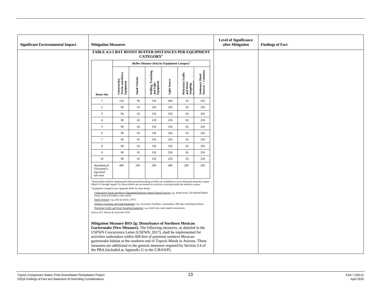| <b>Significant Environmental Impact</b> | <b>Mitigation Measures</b>                                                                                                                                                                                                                                                                                                                                                                                                                                                                   |                                               |                       |                                                           |                     |                                             |                                           | <b>Level of Significance</b><br>after Mitigation | <b>Findings of Fact</b> |
|-----------------------------------------|----------------------------------------------------------------------------------------------------------------------------------------------------------------------------------------------------------------------------------------------------------------------------------------------------------------------------------------------------------------------------------------------------------------------------------------------------------------------------------------------|-----------------------------------------------|-----------------------|-----------------------------------------------------------|---------------------|---------------------------------------------|-------------------------------------------|--------------------------------------------------|-------------------------|
|                                         | TABLE 4.3-5 BAT ROOST BUFFER DISTANCES PER EQUIPMENT                                                                                                                                                                                                                                                                                                                                                                                                                                         |                                               |                       | CATEGORY <sup>1</sup>                                     |                     |                                             |                                           |                                                  |                         |
|                                         |                                                                                                                                                                                                                                                                                                                                                                                                                                                                                              |                                               |                       | Buffer Distance (feet) by Equipment Category <sup>2</sup> |                     |                                             |                                           |                                                  |                         |
|                                         | <b>Roost Site</b>                                                                                                                                                                                                                                                                                                                                                                                                                                                                            | Construction<br>Trucks and Heavy<br>Equipment | <b>Small Vehicles</b> | Drilling, Trenching,<br>and Light<br>Equipment            | <b>Light Source</b> | Pedestrian Traffic<br>and Water<br>Sampling | $Stationary\,Discel\nSources > 2~minutes$ |                                                  |                         |
|                                         | $\mathbf{1}$                                                                                                                                                                                                                                                                                                                                                                                                                                                                                 | 120                                           | 90                    | 150                                                       | 400                 | 65                                          | 250                                       |                                                  |                         |
|                                         | $\overline{2}$                                                                                                                                                                                                                                                                                                                                                                                                                                                                               | 90                                            | 65                    | 150                                                       | 250                 | 65                                          | 250                                       |                                                  |                         |
|                                         | $\overline{3}$                                                                                                                                                                                                                                                                                                                                                                                                                                                                               | 90                                            | 65                    | 150                                                       | 250                 | 65                                          | 250                                       |                                                  |                         |
|                                         | $\overline{4}$                                                                                                                                                                                                                                                                                                                                                                                                                                                                               | 90                                            | 65                    | 150                                                       | 250                 | 65                                          | 250                                       |                                                  |                         |
|                                         | 5                                                                                                                                                                                                                                                                                                                                                                                                                                                                                            | 90                                            | 65                    | 150                                                       | 250                 | 65                                          | 250                                       |                                                  |                         |
|                                         | 6                                                                                                                                                                                                                                                                                                                                                                                                                                                                                            | 90                                            | 65                    | 150                                                       | 250                 | 65                                          | 250                                       |                                                  |                         |
|                                         | $7\phantom{.0}$                                                                                                                                                                                                                                                                                                                                                                                                                                                                              | 90                                            | 65                    | 150                                                       | 250                 | 65                                          | 250                                       |                                                  |                         |
|                                         | 8                                                                                                                                                                                                                                                                                                                                                                                                                                                                                            | 90                                            | 65                    | 150                                                       | 250                 | 65                                          | 250                                       |                                                  |                         |
|                                         | 9                                                                                                                                                                                                                                                                                                                                                                                                                                                                                            | 90                                            | 65                    | 150                                                       | 250                 | 65                                          | 250                                       |                                                  |                         |
|                                         | $10\,$                                                                                                                                                                                                                                                                                                                                                                                                                                                                                       | 90                                            | 65                    | 150                                                       | 250                 | 65                                          | 250                                       |                                                  |                         |
|                                         | Hypothetical<br>Townsend's<br>big-eared<br>bat roost                                                                                                                                                                                                                                                                                                                                                                                                                                         | 400                                           | 200                   | 200                                                       | 400                 | 200                                         | 250                                       |                                                  |                         |
|                                         | Roost buffers shall be implemented when ground disturbing activities are scheduled to occur during the maternity season<br>(March 15 through August 31). Roost buffers are not needed for activities occurring outside the maternity season.<br><sup>2</sup> Equipment Categories (see Appendix BOD for more detail):                                                                                                                                                                        |                                               |                       |                                                           |                     |                                             |                                           |                                                  |                         |
|                                         | Construction Trucks and Heavy Equipment/Stationary Diesel Exhaust Sources: e.g., dump trucks, 18-wheeled flatbed<br>trucks, front-end loaders, water trucks.<br>Small Vehicles: e.g., pick-up trucks, UTVs.<br>Drilling, Trenching, and Light Equipment: e.g., excavators, backhoes, road graders, drill rigs, trenching machines.<br>Pedestrian Traffic and Water Sampling Equipment: e.g., hand tools, water quality instruments<br>Source: H.T. Harvey & Associates 2016                  |                                               |                       |                                                           |                     |                                             |                                           |                                                  |                         |
|                                         | Mitigation Measure BIO-2g: Disturbance of Northern Mexican<br>Gartersnake (New Measure). The following measures, as detailed in the<br>USFWS Concurrence Letter (USFWS, 2017), shall be implemented for<br>activities undertaken within 600 feet of potential northern Mexican<br>gartersnake habitat at the southern end of Topock Marsh in Arizona. These<br>measures are additional to the general measures required by Section 3.4 of<br>the PBA (included as Appendix U to the C/RAWP). |                                               |                       |                                                           |                     |                                             |                                           |                                                  |                         |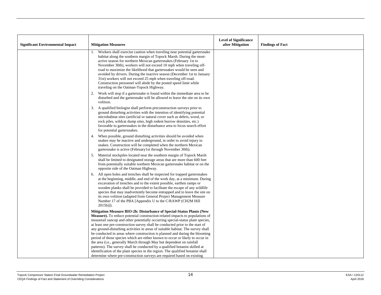|                                         |                                                                                                                                                                                                                                                                                                                                                                                                                                                                                                                                                                                                                               | <b>Level of Significance</b> |                         |
|-----------------------------------------|-------------------------------------------------------------------------------------------------------------------------------------------------------------------------------------------------------------------------------------------------------------------------------------------------------------------------------------------------------------------------------------------------------------------------------------------------------------------------------------------------------------------------------------------------------------------------------------------------------------------------------|------------------------------|-------------------------|
| <b>Significant Environmental Impact</b> | <b>Mitigation Measures</b>                                                                                                                                                                                                                                                                                                                                                                                                                                                                                                                                                                                                    | after Mitigation             | <b>Findings of Fact</b> |
|                                         | Workers shall exercise caution when traveling near potential garters nake<br>habitat along the southern margin of Topock Marsh. During the most-<br>active season for northern Mexican gartersnakes (February 1st to<br>November 30th), workers will not exceed 10 mph when traveling off-<br>road to maximize the likelihood that gartersnakes would be seen and<br>avoided by drivers. During the inactive season (December 1st to January<br>31st) workers will not exceed 25 mph when traveling off-road.<br>Construction personnel will abide by the posted speed limit while<br>traveling on the Oatman-Topock Highway. |                              |                         |
|                                         | Work will stop if a gartersnake is found within the immediate area to be<br>2.<br>disturbed and the garters axial be allowed to leave the site on its own<br>volition.                                                                                                                                                                                                                                                                                                                                                                                                                                                        |                              |                         |
|                                         | A qualified biologist shall perform preconstruction surveys prior to<br>3.<br>ground disturbing activities with the intention of identifying potential<br>microhabitat sites (artificial or natural cover such as debris, wood, or<br>rock piles, wildcat dump sites, high rodent burrow densities, etc.)<br>favorable to gartersnakes in the disturbance area to focus search effort<br>for potential gartersnakes.                                                                                                                                                                                                          |                              |                         |
|                                         | When possible, ground disturbing activities should be avoided when<br>4.<br>snakes may be inactive and underground, in order to avoid injury to<br>snakes. Construction will be completed when the northern Mexican<br>gartersnake is active (February1st through November 30th).                                                                                                                                                                                                                                                                                                                                             |                              |                         |
|                                         | 5. Material stockpiles located near the southern margin of Topock Marsh<br>shall be limited to designated storage areas that are more than 600 feet<br>from potentially suitable northern Mexican gartersnake habitat or on the<br>opposite side of the Oatman Highway.                                                                                                                                                                                                                                                                                                                                                       |                              |                         |
|                                         | All open holes and trenches shall be inspected for trapped gartersnakes<br>6.<br>at the beginning, middle, and end of the work day, at a minimum. During<br>excavation of trenches and to the extent possible, earthen ramps or<br>wooden planks shall be provided to facilitate the escape of any wildlife<br>species that may inadvertently become entrapped and to leave the site on<br>its own volition (adapted from General Project Management Measure<br>Number 17 of the PBA [Appendix U to the C/RAWP (CH2M Hill<br>$2015b)$ ]).                                                                                     |                              |                         |
|                                         | Mitigation Measure BIO-2h: Disturbance of Special-Status Plants (New<br>Measure). To reduce potential construction-related impacts to populations of<br>mousetail suncup and other potentially occurring special-status plant species,<br>at least one pre-construction survey shall be conducted prior to the start of<br>any ground-disturbing activities in areas of suitable habitat. The survey shall<br>be conducted in areas where construction is planned and during the blooming                                                                                                                                     |                              |                         |
|                                         | period of those species which are either known to occur or likely to occur in<br>the area (i.e., generally March through May but dependent on rainfall<br>patterns). The survey shall be conducted by a qualified botanist skilled at<br>identification of the plant species in the region. The qualified botanist shall<br>determine where pre-construction surveys are required based on existing                                                                                                                                                                                                                           |                              |                         |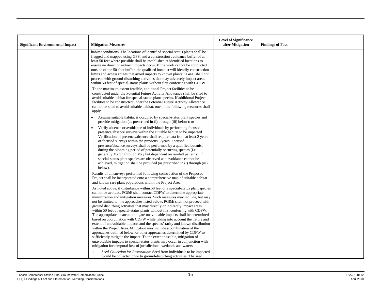|                                         |                                                                                                                                                                                                                                                                                                                                                                                                                                                                                                                                                                                                                                                                                                                                                                                                                                                                                                                                                                                                                                                                                                                                                                                       | <b>Level of Significance</b> |                         |
|-----------------------------------------|---------------------------------------------------------------------------------------------------------------------------------------------------------------------------------------------------------------------------------------------------------------------------------------------------------------------------------------------------------------------------------------------------------------------------------------------------------------------------------------------------------------------------------------------------------------------------------------------------------------------------------------------------------------------------------------------------------------------------------------------------------------------------------------------------------------------------------------------------------------------------------------------------------------------------------------------------------------------------------------------------------------------------------------------------------------------------------------------------------------------------------------------------------------------------------------|------------------------------|-------------------------|
| <b>Significant Environmental Impact</b> | <b>Mitigation Measures</b>                                                                                                                                                                                                                                                                                                                                                                                                                                                                                                                                                                                                                                                                                                                                                                                                                                                                                                                                                                                                                                                                                                                                                            | after Mitigation             | <b>Findings of Fact</b> |
|                                         | habitat conditions. The locations of identified special-status plants shall be<br>flagged and mapped using GPS, and a construction avoidance buffer of at<br>least 50 feet where possible shall be established at identified locations to<br>ensure no direct or indirect impacts occur. If the work cannot be conducted<br>outside of the 50-foot buffer, the qualified botanist will identify construction<br>limits and access routes that avoid impacts to known plants. PG&E shall not<br>proceed with ground-disturbing activities that may adversely impact areas<br>within 50 feet of special-status plants without first conferring with CDFW.                                                                                                                                                                                                                                                                                                                                                                                                                                                                                                                               |                              |                         |
|                                         | To the maximum extent feasible, additional Project facilities to be<br>constructed under the Potential Future Activity Allowance shall be sited to<br>avoid suitable habitat for special-status plant species. If additional Project<br>facilities to be constructed under the Potential Future Activity Allowance<br>cannot be sited to avoid suitable habitat, one of the following measures shall<br>apply.                                                                                                                                                                                                                                                                                                                                                                                                                                                                                                                                                                                                                                                                                                                                                                        |                              |                         |
|                                         | Assume suitable habitat is occupied by special-status plant species and<br>$\bullet$<br>provide mitigation (as prescribed in (i) through (iii) below); or                                                                                                                                                                                                                                                                                                                                                                                                                                                                                                                                                                                                                                                                                                                                                                                                                                                                                                                                                                                                                             |                              |                         |
|                                         | Verify absence or avoidance of individuals by performing focused<br>$\bullet$<br>presence/absence surveys within the suitable habitat to be impacted.<br>Verification of presence/absence shall require data from at least 2 years<br>of focused surveys within the previous 5 years. Focused<br>presence/absence surveys shall be performed by a qualified botanist<br>during the blooming period of potentially occurring species (i.e.,<br>generally March through May but dependent on rainfall patterns). If<br>special-status plant species are observed and avoidance cannot be<br>achieved, mitigation shall be provided (as prescribed in (i) through (iii)<br>below).                                                                                                                                                                                                                                                                                                                                                                                                                                                                                                       |                              |                         |
|                                         | Results of all surveys performed following construction of the Proposed<br>Project shall be incorporated onto a comprehensive map of suitable habitat<br>and known rare plant populations within the Project Area.                                                                                                                                                                                                                                                                                                                                                                                                                                                                                                                                                                                                                                                                                                                                                                                                                                                                                                                                                                    |                              |                         |
|                                         | As noted above, if disturbance within 50 feet of a special-status plant species<br>cannot be avoided, PG&E shall contact CDFW to determine appropriate<br>minimization and mitigation measures. Such measures may include, but may<br>not be limited to, the approaches listed below. PG&E shall not proceed with<br>ground disturbing activities that may directly or indirectly impact areas<br>within 50 feet of special-status plants without first conferring with CDFW.<br>The appropriate means to mitigate unavoidable impacts shall be determined<br>based on coordination with CDFW while taking into account the nature and<br>extent of unavoidable impacts and the species' rarity and known distribution<br>within the Project Area. Mitigation may include a combination of the<br>approaches outlined below, or other approaches determined by CDFW to<br>sufficiently mitigate the impact. To the extent possible, mitigation of<br>unavoidable impacts to special-status plants may occur in conjunction with<br>mitigation for temporal loss of jurisdictional wetlands and waters.<br>Seed Collection for Restoration: Seed from individuals to be impacted<br>i. |                              |                         |
|                                         | would be collected prior to ground-disturbing activities. The seed                                                                                                                                                                                                                                                                                                                                                                                                                                                                                                                                                                                                                                                                                                                                                                                                                                                                                                                                                                                                                                                                                                                    |                              |                         |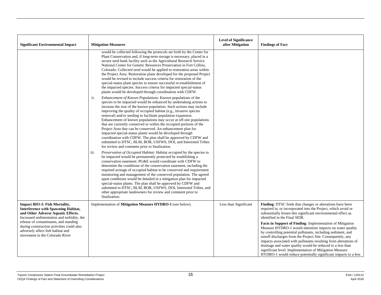| <b>Significant Environmental Impact</b>                                                                                                                                                                                                                                                                                             | <b>Mitigation Measures</b>                                                                                                                                                                                                                                                                                                                                                                                                                                                                                                                                                                                                                                                                                                                                                                                       | <b>Level of Significance</b><br>after Mitigation | <b>Findings of Fact</b>                                                                                                                                                                                                                                                                                                                                                                                                                                                                                                                                                                                                                                                                                                                           |
|-------------------------------------------------------------------------------------------------------------------------------------------------------------------------------------------------------------------------------------------------------------------------------------------------------------------------------------|------------------------------------------------------------------------------------------------------------------------------------------------------------------------------------------------------------------------------------------------------------------------------------------------------------------------------------------------------------------------------------------------------------------------------------------------------------------------------------------------------------------------------------------------------------------------------------------------------------------------------------------------------------------------------------------------------------------------------------------------------------------------------------------------------------------|--------------------------------------------------|---------------------------------------------------------------------------------------------------------------------------------------------------------------------------------------------------------------------------------------------------------------------------------------------------------------------------------------------------------------------------------------------------------------------------------------------------------------------------------------------------------------------------------------------------------------------------------------------------------------------------------------------------------------------------------------------------------------------------------------------------|
|                                                                                                                                                                                                                                                                                                                                     | would be collected following the protocols set forth by the Center for<br>Plant Conservation and, if long-term storage is necessary, placed in a<br>secure seed bank facility such as the Agricultural Research Service<br>National Center for Genetic Resources Preservation in Fort Collins,<br>Colorado. Collected seed would be applied to restoration areas within<br>the Project Area. Restoration plans developed for the proposed Project<br>would be revised to include success criteria for restoration of the<br>special-status plant species to ensure successful re-establishment of<br>the impacted species. Success criteria for impacted special-status<br>plants would be developed through coordination with CDFW.                                                                             |                                                  |                                                                                                                                                                                                                                                                                                                                                                                                                                                                                                                                                                                                                                                                                                                                                   |
|                                                                                                                                                                                                                                                                                                                                     | Enhancement of Known Populations: Known populations of the<br>ii.<br>species to be impacted would be enhanced by undertaking actions to<br>increase the size of the known population. Such actions may include<br>improving the quality of occupied habitat (e.g., invasive species<br>removal) and/or seeding to facilitate population expansion.<br>Enhancement of known populations may occur at off-site populations<br>that are currently conserved or within the occupied portions of the<br>Project Area that can be conserved. An enhancement plan for<br>impacted special-status plants would be developed through<br>coordination with CDFW. The plan shall be approved by CDFW and<br>submitted to DTSC, BLM, BOR, USFWS, DOI, and Interested Tribes<br>for review and comment prior to finalization. |                                                  |                                                                                                                                                                                                                                                                                                                                                                                                                                                                                                                                                                                                                                                                                                                                                   |
|                                                                                                                                                                                                                                                                                                                                     | <i>Preservation of Occupied Habitat:</i> Habitat occupied by the species to<br>iii.<br>be impacted would be permanently protected by establishing a<br>conservation easement. PG&E would coordinate with CDFW to<br>determine the conditions of the conservation easement, including the<br>required acreage of occupied habitat to be conserved and requirement<br>monitoring and management of the conserved population. The agreed<br>upon conditions would be detailed in a mitigation plan for impacted<br>special-status plants. The plan shall be approved by CDFW and<br>submitted to DTSC, BLM, BOR, USFWS, DOI, Interested Tribes, and<br>other appropriate landowners for review and comment prior to<br>finalization.                                                                                |                                                  |                                                                                                                                                                                                                                                                                                                                                                                                                                                                                                                                                                                                                                                                                                                                                   |
| <b>Impact BIO-3: Fish Mortality,</b><br><b>Interference with Spawning Habitat,</b><br>and Other Adverse Aquatic Effects.<br>Increased sedimentation and turbidity, the<br>release of contaminants, and standing<br>during construction activities could also<br>adversely affect fish habitat and<br>movement in the Colorado River | Implementation of Mitigation Measure HYDRO-1 (see below).                                                                                                                                                                                                                                                                                                                                                                                                                                                                                                                                                                                                                                                                                                                                                        | Less than Significant                            | Finding: DTSC finds that changes or alterations have been<br>required in, or incorporated into the Project, which avoid or<br>substantially lessen this significant environmental effect as<br>identified in the Final SEIR.<br>Facts in Support of Finding: Implementation of Mitigation<br>Measure HYDRO-1 would minimize impacts on water quality<br>by controlling potential pollutants, including sediment, and<br>runoff discharges from the Project Site. Consequently, any<br>impacts associated with pollutants resulting from alterations of<br>drainage and water quality would be reduced to a less than<br>significant level. Implementation of Mitigation Measure<br>HYDRO-1 would reduce potentially significant impacts to a less |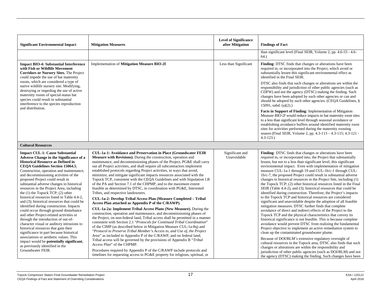| <b>Significant Environmental Impact</b>                                                                                                                                                                                                                                                                                                                                                                                                                                                                                                                                                                                                                                                                                                                                                                                                                                                                                         | <b>Mitigation Measures</b>                                                                                                                                                                                                                                                                                                                                                                                                                                                                                                                                                                                                                                                                                                                                                                                                                                                                                                                                                                                                                                                                                                                                                                                                                                                                                                                                                                                                                                                                                       | <b>Level of Significance</b><br>after Mitigation | <b>Findings of Fact</b><br>than significant level (Final SEIR, Volume 2, pp. 4.6-53 - 4.6-                                                                                                                                                                                                                                                                                                                                                                                                                                                                                                                                                                                                                                                                                                                                                                                                                                                                                                                                                                                                                                                                                                                                                                                                                                                                                                            |
|---------------------------------------------------------------------------------------------------------------------------------------------------------------------------------------------------------------------------------------------------------------------------------------------------------------------------------------------------------------------------------------------------------------------------------------------------------------------------------------------------------------------------------------------------------------------------------------------------------------------------------------------------------------------------------------------------------------------------------------------------------------------------------------------------------------------------------------------------------------------------------------------------------------------------------|------------------------------------------------------------------------------------------------------------------------------------------------------------------------------------------------------------------------------------------------------------------------------------------------------------------------------------------------------------------------------------------------------------------------------------------------------------------------------------------------------------------------------------------------------------------------------------------------------------------------------------------------------------------------------------------------------------------------------------------------------------------------------------------------------------------------------------------------------------------------------------------------------------------------------------------------------------------------------------------------------------------------------------------------------------------------------------------------------------------------------------------------------------------------------------------------------------------------------------------------------------------------------------------------------------------------------------------------------------------------------------------------------------------------------------------------------------------------------------------------------------------|--------------------------------------------------|-------------------------------------------------------------------------------------------------------------------------------------------------------------------------------------------------------------------------------------------------------------------------------------------------------------------------------------------------------------------------------------------------------------------------------------------------------------------------------------------------------------------------------------------------------------------------------------------------------------------------------------------------------------------------------------------------------------------------------------------------------------------------------------------------------------------------------------------------------------------------------------------------------------------------------------------------------------------------------------------------------------------------------------------------------------------------------------------------------------------------------------------------------------------------------------------------------------------------------------------------------------------------------------------------------------------------------------------------------------------------------------------------------|
|                                                                                                                                                                                                                                                                                                                                                                                                                                                                                                                                                                                                                                                                                                                                                                                                                                                                                                                                 |                                                                                                                                                                                                                                                                                                                                                                                                                                                                                                                                                                                                                                                                                                                                                                                                                                                                                                                                                                                                                                                                                                                                                                                                                                                                                                                                                                                                                                                                                                                  |                                                  | 64.)                                                                                                                                                                                                                                                                                                                                                                                                                                                                                                                                                                                                                                                                                                                                                                                                                                                                                                                                                                                                                                                                                                                                                                                                                                                                                                                                                                                                  |
| <b>Impact BIO-4: Substantial Interference</b><br>with Fish or Wildlife Movement<br>Corridors or Nursery Sites. The Project<br>could impede the use of bat maternity<br>roosts, which are considered a type of<br>native wildlife nursery site. Modifying,<br>destroying or impeding the use of active<br>maternity roosts of special-status bat<br>species could result in substantial<br>interference to the species reproduction                                                                                                                                                                                                                                                                                                                                                                                                                                                                                              | Implementation of Mitigation Measure BIO-2f.                                                                                                                                                                                                                                                                                                                                                                                                                                                                                                                                                                                                                                                                                                                                                                                                                                                                                                                                                                                                                                                                                                                                                                                                                                                                                                                                                                                                                                                                     | Less than Significant                            | Finding: DTSC finds that changes or alterations have been<br>required in, or incorporated into the Project, which avoid or<br>substantially lessen this significant environmental effect as<br>identified in the Final SEIR.<br>DTSC also finds that such changes or alterations are within the<br>responsibility and jurisdiction of other public agencies (such as<br>CDFW) and not the agency (DTSC) making the finding. Such<br>changes have been adopted by such other agencies or can and<br>should be adopted by such other agencies. (CEQA Guidelines, §                                                                                                                                                                                                                                                                                                                                                                                                                                                                                                                                                                                                                                                                                                                                                                                                                                      |
| and distribution.                                                                                                                                                                                                                                                                                                                                                                                                                                                                                                                                                                                                                                                                                                                                                                                                                                                                                                               |                                                                                                                                                                                                                                                                                                                                                                                                                                                                                                                                                                                                                                                                                                                                                                                                                                                                                                                                                                                                                                                                                                                                                                                                                                                                                                                                                                                                                                                                                                                  |                                                  | 15091, subd. $(a)(2)$ .)<br>Facts in Support of Finding: Implementation of Mitigation<br>Measure BIO-2f would reduce impacts to bat maternity roost sites<br>to a less than significant level through seasonal avoidance or<br>establishing avoidance buffers around identified maternity roost<br>sites for activities performed during the maternity roosting<br>season (Final SEIR, Volume 2, pp. 4.3-113 - 4.3-115; 4.3-121 -<br>$4.3 - 123.$                                                                                                                                                                                                                                                                                                                                                                                                                                                                                                                                                                                                                                                                                                                                                                                                                                                                                                                                                     |
| <b>Cultural Resources</b>                                                                                                                                                                                                                                                                                                                                                                                                                                                                                                                                                                                                                                                                                                                                                                                                                                                                                                       |                                                                                                                                                                                                                                                                                                                                                                                                                                                                                                                                                                                                                                                                                                                                                                                                                                                                                                                                                                                                                                                                                                                                                                                                                                                                                                                                                                                                                                                                                                                  |                                                  |                                                                                                                                                                                                                                                                                                                                                                                                                                                                                                                                                                                                                                                                                                                                                                                                                                                                                                                                                                                                                                                                                                                                                                                                                                                                                                                                                                                                       |
| <b>Impact CUL-1: Cause Substantial</b><br><b>Adverse Change in the Significance of a</b><br><b>Historical Resource as Defined in</b><br>CEQA Guidelines Section 15064.5.<br>Construction, operation and maintenance,<br>and decommissioning activities of the<br>proposed Project could result in<br>substantial adverse changes to historical<br>resources in the Project Area, including<br>the $(1)$ the Topock TCP; $(2)$ other<br>historical resources listed in Table 4.4-2,<br>and (3); historical resources that could be<br>identified during construction. Impacts<br>could occur through ground disturbance<br>and other Project-related activities or<br>through the introduction of out-of-<br>character visual or auditory intrusions to<br>historical resources that gain their<br>significance in part because historical<br>associations or aesthetic values. This<br>impact would be potentially significant, | <b>CUL-1a-1: Avoidance and Preservation in Place (Groundwater FEIR)</b><br>Measure with Revisions). During the construction, operation and<br>maintenance, and decommissioning phases of the Project, PG&E shall carry<br>out all Project activities, and shall require all subcontractors implement<br>established protocols regarding Project activities, in ways that avoid,<br>minimize, and mitigate significant impacts resources associated with the<br>Topock TCP, consistent with the CEQA Guidelines and with Stipulation I.B<br>of the PA and Section 7.1 of the CHPMP, and to the maximum extent<br>feasible as determined by DTSC, in coordination with PG&E, Interested<br>Tribes, and respective landowners.<br>CUL-1a-2: Develop Tribal Access Plan (Measure Completed - Tribal<br>Access Plan attached as Appendix P of the C/RAWP).<br>CUL-1a-2a: Implement Tribal Access Plans (New Measure). During the<br>construction, operation and maintenance, and decommissioning phases of<br>the Project, on non-federal land, Tribal access shall be permitted in a manner<br>consistent with Section 2.1 "Protocols for Continued Tribal Coordination"<br>of the CIMP (as described below in Mitigation Measure CUL-1a-8q) and<br>"Protocol to Preserve Tribal Member's Access to, and Use of, the Project<br><i>Area</i> " as included in Appendix P of the C/RAWP, and on federal land,<br>Tribal access will be governed by the provisions of Appendix B "Tribal"<br>Access Plan" of the CHPMP. | Significant and<br>Unavoidable                   | Finding: DTSC finds that changes or alterations have been<br>required in, or incorporated into, the Project that substantially<br>lessen, but not to a less than significant level, this significant<br>environmental impact. Even with implementation of mitigation<br>measure CUL-1a-1 through 19 and CUL-1b/c-1 through CUL-<br>1b/c-7, the proposed Project could result in substantial adverse<br>changes to historical resources in the Project Site, including (1)<br>the Topock TCP; (2) other historical resources listed in the Final<br>SEIR (Table 4.4-2), and (3); historical resources that could be<br>identified during construction. Therefore, the Project's impacts<br>to the Topock TCP and historical resources are considered<br>significant and unavoidable despite the adoption of all feasible<br>mitigation measures. DTSC further finds that complete<br>avoidance of direct and indirect effects of the Project to the<br>Topock TCP and the physical characteristics that convey its<br>historical significance is not feasible. This is because complete<br>avoidance would prevent DTSC from realizing the fundamental<br>Project objective to implement an active remediation system to<br>clean up the contaminated groundwater plume.<br>Because of DOI/BLM's extensive regulatory oversight of<br>cultural resources in the Topock area, DTSC also finds that such |
| as previously identified in the<br>Groundwater FEIR.                                                                                                                                                                                                                                                                                                                                                                                                                                                                                                                                                                                                                                                                                                                                                                                                                                                                            | Procedures required by Appendix P of the C/RAWP include protocols and<br>timelines for requesting access to PG&E property for religious, spiritual, or                                                                                                                                                                                                                                                                                                                                                                                                                                                                                                                                                                                                                                                                                                                                                                                                                                                                                                                                                                                                                                                                                                                                                                                                                                                                                                                                                           |                                                  | changes or alterations are within the responsibility and<br>jurisdiction of other public agencies (such as DOI/BLM) and not<br>the agency (DTSC) making the finding. Such changes have been                                                                                                                                                                                                                                                                                                                                                                                                                                                                                                                                                                                                                                                                                                                                                                                                                                                                                                                                                                                                                                                                                                                                                                                                           |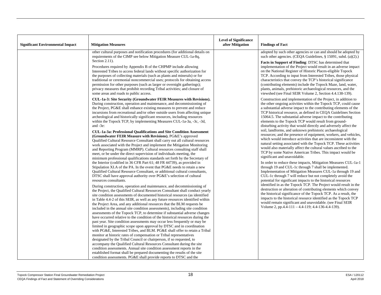| <b>Significant Environmental Impact</b> | <b>Mitigation Measures</b>                                                                                                                                                                                                                                                                                                                                                                                                                                                                                                                                                                                                                                                                                                                                                                                                                                                                                                                                      | <b>Level of Significance</b><br>after Mitigation | <b>Findings of Fact</b>                                                                                                                                                                                                                                                                                                                                                                                                                                                                                                                                                                                                                                                                                                                                    |
|-----------------------------------------|-----------------------------------------------------------------------------------------------------------------------------------------------------------------------------------------------------------------------------------------------------------------------------------------------------------------------------------------------------------------------------------------------------------------------------------------------------------------------------------------------------------------------------------------------------------------------------------------------------------------------------------------------------------------------------------------------------------------------------------------------------------------------------------------------------------------------------------------------------------------------------------------------------------------------------------------------------------------|--------------------------------------------------|------------------------------------------------------------------------------------------------------------------------------------------------------------------------------------------------------------------------------------------------------------------------------------------------------------------------------------------------------------------------------------------------------------------------------------------------------------------------------------------------------------------------------------------------------------------------------------------------------------------------------------------------------------------------------------------------------------------------------------------------------------|
|                                         | other cultural purposes and notification procedures (for additional details on<br>requirements of the CIMP see below Mitigation Measure CUL-1a-8q,                                                                                                                                                                                                                                                                                                                                                                                                                                                                                                                                                                                                                                                                                                                                                                                                              |                                                  | adopted by such other agencies or can and should be adopted by<br>such other agencies. (CEQA Guidelines, $\S$ 15091, subd. (a)(2).)                                                                                                                                                                                                                                                                                                                                                                                                                                                                                                                                                                                                                        |
|                                         | Section $2.11$ ).<br>Procedures required by Appendix B of the CHPMP include allowing<br>Interested Tribes to access federal lands without specific authorization for<br>the purposes of collecting materials (such as plants and minerals) or for<br>traditional or ceremonial noncommercial uses; protocols for obtaining access<br>permission for other purposes (such as larger or overnight gatherings);<br>privacy measures that prohibit recording Tribal activities; and closure of<br>some areas and roads to public access.                                                                                                                                                                                                                                                                                                                                                                                                                            |                                                  | <b>Facts in Support of Finding: DTSC has determined that</b><br>implementation of the Project would result in an adverse impact<br>on the National Register of Historic Places-eligible Topock<br>TCP. According to input from Interested Tribes, those physical<br>characteristics that convey the TCP's historical significance<br>(contributing elements) include the Topock Maze, land, water,<br>plants, animals, prehistoric archaeological resources, and the<br>viewshed (see Final SEIR Volume 2, Section 4.4.138-139).                                                                                                                                                                                                                           |
|                                         | CUL-1a-3: Site Security (Groundwater FEIR Measures with Revisions).<br>During construction, operation and maintenance, and decommissioning of<br>the Project, PG&E shall enhance existing measures to prevent and reduce<br>incursions from recreational and/or other outside users from affecting unique<br>archeological and historically significant resources, including resources<br>within the Topock TCP, by implementing Measures CUL-1a-3a, -3c, -3d,<br>and -3e:                                                                                                                                                                                                                                                                                                                                                                                                                                                                                      |                                                  | Construction and implementation of the Project, in addition to<br>the other ongoing activities within the Topock TCP, could cause<br>a substantial adverse impact to the contributing elements of the<br>TCP historical resource, as defined in CEQA Guidelines Section<br>15064.5. The substantial adverse impact to the contributing<br>elements to the Topock TCP would result from ground-<br>disturbing activity that would directly and adversely affect the                                                                                                                                                                                                                                                                                         |
|                                         | CUL-1a-3a: Professional Qualifications and Site Condition Assessment<br>(Groundwater FEIR Measure with Revisions). PG&E's approved<br>Qualified Cultural Resource Consultant shall carry out all cultural resources<br>work associated with the Project and implement the Mitigation Monitoring<br>and Reporting Program (MMRP). Cultural resources consulting staff shall<br>meet, or be under the direct supervision of individuals meeting, the<br>minimum professional qualifications standards set forth by the Secretary of<br>the Interior (codified in 36 CFR Part 61; 48 FR 44739), as provided in<br>Stipulation XI.A of the PA. In the event that PG&E needs to retain a new<br>Qualified Cultural Resource Consultant, or additional cultural consultants,<br>DTSC shall have approval authority over PG&E's selection of cultural<br>resources consultants.                                                                                        |                                                  | soil, landforms, and unknown prehistoric archaeological<br>resources; and the presence of equipment, workers, and vehicles,<br>which would introduce activities that are inconsistent with the<br>natural setting associated with the Topock TCP. These activities<br>would also materially affect the cultural values ascribed to the<br>TCP by some Native American Tribes. This impact would be<br>significant and unavoidable.<br>In order to reduce these impacts, Mitigation Measures CUL-1a-1<br>through 19 and CUL-1c through 7 shall be implemented.<br>Implementation of Mitigation Measures CUL-1a through 19 and<br>CUL-1c through 7 will reduce but not completely avoid the<br>potential for significant impacts to the historical resources |
|                                         | During construction, operation and maintenance, and decommissioning of<br>the Project, the Qualified Cultural Resources Consultant shall conduct yearly<br>site condition assessments of documented historical resources (as identified<br>in Table 4.4-2 of this SEIR, as well as any future resources identified within<br>the Project Area, and any additional resources that the BLM requests be<br>included in the annual site condition assessments), including site condition<br>assessments of the Topock TCP, to determine if substantial adverse changes<br>have occurred relative to the condition of the historical resources during the<br>past year. Site condition assessments may occur less frequently or may be<br>limited in geographic scope upon approval by DTSC and in coordination<br>with PG&E, Interested Tribes, and BLM. PG&E shall offer to retain a Tribal<br>monitor at historic rates of compensation or Tribal representatives |                                                  | identified in as the Topock TCP. The Project would result in the<br>destruction or alteration of contributing elements which convey<br>the historical significance of the Topock TCP. As a result, the<br>impacts to the historical resource identified as the Topock TCP<br>would remain significant and unavoidable. (see Final SEIR<br>Volume 2, pp.4.4-111 – 4.4-119; 4.4-136-4.4-139).                                                                                                                                                                                                                                                                                                                                                                |
|                                         | designated by the Tribal Council or chairperson, if so requested, to<br>accompany the Qualified Cultural Resources Consultant during the site<br>condition assessments. Annual site condition assessment reports in the<br>established format shall be prepared documenting the results of the site<br>condition assessments. PG&E shall provide reports to DTSC and the                                                                                                                                                                                                                                                                                                                                                                                                                                                                                                                                                                                        |                                                  |                                                                                                                                                                                                                                                                                                                                                                                                                                                                                                                                                                                                                                                                                                                                                            |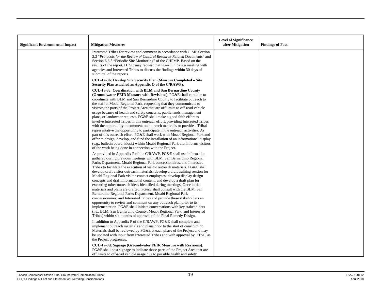| <b>Significant Environmental Impact</b> | <b>Mitigation Measures</b>                                                                                                                                                                                                                                                                                                                                                                                                                                                                                                                                                                                                                                                                                                                                                                                                                                                                                                                                                                                                                                                                                                             | <b>Level of Significance</b><br>after Mitigation | <b>Findings of Fact</b> |
|-----------------------------------------|----------------------------------------------------------------------------------------------------------------------------------------------------------------------------------------------------------------------------------------------------------------------------------------------------------------------------------------------------------------------------------------------------------------------------------------------------------------------------------------------------------------------------------------------------------------------------------------------------------------------------------------------------------------------------------------------------------------------------------------------------------------------------------------------------------------------------------------------------------------------------------------------------------------------------------------------------------------------------------------------------------------------------------------------------------------------------------------------------------------------------------------|--------------------------------------------------|-------------------------|
|                                         | Interested Tribes for review and comment in accordance with CIMP Section<br>2.3 "Protocols for the Review of Cultural Resource-Related Documents" and<br>Section 6.6.5 "Periodic Site Monitoring" of the CHPMP. Based on the<br>results of the report, DTSC may request that PG&E initiate a meeting with<br>agencies and Interested Tribes to discuss the findings within 30 days of<br>submittal of the reports.                                                                                                                                                                                                                                                                                                                                                                                                                                                                                                                                                                                                                                                                                                                     |                                                  |                         |
|                                         | CUL-1a-3b: Develop Site Security Plan (Measure Completed - Site<br>Security Plan attached as Appendix Q of the C/RAWP).                                                                                                                                                                                                                                                                                                                                                                                                                                                                                                                                                                                                                                                                                                                                                                                                                                                                                                                                                                                                                |                                                  |                         |
|                                         | CUL-1a-3c: Coordination with BLM and San Bernardino County<br>(Groundwater FEIR Measure with Revisions). PG&E shall continue to<br>coordinate with BLM and San Bernardino County to facilitate outreach to<br>the staff at Moabi Regional Park, requesting that they communicate to<br>visitors the parts of the Project Area that are off limits to off-road vehicle<br>usage because of health and safety concerns, public lands management<br>plans, or landowner requests. PG&E shall make a good faith effort to<br>involve Interested Tribes in this outreach effort, providing Interested Tribes<br>with the opportunity to comment on outreach materials or provide a Tribal<br>representative the opportunity to participate in the outreach activities. As<br>part of this outreach effort, PG&E shall work with Moabi Regional Park and<br>offer to design, develop, and fund the installation of an informational display<br>(e.g., bulletin board, kiosk) within Moabi Regional Park that informs visitors<br>of the work being done in connection with the Project.                                                      |                                                  |                         |
|                                         | As provided in Appendix P of the C/RAWP, PG&E shall use information<br>gathered during previous meetings with BLM, San Bernardino Regional<br>Parks Department, Moabi Regional Park concessionaires, and Interested<br>Tribes to facilitate the execution of visitor outreach materials. PG&E shall<br>develop draft visitor outreach materials; develop a draft training session for<br>Moabi Regional Park visitor-contact employees; develop display design<br>concepts and draft informational content; and develop a draft plan for<br>executing other outreach ideas identified during meetings. Once initial<br>materials and plans are drafted, PG&E shall consult with the BLM, San<br>Bernardino Regional Parks Department, Moabi Regional Park<br>concessionaires, and Interested Tribes and provide these stakeholders an<br>opportunity to review and comment on any outreach plan prior to its<br>implementation. PG&E shall initiate conversations with key stakeholders<br>(i.e., BLM, San Bernardino County, Moabi Regional Park, and Interested<br>Tribes) within six months of approval of the Final Remedy Design. |                                                  |                         |
|                                         | In addition to Appendix P of the C/RAWP, PG&E shall complete and<br>implement outreach materials and plans prior to the start of construction.<br>Materials shall be reviewed by PG&E at each phase of the Project and may<br>be updated with input from Interested Tribes and with approval by DTSC, as<br>the Project progresses.                                                                                                                                                                                                                                                                                                                                                                                                                                                                                                                                                                                                                                                                                                                                                                                                    |                                                  |                         |
|                                         | CUL-1a-3d: Signage (Groundwater FEIR Measure with Revisions).<br>PG&E shall post signage to indicate those parts of the Project Area that are<br>off limits to off-road vehicle usage due to possible health and safety                                                                                                                                                                                                                                                                                                                                                                                                                                                                                                                                                                                                                                                                                                                                                                                                                                                                                                                |                                                  |                         |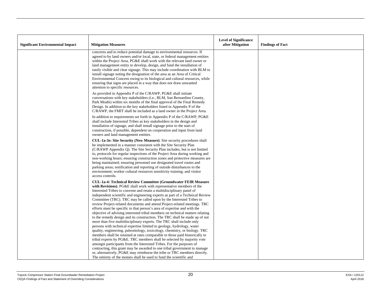| <b>Significant Environmental Impact</b> | <b>Mitigation Measures</b>                                                                                                                                                                                                                                                                                                                                                                                                                                                                                                                                                                                                                                                                          | <b>Level of Significance</b><br>after Mitigation | <b>Findings of Fact</b> |
|-----------------------------------------|-----------------------------------------------------------------------------------------------------------------------------------------------------------------------------------------------------------------------------------------------------------------------------------------------------------------------------------------------------------------------------------------------------------------------------------------------------------------------------------------------------------------------------------------------------------------------------------------------------------------------------------------------------------------------------------------------------|--------------------------------------------------|-------------------------|
|                                         | concerns and to reduce potential damage to environmental resources. If<br>agreed to by land owners and/or local, state, or federal management entities<br>within the Project Area, PG&E shall work with the relevant land owner or<br>land management entity to develop, design, and fund the installation of<br>easily visible and clear signage. This may include coordination with BLM to<br>install signage noting the designation of the area as an Area of Critical<br>Environmental Concern owing to its biological and cultural resources, while<br>ensuring that signs are placed in a way that does not draw unwanted<br>attention to specific resources.                                 |                                                  |                         |
|                                         | As provided in Appendix P of the C/RAWP, PG&E shall initiate<br>conversations with key stakeholders (i.e., BLM, San Bernardino County,<br>Park Moabi) within six months of the final approval of the Final Remedy<br>Design. In addition to the key stakeholders listed in Appendix P of the<br>C/RAWP, the FMIT shall be included as a land owner in the Project Area.                                                                                                                                                                                                                                                                                                                             |                                                  |                         |
|                                         | In addition to requirements set forth in Appendix P of the C/RAWP, PG&E<br>shall include Interested Tribes as key stakeholders in the design and<br>installation of signage, and shall install signage prior to the start of<br>construction, if possible, dependent on cooperation and input from land<br>owners and land management entities.                                                                                                                                                                                                                                                                                                                                                     |                                                  |                         |
|                                         | CUL-1a-3e: Site Security (New Measure). Site security procedures shall<br>be implemented in a manner consistent with the Site Security Plan<br>(C/RAWP Appendix Q). The Site Security Plan includes, but is not limited<br>to, protocols for regular inspections of the Project Area during working and<br>non-working hours; ensuring construction zones and protective measures are<br>being maintained; ensuring personnel use designated travel routes and<br>parking areas; notification and reporting of outside disturbances to the<br>environment; worker cultural resources sensitivity training; and visitor<br>access controls.                                                          |                                                  |                         |
|                                         | <b>CUL-1a-4: Technical Review Committee (Groundwater FEIR Measure</b><br>with Revisions). PG&E shall work with representative members of the<br>Interested Tribes to convene and retain a multidisciplinary panel of<br>independent scientific and engineering experts as part of a Technical Review<br>Committee (TRC). TRC may be called upon by the Interested Tribes to<br>review Project-related documents and attend Project-related meetings. TRC<br>efforts must be specific to that person's area of expertise and with the<br>objective of advising interested tribal members on technical matters relating<br>to the remedy design and its construction. The TRC shall be made up of not |                                                  |                         |
|                                         | more than five multidisciplinary experts. The TRC shall include only<br>persons with technical expertise limited to geology, hydrology, water<br>quality, engineering, paleontology, toxicology, chemistry, or biology. TRC<br>members shall be retained at rates comparable to those paid historically to<br>tribal experts by PG&E. TRC members shall be selected by majority vote<br>amongst participants from the Interested Tribes. For the purposes of<br>contracting, this grant may be awarded to one tribal government to manage<br>or, alternatively, PG&E may reimburse the tribe or TRC members directly.<br>The entirety of the monies shall be used to fund the scientific and        |                                                  |                         |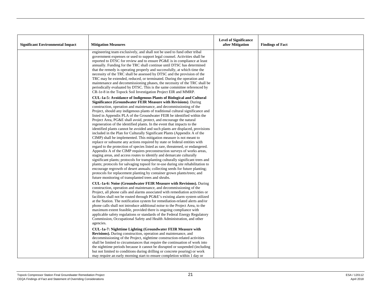| engineering team exclusively, and shall not be used to fund other tribal<br>government expenses or used to support legal counsel. Activities shall be<br>reported to DTSC for review and to ensure PG&E is in compliance at least<br>annually. Funding for the TRC shall continue until DTSC has determined<br>that the remedy is operating properly and successfully, at which time the<br>necessity of the TRC shall be assessed by DTSC and the provision of the<br>TRC may be extended, reduced, or terminated. During the operation and<br>maintenance and decommissioning phases, the necessity of the TRC shall be<br>periodically evaluated by DTSC. This is the same committee referenced by<br>CR-1e-8 in the Topock Soil Investigation Project EIR and MMRP.<br>CUL-1a-5: Avoidance of Indigenous Plants of Biological and Cultural<br><b>Significance (Groundwater FEIR Measure with Revisions).</b> During<br>construction, operation and maintenance, and decommissioning of the<br>Project, should any indigenous plants of traditional cultural significance and<br>listed in Appendix PLA of the Groundwater FEIR be identified within the<br>Project Area, PG&E shall avoid, protect, and encourage the natural<br>regeneration of the identified plants. In the event that impacts to the<br>identified plants cannot be avoided and such plants are displaced, provisions<br>included in the Plan for Culturally Significant Plants (Appendix A of the<br>CIMP) shall be implemented. This mitigation measure is not meant to<br>replace or subsume any actions required by state or federal entities with<br>regard to the protection of species listed as rare, threatened, or endangered.<br>Appendix A of the CIMP requires preconstruction surveys of works areas,<br>staging areas, and access routes to identify and demarcate culturally<br>significant plants; protocols for transplanting culturally significant trees and<br>plants; protocols for salvaging topsoil for re-use during site rehabilitation to<br>encourage regrowth of desert annuals; collecting seeds for future planting;<br>protocols for replacement planting by container grown plants/trees; and<br>future monitoring of transplanted trees and shrubs.<br><b>CUL-1a-6: Noise (Groundwater FEIR Measure with Revisions).</b> During<br>construction, operation and maintenance, and decommissioning of the<br>Project, all phone calls and alarms associated with remediation activities or<br>facilities shall not be routed through PG&E's existing alarm system utilized<br>at the Station. The notification system for remediation-related alerts and/or<br>phone calls shall not introduce additional noise to the Project Area, to the<br>maximum extent feasible, provided there is ongoing compliance with<br>applicable safety regulations or standards of the Federal Energy Regulatory<br>Commission, Occupational Safety and Health Administration, and other<br>agencies.<br>CUL-1a-7: Nighttime Lighting (Groundwater FEIR Measure with<br>Revisions). During construction, operation and maintenance, and<br>decommissioning of the Project, nighttime construction-related activities<br>shall be limited to circumstances that require the continuation of work into | <b>Significant Environmental Impact</b> | <b>Mitigation Measures</b>                                                   | <b>Level of Significance</b><br>after Mitigation | <b>Findings of Fact</b> |
|---------------------------------------------------------------------------------------------------------------------------------------------------------------------------------------------------------------------------------------------------------------------------------------------------------------------------------------------------------------------------------------------------------------------------------------------------------------------------------------------------------------------------------------------------------------------------------------------------------------------------------------------------------------------------------------------------------------------------------------------------------------------------------------------------------------------------------------------------------------------------------------------------------------------------------------------------------------------------------------------------------------------------------------------------------------------------------------------------------------------------------------------------------------------------------------------------------------------------------------------------------------------------------------------------------------------------------------------------------------------------------------------------------------------------------------------------------------------------------------------------------------------------------------------------------------------------------------------------------------------------------------------------------------------------------------------------------------------------------------------------------------------------------------------------------------------------------------------------------------------------------------------------------------------------------------------------------------------------------------------------------------------------------------------------------------------------------------------------------------------------------------------------------------------------------------------------------------------------------------------------------------------------------------------------------------------------------------------------------------------------------------------------------------------------------------------------------------------------------------------------------------------------------------------------------------------------------------------------------------------------------------------------------------------------------------------------------------------------------------------------------------------------------------------------------------------------------------------------------------------------------------------------------------------------------------------------------------------------------------------------------------------------------------------------------------------------------------------------------------------------------------------------------------------------------------------------------------------------------------------------------------------------------------------|-----------------------------------------|------------------------------------------------------------------------------|--------------------------------------------------|-------------------------|
|                                                                                                                                                                                                                                                                                                                                                                                                                                                                                                                                                                                                                                                                                                                                                                                                                                                                                                                                                                                                                                                                                                                                                                                                                                                                                                                                                                                                                                                                                                                                                                                                                                                                                                                                                                                                                                                                                                                                                                                                                                                                                                                                                                                                                                                                                                                                                                                                                                                                                                                                                                                                                                                                                                                                                                                                                                                                                                                                                                                                                                                                                                                                                                                                                                                                                             |                                         |                                                                              |                                                  |                         |
|                                                                                                                                                                                                                                                                                                                                                                                                                                                                                                                                                                                                                                                                                                                                                                                                                                                                                                                                                                                                                                                                                                                                                                                                                                                                                                                                                                                                                                                                                                                                                                                                                                                                                                                                                                                                                                                                                                                                                                                                                                                                                                                                                                                                                                                                                                                                                                                                                                                                                                                                                                                                                                                                                                                                                                                                                                                                                                                                                                                                                                                                                                                                                                                                                                                                                             |                                         |                                                                              |                                                  |                         |
| but not limited to conditions during drilling or concrete pouring) or work                                                                                                                                                                                                                                                                                                                                                                                                                                                                                                                                                                                                                                                                                                                                                                                                                                                                                                                                                                                                                                                                                                                                                                                                                                                                                                                                                                                                                                                                                                                                                                                                                                                                                                                                                                                                                                                                                                                                                                                                                                                                                                                                                                                                                                                                                                                                                                                                                                                                                                                                                                                                                                                                                                                                                                                                                                                                                                                                                                                                                                                                                                                                                                                                                  |                                         | the nighttime periods because it cannot be disrupted or suspended (including |                                                  |                         |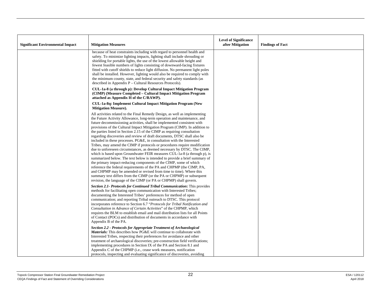| <b>Significant Environmental Impact</b> | <b>Mitigation Measures</b>                                                                                                                                                                                                                                                                                                                                                                                                                                                                                                                                                                                                                                                                                                                                                                                                                                                                                                                                                                                                                                                                                                                                                                                                            | <b>Level of Significance</b><br>after Mitigation | <b>Findings of Fact</b> |
|-----------------------------------------|---------------------------------------------------------------------------------------------------------------------------------------------------------------------------------------------------------------------------------------------------------------------------------------------------------------------------------------------------------------------------------------------------------------------------------------------------------------------------------------------------------------------------------------------------------------------------------------------------------------------------------------------------------------------------------------------------------------------------------------------------------------------------------------------------------------------------------------------------------------------------------------------------------------------------------------------------------------------------------------------------------------------------------------------------------------------------------------------------------------------------------------------------------------------------------------------------------------------------------------|--------------------------------------------------|-------------------------|
|                                         | because of heat constraints including with regard to personnel health and<br>safety. To minimize lighting impacts, lighting shall include shrouding or<br>shielding for portable lights, the use of the lowest allowable height and<br>fewest feasible numbers of lights consisting of downward-facing fixtures<br>fitted with cutoff shields to reduce light diffusion. No permanent light poles<br>shall be installed. However, lighting would also be required to comply with<br>the minimum county, state, and federal security and safety standards (as<br>described in Appendix $P -$ Cultural Resources Protocols).                                                                                                                                                                                                                                                                                                                                                                                                                                                                                                                                                                                                            |                                                  |                         |
|                                         | CUL-1a-8 (a through p): Develop Cultural Impact Mitigation Program<br>(CIMP) (Measure Completed – Cultural Impact Mitigation Program<br>attached as Appendix H of the C/RAWP).                                                                                                                                                                                                                                                                                                                                                                                                                                                                                                                                                                                                                                                                                                                                                                                                                                                                                                                                                                                                                                                        |                                                  |                         |
|                                         | CUL-1a-8q: Implement Cultural Impact Mitigation Program (New<br><b>Mitigation Measure).</b>                                                                                                                                                                                                                                                                                                                                                                                                                                                                                                                                                                                                                                                                                                                                                                                                                                                                                                                                                                                                                                                                                                                                           |                                                  |                         |
|                                         | All activities related to the Final Remedy Design, as well as implementing<br>the Future Activity Allowance, long-term operation and maintenance, and<br>future decommissioning activities, shall be implemented consistent with<br>provisions of the Cultural Impact Mitigation Program (CIMP). In addition to<br>the parties listed in Section 2.15 of the CIMP as requiring consultation<br>regarding discoveries and review of draft documents, DTSC shall also be<br>included in these processes. PG&E, in consultation with the Interested<br>Tribes, may amend the CIMP if protocols or procedures require modification<br>due to unforeseen circumstances, as deemed necessary by DTSC. The CIMP,<br>which is based upon Groundwater FEIR measures CUL-1a-8 (a through p), is<br>summarized below. The text below is intended to provide a brief summary of<br>the primary impact-reducing components of the CIMP, some of which<br>reference the federal requirements of the PA and CHPMP (the CIMP, PA,<br>and CHPMP may be amended or revised from time to time). Where this<br>summary text differs from the CIMP (or the PA or CHPMP) or subsequent<br>revision, the language of the CIMP (or PA or CHPMP) shall govern. |                                                  |                         |
|                                         | Section 2.1- Protocols for Continued Tribal Communication: This provides<br>methods for facilitating open communication with Interested Tribes;<br>documenting the Interested Tribes' preferences for method of open<br>communication; and reporting Tribal outreach to DTSC. This protocol<br>incorporates reference to Section 6.7 "Protocols for Tribal Notification and<br>Consultation in Advance of Certain Activities" of the CHPMP, which<br>requires the BLM to establish email and mail distribution lists for all Points<br>of Contact (POCs) and distribution of documents in accordance with<br>Appendix B of the PA.                                                                                                                                                                                                                                                                                                                                                                                                                                                                                                                                                                                                    |                                                  |                         |
|                                         | Section 2.2 - Protocols for Appropriate Treatment of Archaeological<br>Materials: This describes how PG&E will continue to collaborate with<br>Interested Tribes, respecting their preferences for avoidance and other<br>treatment of archaeological discoveries; pre-construction field verifications;<br>implementing procedures in Section IX of the PA and Section 8.1 and<br>Appendix C of the CHPMP (i.e., cease work measures, notification<br>protocols, inspecting and evaluating significance of discoveries, avoiding                                                                                                                                                                                                                                                                                                                                                                                                                                                                                                                                                                                                                                                                                                     |                                                  |                         |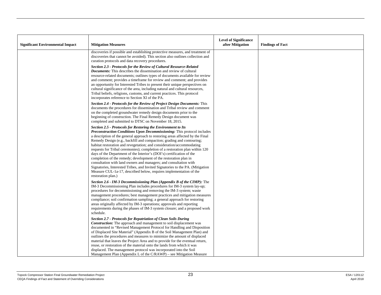| <b>Significant Environmental Impact</b> | <b>Mitigation Measures</b>                                                                                                                                                                                                                                                                                                                                                                                                                                                                                                                                                                                                                                                                                                                                                                                                                                                | <b>Level of Significance</b><br>after Mitigation | <b>Findings of Fact</b> |
|-----------------------------------------|---------------------------------------------------------------------------------------------------------------------------------------------------------------------------------------------------------------------------------------------------------------------------------------------------------------------------------------------------------------------------------------------------------------------------------------------------------------------------------------------------------------------------------------------------------------------------------------------------------------------------------------------------------------------------------------------------------------------------------------------------------------------------------------------------------------------------------------------------------------------------|--------------------------------------------------|-------------------------|
|                                         | discoveries if possible and establishing protective measures, and treatment of<br>discoveries that cannot be avoided). This section also outlines collection and<br>curation protocols and data recovery procedures.                                                                                                                                                                                                                                                                                                                                                                                                                                                                                                                                                                                                                                                      |                                                  |                         |
|                                         | Section 2.3 - Protocols for the Review of Cultural Resource-Related<br><b>Documents:</b> This describes the dissemination and review of cultural<br>resource-related documents; outlines types of documents available for review<br>and comment; provides a timeframe for review and comment; and provides<br>an opportunity for Interested Tribes to present their unique perspectives on<br>cultural significance of the area, including natural and cultural resources,<br>Tribal beliefs, religions, customs, and current practices. This protocol<br>incorporates reference to Section XI of the PA.                                                                                                                                                                                                                                                                 |                                                  |                         |
|                                         | Section 2.4 - Protocols for the Review of Project Design Documents: This<br>documents the procedures for dissemination and Tribal review and comment<br>on the completed groundwater remedy design documents prior to the<br>beginning of construction. The Final Remedy Design document was<br>completed and submitted to DTSC on November 18, 2015.                                                                                                                                                                                                                                                                                                                                                                                                                                                                                                                     |                                                  |                         |
|                                         | <b>Section 2.5 - Protocols for Restoring the Environment to Its</b><br><b>Preconstruction Conditions Upon Decommissioning:</b> This protocol includes<br>a description of the general approach to restoring areas affected by the Final<br>Remedy Design (e.g., backfill and compaction; grading and contouring;<br>habitat restoration and revegetation; and consideration/accommodating<br>requests for Tribal ceremonies); completion of a restoration plan within 120<br>days of the Department of the Interior's (DOI's) certification of the<br>completion of the remedy; development of the restoration plan in<br>consultation with land owners and managers; and consultation with<br>Signatories, Interested Tribes, and Invited Signatories to the PA. (Mitigation<br>Measure CUL-1a-17, described below, requires implementation of the<br>restoration plan.) |                                                  |                         |
|                                         | Section 2.6 - IM-3 Decommissioning Plan (Appendix B of the CIMP): The<br>IM-3 Decommissioning Plan includes procedures for IM-3 system lay-up;<br>procedures for decommissioning and removing the IM-3 system; waste<br>management procedures; best management practices and mitigation measures<br>compliance; soil confirmation sampling; a general approach for restoring<br>areas originally affected by IM-3 operations; approvals and reporting<br>requirements during the phases of IM-3 system closure; and a proposed work<br>schedule.                                                                                                                                                                                                                                                                                                                          |                                                  |                         |
|                                         | <b>Section 2.7 - Protocols for Repatriation of Clean Soils During</b><br><b>Construction:</b> The approach and management to soil displacement was<br>documented in "Revised Management Protocol for Handling and Disposition<br>of Displaced Site Material" (Appendix B of the Soil Management Plan) and<br>outlines the procedures and measures to minimize the amount of displaced<br>material that leaves the Project Area and to provide for the eventual return,<br>reuse, or restoration of the material onto the lands from which it was<br>displaced. The management protocol was incorporated into the Soil<br>Management Plan (Appendix L of the C/RAWP) - see Mitigation Measure                                                                                                                                                                              |                                                  |                         |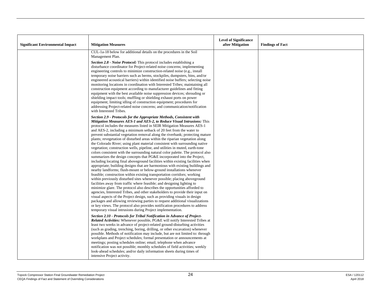| <b>Significant Environmental Impact</b> | <b>Mitigation Measures</b>                                                                                                                                                                                                                                                                                                                                                                                                                                                                                                                                                                                                                                                                                                                                                                                                                                                                                                                                                                                                                                                                                                                                                                                                                                                                                                                                                                                                                                                                                                                                                                                                                                                                                                                            | <b>Level of Significance</b><br>after Mitigation | <b>Findings of Fact</b> |
|-----------------------------------------|-------------------------------------------------------------------------------------------------------------------------------------------------------------------------------------------------------------------------------------------------------------------------------------------------------------------------------------------------------------------------------------------------------------------------------------------------------------------------------------------------------------------------------------------------------------------------------------------------------------------------------------------------------------------------------------------------------------------------------------------------------------------------------------------------------------------------------------------------------------------------------------------------------------------------------------------------------------------------------------------------------------------------------------------------------------------------------------------------------------------------------------------------------------------------------------------------------------------------------------------------------------------------------------------------------------------------------------------------------------------------------------------------------------------------------------------------------------------------------------------------------------------------------------------------------------------------------------------------------------------------------------------------------------------------------------------------------------------------------------------------------|--------------------------------------------------|-------------------------|
|                                         | CUL-1a-18 below for additional details on the procedures in the Soil<br>Management Plan.                                                                                                                                                                                                                                                                                                                                                                                                                                                                                                                                                                                                                                                                                                                                                                                                                                                                                                                                                                                                                                                                                                                                                                                                                                                                                                                                                                                                                                                                                                                                                                                                                                                              |                                                  |                         |
|                                         | Section 2.8 - Noise Protocol: This protocol includes establishing a<br>disturbance coordinator for Project-related noise concerns; implementing<br>engineering controls to minimize construction-related noise (e.g., install<br>temporary noise barriers such as berms, stockpiles, dumpsters, bins, and/or<br>engineered acoustical barriers) within identified noise buffers; selecting noise<br>monitoring locations in coordination with Interested Tribes; maintaining all<br>construction equipment according to manufacturer guidelines and fitting<br>equipment with the best available noise suppression devices; shrouding or<br>shielding impact tools; muffling or shielding exhaust ports on power<br>equipment; limiting idling of construction equipment; procedures for<br>addressing Project-related noise concerns; and communication/notification<br>with Interested Tribes.                                                                                                                                                                                                                                                                                                                                                                                                                                                                                                                                                                                                                                                                                                                                                                                                                                                      |                                                  |                         |
|                                         | Section 2.9 - Protocols for the Appropriate Methods, Consistent with<br>Mitigation Measures AES-1 and AES-2, to Reduce Visual Intrusions: This<br>protocol includes the measures listed in SEIR Mitigation Measures AES-1<br>and AES-2, including a minimum setback of 20 feet from the water to<br>prevent substantial vegetation removal along the riverbank; protecting mature<br>plants; revegetation of disturbed areas within the riparian vegetation along<br>the Colorado River; using plant material consistent with surrounding native<br>vegetation; construction wells, pipeline, and utilities in muted, earth-tone<br>colors consistent with the surrounding natural color palette. The protocol also<br>summarizes the design concepts that PG&E incorporated into the Project,<br>including locating final aboveground facilities within existing facilities when<br>appropriate; building designs that are harmonious with existing buildings and<br>nearby landforms; flush-mount or below-ground installations whenever<br>feasible; construction within existing transportation corridors; working<br>within previously disturbed sites whenever possible; placing above ground<br>facilities away from traffic where feasible; and designing lighting to<br>minimize glare. The protocol also describes the opportunities afforded to<br>agencies, Interested Tribes, and other stakeholders to provide their input on<br>visual aspects of the Project design, such as providing visuals in design<br>packages and allowing reviewing parties to request additional visualizations<br>or key views. The protocol also provides notification procedures to address<br>temporary visual intrusions during Project implementation. |                                                  |                         |
|                                         | Section 2.10 - Protocols for Tribal Notification in Advance of Project-<br><b>Related Activities:</b> Whenever possible, PG&E will notify Interested Tribes at<br>least two weeks in advance of project-related ground-disturbing activities<br>(such as grading, trenching, boring, drilling, or other excavation) whenever<br>possible. Methods of notification may include, but are not limited to: through<br>workplans and Project schedules; formal presentation or announcements at<br>meetings; posting schedules online; email; telephone when advance<br>notification was not possible; monthly schedules of field activities; weekly<br>look-ahead schedules; and/or daily information sheets during times of<br>intensive Project activity.                                                                                                                                                                                                                                                                                                                                                                                                                                                                                                                                                                                                                                                                                                                                                                                                                                                                                                                                                                                               |                                                  |                         |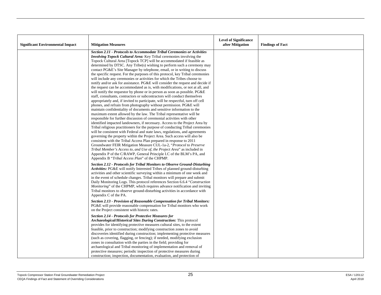| <b>Significant Environmental Impact</b> | <b>Mitigation Measures</b>                                                                                                                                                                                                                                                                                                                                                                                                                                                                                                                                                                                                                                                                                                                                                                                                                                                                                                                                                                                                                                                                                                                                                                                                                                                                                                                                                                                                                                                                                                                                                                                                                                                                                                                                                                                                                                                                                                                                  | <b>Level of Significance</b><br>after Mitigation | <b>Findings of Fact</b> |
|-----------------------------------------|-------------------------------------------------------------------------------------------------------------------------------------------------------------------------------------------------------------------------------------------------------------------------------------------------------------------------------------------------------------------------------------------------------------------------------------------------------------------------------------------------------------------------------------------------------------------------------------------------------------------------------------------------------------------------------------------------------------------------------------------------------------------------------------------------------------------------------------------------------------------------------------------------------------------------------------------------------------------------------------------------------------------------------------------------------------------------------------------------------------------------------------------------------------------------------------------------------------------------------------------------------------------------------------------------------------------------------------------------------------------------------------------------------------------------------------------------------------------------------------------------------------------------------------------------------------------------------------------------------------------------------------------------------------------------------------------------------------------------------------------------------------------------------------------------------------------------------------------------------------------------------------------------------------------------------------------------------------|--------------------------------------------------|-------------------------|
|                                         | <b>Section 2.11 - Protocols to Accommodate Tribal Ceremonies or Activities</b><br><i>Involving Topock Cultural Area:</i> Key Tribal ceremonies involving the<br>Topock Cultural Area [Topock TCP] will be accommodated if feasible as<br>determined by DTSC. Any Tribe(s) wishing to perform such a ceremony may<br>contact PG&E's Site Manager by telephone, email, or in writing to discuss<br>the specific request. For the purposes of this protocol, key Tribal ceremonies<br>will include any ceremonies or activities for which the Tribes choose to<br>notify and/or ask for assistance. PG&E will consider the request and decide if<br>the request can be accommodated as is, with modifications, or not at all, and<br>will notify the requestor by phone or in person as soon as possible. PG&E<br>staff, consultants, contractors or subcontractors will conduct themselves<br>appropriately and, if invited to participate, will be respectful, turn off cell<br>phones, and refrain from photography without permission. PG&E will<br>maintain confidentiality of documents and sensitive information to the<br>maximum extent allowed by the law. The Tribal representative will be<br>responsible for further discussion of ceremonial activities with other<br>identified impacted landowners, if necessary. Access to the Project Area by<br>Tribal religious practitioners for the purpose of conducting Tribal ceremonies<br>will be consistent with Federal and state laws, regulations, and agreements<br>governing the property within the Project Area. Such access will also be<br>consistent with the Tribal Access Plan prepared in response to 2011<br>Groundwater FEIR Mitigation Measure CUL-1a-2, "Protocol to Preserve<br>Tribal Member's Access to, and Use of, the Project Area" as included in<br>Appendix P of the C/RAWP, General Principle I.C of the BLM's PA, and<br>Appendix B "Tribal Access Plan" of the CHPMP. |                                                  |                         |
|                                         | Section 2.12 - Protocols for Tribal Monitors to Observe Ground-Disturbing<br>Activities: PG&E will notify Interested Tribes of planned ground-disturbing<br>activities and other scientific surveying within a minimum of one week and<br>in the event of schedule changes. Tribal monitors will prepare and submit<br>Daily Monitoring Logs. This protocol references Section 6.6.4 "Construction<br><i>Monitoring</i> " of the CHPMP, which requires advance notification and inviting<br>Tribal monitors to observe ground-disturbing activities in accordance with<br>Appendix C of the PA.                                                                                                                                                                                                                                                                                                                                                                                                                                                                                                                                                                                                                                                                                                                                                                                                                                                                                                                                                                                                                                                                                                                                                                                                                                                                                                                                                             |                                                  |                         |
|                                         | Section 2.13 - Provision of Reasonable Compensation for Tribal Monitors:<br>PG&E will provide reasonable compensation for Tribal monitors who work<br>on the Project consistent with historic rates.                                                                                                                                                                                                                                                                                                                                                                                                                                                                                                                                                                                                                                                                                                                                                                                                                                                                                                                                                                                                                                                                                                                                                                                                                                                                                                                                                                                                                                                                                                                                                                                                                                                                                                                                                        |                                                  |                         |
|                                         | <b>Section 2.14 - Protocols for Protective Measures for</b><br>Archaeological/Historical Sites During Construction: This protocol<br>provides for identifying protective measures cultural sites, to the extent<br>feasible, prior to construction; modifying construction zones to avoid<br>discoveries identified during construction; implementing protective measures<br>(such as covering, flagging, or fencing); if needed, modifying exclusion<br>zones in consultation with the parties in the field; providing for<br>archaeological and Tribal monitoring of implementation and removal of<br>protective measures; periodic inspection of protective measures during<br>construction; inspection, documentation, evaluation, and protection of                                                                                                                                                                                                                                                                                                                                                                                                                                                                                                                                                                                                                                                                                                                                                                                                                                                                                                                                                                                                                                                                                                                                                                                                    |                                                  |                         |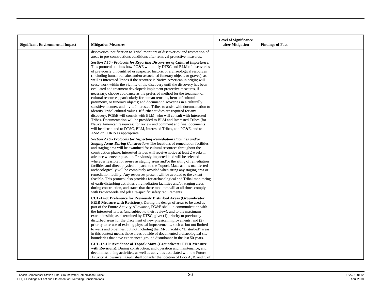| <b>Significant Environmental Impact</b> | <b>Mitigation Measures</b>                                                                                                                                                                                                                                                                                                                                                                                                                                                                                                                                                                                                                                                                                                                                                                                                                                                                                                                                                                                                                                                                                                                                                                                                                                                                          | <b>Level of Significance</b><br>after Mitigation | <b>Findings of Fact</b> |
|-----------------------------------------|-----------------------------------------------------------------------------------------------------------------------------------------------------------------------------------------------------------------------------------------------------------------------------------------------------------------------------------------------------------------------------------------------------------------------------------------------------------------------------------------------------------------------------------------------------------------------------------------------------------------------------------------------------------------------------------------------------------------------------------------------------------------------------------------------------------------------------------------------------------------------------------------------------------------------------------------------------------------------------------------------------------------------------------------------------------------------------------------------------------------------------------------------------------------------------------------------------------------------------------------------------------------------------------------------------|--------------------------------------------------|-------------------------|
|                                         | discoveries; notification to Tribal monitors of discoveries; and restoration of<br>areas to pre-constructions conditions after removal protective measures.                                                                                                                                                                                                                                                                                                                                                                                                                                                                                                                                                                                                                                                                                                                                                                                                                                                                                                                                                                                                                                                                                                                                         |                                                  |                         |
|                                         | Section 2.15 - Protocols for Reporting Discoveries of Cultural Importance:<br>This protocol outlines how PG&E will notify DTSC and BLM of discoveries<br>of previously unidentified or suspected historic or archaeological resources<br>(including human remains and/or associated funerary objects or graves), as<br>well as Interested Tribes if the resource is Native American in origin; will<br>cease work within the vicinity of the discovery until the discovery has been<br>evaluated and treatment developed; implement protective measures, if<br>necessary; choose avoidance as the preferred method for the treatment of<br>cultural resources, particularly for human remains, items of cultural<br>patrimony, or funerary objects; and document discoveries in a culturally<br>sensitive manner, and invite Interested Tribes to assist with documentation to<br>identify Tribal cultural values. If further studies are required for any<br>discovery, PG&E will consult with BLM, who will consult with Interested<br>Tribes. Documentation will be provided to BLM and Interested Tribes (for<br>Native American resources) for review and comment and final documents<br>will be distributed to DTSC, BLM, Interested Tribes, and PG&E, and to<br>ASM or CHRIS as appropriate. |                                                  |                         |
|                                         | Section 2.16 - Protocols for Inspecting Remediation Facilities and/or<br><b>Staging Areas During Construction:</b> The locations of remediation facilities<br>and staging area will be examined for cultural resources throughout the<br>construction phase. Interested Tribes will receive notice at least 2 weeks in<br>advance whenever possible. Previously impacted land will be selected<br>wherever feasible for re-use as staging areas and/or the siting of remediation<br>facilities and direct physical impacts to the Topock Maze as it is manifested<br>archaeologically will be completely avoided when siting any staging area or<br>remediation facility. Any resources present will be avoided to the extent<br>feasible. This protocol also provides for archaeological and Tribal monitoring<br>of earth-disturbing activities at remediation facilities and/or staging areas<br>during construction, and states that these monitors will at all times comply<br>with Project-wide and job site-specific safety requirements.                                                                                                                                                                                                                                                    |                                                  |                         |
|                                         | CUL-1a-9: Preference for Previously Disturbed Areas (Groundwater<br>FEIR Measure with Revisions). During the design of areas to be used as<br>part of the Future Activity Allowance, PG&E shall, in communication with<br>the Interested Tribes (and subject to their review), and to the maximum<br>extent feasible, as determined by DTSC, give: (1) priority to previously<br>disturbed areas for the placement of new physical improvements; and (2)<br>priority to re-use of existing physical improvements, such as but not limited<br>to wells and pipelines, but not including the IM-3 Facility. "Disturbed" areas<br>in this context means those areas outside of documented archaeological site<br>boundaries that have experienced ground disturbance in the last 50 years.                                                                                                                                                                                                                                                                                                                                                                                                                                                                                                             |                                                  |                         |
|                                         | CUL-1a-10: Avoidance of Topock Maze (Groundwater FEIR Measure<br>with Revisions). During construction, and operation and maintenance, and<br>decommissioning activities, as well as activities associated with the Future<br>Activity Allowance, PG&E shall consider the location of Loci A, B, and C of                                                                                                                                                                                                                                                                                                                                                                                                                                                                                                                                                                                                                                                                                                                                                                                                                                                                                                                                                                                            |                                                  |                         |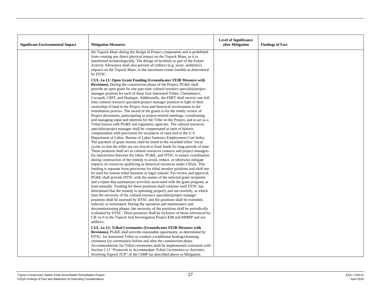| <b>Significant Environmental Impact</b> | <b>Mitigation Measures</b>                                                                                                                                                                                                                                                                                                                                                                                                                                                                                                                                                                                                                                                                                                                                                                                                                                                                                                                                                                                                                                                                                                                                                                                                                                                                                                                                                                                                                                                                                                                                                                                                                                                                                                                                                                                                                                                                                                                                                                                                                                                                                                                                                                                                                                                                                                                                                                                                                                                         | <b>Level of Significance</b><br>after Mitigation | <b>Findings of Fact</b> |
|-----------------------------------------|------------------------------------------------------------------------------------------------------------------------------------------------------------------------------------------------------------------------------------------------------------------------------------------------------------------------------------------------------------------------------------------------------------------------------------------------------------------------------------------------------------------------------------------------------------------------------------------------------------------------------------------------------------------------------------------------------------------------------------------------------------------------------------------------------------------------------------------------------------------------------------------------------------------------------------------------------------------------------------------------------------------------------------------------------------------------------------------------------------------------------------------------------------------------------------------------------------------------------------------------------------------------------------------------------------------------------------------------------------------------------------------------------------------------------------------------------------------------------------------------------------------------------------------------------------------------------------------------------------------------------------------------------------------------------------------------------------------------------------------------------------------------------------------------------------------------------------------------------------------------------------------------------------------------------------------------------------------------------------------------------------------------------------------------------------------------------------------------------------------------------------------------------------------------------------------------------------------------------------------------------------------------------------------------------------------------------------------------------------------------------------------------------------------------------------------------------------------------------------|--------------------------------------------------|-------------------------|
|                                         | the Topock Maze during the design of Project components and is prohibited<br>from creating any direct physical impact on the Topock Maze, as it is<br>manifested archaeologically. The design of facilities as part of the Future<br>Activity Allowance shall also prevent all indirect (e.g. noise, aesthetics)<br>impacts on the Topock Maze, to the maximum extent feasible as determined<br>by DTSC.                                                                                                                                                                                                                                                                                                                                                                                                                                                                                                                                                                                                                                                                                                                                                                                                                                                                                                                                                                                                                                                                                                                                                                                                                                                                                                                                                                                                                                                                                                                                                                                                                                                                                                                                                                                                                                                                                                                                                                                                                                                                           |                                                  |                         |
|                                         | CUL-1a-11: Open Grant Funding (Groundwater FEIR Measure with<br><b>Revisions</b> ). During the construction phase of the Project, PG&E shall<br>provide an open grant for one part-time cultural resource specialist/project<br>manager position for each of these four Interested Tribes: Chemehuevi,<br>Cocopah, CRIT, and Hualapai. Additionally, the FMIT shall receive one full-<br>time cultural resource specialist/project manager position in light of their<br>ownership of land in the Project Area and historical involvement in the<br>remediation process. The award of the grants is for the timely review of<br>Project documents, participating in project-related meetings, coordinating<br>and managing input and interests for the Tribe on the Project, and to act as a<br>Tribal liaison with PG&E and regulatory agencies. The cultural resources<br>specialist/project manager shall be compensated at rates of historic<br>compensation with provisions for escalation of rates tied to the U.S.<br>Department of Labor, Bureau of Labor Statistics Employment Cost Index.<br>The payment of grant monies shall be timed to the awarded tribes' fiscal<br>cycles so that the tribes are not forced to front funds for long periods of time.<br>These positions shall act as cultural resources contacts and project managers<br>for interactions between the tribes, PG&E, and DTSC to ensure coordination<br>during construction of the remedy to avoid, reduce, or otherwise mitigate<br>impacts on resources qualifying as historical resources under CEQA. This<br>funding is separate from provisions for tribal monitor positions and shall not<br>be used for routine tribal business or legal counsel. For review and approval,<br>PG&E shall provide DTSC with the names of the selected grant recipients<br>and a report that summarizes activities associated with the grant program, at<br>least annually. Funding for these positions shall continue until DTSC has<br>determined that the remedy is operating properly and successfully, at which<br>time the necessity of the cultural resource specialist/project manager<br>positions shall be assessed by DTSC and the positions shall be extended,<br>reduced, or terminated. During the operation and maintenance and<br>decommissioning phases, the necessity of the positions shall be periodically<br>evaluated by DTSC. These positions shall be inclusive of those referenced by |                                                  |                         |
|                                         | CR-1e-9 in the Topock Soil Investigation Project EIR and MMRP and not<br>additive.<br><b>CUL-1a-12: Tribal Ceremonies (Groundwater FEIR Measure with</b><br><b>Revisions).</b> PG&E shall provide reasonable opportunity, as determined by<br>DTSC, for Interested Tribes to conduct a traditional healing/cleansing<br>ceremony (or ceremonies) before and after the construction phase.<br>Accommodations for Tribal ceremonies shall be implemented consistent with<br>Section 2.11 "Protocols to Accommodate Tribal Ceremonies or Activities<br><i>Involving Topock TCP</i> " of the CIMP (as described above in Mitigation                                                                                                                                                                                                                                                                                                                                                                                                                                                                                                                                                                                                                                                                                                                                                                                                                                                                                                                                                                                                                                                                                                                                                                                                                                                                                                                                                                                                                                                                                                                                                                                                                                                                                                                                                                                                                                                    |                                                  |                         |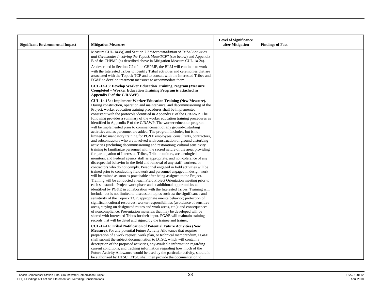| <b>Significant Environmental Impact</b> | <b>Mitigation Measures</b>                                                                                                                                                                                                                                                                                                                                                                                                                                                                                                                                                                                                                                                                                                                                                                                                                                                                                                                                                                                                                                                                                                                                                                                                                                                                                                                                                                                                                                                                                                                                                                                                                                                                                                                                                                                                                                                                                                                                                                                                                                                                                                                                                                                                                                                                                                                                                                                                                                                                                                                                                                                                                                                                                                                                                                                                                                      | <b>Level of Significance</b><br>after Mitigation | <b>Findings of Fact</b> |
|-----------------------------------------|-----------------------------------------------------------------------------------------------------------------------------------------------------------------------------------------------------------------------------------------------------------------------------------------------------------------------------------------------------------------------------------------------------------------------------------------------------------------------------------------------------------------------------------------------------------------------------------------------------------------------------------------------------------------------------------------------------------------------------------------------------------------------------------------------------------------------------------------------------------------------------------------------------------------------------------------------------------------------------------------------------------------------------------------------------------------------------------------------------------------------------------------------------------------------------------------------------------------------------------------------------------------------------------------------------------------------------------------------------------------------------------------------------------------------------------------------------------------------------------------------------------------------------------------------------------------------------------------------------------------------------------------------------------------------------------------------------------------------------------------------------------------------------------------------------------------------------------------------------------------------------------------------------------------------------------------------------------------------------------------------------------------------------------------------------------------------------------------------------------------------------------------------------------------------------------------------------------------------------------------------------------------------------------------------------------------------------------------------------------------------------------------------------------------------------------------------------------------------------------------------------------------------------------------------------------------------------------------------------------------------------------------------------------------------------------------------------------------------------------------------------------------------------------------------------------------------------------------------------------------|--------------------------------------------------|-------------------------|
|                                         | Measure CUL-1a-8q) and Section 7.2 "Accommodation of Tribal Activities<br>and Ceremonies Involving the Topock Maze/TCP" (see below) and Appendix<br>B of the CHPMP (as described above in Mitigation Measure CUL-1a-2a).                                                                                                                                                                                                                                                                                                                                                                                                                                                                                                                                                                                                                                                                                                                                                                                                                                                                                                                                                                                                                                                                                                                                                                                                                                                                                                                                                                                                                                                                                                                                                                                                                                                                                                                                                                                                                                                                                                                                                                                                                                                                                                                                                                                                                                                                                                                                                                                                                                                                                                                                                                                                                                        |                                                  |                         |
|                                         | As described in Section 7.2 of the CHPMP, the BLM will continue to work<br>with the Interested Tribes to identify Tribal activities and ceremonies that are<br>associated with the Topock TCP and to consult with the Interested Tribes and<br>PG&E to develop treatment measures to accommodate them.                                                                                                                                                                                                                                                                                                                                                                                                                                                                                                                                                                                                                                                                                                                                                                                                                                                                                                                                                                                                                                                                                                                                                                                                                                                                                                                                                                                                                                                                                                                                                                                                                                                                                                                                                                                                                                                                                                                                                                                                                                                                                                                                                                                                                                                                                                                                                                                                                                                                                                                                                          |                                                  |                         |
|                                         | <b>CUL-1a-13: Develop Worker Education Training Program (Measure</b><br><b>Completed – Worker Education Training Program is attached in</b><br>Appendix P of the C/RAWP).                                                                                                                                                                                                                                                                                                                                                                                                                                                                                                                                                                                                                                                                                                                                                                                                                                                                                                                                                                                                                                                                                                                                                                                                                                                                                                                                                                                                                                                                                                                                                                                                                                                                                                                                                                                                                                                                                                                                                                                                                                                                                                                                                                                                                                                                                                                                                                                                                                                                                                                                                                                                                                                                                       |                                                  |                         |
|                                         | CUL-1a-13a: Implement Worker Education Training (New Measure).<br>During construction, operation and maintenance, and decommissioning of the<br>Project, worker education training procedures shall be implemented<br>consistent with the protocols identified in Appendix P of the C/RAWP. The<br>following provides a summary of the worker education training procedures as<br>identified in Appendix P of the C/RAWP. The worker education program<br>will be implemented prior to commencement of any ground-disturbing<br>activities and as personnel are added. The program includes, but is not<br>limited to: mandatory training for PG&E employees, consultants, contractors,<br>and subcontractors who are involved with construction or ground disturbing<br>activities (including decommissioning and restoration); cultural sensitivity<br>training to familiarize personnel with the sacred nature of the area; providing<br>for participation of Interested Tribes, Tribal monitors, archaeological<br>monitors, and Federal agency staff as appropriate; and non-tolerance of any<br>disrespectful behavior in the field and removal of any staff, workers, or<br>contractors who do not comply. Personnel engaged in field activities will be<br>trained prior to conducting fieldwork and personnel engaged in design work<br>will be trained as soon as practicable after being assigned to the Project.<br>Training will be conducted at each Field Project Orientation meeting prior to<br>each substantial Project work phase and at additional opportunities as<br>identified by PG&E in collaboration with the Interested Tribes. Training will<br>include, but is not limited to discussion topics such as: the significance and<br>sensitivity of the Topock TCP; appropriate on-site behavior; protection of<br>significant cultural resources; worker responsibilities (avoidance of sensitive<br>areas, staying on designated routes and work areas, etc.); and consequences<br>of noncompliance. Presentation materials that may be developed will be<br>shared with Interested Tribes for their input. PG&E will maintain training<br>records that will be dated and signed by the trainee and trainer.<br>CUL-1a-14: Tribal Notification of Potential Future Activities (New<br><b>Measure).</b> For any potential Future Activity Allowance that requires<br>preparation of a work request, work plan, or technical memorandum, PG&E<br>shall submit the subject documentation to DTSC, which will contain a<br>description of the proposed activities, any available information regarding<br>current conditions, and tracking information regarding how much of the<br>Future Activity Allowance would be used by the particular activity, should it<br>be authorized by DTSC. DTSC shall then provide the documentation to |                                                  |                         |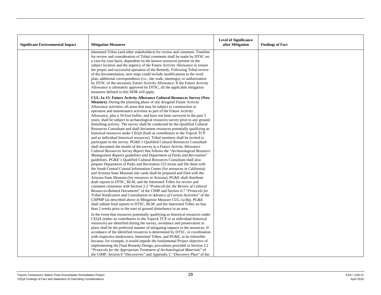| <b>Significant Environmental Impact</b> | <b>Mitigation Measures</b>                                                                                                                                                                                                                                                                                                                                                                                                                                                                                                                                                                                                                                                                                                                                                                                                                                                                                                                                                                                                                                                                                                                                                                                                                                                                                                                                                                                                                                                                                                                                                                                                                                                                                                                                                                                                                                                                                                                                                                                                                                                                                                                                                                                     | <b>Level of Significance</b><br>after Mitigation | <b>Findings of Fact</b> |
|-----------------------------------------|----------------------------------------------------------------------------------------------------------------------------------------------------------------------------------------------------------------------------------------------------------------------------------------------------------------------------------------------------------------------------------------------------------------------------------------------------------------------------------------------------------------------------------------------------------------------------------------------------------------------------------------------------------------------------------------------------------------------------------------------------------------------------------------------------------------------------------------------------------------------------------------------------------------------------------------------------------------------------------------------------------------------------------------------------------------------------------------------------------------------------------------------------------------------------------------------------------------------------------------------------------------------------------------------------------------------------------------------------------------------------------------------------------------------------------------------------------------------------------------------------------------------------------------------------------------------------------------------------------------------------------------------------------------------------------------------------------------------------------------------------------------------------------------------------------------------------------------------------------------------------------------------------------------------------------------------------------------------------------------------------------------------------------------------------------------------------------------------------------------------------------------------------------------------------------------------------------------|--------------------------------------------------|-------------------------|
|                                         | Interested Tribes (and other stakeholders) for review and comment. Timeline<br>for review and consideration of Tribal comments shall be made by DTSC on<br>a case-by-case basis, dependent on the known resources present on the<br>subject location and the urgency of the Future Activity Allowance to ensure<br>the proper and successful operation of the Remedy. Following Tribal review<br>of the documentation, next steps could include modifications to the work<br>plan, additional correspondence (i.e., site walk, meetings), or authorization<br>by DTSC of the necessary Future Activity Allowance. If the Future Activity<br>Allowance is ultimately approved by DTSC, all the applicable mitigation<br>measures defined in this SEIR will apply.                                                                                                                                                                                                                                                                                                                                                                                                                                                                                                                                                                                                                                                                                                                                                                                                                                                                                                                                                                                                                                                                                                                                                                                                                                                                                                                                                                                                                                               |                                                  |                         |
|                                         | <b>CUL-1a-15: Future Activity Allowance Cultural Resources Survey (New</b><br>Measure). During the planning phase of any designed Future Activity<br>Allowance activities, all areas that may be subject to construction or<br>operation and maintenance activities as part of the Future Activity<br>Allowance, plus a 50-foot buffer, and have not been surveyed in the past 5<br>years, shall be subject to archaeological resources survey prior to any ground<br>disturbing activity. The survey shall be conducted by the Qualified Cultural<br>Resources Consultant and shall document resources potentially qualifying as<br>historical resources under CEQA (both as contributors to the Topock TCP<br>and as individual historical resources). Tribal monitors shall be invited to<br>participate in the survey. PG&E's Qualified Cultural Resources Consultant<br>shall document the results of the survey in a Future Activity Allowance<br>Cultural Resources Survey Report that follows the "Archaeological Resource"<br>Management Reports guidelines and Department of Parks and Recreation"<br>guidelines. PG&E's Qualified Cultural Resources Consultant shall also<br>prepare Department of Parks and Recreation 523 forms and file them with<br>the South Central Coastal Information Center (for resources in California)<br>and Arizona State Museum site cards shall be prepared and filed with the<br>Arizona State Museum (for resources in Arizona). PG&E shall distribute<br>draft reports to DTSC, BLM, and the Interested Tribes for review and<br>comment consistent with Section 2.3 "Protocols for the Review of Cultural<br>Resources-Related Documents" of the CIMP and Section 6.7 "Protocols for<br>Tribal Notification and Consultation in Advance of Certain Activities" of the<br>CHPMP (as described above in Mitigation Measure CUL-1a-8q). PG&E<br>shall submit final reports to DTSC, BLM, and the Interested Tribes no less<br>than 2 weeks prior to the start of ground disturbance in an area.<br>In the event that resources potentially qualifying as historical resources under<br>CEQA (either as contributors to the Topock TCP or as individual historical |                                                  |                         |
|                                         | resources) are identified during the survey, avoidance and preservation in<br>place shall be the preferred manner of mitigating impacts to the resources. If<br>avoidance of the identified resources is determined by DTSC, in coordination<br>with respective landowners, Interested Tribes, and PG&E, to be infeasible<br>because, for example, it would impede the fundamental Project objective of<br>implementing the Final Remedy Design, procedures provided in Section 2.2<br>"Protocols for the Appropriate Treatment of Archaeological Materials" of<br>the CIMP, Section 8 "Discoveries" and Appendix C "Discovery Plan" of the                                                                                                                                                                                                                                                                                                                                                                                                                                                                                                                                                                                                                                                                                                                                                                                                                                                                                                                                                                                                                                                                                                                                                                                                                                                                                                                                                                                                                                                                                                                                                                    |                                                  |                         |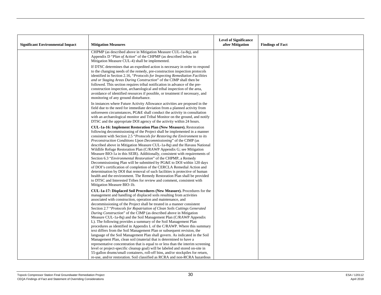|                                         |                                                                                                                                                                                                                                                                                                                                                                                                                                                                                                                                                                                                                                                                                                                                                                                                                                                                                                                                                                                                                                                                                                                                                                                                                                             | <b>Level of Significance</b> |                         |
|-----------------------------------------|---------------------------------------------------------------------------------------------------------------------------------------------------------------------------------------------------------------------------------------------------------------------------------------------------------------------------------------------------------------------------------------------------------------------------------------------------------------------------------------------------------------------------------------------------------------------------------------------------------------------------------------------------------------------------------------------------------------------------------------------------------------------------------------------------------------------------------------------------------------------------------------------------------------------------------------------------------------------------------------------------------------------------------------------------------------------------------------------------------------------------------------------------------------------------------------------------------------------------------------------|------------------------------|-------------------------|
| <b>Significant Environmental Impact</b> | <b>Mitigation Measures</b>                                                                                                                                                                                                                                                                                                                                                                                                                                                                                                                                                                                                                                                                                                                                                                                                                                                                                                                                                                                                                                                                                                                                                                                                                  | after Mitigation             | <b>Findings of Fact</b> |
|                                         | CHPMP (as described above in Mitigation Measure CUL-1a-8q), and<br>Appendix D "Plan of Action" of the CHPMP (as described below in<br>Mitigation Measure CUL-4) shall be implemented.                                                                                                                                                                                                                                                                                                                                                                                                                                                                                                                                                                                                                                                                                                                                                                                                                                                                                                                                                                                                                                                       |                              |                         |
|                                         | If DTSC determines that an expedited action is necessary in order to respond<br>to the changing needs of the remedy, pre-construction inspection protocols<br>identified in Section 2.16, "Protocols for Inspecting Remediation Facilities"<br>and or Staging Areas During Construction" of the CIMP shall then be<br>followed. This section requires tribal notification in advance of the pre-<br>construction inspection, archaeological and tribal inspection of the area,<br>avoidance of identified resources if possible, or treatment if necessary, and<br>monitoring of any ground disturbance.                                                                                                                                                                                                                                                                                                                                                                                                                                                                                                                                                                                                                                    |                              |                         |
|                                         | In instances where Future Activity Allowance activities are proposed in the<br>field due to the need for immediate deviation from a planned activity from<br>unforeseen circumstances, PG&E shall conduct the activity in consultation<br>with an archaeological monitor and Tribal Monitor on the ground, and notify<br>DTSC and the appropriate DOI agency of the activity within 24 hours.                                                                                                                                                                                                                                                                                                                                                                                                                                                                                                                                                                                                                                                                                                                                                                                                                                               |                              |                         |
|                                         | CUL-1a-16: Implement Restoration Plan (New Measure). Restoration<br>following decommissioning of the Project shall be implemented in a manner<br>consistent with Section 2.5 "Protocols for Restoring the Environment to its<br>Preconstruction Conditions Upon Decommissioning" of the CIMP (as<br>described above in Mitigation Measure CUL-1a-8q) and the Havasu National<br>Wildlife Refuge Restoration Plan (C/RAWP Appendix G; see Mitigation<br>Measure BIO-1a in this SEIR). Additionally, consistent with requirements of<br>Section 6.3 "Environmental Restoration" of the CHPMP, a Remedy<br>Decommissioning Plan will be submitted by PG&E to DOI within 120 days<br>of DOI's certification of completion of the CERCLA Remedial Action and<br>determination by DOI that removal of such facilities is protective of human<br>health and the environment. The Remedy Restoration Plan shall be provided<br>to DTSC and Interested Tribes for review and comment, consistent with<br>Mitigation Measure BIO-1b.                                                                                                                                                                                                                  |                              |                         |
|                                         | CUL-1a-17: Displaced Soil Procedures (New Measure). Procedures for the<br>management and handling of displaced soils resulting from activities<br>associated with construction, operation and maintenance, and<br>decommissioning of the Project shall be treated in a manner consistent<br>Section 2.7 "Protocols for Repatriation of Clean Soils Cuttings Generated<br><i>During Construction</i> " of the CIMP (as described above in Mitigation<br>Measure CUL-1a-8q) and the Soil Management Plan (C/RAWP Appendix<br>L). The following provides a summary of the Soil Management Plan<br>procedures as identified in Appendix L of the C/RAWP. Where this summary<br>text differs from the Soil Management Plan or subsequent revision, the<br>language of the Soil Management Plan shall govern. As indicated in the Soil<br>Management Plan, clean soil (material that is determined to have a<br>representative concentration that is equal to or less than the interim screening<br>level or project-specific cleanup goal) will be labeled and stored on-site in<br>55-gallon drums/small containers, roll-off bins, and/or stockpiles for return,<br>re-use, and/or restoration. Soil classified as RCRA and non-RCRA hazardous |                              |                         |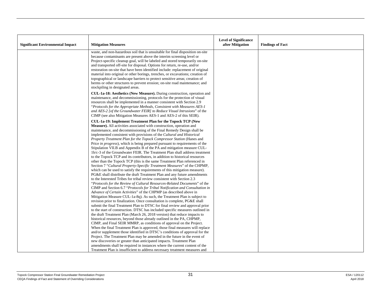| <b>Significant Environmental Impact</b> | <b>Mitigation Measures</b>                                                                                                                                                                                                                                                                                                                                                                                                                                                                                                                                                                                                                                                                                                                                                                                                                                                                                                                                                                                                                                                                                                                                                                                                                                                                                                                                                                                                                                                                                                                                                                                                                                                                                                                                                                                   | <b>Level of Significance</b><br>after Mitigation | <b>Findings of Fact</b> |
|-----------------------------------------|--------------------------------------------------------------------------------------------------------------------------------------------------------------------------------------------------------------------------------------------------------------------------------------------------------------------------------------------------------------------------------------------------------------------------------------------------------------------------------------------------------------------------------------------------------------------------------------------------------------------------------------------------------------------------------------------------------------------------------------------------------------------------------------------------------------------------------------------------------------------------------------------------------------------------------------------------------------------------------------------------------------------------------------------------------------------------------------------------------------------------------------------------------------------------------------------------------------------------------------------------------------------------------------------------------------------------------------------------------------------------------------------------------------------------------------------------------------------------------------------------------------------------------------------------------------------------------------------------------------------------------------------------------------------------------------------------------------------------------------------------------------------------------------------------------------|--------------------------------------------------|-------------------------|
|                                         | waste, and non-hazardous soil that is unsuitable for final disposition on-site<br>because contaminants are present above the interim screening level or<br>Project-specific cleanup goal, will be labeled and stored temporarily on-site<br>and transported off-site for disposal. Options for return, re-use, and/or<br>restoration on-site that have been identified include: replacement of original<br>material into original or other borings, trenches, or excavations; creation of<br>topographical or landscape barriers to protect sensitive areas; creation of<br>berms or other structures to prevent erosion; on-site road maintenance; and<br>stockpiling in designated areas.                                                                                                                                                                                                                                                                                                                                                                                                                                                                                                                                                                                                                                                                                                                                                                                                                                                                                                                                                                                                                                                                                                                  |                                                  |                         |
|                                         | CUL-1a-18: Aesthetics (New Measure). During construction, operation and<br>maintenance, and decommissioning, protocols for the protection of visual<br>resources shall be implemented in a manner consistent with Section 2.9<br>"Protocols for the Appropriate Methods, Consistent with Measures AES-1<br>and AES-2 [of the Groundwater FEIR] to Reduce Visual Intrusions" of the<br>CIMP (see also Mitigation Measures AES-1 and AES-2 of this SEIR).                                                                                                                                                                                                                                                                                                                                                                                                                                                                                                                                                                                                                                                                                                                                                                                                                                                                                                                                                                                                                                                                                                                                                                                                                                                                                                                                                      |                                                  |                         |
|                                         | CUL-1a-19: Implement Treatment Plan for the Topock TCP (New<br><b>Measure).</b> All activities associated with construction, operation and<br>maintenance, and decommissioning of the Final Remedy Design shall be<br>implemented consistent with provisions of the Cultural and Historical<br>Property Treatment Plan for the Topock Compressor Station (Hanes and<br>Price <i>in progress</i> ), which is being prepared pursuant to requirements of the<br>Stipulation VII.B and Appendix B of the PA and mitigation measure CUL-<br>1b/c-3 of the Groundwater FEIR. The Treatment Plan shall address treatment<br>to the Topock TCP and its contributors, in addition to historical resources<br>other than the Topock TCP (this is the same Treatment Plan referenced in<br>Section 7 "Cultural Property-Specific Treatment Measures" of the CHPMP,<br>which can be used to satisfy the requirements of this mitigation measure).<br>PG&E shall distribute the draft Treatment Plan and any future amendments<br>to the Interested Tribes for tribal review consistent with Section 2.3<br>"Protocols for the Review of Cultural Resources-Related Documents" of the<br>CIMP and Section 6.7 "Protocols for Tribal Notification and Consultation in<br>Advance of Certain Activities" of the CHPMP (as described above in<br>Mitigation Measure CUL-1a-8q). As such, the Treatment Plan is subject to<br>revision prior to finalization. Once consultation is complete, PG&E shall<br>submit the final Treatment Plan to DTSC for final review and approval prior<br>to the start of construction. DTSC has included specific measures outlined in<br>the draft Treatment Plan (March 26, 2018 version) that reduce impacts to<br>historical resources, beyond those already outlined in the PA, CHPMP, |                                                  |                         |
|                                         | CIMP, and Final SEIR MMRP, as conditions of approval on the Project.<br>When the final Treatment Plan is approved, those final measures will replace<br>and/or supplement those identified in DTSC's conditions of approval for the<br>Project. The Treatment Plan may be amended in the future in the event of<br>new discoveries or greater than anticipated impacts. Treatment Plan<br>amendments shall be required in instances where the current content of the<br>Treatment Plan is insufficient to address necessary treatment measures and                                                                                                                                                                                                                                                                                                                                                                                                                                                                                                                                                                                                                                                                                                                                                                                                                                                                                                                                                                                                                                                                                                                                                                                                                                                           |                                                  |                         |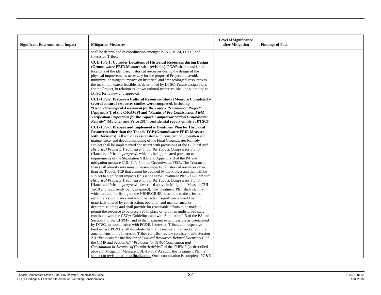| <b>Significant Environmental Impact</b> | <b>Mitigation Measures</b>                                                                                                                                                                                                                                                                                                                                                                                                                                                                                                                                                                                                                                                                                                                                                                                                                                                                                                                                                                                                                                                                                                                                                                                                                                                                                                                                                                                                                                                                                                                                                                                                                                                                                                                                                   | <b>Level of Significance</b><br>after Mitigation | <b>Findings of Fact</b> |
|-----------------------------------------|------------------------------------------------------------------------------------------------------------------------------------------------------------------------------------------------------------------------------------------------------------------------------------------------------------------------------------------------------------------------------------------------------------------------------------------------------------------------------------------------------------------------------------------------------------------------------------------------------------------------------------------------------------------------------------------------------------------------------------------------------------------------------------------------------------------------------------------------------------------------------------------------------------------------------------------------------------------------------------------------------------------------------------------------------------------------------------------------------------------------------------------------------------------------------------------------------------------------------------------------------------------------------------------------------------------------------------------------------------------------------------------------------------------------------------------------------------------------------------------------------------------------------------------------------------------------------------------------------------------------------------------------------------------------------------------------------------------------------------------------------------------------------|--------------------------------------------------|-------------------------|
|                                         |                                                                                                                                                                                                                                                                                                                                                                                                                                                                                                                                                                                                                                                                                                                                                                                                                                                                                                                                                                                                                                                                                                                                                                                                                                                                                                                                                                                                                                                                                                                                                                                                                                                                                                                                                                              |                                                  |                         |
|                                         | shall be determined in coordination amongst PG&E, BLM, DTSC, and<br>Interested Tribes.                                                                                                                                                                                                                                                                                                                                                                                                                                                                                                                                                                                                                                                                                                                                                                                                                                                                                                                                                                                                                                                                                                                                                                                                                                                                                                                                                                                                                                                                                                                                                                                                                                                                                       |                                                  |                         |
|                                         | <b>CUL-1b/c-1: Consider Locations of Historical Resources during Design</b><br>(Groundwater FEIR Measure with revisions). PG&E shall consider the<br>locations of the identified historical resources during the design of the<br>physical improvements necessary for the proposed Project and avoid,<br>minimize, or mitigate impacts on historical and archaeological resources to<br>the maximum extent feasible, as determined by DTSC. Future design plans<br>for the Project, in relation to known cultural resources, shall be submitted to<br>DTSC for review and approval.                                                                                                                                                                                                                                                                                                                                                                                                                                                                                                                                                                                                                                                                                                                                                                                                                                                                                                                                                                                                                                                                                                                                                                                          |                                                  |                         |
|                                         | CUL-1b/c-2: Prepare a Cultural Resources Study (Measure Completed –<br>several cultural resources studies were completed, including<br>"Geoarchaeological Assessment for the Topock Remediation Project"<br>[Appendix T of the C/RAWP] and "Results of Pre-Construction Field<br><b>Verification Inspections for the Topock Compressor Station Groundwater</b><br><i>Remedy</i> " [Moloney and Price 2014, confidential report on file at DTSC]).                                                                                                                                                                                                                                                                                                                                                                                                                                                                                                                                                                                                                                                                                                                                                                                                                                                                                                                                                                                                                                                                                                                                                                                                                                                                                                                            |                                                  |                         |
|                                         | CUL-1b/c-3: Prepare and Implement a Treatment Plan for Historical<br><b>Resources other than the Topock TCP (Groundwater FEIR Measure</b><br>with Revisions). All activities associated with construction, operation and<br>maintenance, and decommissioning of the Final Groundwater Remedy<br>Project shall be implemented consistent with provisions of the Cultural and<br>Historical Property Treatment Plan for the Topock Compressor Station<br>(Hanes and Price in progress), which is being prepared pursuant to<br>requirements of the Stipulation VII.B and Appendix B of the PA and<br>mitigation measure CUL-1b/c-3 of the Groundwater FEIR. The Treatment<br>Plan shall identify measures to lessen impacts to historical resources other<br>than the Topock TCP that cannot be avoided by the Project and that will be<br>subject to significant impacts (this is the same Treatment Plan - Cultural and<br>Historical Property Treatment Plan for the Topock Compressor Station<br>[Hanes and Price in progress] - described above in Mitigation Measure CUL-<br>1a-19 and is currently being prepared). The Treatment Plan shall identify<br>which criteria for listing on the NRHP/CRHR contribute to the affected<br>resource's significance and which aspects of significance would be<br>materially altered by construction, operation and maintenance, or<br>decommissioning and shall provide for reasonable efforts to be made to<br>permit the resource to be preserved in place or left in an undisturbed state<br>consistent with the CEQA Guidelines and with Stipulation I.B of the PA and<br>Section 7 of the CHPMP, and to the maximum extent feasible as determined<br>by DTSC, in coordination with PG&E, Interested Tribes, and respective |                                                  |                         |
|                                         | landowners. PG&E shall distribute the draft Treatment Plan and any future<br>amendments to the Interested Tribes for tribal review consistent with Section<br>2.3 "Protocols for the Review of Cultural Resources-Related Documents" of<br>the CIMP and Section 6.7 "Protocols for Tribal Notification and<br>Consultation in Advance of Certain Activities" of the CHPMP (as described<br>above in Mitigation Measure CUL-1a-8q). As such, the Treatment Plan is                                                                                                                                                                                                                                                                                                                                                                                                                                                                                                                                                                                                                                                                                                                                                                                                                                                                                                                                                                                                                                                                                                                                                                                                                                                                                                            |                                                  |                         |
|                                         | subject to revision prior to finalization. Once consultation is complete, PG&E                                                                                                                                                                                                                                                                                                                                                                                                                                                                                                                                                                                                                                                                                                                                                                                                                                                                                                                                                                                                                                                                                                                                                                                                                                                                                                                                                                                                                                                                                                                                                                                                                                                                                               |                                                  |                         |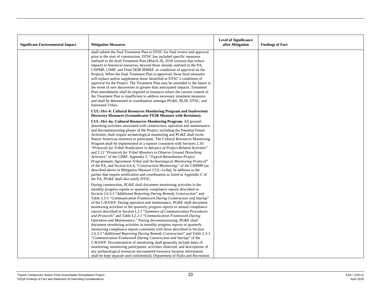| <b>Significant Environmental Impact</b> | <b>Mitigation Measures</b>                                                                                                                                                                                                                                                                                                                                                                                                                                                                                                                                                                                                                                                                                                                                                                                                                                                                                                                                                                                                                                                                                                                                                                                                                                                                          | <b>Level of Significance</b><br>after Mitigation | <b>Findings of Fact</b> |
|-----------------------------------------|-----------------------------------------------------------------------------------------------------------------------------------------------------------------------------------------------------------------------------------------------------------------------------------------------------------------------------------------------------------------------------------------------------------------------------------------------------------------------------------------------------------------------------------------------------------------------------------------------------------------------------------------------------------------------------------------------------------------------------------------------------------------------------------------------------------------------------------------------------------------------------------------------------------------------------------------------------------------------------------------------------------------------------------------------------------------------------------------------------------------------------------------------------------------------------------------------------------------------------------------------------------------------------------------------------|--------------------------------------------------|-------------------------|
|                                         | shall submit the final Treatment Plan to DTSC for final review and approval<br>prior to the start of construction. DTSC has included specific measures<br>outlined in the draft Treatment Plan (March 26, 2018 version) that reduce<br>impacts to historical resources, beyond those already outlined in the PA,<br>CHPMP, CIMP, and Final SEIR MMRP, as conditions of approval on the<br>Project). When the final Treatment Plan is approved, those final measures<br>will replace and/or supplement those identified in DTSC's conditions of<br>approval for the Project. The Treatment Plan may be amended in the future in<br>the event of new discoveries or greater than anticipated impacts. Treatment<br>Plan amendments shall be required in instances where the current content of<br>the Treatment Plan is insufficient to address necessary treatment measures<br>and shall be determined in coordination amongst PG&E, BLM, DTSC, and<br>Interested Tribes.<br>CUL-1b/c-4: Cultural Resources Monitoring Program and Inadvertent<br>Discovery Measures (Groundwater FEIR Measure with Revisions).                                                                                                                                                                                      |                                                  |                         |
|                                         | CUL-1b/c-4a: Cultural Resources Monitoring Program. All ground-<br>disturbing activities associated with construction, operation and maintenance,<br>and decommissioning phases of the Project, including the Potential Future<br>Activities, shall require archaeological monitoring and PG&E shall invite<br>Native American monitors to participate. The Cultural Resources Monitoring<br>Program shall be implemented in a manner consistent with Sections 2.10<br>"Protocols for Tribal Notification in Advance of Project-Related Activities"<br>and 2.12 "Protocols for Tribal Monitors to Observe Ground Disturbing<br>Activities" of the CIMP, Appendix C "Topock Remediation Project<br>Programmatic Agreement Tribal and Archaeological Monitoring Protocol"<br>of the PA, and Section 6.6.4, "Construction Monitoring," of the CHPMP (as<br>described above in Mitigation Measure CUL-1a-8q). In addition to the<br>parties that require notification and coordination as listed in Appendix C of<br>the PA, PG&E shall also notify DTSC.                                                                                                                                                                                                                                               |                                                  |                         |
|                                         | During construction, PG&E shall document monitoring activities in the<br>monthly progress reports or quarterly compliance reports described in<br>Section 2.6.3.3 "Additional Reporting During Remedy Construction" and<br>Table 2.3-1 "Communication Framework During Construction and Startup"<br>of the C/RAWP. During operation and maintenance, PG&E shall document<br>monitoring activities in the quarterly progress reports or annual compliance<br>reports described in Section L2.2 "Summary of Communication Procedures<br>and Protocols" and Table L2.2-1 "Communication Framework During<br>Operation and Maintenance." During decommissioning, PG&E shall<br>document monitoring activities in monthly progress reports or quarterly<br>monitoring compliance reports consistent with those described in Section<br>2.6.3.3 "Additional Reporting During Remedy Construction" and Table 2.3-1<br>"Communication Framework During Construction and Startup" of the<br>C/RAWP. Documentation of monitoring shall generally include dates of<br>monitoring, monitoring participants, activities observed, and descriptions of<br>any archaeological resources encountered (resource location information<br>shall be kept separate and confidential). Department of Parks and Recreation |                                                  |                         |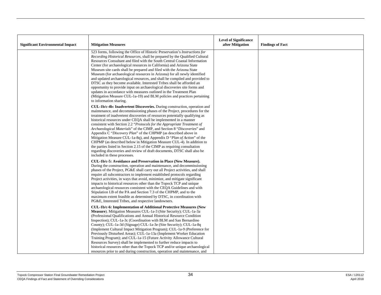| <b>Significant Environmental Impact</b> | <b>Mitigation Measures</b>                                                                                                                                                                                                                                                                                                                                                                                                                                                                                                                                                                                                                                                                                                                                                                                                                                                                     | <b>Level of Significance</b><br>after Mitigation | <b>Findings of Fact</b> |
|-----------------------------------------|------------------------------------------------------------------------------------------------------------------------------------------------------------------------------------------------------------------------------------------------------------------------------------------------------------------------------------------------------------------------------------------------------------------------------------------------------------------------------------------------------------------------------------------------------------------------------------------------------------------------------------------------------------------------------------------------------------------------------------------------------------------------------------------------------------------------------------------------------------------------------------------------|--------------------------------------------------|-------------------------|
|                                         | 523 forms, following the Office of Historic Preservation's Instructions for<br><i>Recording Historical Resources, shall be prepared by the Qualified Cultural</i><br>Resources Consultant and filed with the South Central Coastal Information<br>Center (for archaeological resources in California) and Arizona State<br>Museum site cards shall be prepared and filed with the Arizona State<br>Museum (for archaeological resources in Arizona) for all newly identified<br>and updated archaeological resources, and shall be compiled and provided to<br>DTSC as they become available. Interested Tribes shall be afforded an<br>opportunity to provide input on archaeological discoveries site forms and<br>updates in accordance with measures outlined in the Treatment Plan<br>(Mitigation Measure CUL-1a-19) and BLM policies and practices pertaining<br>to information sharing. |                                                  |                         |
|                                         | <b>CUL-1b/c-4b: Inadvertent Discoveries.</b> During construction, operation and<br>maintenance, and decommissioning phases of the Project, procedures for the<br>treatment of inadvertent discoveries of resources potentially qualifying as<br>historical resources under CEQA shall be implemented in a manner<br>consistent with Section 2.2 "Protocols for the Appropriate Treatment of<br>Archaeological Materials" of the CIMP, and Section 8 "Discoveries" and<br>Appendix C "Discovery Plan" of the CHPMP (as described above in<br>Mitigation Measure CUL-1a-8q), and Appendix D "Plan of Action" of the<br>CHPMP (as described below in Mitigation Measure CUL-4). In addition to<br>the parties listed in Section 2.15 of the CIMP as requiring consultation<br>regarding discoveries and review of draft documents, DTSC shall also be<br>included in these processes.             |                                                  |                         |
|                                         | CUL-1b/c-5: Avoidance and Preservation in Place (New Measure).<br>During the construction, operation and maintenance, and decommissioning<br>phases of the Project, PG&E shall carry out all Project activities, and shall<br>require all subcontractors to implement established protocols regarding<br>Project activities, in ways that avoid, minimize, and mitigate significant<br>impacts to historical resources other than the Topock TCP and unique<br>archaeological resources consistent with the CEQA Guidelines and with<br>Stipulation I.B of the PA and Section 7.3 of the CHPMP, and to the<br>maximum extent feasible as determined by DTSC, in coordination with<br>PG&E, Interested Tribes, and respective landowners.                                                                                                                                                       |                                                  |                         |
|                                         | CUL-1b/c-6: Implementation of Additional Protective Measures (New<br><b>Measure</b> ). Mitigation Measures CUL-1a-3 (Site Security); CUL-1a-3a<br>(Professional Qualifications and Annual Historical Resource Condition<br>Inspection); CUL-1a-3c (Coordination with BLM and San Bernardino<br>County); CUL-1a-3d (Signage) CUL-1a-3e (Site Security); CUL-1a-8q<br>(Implement Cultural Impact Mitigation Program); CUL-1a-9 (Preference for<br>Previously Disturbed Areas); CUL-1a-13a (Implement Worker Education<br>Training Program); and CUL-1a-15 (Future Activity Allowance Cultural<br>Resources Survey) shall be implemented to further reduce impacts to<br>historical resources other than the Topock TCP and/or unique archaeological<br>resources prior to and during construction, operation and maintenance, and                                                                |                                                  |                         |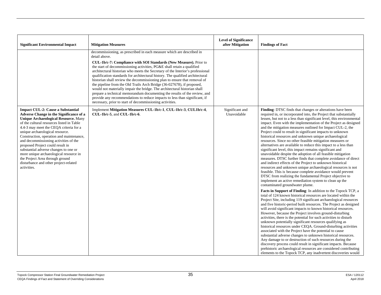| <b>Significant Environmental Impact</b>                                                                                                                                                                                                                                                                                                                                                                                                                                                                                                                                    | <b>Mitigation Measures</b>                                                                                                                                                                                                                                                                                                                                                                                                                                                                                                                                                                                                                                                                                                                                                                                                                                           | <b>Level of Significance</b><br>after Mitigation | <b>Findings of Fact</b>                                                                                                                                                                                                                                                                                                                                                                                                                                                                                                                                                                                                                                                                                                                                                                                                                                                                                                                                                                                                                                                                                                                       |
|----------------------------------------------------------------------------------------------------------------------------------------------------------------------------------------------------------------------------------------------------------------------------------------------------------------------------------------------------------------------------------------------------------------------------------------------------------------------------------------------------------------------------------------------------------------------------|----------------------------------------------------------------------------------------------------------------------------------------------------------------------------------------------------------------------------------------------------------------------------------------------------------------------------------------------------------------------------------------------------------------------------------------------------------------------------------------------------------------------------------------------------------------------------------------------------------------------------------------------------------------------------------------------------------------------------------------------------------------------------------------------------------------------------------------------------------------------|--------------------------------------------------|-----------------------------------------------------------------------------------------------------------------------------------------------------------------------------------------------------------------------------------------------------------------------------------------------------------------------------------------------------------------------------------------------------------------------------------------------------------------------------------------------------------------------------------------------------------------------------------------------------------------------------------------------------------------------------------------------------------------------------------------------------------------------------------------------------------------------------------------------------------------------------------------------------------------------------------------------------------------------------------------------------------------------------------------------------------------------------------------------------------------------------------------------|
|                                                                                                                                                                                                                                                                                                                                                                                                                                                                                                                                                                            | decommissioning, as prescribed in each measure which are described in<br>detail above.<br>CUL-1b/c-7: Compliance with SOI Standards (New Measure). Prior to<br>the start of decommissioning activities, PG&E shall retain a qualified<br>architectural historian who meets the Secretary of the Interior's professional<br>qualification standards for architectural history. The qualified architectural<br>historian shall review the decommissioning plan to ensure that removal of<br>the pipeline from the Old Trails Arch Bridge (36-027678), if proposed,<br>would not materially impair the bridge. The architectural historian shall<br>prepare a technical memorandum documenting the results of the review, and<br>provide any recommendations to reduce impacts to less than significant, if<br>necessary, prior to start of decommissioning activities. |                                                  |                                                                                                                                                                                                                                                                                                                                                                                                                                                                                                                                                                                                                                                                                                                                                                                                                                                                                                                                                                                                                                                                                                                                               |
| <b>Impact CUL-2: Cause a Substantial</b><br><b>Adverse Change in the Significance of a</b><br><b>Unique Archaeological Resource. Many</b><br>of the cultural resources listed in Table<br>4.4-3 may meet the CEOA criteria for a<br>unique archaeological resource.<br>Construction, operation and maintenance,<br>and decommissioning activities of the<br>proposed Project could result in<br>substantial adverse changes to one or<br>more unique archaeological resource in<br>the Project Area through ground<br>disturbance and other project-related<br>activities. | Implement Mitigation Measures CUL-1b/c-1, CUL-1b/c-3, CUL1b/c-4,<br>$CUL-1b/c-5$ , and $CUL-1b/c-6$ .                                                                                                                                                                                                                                                                                                                                                                                                                                                                                                                                                                                                                                                                                                                                                                | Significant and<br>Unavoidable                   | Finding: DTSC finds that changes or alterations have been<br>required in, or incorporated into, the Project that substantially<br>lessen, but not to a less than significant level, this environmental<br>impact. Even with the implementation of the Project as designed<br>and the mitigation measures outlined for Impact CUL-2, the<br>Project could to result in significant impacts to unknown<br>historical resources and unknown unique archaeological<br>resources. Since no other feasible mitigation measures or<br>alternatives are available to reduce this impact to a less than<br>significant level, this impact remains significant and<br>unavoidable despite the adoption of all feasible mitigation<br>measures. DTSC further finds that complete avoidance of direct<br>and indirect effects of the Project to unknown historical<br>resources and unknown unique archaeological resources is not<br>feasible. This is because complete avoidance would prevent<br>DTSC from realizing the fundamental Project objective to<br>implement an active remediation system to clean up the<br>contaminated groundwater plume. |
|                                                                                                                                                                                                                                                                                                                                                                                                                                                                                                                                                                            |                                                                                                                                                                                                                                                                                                                                                                                                                                                                                                                                                                                                                                                                                                                                                                                                                                                                      |                                                  | Facts in Support of Finding: In addition to the Topock TCP, a<br>total of 124 known historical resources are located within the<br>Project Site, including 119 significant archaeological resources<br>and five historic-period built resources. The Project as designed<br>will avoid significant impacts to known historical resources.<br>However, because the Project involves ground-disturbing<br>activities, there is the potential for such activities to disturb<br>unknown potentially significant resources qualifying as<br>historical resources under CEQA. Ground-disturbing activities<br>associated with the Project have the potential to cause<br>substantial adverse changes to unknown historical resources.<br>Any damage to or destruction of such resources during the<br>discovery process could result in significant impacts. Because<br>prehistoric archaeological resources are considered contributing<br>elements to the Topock TCP, any inadvertent discoveries would                                                                                                                                          |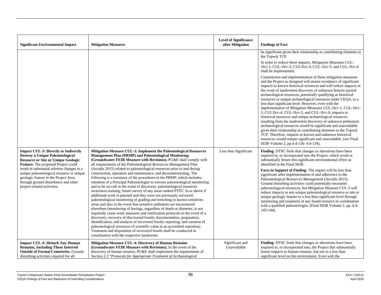| <b>Significant Environmental Impact</b>                                                                                                                                                                | <b>Mitigation Measures</b>                                                                                                                                                                                                                                                                                                                                                                                                                                                                                                                                                                                                                                                                                                                                                                                                                                                                                                                                                                                                                                                                                                                                                                                        | <b>Level of Significance</b><br>after Mitigation | <b>Findings of Fact</b>                                                                                                                                                                                                                                                                                                                                                                                                                                                                                                                                                                                                                                                                                                                                                                                                                                                                                                                                                                                                       |
|--------------------------------------------------------------------------------------------------------------------------------------------------------------------------------------------------------|-------------------------------------------------------------------------------------------------------------------------------------------------------------------------------------------------------------------------------------------------------------------------------------------------------------------------------------------------------------------------------------------------------------------------------------------------------------------------------------------------------------------------------------------------------------------------------------------------------------------------------------------------------------------------------------------------------------------------------------------------------------------------------------------------------------------------------------------------------------------------------------------------------------------------------------------------------------------------------------------------------------------------------------------------------------------------------------------------------------------------------------------------------------------------------------------------------------------|--------------------------------------------------|-------------------------------------------------------------------------------------------------------------------------------------------------------------------------------------------------------------------------------------------------------------------------------------------------------------------------------------------------------------------------------------------------------------------------------------------------------------------------------------------------------------------------------------------------------------------------------------------------------------------------------------------------------------------------------------------------------------------------------------------------------------------------------------------------------------------------------------------------------------------------------------------------------------------------------------------------------------------------------------------------------------------------------|
|                                                                                                                                                                                                        |                                                                                                                                                                                                                                                                                                                                                                                                                                                                                                                                                                                                                                                                                                                                                                                                                                                                                                                                                                                                                                                                                                                                                                                                                   |                                                  | be significant given their relationship as contributing elements to<br>the Topock TCP.<br>In order to reduce these impacts, Mitigation Measures CUL-                                                                                                                                                                                                                                                                                                                                                                                                                                                                                                                                                                                                                                                                                                                                                                                                                                                                          |
|                                                                                                                                                                                                        |                                                                                                                                                                                                                                                                                                                                                                                                                                                                                                                                                                                                                                                                                                                                                                                                                                                                                                                                                                                                                                                                                                                                                                                                                   |                                                  | 1b/c-1, CUL-1b/c-3, CUL1b/c-4, CUL-1b/c-5, and CUL-1b/c-6<br>shall be implemented.                                                                                                                                                                                                                                                                                                                                                                                                                                                                                                                                                                                                                                                                                                                                                                                                                                                                                                                                            |
|                                                                                                                                                                                                        |                                                                                                                                                                                                                                                                                                                                                                                                                                                                                                                                                                                                                                                                                                                                                                                                                                                                                                                                                                                                                                                                                                                                                                                                                   |                                                  | Construction and implementation of these mitigation measures<br>and the Project as designed will ensure avoidance of significant<br>impacts to known historical resources and will reduce impacts in<br>the event of inadvertent discovery of unknown historic-period<br>archaeological resources, potentially qualifying as historical<br>resources or unique archaeological resources under CEQA, to a<br>less than significant level. However, even with the<br>implementation of Mitigation Measures CUL-1b/c-1, CUL-1b/c-<br>3, CUL1b/c-4, CUL-1b/c-5, and CUL-1b/c-6, impacts to<br>historical resources and unique archaeological resources<br>resulting from the inadvertent discovery of unknown prehistoric<br>archaeological resources would be significant and unavoidable<br>given their relationship as contributing elements to the Topock<br>TCP. Therefore, impacts to known and unknown historical<br>resources would remain significant and unavoidable. (see Final<br>SEIR Volume 2, pp.4.4-136-4.4-139). |
| <b>Impact CUL-3: Directly or Indirectly</b><br>Destroy a Unique Paleontological<br><b>Resource or Site or Unique Geologic</b><br>Feature. The proposed Project could                                   | Mitigation Measure CUL-3: Implement the Paleontological Resources<br>Management Plan (PRMP) and Paleontological Monitoring<br><b>(Groundwater FEIR Measure with Revisions).</b> PG&E shall comply with<br>all requirements of the Paleontological Resources Management Plan                                                                                                                                                                                                                                                                                                                                                                                                                                                                                                                                                                                                                                                                                                                                                                                                                                                                                                                                       | Less than Significant                            | Finding: DTSC finds that changes or alterations have been<br>required in, or incorporated into the Project, which avoid or<br>substantially lessen this significant environmental effect as<br>identified in the Final SEIR.                                                                                                                                                                                                                                                                                                                                                                                                                                                                                                                                                                                                                                                                                                                                                                                                  |
| result in substantial adverse changes to a<br>unique paleontological resource or unique<br>geologic feature in the Project Area<br>through ground disturbance and other<br>project-related activities. | (Arcadis 2015) related to paleontological resources prior to and during<br>construction, operation and maintenance, and decommissioning. The<br>following is a summary of the procedures in the PRMP, which includes:<br>retention of a Principal Paleontologist to oversee paleontological monitoring<br>and to be on-call in the event of discovery; paleontological resources<br>awareness training; future survey of any areas ranked PYFC 3a or above if<br>additional work is planned and they were not previously surveyed;<br>paleontological monitoring of grading and trenching in known sensitives<br>areas and also in the event that sensitive sediments are encountered<br>elsewhere (monitoring of borings, regardless of depth or diameter, is not<br>required); cease work measures and notification protocols in the event of a<br>discovery; recovery of discovered fossils; documentation, preparation,<br>identification, and analysis of recovered fossils; reporting; and curation of<br>paleontological resources of scientific value at an accredited repository.<br>Treatment and disposition of recovered fossils shall be conducted in<br>coordination with the respective landowner. |                                                  | Facts in Support of Finding: The impact will be less than<br>significant after implementation of and adherence to the<br>Paleontological Resources Management (Arcadis 2015).<br>Ground disturbing activities could potentially encounter<br>paleontological resources, but Mitigation Measure CUL-3 will<br>reduce impacts to any unique paleontological resource or site or<br>unique geologic feature to a less than significant level through<br>monitoring and treatment of any found resource in coordination<br>with a qualified paleontologist. (Final SEIR Volume 2, pp. 4.4-<br>$143-144$ ).                                                                                                                                                                                                                                                                                                                                                                                                                        |
| <b>Impact CUL-4: Disturb Any Human</b><br><b>Remains, Including Those Interred</b><br><b>Outside of Formal Cemeteries.</b> Ground-<br>disturbing activities required for all                           | <b>Mitigation Measure CUL-4: Discovery of Human Remains</b><br>(Groundwater FEIR Measure with Revisions). In the event of the<br>discovery of human remains, PG&E shall implement the requirements of<br>Section 2.2 "Protocols for Appropriate Treatment of Archaeological                                                                                                                                                                                                                                                                                                                                                                                                                                                                                                                                                                                                                                                                                                                                                                                                                                                                                                                                       | Significant and<br>Unavoidable                   | Finding: DTSC finds that changes or alterations have been<br>required in, or incorporated into, the Project that substantially<br>lessen impacts to human remains, but not to a less than<br>significant level on the environment. Even with the                                                                                                                                                                                                                                                                                                                                                                                                                                                                                                                                                                                                                                                                                                                                                                              |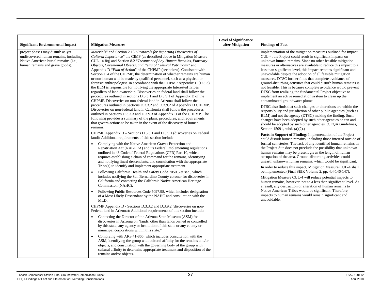| <b>Significant Environmental Impact</b>                                                                                                                | <b>Mitigation Measures</b>                                                                                                                                                                                                                                                                                                                                                                                                                                                                                                                                                                                                                                                                                                                                                                                                                                                                                                                                                                                                                                                                                                                                                                                                                                                                                                                                                                                                                                                                                                                                                                                                                                                                                                                                                                                                                                                                                                                                                                                                                                                                                                                                                                                                                                                                                                                                                                                                                                                                                                                                                                                                                                                                                                                                                  | <b>Level of Significance</b><br>after Mitigation | <b>Findings of Fact</b>                                                                                                                                                                                                                                                                                                                                                                                                                                                                                                                                                                                                                                                                                                                                                                                                                                                                                                                                                                                                                                                                                                                                                                                                                                                                                                                                                                                                                                                                                                                                                                                                                                                                                                                                                                                                                                                                                                                                                                                                                                  |
|--------------------------------------------------------------------------------------------------------------------------------------------------------|-----------------------------------------------------------------------------------------------------------------------------------------------------------------------------------------------------------------------------------------------------------------------------------------------------------------------------------------------------------------------------------------------------------------------------------------------------------------------------------------------------------------------------------------------------------------------------------------------------------------------------------------------------------------------------------------------------------------------------------------------------------------------------------------------------------------------------------------------------------------------------------------------------------------------------------------------------------------------------------------------------------------------------------------------------------------------------------------------------------------------------------------------------------------------------------------------------------------------------------------------------------------------------------------------------------------------------------------------------------------------------------------------------------------------------------------------------------------------------------------------------------------------------------------------------------------------------------------------------------------------------------------------------------------------------------------------------------------------------------------------------------------------------------------------------------------------------------------------------------------------------------------------------------------------------------------------------------------------------------------------------------------------------------------------------------------------------------------------------------------------------------------------------------------------------------------------------------------------------------------------------------------------------------------------------------------------------------------------------------------------------------------------------------------------------------------------------------------------------------------------------------------------------------------------------------------------------------------------------------------------------------------------------------------------------------------------------------------------------------------------------------------------------|--------------------------------------------------|----------------------------------------------------------------------------------------------------------------------------------------------------------------------------------------------------------------------------------------------------------------------------------------------------------------------------------------------------------------------------------------------------------------------------------------------------------------------------------------------------------------------------------------------------------------------------------------------------------------------------------------------------------------------------------------------------------------------------------------------------------------------------------------------------------------------------------------------------------------------------------------------------------------------------------------------------------------------------------------------------------------------------------------------------------------------------------------------------------------------------------------------------------------------------------------------------------------------------------------------------------------------------------------------------------------------------------------------------------------------------------------------------------------------------------------------------------------------------------------------------------------------------------------------------------------------------------------------------------------------------------------------------------------------------------------------------------------------------------------------------------------------------------------------------------------------------------------------------------------------------------------------------------------------------------------------------------------------------------------------------------------------------------------------------------|
| project phases may disturb as-yet<br>undiscovered human remains, including<br>Native American burial remains (i.e.,<br>human remains and grave goods). | Materials" and Section 2.15 "Protocols for Reporting Discoveries of<br><i>Cultural Importance</i> " the CIMP (as described above in Mitigation Measure<br>CUL-1a-8q) and Section 8.2 "Treatment of Any Human Remains, Funerary<br>Objects, Ceremonial Objects, and Items of Cultural Patrimony" and<br>Appendix D "Plan of Action" of the CHPMP (see below). Consistent with<br>Section D.4 of the CHPMP, the determination of whether remains are human<br>or non-human will be made by qualified personnel, such as a physical or<br>forensic anthropologist. In accordance with the CHPMP Appendix D (D.3.3),<br>the BLM is responsible for notifying the appropriate Interested Tribes<br>regardless of land ownership. Discoveries on federal land shall follow the<br>procedures outlined in sections D.3.3.1 and D.3.9.1 of Appendix D of the<br>CHPMP. Discoveries on non-federal land in Arizona shall follow the<br>procedures outlined in Sections D.3.3.2 and D.3.9.2 of Appendix D CHPMP.<br>Discoveries on non-federal land in California shall follow the procedures<br>outlined in Sections D.3.3.3 and D.3.9.3 of Appendix D of the CHPMP. The<br>following provides a summary of the plans, procedures, and requirements<br>that govern actions to be taken in the event of the discovery of human<br>remains.<br>CHPMP Appendix $D -$ Sections D.3.3.1 and D.3.9.1 (discoveries on Federal<br>land): Additional requirements of this section include:<br>Complying with the Native American Graves Protection and<br>$\bullet$<br>Repatriation Act (NAGPRA) and its Federal implementing regulations<br>outlined in 43 Code of Federal Regulations (CFR) Part 10, which<br>requires establishing a chain of command for the remains, identifying<br>and notifying lineal descendants, and consultation with the appropriate<br>Tribe(s) to identify and implement appropriate treatment.<br>Following California Health and Safety Code 7050.5 et seq., which<br>$\bullet$<br>includes notifying the San Bernardino County coroner for discoveries in<br>California and contacting the California Native American Heritage<br>Commission (NAHC).<br>Following Public Resources Code 5097.98, which includes designation<br>$\bullet$<br>of a Most Likely Descendant by the NAHC and consultation with the<br>MLD.<br>CHPMP Appendix D - Sections D.3.3.2 and D.3.9.2 (discoveries on non-<br>Federal land in Arizona): Additional requirements of this section include:<br>Contacting the Director of the Arizona State Museum (ASM) for<br>$\bullet$<br>discoveries in Arizona on "lands, other than lands owned or controlled<br>by this state, any agency or institution of this state or any county or<br>municipal corporations within this state." |                                                  | implementation of the mitigation measures outlined for Impact<br>CUL-4, the Project could result in significant impacts on<br>unknown human remains. Since no other feasible mitigation<br>measures or alternatives are available to reduce this impact to a<br>less than significant level, this impact remains significant and<br>unavoidable despite the adoption of all feasible mitigation<br>measures. DTSC further finds that complete avoidance of<br>ground-disturbing activities that could disturb human remains is<br>not feasible. This is because complete avoidance would prevent<br>DTSC from realizing the fundamental Project objective to<br>implement an active remediation system to clean up the<br>contaminated groundwater plume.<br>DTSC also finds that such changes or alterations are within the<br>responsibility and jurisdiction of other public agencies (such as<br>BLM) and not the agency (DTSC) making the finding. Such<br>changes have been adopted by such other agencies or can and<br>should be adopted by such other agencies. (CEQA Guidelines,<br>Section 15091, subd. (a)(2).)<br>Facts in Support of Finding: Implementation of the Project<br>could disturb human remains, including those interred outside of<br>formal cemeteries. The lack of any identified human remains in<br>the Project Site does not preclude the possibility that unknown<br>human remains may be present given the length of human<br>occupation of the area. Ground-disturbing activities could<br>unearth unknown human remains, which would be significant.<br>In order to reduce this impact, Mitigation Measure CUL-4 shall<br>be implemented (Final SEIR Volume 2, pp. 4.4-146-147).<br>Mitigation Measure CUL-4 will reduce potential impacts to<br>human remains, however, not to a less than significant level. As<br>a result, any destruction or alteration of human remains to<br>Native American Tribes would be significant. Therefore,<br>impacts to human remains would remain significant and<br>unavoidable. |
|                                                                                                                                                        | Complying with ARS 41-865, which includes consultation with the<br>$\bullet$<br>ASM, identifying the group with cultural affinity for the remains and/or<br>objects, and consultation with the governing body of the group with<br>cultural affinity to determine appropriate treatment and disposition of the<br>remains and/or objects.                                                                                                                                                                                                                                                                                                                                                                                                                                                                                                                                                                                                                                                                                                                                                                                                                                                                                                                                                                                                                                                                                                                                                                                                                                                                                                                                                                                                                                                                                                                                                                                                                                                                                                                                                                                                                                                                                                                                                                                                                                                                                                                                                                                                                                                                                                                                                                                                                                   |                                                  |                                                                                                                                                                                                                                                                                                                                                                                                                                                                                                                                                                                                                                                                                                                                                                                                                                                                                                                                                                                                                                                                                                                                                                                                                                                                                                                                                                                                                                                                                                                                                                                                                                                                                                                                                                                                                                                                                                                                                                                                                                                          |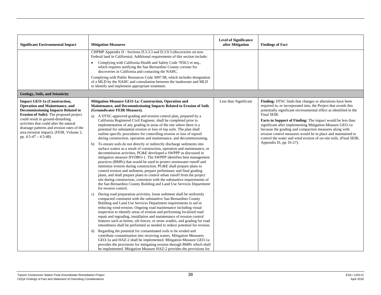| <b>Significant Environmental Impact</b>                                                                                                                                                                                                                                                                                                                                           | <b>Mitigation Measures</b>                                                                                                                                                                                                                                                                                                                                                                                                                                                                                                                                                                                                                                                                                                                                                                                                                                                                                                                                                                                                                                                                                                                                                                                                                                                                                                                                                                                                                                                                                                                                                                                                                                                                                                                                                                                                                                                                                                        | <b>Level of Significance</b><br>after Mitigation | <b>Findings of Fact</b>                                                                                                                                                                                                                                                                                                                                                                                                                                                                                                                                               |
|-----------------------------------------------------------------------------------------------------------------------------------------------------------------------------------------------------------------------------------------------------------------------------------------------------------------------------------------------------------------------------------|-----------------------------------------------------------------------------------------------------------------------------------------------------------------------------------------------------------------------------------------------------------------------------------------------------------------------------------------------------------------------------------------------------------------------------------------------------------------------------------------------------------------------------------------------------------------------------------------------------------------------------------------------------------------------------------------------------------------------------------------------------------------------------------------------------------------------------------------------------------------------------------------------------------------------------------------------------------------------------------------------------------------------------------------------------------------------------------------------------------------------------------------------------------------------------------------------------------------------------------------------------------------------------------------------------------------------------------------------------------------------------------------------------------------------------------------------------------------------------------------------------------------------------------------------------------------------------------------------------------------------------------------------------------------------------------------------------------------------------------------------------------------------------------------------------------------------------------------------------------------------------------------------------------------------------------|--------------------------------------------------|-----------------------------------------------------------------------------------------------------------------------------------------------------------------------------------------------------------------------------------------------------------------------------------------------------------------------------------------------------------------------------------------------------------------------------------------------------------------------------------------------------------------------------------------------------------------------|
|                                                                                                                                                                                                                                                                                                                                                                                   | CHPMP Appendix D - Sections D.3.3.3 and D.3.9.3 (discoveries on non-<br>Federal land in California): Additional requirements of this section include:                                                                                                                                                                                                                                                                                                                                                                                                                                                                                                                                                                                                                                                                                                                                                                                                                                                                                                                                                                                                                                                                                                                                                                                                                                                                                                                                                                                                                                                                                                                                                                                                                                                                                                                                                                             |                                                  |                                                                                                                                                                                                                                                                                                                                                                                                                                                                                                                                                                       |
|                                                                                                                                                                                                                                                                                                                                                                                   | Complying with California Health and Safety Code 7050.5 et seq.,<br>which requires notifying the San Bernardino County coroner for<br>discoveries in California and contacting the NAHC.                                                                                                                                                                                                                                                                                                                                                                                                                                                                                                                                                                                                                                                                                                                                                                                                                                                                                                                                                                                                                                                                                                                                                                                                                                                                                                                                                                                                                                                                                                                                                                                                                                                                                                                                          |                                                  |                                                                                                                                                                                                                                                                                                                                                                                                                                                                                                                                                                       |
|                                                                                                                                                                                                                                                                                                                                                                                   | Complying with Public Resources Code 5097.98, which includes designation<br>of a MLD by the NAHC and consultation between the landowner and MLD<br>to identify and implement appropriate treatment.                                                                                                                                                                                                                                                                                                                                                                                                                                                                                                                                                                                                                                                                                                                                                                                                                                                                                                                                                                                                                                                                                                                                                                                                                                                                                                                                                                                                                                                                                                                                                                                                                                                                                                                               |                                                  |                                                                                                                                                                                                                                                                                                                                                                                                                                                                                                                                                                       |
| Geology, Soils, and Seismicity                                                                                                                                                                                                                                                                                                                                                    |                                                                                                                                                                                                                                                                                                                                                                                                                                                                                                                                                                                                                                                                                                                                                                                                                                                                                                                                                                                                                                                                                                                                                                                                                                                                                                                                                                                                                                                                                                                                                                                                                                                                                                                                                                                                                                                                                                                                   |                                                  |                                                                                                                                                                                                                                                                                                                                                                                                                                                                                                                                                                       |
| <b>Impact GEO-1a (Construction,</b><br><b>Operation and Maintenance, and</b><br><b>Decommissioning Impacts Related to</b><br><b>Erosion of Soils</b> ): The proposed project<br>could result in ground-disturbing<br>activities that could alter the natural<br>drainage patterns and erosion rates of the<br>area (erosion impact). (FEIR, Volume 2,<br>pp. $4.5-47 - 4.5-48$ ). | Mitigation Measure GEO-1a: Construction, Operation and<br>Maintenance, and Decommissioning Impacts Related to Erosion of Soils<br>(Groundwater FEIR Measure).<br>a) A DTSC-approved grading and erosion control plan, prepared by a<br>California Registered Civil Engineer, shall be completed prior to<br>implementation of any grading in areas of the site where there is a<br>potential for substantial erosion or loss of top soils. The plan shall<br>outline specific procedures for controlling erosion or loss of topsoil<br>during construction, operation and maintenance, and decommissioning.<br>To ensure soils do not directly or indirectly discharge sediments into<br>b)<br>surface waters as a result of construction, operation and maintenance, or<br>decommission activities, PG&E developed a SWPPP as discussed in<br>mitigation measure HYDRO-1. The SWPPP identifies best management<br>practices (BMPs) that would be used to protect stormwater runoff and<br>minimize erosion during construction. PG&E shall prepare plans to<br>control erosion and sediment, prepare preliminary and final grading<br>plans, and shall prepare plans to control urban runoff from the project<br>site during construction, consistent with the substantive requirements of<br>the San Bernardino County Building and Land Use Services Department<br>for erosion control.<br>During road preparation activities, loose sediment shall be uniformly<br>$\mathbf{c}$ )<br>compacted consistent with the substantive San Bernardino County<br>Building and Land Use Services Department requirements to aid in<br>reducing wind erosion. Ongoing road maintenance including visual<br>inspection to identify areas of erosion and performing localized road<br>repair and regrading, installation and maintenance of erosion control<br>features such as berms, silt fences, or straw wattles, and grading for road | Less than Significant                            | Finding: DTSC finds that changes or alterations have been<br>required in, or incorporated into, the Project that avoids this<br>potentially significant environmental effect as identified in the<br>Final SEIR.<br>Facts in Support of Finding: The impact would be less than<br>significant after implementing Mitigation Measure GEO-1a<br>because the grading and compaction measures along with<br>erosion control measures would be in place and maintained to<br>control the water and wind erosion of on-site soils. (Final SEIR,<br>Appendix IS, pp. IS-27). |
|                                                                                                                                                                                                                                                                                                                                                                                   | smoothness shall be performed as needed to reduce potential for erosion.<br>Regarding the potential for contaminated soils to be eroded and<br>d)<br>contribute contamination into receiving waters, Mitigation Measures<br>GEO-1a and HAZ-2 shall be implemented. Mitigation Measure GEO-1a<br>provides the provisions for mitigating erosion through BMPs which shall<br>be implemented. Mitigation Measure HAZ-2 provides the provisions for                                                                                                                                                                                                                                                                                                                                                                                                                                                                                                                                                                                                                                                                                                                                                                                                                                                                                                                                                                                                                                                                                                                                                                                                                                                                                                                                                                                                                                                                                   |                                                  |                                                                                                                                                                                                                                                                                                                                                                                                                                                                                                                                                                       |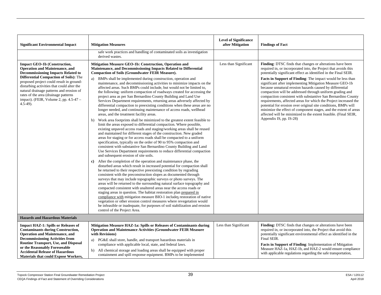| <b>Significant Environmental Impact</b>                                                                                                                                                                                                                                                                                                                                                                    | <b>Mitigation Measures</b>                                                                                                                                                                                                                                                                                                                                                                                                                                                                                                                                                                                                                                                                                                                                                                                                                                                                                                                                                                                                                                                                                                                                                                                                                                                                                                                                                                                                                                                                                                                                                                                                                                                                                                                                                                                                                                                                                                                                                                                                                                                                                                                                                                                                                                                                                                                                    | <b>Level of Significance</b><br>after Mitigation | <b>Findings of Fact</b>                                                                                                                                                                                                                                                                                                                                                                                                                                                                                                                                                                                                                                                                                                                                                                                                   |  |  |
|------------------------------------------------------------------------------------------------------------------------------------------------------------------------------------------------------------------------------------------------------------------------------------------------------------------------------------------------------------------------------------------------------------|---------------------------------------------------------------------------------------------------------------------------------------------------------------------------------------------------------------------------------------------------------------------------------------------------------------------------------------------------------------------------------------------------------------------------------------------------------------------------------------------------------------------------------------------------------------------------------------------------------------------------------------------------------------------------------------------------------------------------------------------------------------------------------------------------------------------------------------------------------------------------------------------------------------------------------------------------------------------------------------------------------------------------------------------------------------------------------------------------------------------------------------------------------------------------------------------------------------------------------------------------------------------------------------------------------------------------------------------------------------------------------------------------------------------------------------------------------------------------------------------------------------------------------------------------------------------------------------------------------------------------------------------------------------------------------------------------------------------------------------------------------------------------------------------------------------------------------------------------------------------------------------------------------------------------------------------------------------------------------------------------------------------------------------------------------------------------------------------------------------------------------------------------------------------------------------------------------------------------------------------------------------------------------------------------------------------------------------------------------------|--------------------------------------------------|---------------------------------------------------------------------------------------------------------------------------------------------------------------------------------------------------------------------------------------------------------------------------------------------------------------------------------------------------------------------------------------------------------------------------------------------------------------------------------------------------------------------------------------------------------------------------------------------------------------------------------------------------------------------------------------------------------------------------------------------------------------------------------------------------------------------------|--|--|
|                                                                                                                                                                                                                                                                                                                                                                                                            | safe work practices and handling of contaminated soils as investigation<br>derived wastes.                                                                                                                                                                                                                                                                                                                                                                                                                                                                                                                                                                                                                                                                                                                                                                                                                                                                                                                                                                                                                                                                                                                                                                                                                                                                                                                                                                                                                                                                                                                                                                                                                                                                                                                                                                                                                                                                                                                                                                                                                                                                                                                                                                                                                                                                    |                                                  |                                                                                                                                                                                                                                                                                                                                                                                                                                                                                                                                                                                                                                                                                                                                                                                                                           |  |  |
| <b>Impact GEO-1b (Construction,</b><br><b>Operation and Maintenance, and</b><br><b>Decommissioning Impacts Related to</b><br>Differential Compaction of Soils): The<br>proposed project could result in ground-<br>disturbing activities that could alter the<br>natural drainage patterns and erosion of<br>rates of the area (drainage patterns<br>impact). (FEIR, Volume 2, pp. 4.5-47 -<br>$4.5-49$ ). | Mitigation Measure GEO-1b: Construction, Operation and<br>Maintenance, and Decommissioning Impacts Related to Differential<br><b>Compaction of Soils (Groundwater FEIR Measure).</b><br>BMPs shall be implemented during construction, operation and<br>a)<br>maintenance, and decommissioning activities to minimize impacts on the<br>affected areas. Such BMPs could include, but would not be limited to,<br>the following: uniform compaction of roadways created for accessing the<br>project area as per San Bernardino County Building and Land Use<br>Services Department requirements, returning areas adversely affected by<br>differential compaction to preexisting conditions when these areas are no<br>longer needed, and continuing maintenance of access roads, wellhead<br>areas, and the treatment facility areas.<br>Work area footprints shall be minimized to the greatest extent feasible to<br>b)<br>limit the areas exposed to differential compaction. Where possible,<br>existing unpaved access roads and staging/working areas shall be reused<br>and maintained for different stages of the construction. New graded<br>areas for staging or for access roads shall be compacted to a uniform<br>specification, typically on the order of 90 to 95% compaction and<br>consistent with substantive San Bernardino County Building and Land<br>Use Services Department requirements to reduce differential compaction<br>and subsequent erosion of site soils.<br>After the completion of the operation and maintenance phase, the<br>c)<br>disturbed areas which result in increased potential for compaction shall<br>be returned to their respective preexisting condition by regrading<br>consistent with the preconstruction slopes as documented through<br>surveys that may include topographic surveys or photo surveys. The<br>areas will be returned to the surrounding natural surface topography and<br>compacted consistent with unaltered areas near the access roads or<br>staging areas in question. The habitat restoration plan prepared in<br>compliance with mitigation measure BIO-1 includes restoration of native<br>vegetation or other erosion control measures where revegetation would<br>be infeasible or inadequate, for purposes of soil stabilization and erosion<br>control of the Project Area. | Less than Significant                            | Finding: DTSC finds that changes or alterations have been<br>required in, or incorporated into, the Project that avoids this<br>potentially significant effect as identified in the Final SEIR.<br>Facts in Support of Finding: The impact would be less than<br>significant after implementing Mitigation Measure GEO-1b<br>because unnatural erosion hazards caused by differential<br>compaction will be addressed through uniform grading and<br>compaction consistent with substantive San Bernardino County<br>requirements, affected areas for which the Project increased the<br>potential for erosion over original site conditions, BMPs will<br>minimize the effect of component stages, and the extent of areas<br>affected will be minimized to the extent feasible. (Final SEIR,<br>Appendix IS, pp. IS-28) |  |  |
| <b>Hazards and Hazardous Materials</b>                                                                                                                                                                                                                                                                                                                                                                     |                                                                                                                                                                                                                                                                                                                                                                                                                                                                                                                                                                                                                                                                                                                                                                                                                                                                                                                                                                                                                                                                                                                                                                                                                                                                                                                                                                                                                                                                                                                                                                                                                                                                                                                                                                                                                                                                                                                                                                                                                                                                                                                                                                                                                                                                                                                                                               |                                                  |                                                                                                                                                                                                                                                                                                                                                                                                                                                                                                                                                                                                                                                                                                                                                                                                                           |  |  |
| <b>Impact HAZ-1: Spills or Releases of</b><br><b>Contaminants during Construction,</b><br><b>Operation and Maintenance, and</b><br><b>Decommissioning Activities from</b><br><b>Routine Transport, Use, and Disposal</b><br>or the Reasonably Foreseeable<br><b>Accidental Release of Hazardous</b><br><b>Materials that could Expose Workers,</b>                                                         | Mitigation Measure HAZ-1a: Spills or Releases of Contaminants during<br><b>Operation and Maintenance Activities (Groundwater FEIR Measure</b><br>with Revisions)<br>PG&E shall store, handle, and transport hazardous materials in<br>a)<br>compliance with applicable local, state, and federal laws.<br>b) All chemical storage and loading areas shall be equipped with proper<br>containment and spill response equipment. BMPs to be implemented                                                                                                                                                                                                                                                                                                                                                                                                                                                                                                                                                                                                                                                                                                                                                                                                                                                                                                                                                                                                                                                                                                                                                                                                                                                                                                                                                                                                                                                                                                                                                                                                                                                                                                                                                                                                                                                                                                         | Less than Significant                            | Finding: DTSC finds that changes or alterations have been<br>required in, or incorporated into, the Project that avoid this<br>potentially significant environmental effect as identified in the<br>Final SEIR.<br>Facts in Support of Finding: Implementation of Mitigation<br>Measure HAZ-1a, HAZ-1b, and HAZ-2 would ensure compliance<br>with applicable regulations regarding the safe transportation,                                                                                                                                                                                                                                                                                                                                                                                                               |  |  |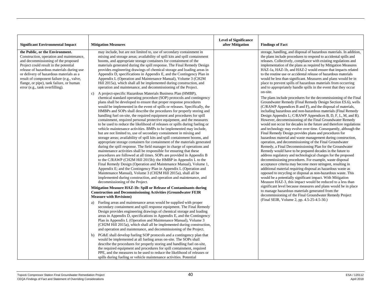| <b>Significant Environmental Impact</b>                                                                                                                                                                                                                                                                                                                                         | <b>Mitigation Measures</b>                                                                                                                                                                                                                                                                                                                                                                                                                                                                                                                                                                                                                                                                                                                                                                                                                                                                                                                                                                                                                                                                                                                                                                                                                                                                                                                                                                                                                                                                                                                                                                                                                                                                                                                                                                                                                                                                                                                                                                                                                                                                                                                                                                                                                                                                                                                                                                                                                                                                                                                                                                                                                                                                                                                                                                                                                                                                                                                                                                                                                                                                                                                                                                                                                                                                                                                                             | <b>Level of Significance</b><br>after Mitigation | <b>Findings of Fact</b>                                                                                                                                                                                                                                                                                                                                                                                                                                                                                                                                                                                                                                                                                                                                                                                                                                                                                                                                                                                                                                                                                                                                                                                                                                                                                                                                                                                                                                                                                                                                                                                                                                                                                                                                                                                                                                                                                                                                                                                                                                                                                                                                                          |
|---------------------------------------------------------------------------------------------------------------------------------------------------------------------------------------------------------------------------------------------------------------------------------------------------------------------------------------------------------------------------------|------------------------------------------------------------------------------------------------------------------------------------------------------------------------------------------------------------------------------------------------------------------------------------------------------------------------------------------------------------------------------------------------------------------------------------------------------------------------------------------------------------------------------------------------------------------------------------------------------------------------------------------------------------------------------------------------------------------------------------------------------------------------------------------------------------------------------------------------------------------------------------------------------------------------------------------------------------------------------------------------------------------------------------------------------------------------------------------------------------------------------------------------------------------------------------------------------------------------------------------------------------------------------------------------------------------------------------------------------------------------------------------------------------------------------------------------------------------------------------------------------------------------------------------------------------------------------------------------------------------------------------------------------------------------------------------------------------------------------------------------------------------------------------------------------------------------------------------------------------------------------------------------------------------------------------------------------------------------------------------------------------------------------------------------------------------------------------------------------------------------------------------------------------------------------------------------------------------------------------------------------------------------------------------------------------------------------------------------------------------------------------------------------------------------------------------------------------------------------------------------------------------------------------------------------------------------------------------------------------------------------------------------------------------------------------------------------------------------------------------------------------------------------------------------------------------------------------------------------------------------------------------------------------------------------------------------------------------------------------------------------------------------------------------------------------------------------------------------------------------------------------------------------------------------------------------------------------------------------------------------------------------------------------------------------------------------------------------------------------------------|--------------------------------------------------|----------------------------------------------------------------------------------------------------------------------------------------------------------------------------------------------------------------------------------------------------------------------------------------------------------------------------------------------------------------------------------------------------------------------------------------------------------------------------------------------------------------------------------------------------------------------------------------------------------------------------------------------------------------------------------------------------------------------------------------------------------------------------------------------------------------------------------------------------------------------------------------------------------------------------------------------------------------------------------------------------------------------------------------------------------------------------------------------------------------------------------------------------------------------------------------------------------------------------------------------------------------------------------------------------------------------------------------------------------------------------------------------------------------------------------------------------------------------------------------------------------------------------------------------------------------------------------------------------------------------------------------------------------------------------------------------------------------------------------------------------------------------------------------------------------------------------------------------------------------------------------------------------------------------------------------------------------------------------------------------------------------------------------------------------------------------------------------------------------------------------------------------------------------------------------|
| the Public, or the Environment.<br>Construction, operation and maintenance,<br>and decommissioning of the proposed<br>Project could result in the potential<br>release of hazardous materials during use<br>or delivery of hazardous materials as a<br>result of component failure (e.g., valve,<br>flange, or pipe), tank failure, or human<br>error (e.g., tank overfilling). | may include, but are not limited to, use of secondary containment in<br>mixing and storage areas; availability of spill kits and spill containment<br>booms, and appropriate storage containers for containment of the<br>materials generated during the spill response. The Final Remedy Design<br>provides engineering drawings of chemical storage and loading areas in<br>Appendix D, specifications in Appendix E, and the Contingency Plan in<br>Appendix L (Operation and Maintenance Manual), Volume 3 (CH2M<br>Hill 2015a), which shall all be implemented during construction, and<br>operation and maintenance, and decommissioning of the Project.<br>c) A project-specific Hazardous Materials Business Plan (HMBP),<br>chemical standard operating procedure (SOP) protocols and contingency<br>plans shall be developed to ensure that proper response procedures<br>would be implemented in the event of spills or releases. Specifically, the<br>HMBPs and SOPs shall describe the procedures for properly storing and<br>handling fuel on-site, the required equipment and procedures for spill<br>containment, required personal protective equipment, and the measures<br>to be used to reduce the likelihood of releases or spills during fueling or<br>vehicle maintenance activities. BMPs to be implemented may include,<br>but are not limited to, use of secondary containment in mixing and<br>storage areas; availability of spill kits and spill containment booms, and<br>appropriate storage containers for containment of the materials generated<br>during the spill response. The field manager in charge of operations and<br>maintenance activities shall be responsible for ensuring that these<br>procedures are followed at all times. SOPs are provided in Appendix B<br>to the C/RAWP (CH2M Hill 2015b); the HMBP in Appendix L to the<br>Final Remedy Design (Operation and Maintenance Manual), Volume 1,<br>Appendix E; and the Contingency Plan in Appendix L (Operation and<br>Maintenance Manual), Volume 3 (CH2M Hill 2015a), shall all be<br>implemented during construction, and operation and maintenance, and<br>decommissioning of the Project.<br>Mitigation Measure HAZ-1b: Spill or Release of Contaminants during<br><b>Construction and Decommissioning Activities (Groundwater FEIR)</b><br><b>Measure with Revisions)</b><br>Fueling areas and maintenance areas would be supplied with proper<br>a)<br>secondary containment and spill response equipment. The Final Remedy<br>Design provides engineering drawings of chemical storage and loading<br>areas in Appendix D, specifications in Appendix E, and the Contingency<br>Plan in Appendix L (Operation and Maintenance Manual), Volume 3<br>(CH2M Hill 2015a), which shall all be implemented during construction,<br>and operation and maintenance, and decommissioning of the Project.<br>PG&E shall develop fueling SOP protocols and a contingency plan that<br>b)<br>would be implemented at all fueling areas on-site. The SOPs shall<br>describe the procedures for properly storing and handling fuel on-site,<br>the required equipment and procedures for spill containment, required<br>PPE, and the measures to be used to reduce the likelihood of releases or<br>spills during fueling or vehicle maintenance activities. Potential |                                                  | storage, handling, and disposal of hazardous materials. In addition,<br>the plans include procedures to respond to accidental spills and<br>releases. Collectively, compliance with existing regulations and<br>implementation of the plans as required by Mitigation Measures<br>HAZ-1a, HAZ-1b, and HAZ-2 would ensure that impacts related<br>to the routine use or accidental release of hazardous materials<br>would be less than significant. Measures and plans would be in<br>place to prevent spills of hazardous materials from occurring<br>and to appropriately handle spills in the event that they occur<br>on-site.<br>The plans include procedures for the decommissioning of the Final<br>Groundwater Remedy (Final Remedy Design Section ES.6), wells<br>(C/RAWP Appendices B and F), and the disposal of materials,<br>including hazardous and non-hazardous materials (Final Remedy<br>Design Appendix L; C/RAWP Appendices B, D, F, L, M, and R).<br>However, decommissioning of the Final Groundwater Remedy<br>would not occur for decades in the future and therefore regulations<br>and technology may evolve over time. Consequently, although the<br>Final Remedy Design provides plans and procedures for<br>hazardous material and waste management during construction,<br>operation, and decommissioning of the Final Groundwater<br>Remedy, a Final Decommissioning Plan for the Groundwater<br>Remedy would have to be prepared decades in the future to<br>address regulatory and technological changes for the proposed<br>decommissioning procedures. For example, waste disposal<br>acceptance criteria may become more stringent, resulting in<br>additional material requiring disposal as hazardous waste as<br>opposed to recycling or disposal as non-hazardous waste. This<br>would be a potentially significant impact. With Mitigation<br>Measure HAZ-3, this impact would be reduced to a less than<br>significant level because measures and plans would be in place<br>to manage hazardous materials generated from the<br>decommissioning of the Final Groundwater Remedy Project<br>(Final SEIR, Volume 2, pp. 4.5-25-4.5-30.) |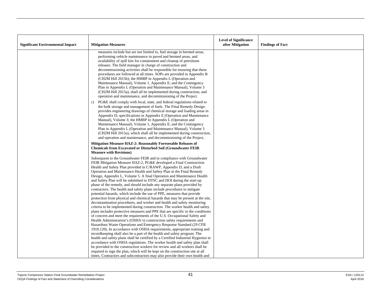| <b>Significant Environmental Impact</b> | <b>Mitigation Measures</b>                                                                                                                                                                                                                                                                                                                                                                                                                                                                                                                                                                                                                                                                                                                                                                                                                                                                                                                                                                                 | <b>Level of Significance</b><br>after Mitigation | <b>Findings of Fact</b> |
|-----------------------------------------|------------------------------------------------------------------------------------------------------------------------------------------------------------------------------------------------------------------------------------------------------------------------------------------------------------------------------------------------------------------------------------------------------------------------------------------------------------------------------------------------------------------------------------------------------------------------------------------------------------------------------------------------------------------------------------------------------------------------------------------------------------------------------------------------------------------------------------------------------------------------------------------------------------------------------------------------------------------------------------------------------------|--------------------------------------------------|-------------------------|
|                                         | measures include but are not limited to, fuel storage in bermed areas,<br>performing vehicle maintenance in paved and bermed areas, and<br>availability of spill kits for containment and cleanup of petroleum<br>releases. The field manager in charge of construction and<br>decommissioning activities shall be responsible for ensuring that these<br>procedures are followed at all times. SOPs are provided in Appendix B<br>(CH2M Hill 2015b); the HMBP in Appendix L (Operation and<br>Maintenance Manual), Volume 1, Appendix E; and the Contingency<br>Plan in Appendix L (Operation and Maintenance Manual), Volume 3<br>(CH2M Hill 2015a), shall all be implemented during construction, and<br>operation and maintenance, and decommissioning of the Project.                                                                                                                                                                                                                                 |                                                  |                         |
|                                         | PG&E shall comply with local, state, and federal regulations related to<br>$\mathbf{c}$ )<br>the bulk storage and management of fuels. The Final Remedy Design<br>provides engineering drawings of chemical storage and loading areas in<br>Appendix D; specifications in Appendix E (Operation and Maintenance<br>Manual), Volume 3; the HMBP in Appendix L (Operation and<br>Maintenance Manual), Volume 1, Appendix E; and the Contingency<br>Plan in Appendix L (Operation and Maintenance Manual), Volume 3<br>(CH2M Hill 2015a), which shall all be implemented during construction,<br>and operation and maintenance, and decommissioning of the Project.                                                                                                                                                                                                                                                                                                                                           |                                                  |                         |
|                                         | Mitigation Measure HAZ-2: Reasonably Foreseeable Releases of<br><b>Chemicals from Excavated or Disturbed Soil (Groundwater FEIR)</b><br><b>Measure with Revisions)</b>                                                                                                                                                                                                                                                                                                                                                                                                                                                                                                                                                                                                                                                                                                                                                                                                                                     |                                                  |                         |
|                                         | Subsequent to the Groundwater FEIR and in compliance with Groundwater<br>FEIR Mitigation Measure HAZ-2, PG&E developed a Final Construction<br>Health and Safety Plan provided in C/RAWP, Appendix D, and a Draft<br>Operation and Maintenance Health and Safety Plan in the Final Remedy<br>Design, Appendix L, Volume 5. A final Operation and Maintenance Health<br>and Safety Plan will be submitted to DTSC and DOI during the start-up<br>phase of the remedy, and should include any separate plans provided by<br>contractors. The health and safety plans include procedures to mitigate<br>potential hazards, which include the use of PPE, measures that provide<br>protection from physical and chemical hazards that may be present at the site,<br>decontamination procedures, and worker and health and safety monitoring<br>criteria to be implemented during construction. The worker health and safety<br>plans includes protective measures and PPE that are specific to the conditions |                                                  |                         |
|                                         | of concern and meet the requirements of the U.S. Occupational Safety and<br>Health Administration's (OSHA's) construction safety requirements and<br>Hazardous Waste Operations and Emergency Response Standard (29 CFR<br>1910.120). In accordance with OSHA requirements, appropriate training and<br>record keeping shall also be a part of the health and safety program. The<br>health and safety plans shall be certified by a Certified Industrial Hygienist in<br>accordance with OSHA regulations. The worker health and safety plan shall<br>be provided to the construction workers for review and all workers shall be<br>required to sign the plan, which will be kept on the construction site at all<br>times. Contractors and subcontractors may also provide their own health and                                                                                                                                                                                                         |                                                  |                         |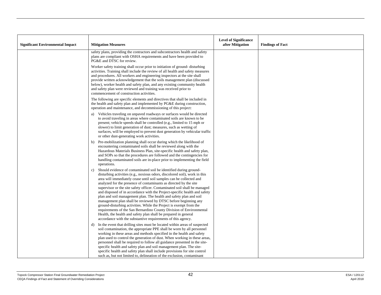| <b>Significant Environmental Impact</b> | <b>Mitigation Measures</b>                                                                                                                                                                                                                                                                                                                                                                                                                                                                                                                                                                                                                                                                                                                                                                                                                                                          | <b>Level of Significance</b><br>after Mitigation | <b>Findings of Fact</b> |
|-----------------------------------------|-------------------------------------------------------------------------------------------------------------------------------------------------------------------------------------------------------------------------------------------------------------------------------------------------------------------------------------------------------------------------------------------------------------------------------------------------------------------------------------------------------------------------------------------------------------------------------------------------------------------------------------------------------------------------------------------------------------------------------------------------------------------------------------------------------------------------------------------------------------------------------------|--------------------------------------------------|-------------------------|
|                                         | safety plans, providing the contractors and subcontractors health and safety<br>plans are compliant with OSHA requirements and have been provided to<br>PG&E and DTSC for review.                                                                                                                                                                                                                                                                                                                                                                                                                                                                                                                                                                                                                                                                                                   |                                                  |                         |
|                                         | Worker safety training shall occur prior to initiation of ground- disturbing<br>activities. Training shall include the review of all health and safety measures<br>and procedures. All workers and engineering inspectors at the site shall<br>provide written acknowledgement that the soils management plan (discussed<br>below), worker health and safety plan, and any existing community health<br>and safety plan were reviewed and training was received prior to<br>commencement of construction activities.                                                                                                                                                                                                                                                                                                                                                                |                                                  |                         |
|                                         | The following are specific elements and directives that shall be included in<br>the health and safety plan and implemented by PG&E during construction,<br>operation and maintenance, and decommissioning of this project:                                                                                                                                                                                                                                                                                                                                                                                                                                                                                                                                                                                                                                                          |                                                  |                         |
|                                         | Vehicles traveling on unpaved roadways or surfaces would be directed<br>a)<br>to avoid traveling in areas where contaminated soils are known to be<br>present; vehicle speeds shall be controlled (e.g., limited to 15 mph or<br>slower) to limit generation of dust; measures, such as wetting of<br>surfaces, will be employed to prevent dust generation by vehicular traffic<br>or other dust-generating work activities.                                                                                                                                                                                                                                                                                                                                                                                                                                                       |                                                  |                         |
|                                         | b) Pre-mobilization planning shall occur during which the likelihood of<br>encountering contaminated soils shall be reviewed along with the<br>Hazardous Materials Business Plan, site-specific health and safety plan,<br>and SOPs so that the procedures are followed and the contingencies for<br>handling contaminated soils are in-place prior to implementing the field<br>operations.                                                                                                                                                                                                                                                                                                                                                                                                                                                                                        |                                                  |                         |
|                                         | Should evidence of contaminated soil be identified during ground-<br>c)<br>disturbing activities (e.g., noxious odors, discolored soil), work in this<br>area will immediately cease until soil samples can be collected and<br>analyzed for the presence of contaminants as directed by the site<br>supervisor or the site safety officer. Contaminated soil shall be managed<br>and disposed of in accordance with the Project-specific health and safety<br>plan and soil management plan. The health and safety plan and soil<br>management plan shall be reviewed by DTSC before beginning any<br>ground-disturbing activities. While the Project is exempt from the<br>requirements of the San Bernardino County Division of Environmental<br>Health, the health and safety plan shall be prepared in general<br>accordance with the substantive requirements of this agency. |                                                  |                         |
|                                         | In the event that drilling sites must be located within areas of suspected<br>d)<br>soil contamination, the appropriate PPE shall be worn by all personnel<br>working in these areas and methods specified in the health and safety<br>plan used to control the generation of dust. When working in these areas,<br>personnel shall be required to follow all guidance presented in the site-<br>specific health and safety plan and soil management plan. The site-<br>specific health and safety plan shall include provisions for site control<br>such as, but not limited to, delineation of the exclusion, contaminant                                                                                                                                                                                                                                                         |                                                  |                         |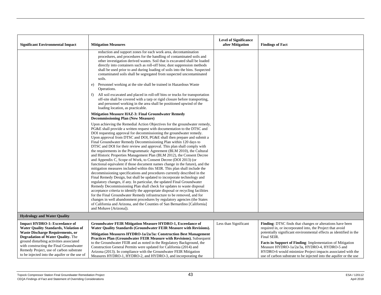| <b>Significant Environmental Impact</b>                                                                                                                                                                                                                                                                                                                       | <b>Mitigation Measures</b>                                                                                                                                                                                                                                                                                                                                                                                                                                                                                                                                                                                                                                                                                                                                                                                                                                                                                                                                                                                                                                                                                                                                                                                                                                                                                                                                                                                                                                                                               | <b>Level of Significance</b><br>after Mitigation | <b>Findings of Fact</b>                                                                                                                                                                                                                                                                                                                                                                                                                                                    |
|---------------------------------------------------------------------------------------------------------------------------------------------------------------------------------------------------------------------------------------------------------------------------------------------------------------------------------------------------------------|----------------------------------------------------------------------------------------------------------------------------------------------------------------------------------------------------------------------------------------------------------------------------------------------------------------------------------------------------------------------------------------------------------------------------------------------------------------------------------------------------------------------------------------------------------------------------------------------------------------------------------------------------------------------------------------------------------------------------------------------------------------------------------------------------------------------------------------------------------------------------------------------------------------------------------------------------------------------------------------------------------------------------------------------------------------------------------------------------------------------------------------------------------------------------------------------------------------------------------------------------------------------------------------------------------------------------------------------------------------------------------------------------------------------------------------------------------------------------------------------------------|--------------------------------------------------|----------------------------------------------------------------------------------------------------------------------------------------------------------------------------------------------------------------------------------------------------------------------------------------------------------------------------------------------------------------------------------------------------------------------------------------------------------------------------|
|                                                                                                                                                                                                                                                                                                                                                               | reduction and support zones for each work area, decontamination<br>procedures, and procedures for the handling of contaminated soils and<br>other investigation derived wastes. Soil that is excavated shall be loaded<br>directly into containers such as roll-off bins; dust suppression methods<br>shall be used prior to and during loading of soils into the bins. Suspected<br>contaminated soils shall be segregated from suspected uncontaminated<br>soils.<br>Personnel working at the site shall be trained in Hazardous Waste<br>e)                                                                                                                                                                                                                                                                                                                                                                                                                                                                                                                                                                                                                                                                                                                                                                                                                                                                                                                                                           |                                                  |                                                                                                                                                                                                                                                                                                                                                                                                                                                                            |
|                                                                                                                                                                                                                                                                                                                                                               | Operations.<br>All soil excavated and placed in roll-off bins or trucks for transportation<br>f)<br>off-site shall be covered with a tarp or rigid closure before transporting,<br>and personnel working in the area shall be positioned upwind of the<br>loading location, as practicable.                                                                                                                                                                                                                                                                                                                                                                                                                                                                                                                                                                                                                                                                                                                                                                                                                                                                                                                                                                                                                                                                                                                                                                                                              |                                                  |                                                                                                                                                                                                                                                                                                                                                                                                                                                                            |
|                                                                                                                                                                                                                                                                                                                                                               | Mitigation Measure HAZ-3: Final Groundwater Remedy<br><b>Decommissioning Plan (New Measure)</b>                                                                                                                                                                                                                                                                                                                                                                                                                                                                                                                                                                                                                                                                                                                                                                                                                                                                                                                                                                                                                                                                                                                                                                                                                                                                                                                                                                                                          |                                                  |                                                                                                                                                                                                                                                                                                                                                                                                                                                                            |
|                                                                                                                                                                                                                                                                                                                                                               | Upon achieving the Remedial Action Objectives for the groundwater remedy,<br>PG&E shall provide a written request with documentation to the DTSC and<br>DOI requesting approval for decommissioning the groundwater remedy.<br>Upon approval from DTSC and DOI, PG&E shall then prepare and submit a<br>Final Groundwater Remedy Decommissioning Plan within 120 days to<br>DTSC and DOI for their review and approval. This plan shall comply with<br>the requirements in the Programmatic Agreement (BLM 2010), the Cultural<br>and Historic Properties Management Plan (BLM 2012), the Consent Decree<br>and Appendix C, Scope of Work, to Consent Decree (DOI 2013) (or<br>functional equivalent if those document names change in the future), and the<br>mitigation measures included within this SEIR. This plan shall include the<br>decommissioning specifications and procedures currently described in the<br>Final Remedy Design, but shall be updated to incorporate technology and<br>regulatory changes, if any. In particular, the updated Final Groundwater<br>Remedy Decommissioning Plan shall check for updates to waste disposal<br>acceptance criteria to identify the appropriate disposal or recycling facilities<br>for the Final Groundwater Remedy infrastructure to be removed, and for<br>changes in well abandonment procedures by regulatory agencies (the States<br>of California and Arizona, and the Counties of San Bernardino [California]<br>and Mohave [Arizona]). |                                                  |                                                                                                                                                                                                                                                                                                                                                                                                                                                                            |
| <b>Hydrology and Water Quality</b>                                                                                                                                                                                                                                                                                                                            |                                                                                                                                                                                                                                                                                                                                                                                                                                                                                                                                                                                                                                                                                                                                                                                                                                                                                                                                                                                                                                                                                                                                                                                                                                                                                                                                                                                                                                                                                                          |                                                  |                                                                                                                                                                                                                                                                                                                                                                                                                                                                            |
| <b>Impact HYDRO-1: Exceedance of</b><br><b>Water Quality Standards, Violation of</b><br><b>Waste Discharge Requirements, or</b><br><b>Degradation of Water Quality.</b> The<br>ground disturbing activities associated<br>with constructing the Final Groundwater<br>Remedy Project, use of carbon substrate<br>to be injected into the aquifer or the use of | Groundwater FEIR Mitigation Measure HYDRO-1, Exceedance of<br>Water Quality Standards (Groundwater FEIR Measure with Revisions).<br>Mitigation Measures HYDRO-1a/2a/3a: Construction Best Management<br><b>Practices Plan (Groundwater FEIR Measure with Revisions).</b> Subsequent<br>to the Groundwater FEIR and as noted in the Regulatory Background, the<br>Construction General Permits were updated for California (2014) and<br>Arizona (2013). In compliance with the Groundwater FEIR Mitigation<br>Measures HYDRO-1, HYDRO-2, and HYDRO-3, and incorporating the                                                                                                                                                                                                                                                                                                                                                                                                                                                                                                                                                                                                                                                                                                                                                                                                                                                                                                                              | Less than Significant                            | <b>Finding:</b> DTSC finds that changes or alterations have been<br>required in, or incorporated into, the Project that avoid<br>potentially significant environmental effects as identified in the<br>Final SEIR.<br><b>Facts in Support of Finding:</b> Implementation of Mitigation<br>Measure HYDRO-1a/2a/3a, HYDRO-4, HYDRO-5 and<br>HYDRO-6 would minimize Project impacts associated with the<br>use of carbon substrate to be injected into the aquifer or the use |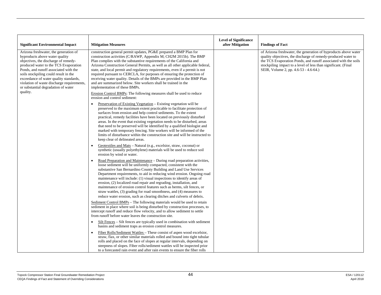| <b>Significant Environmental Impact</b>                                                                                                                                                                                                                                                                                                                                   | <b>Mitigation Measures</b>                                                                                                                                                                                                                                                                                                                                                                                                                                                                                                                                                                                                                                                      | <b>Level of Significance</b><br>after Mitigation | <b>Findings of Fact</b>                                                                                                                                                                                                                                                                                        |
|---------------------------------------------------------------------------------------------------------------------------------------------------------------------------------------------------------------------------------------------------------------------------------------------------------------------------------------------------------------------------|---------------------------------------------------------------------------------------------------------------------------------------------------------------------------------------------------------------------------------------------------------------------------------------------------------------------------------------------------------------------------------------------------------------------------------------------------------------------------------------------------------------------------------------------------------------------------------------------------------------------------------------------------------------------------------|--------------------------------------------------|----------------------------------------------------------------------------------------------------------------------------------------------------------------------------------------------------------------------------------------------------------------------------------------------------------------|
| Arizona freshwater, the generation of<br>byproducts above water quality<br>objectives, the discharge of remedy-<br>produced water to the TCS Evaporation<br>Ponds, and runoff associated with the<br>soils stockpiling could result in the<br>exceedance of water quality standards,<br>violation of waste discharge requirements,<br>or substantial degradation of water | construction general permit updates, PG&E prepared a BMP Plan for<br>construction activities (C/RAWP, Appendix M; CH2M 2015b). The BMP<br>Plan complies with the substantive requirements of the California and<br>Arizona Construction General Permits, as well as all other applicable federal,<br>state, and local permit and regulatory requirements, even if a permit is not<br>required pursuant to CERCLA, for purposes of ensuring the protection of<br>receiving water quality. Details of the BMPs are provided in the BMP Plan<br>and are summarized below. Site workers shall be trained in the<br>implementation of these BMPs.                                    |                                                  | of Arizona freshwater, the generation of byproducts above water<br>quality objectives, the discharge of remedy-produced water to<br>the TCS Evaporation Ponds, and runoff associated with the soils<br>stockpiling impact to a level of less than significant. (Final<br>SEIR, Volume 2, pp. 4.6-53 - 4.6-64.) |
| quality.                                                                                                                                                                                                                                                                                                                                                                  | Erosion Control BMPs: The following measures shall be used to reduce<br>erosion and control sediment:                                                                                                                                                                                                                                                                                                                                                                                                                                                                                                                                                                           |                                                  |                                                                                                                                                                                                                                                                                                                |
|                                                                                                                                                                                                                                                                                                                                                                           | Preservation of Existing Vegetation – Existing vegetation will be<br>preserved to the maximum extent practicable to facilitate protection of<br>surfaces from erosion and help control sediments. To the extent<br>practical, remedy facilities have been located on previously disturbed<br>areas. In the event that existing vegetation needs to be disturbed, areas<br>that need to be preserved will be identified by a qualified biologist and<br>marked with temporary fencing. Site workers will be informed of the<br>limits of disturbance within the construction site and will be instructed to<br>keep clear of delineated areas.                                   |                                                  |                                                                                                                                                                                                                                                                                                                |
|                                                                                                                                                                                                                                                                                                                                                                           | Geotextiles and Mats – Natural (e.g., excelsior, straw, coconut) or<br>synthetic (usually polyethylene) materials will be used to reduce soil<br>erosion by wind or water.                                                                                                                                                                                                                                                                                                                                                                                                                                                                                                      |                                                  |                                                                                                                                                                                                                                                                                                                |
|                                                                                                                                                                                                                                                                                                                                                                           | Road Preparation and Maintenance – During road preparation activities,<br>$\bullet$<br>loose sediment will be uniformly compacted, consistent with the<br>substantive San Bernardino County Building and Land Use Services<br>Department requirements, to aid in reducing wind erosion. Ongoing road<br>maintenance will include: (1) visual inspections to identify areas of<br>erosion, (2) localized road repair and regrading, installation, and<br>maintenance of erosion control features such as berms, silt fences, or<br>straw wattles, (3) grading for road smoothness, and (4) measures to<br>reduce water erosion, such as clearing ditches and culverts of debris. |                                                  |                                                                                                                                                                                                                                                                                                                |
|                                                                                                                                                                                                                                                                                                                                                                           | Sediment Control BMPs – The following materials would be used to retain<br>sediment in place where soil is being disturbed by construction processes, to<br>intercept runoff and reduce flow velocity, and to allow sediment to settle<br>from runoff before water leaves the construction site.                                                                                                                                                                                                                                                                                                                                                                                |                                                  |                                                                                                                                                                                                                                                                                                                |
|                                                                                                                                                                                                                                                                                                                                                                           | Silt Fences – Silt fences are typically used in combination with sediment<br>$\bullet$<br>basins and sediment traps as erosion control measures.                                                                                                                                                                                                                                                                                                                                                                                                                                                                                                                                |                                                  |                                                                                                                                                                                                                                                                                                                |
|                                                                                                                                                                                                                                                                                                                                                                           | Fiber Rolls/Sediment Wattles – These consist of aspen wood excelsior,<br>$\bullet$<br>straw, flax, or other similar materials rolled and bound into tight tubular<br>rolls and placed on the face of slopes at regular intervals, depending on<br>steepness of slopes. Fiber rolls/sediment wattles will be inspected prior<br>to a forecasted rain event and after rain events to ensure the fiber rolls                                                                                                                                                                                                                                                                       |                                                  |                                                                                                                                                                                                                                                                                                                |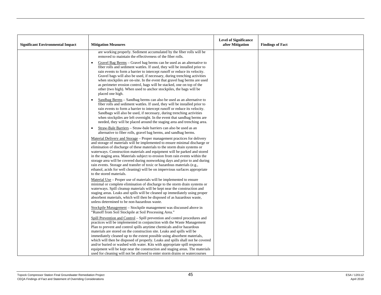| <b>Significant Environmental Impact</b> | <b>Mitigation Measures</b>                                                                                                                                                                                                                                                                                                                                                                                                                                                                                                                                                                                                                                                | <b>Level of Significance</b><br>after Mitigation | <b>Findings of Fact</b> |
|-----------------------------------------|---------------------------------------------------------------------------------------------------------------------------------------------------------------------------------------------------------------------------------------------------------------------------------------------------------------------------------------------------------------------------------------------------------------------------------------------------------------------------------------------------------------------------------------------------------------------------------------------------------------------------------------------------------------------------|--------------------------------------------------|-------------------------|
|                                         | are working properly. Sediment accumulated by the fiber rolls will be<br>removed to maintain the effectiveness of the fiber rolls.                                                                                                                                                                                                                                                                                                                                                                                                                                                                                                                                        |                                                  |                         |
|                                         | Gravel Bag Berms – Gravel bag berms can be used as an alternative to<br>$\bullet$<br>fiber rolls and sediment wattles. If used, they will be installed prior to<br>rain events to form a barrier to intercept runoff or reduce its velocity.<br>Gravel bags will also be used, if necessary, during trenching activities<br>when stockpiles are on-site. In the event that gravel bag berms are used<br>as perimeter erosion control, bags will be stacked, one on top of the<br>other (two high). When used to anchor stockpiles, the bags will be<br>placed one high.                                                                                                   |                                                  |                         |
|                                         | Sandbag Berms - Sandbag berms can also be used as an alternative to<br>$\bullet$<br>fiber rolls and sediment wattles. If used, they will be installed prior to<br>rain events to form a barrier to intercept runoff or reduce its velocity.<br>Sandbags will also be used, if necessary, during trenching activities<br>when stockpiles are left overnight. In the event that sandbag berms are<br>needed, they will be placed around the staging area and trenching area.                                                                                                                                                                                                |                                                  |                         |
|                                         | Straw-Bale Barriers – Straw-bale barriers can also be used as an<br>$\bullet$<br>alternative to fiber rolls, gravel bag berms, and sandbag berms.                                                                                                                                                                                                                                                                                                                                                                                                                                                                                                                         |                                                  |                         |
|                                         | Material Delivery and Storage – Proper management practices for delivery<br>and storage of materials will be implemented to ensure minimal discharge or<br>elimination of discharge of these materials to the storm drain systems or<br>waterways. Construction materials and equipment will be parked and stored<br>in the staging area. Materials subject to erosion from rain events within the<br>storage area will be covered during nonworking days and prior to and during<br>rain events. Storage and transfer of toxic or hazardous materials (e.g.,<br>ethanol, acids for well cleaning) will be on impervious surfaces appropriate<br>to the stored materials. |                                                  |                         |
|                                         | Material Use – Proper use of materials will be implemented to ensure<br>minimal or complete elimination of discharge to the storm drain systems or<br>waterways. Spill cleanup materials will be kept near the construction and<br>staging areas. Leaks and spills will be cleaned up immediately using proper<br>absorbent materials, which will then be disposed of as hazardous waste,<br>unless determined to be non-hazardous waste.                                                                                                                                                                                                                                 |                                                  |                         |
|                                         | Stockpile Management – Stockpile management was discussed above in<br>"Runoff from Soil Stockpile at Soil Processing Area."                                                                                                                                                                                                                                                                                                                                                                                                                                                                                                                                               |                                                  |                         |
|                                         | Spill Prevention and Control - Spill prevention and control procedures and<br>practices will be implemented in conjunction with the Waste Management<br>Plan to prevent and control spills anytime chemicals and/or hazardous<br>materials are stored on the construction site. Leaks and spills will be<br>immediately cleaned up to the extent possible using absorbent materials,                                                                                                                                                                                                                                                                                      |                                                  |                         |
|                                         | which will then be disposed of properly. Leaks and spills shall not be covered<br>and/or buried or washed with water. Kits with appropriate spill response<br>equipment will be kept near the construction and staging areas. The materials<br>used for cleaning will not be allowed to enter storm drains or watercourses                                                                                                                                                                                                                                                                                                                                                |                                                  |                         |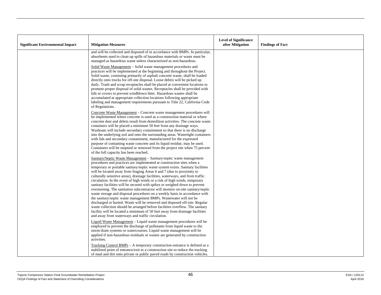| <b>Significant Environmental Impact</b> | <b>Mitigation Measures</b>                                                                                                                                                                                                                                                                                                                                                                                                                                                                                                                                                                                                                                                                                                                                                                                                                                                                                                                                                                                                                                                                | <b>Level of Significance</b><br>after Mitigation | <b>Findings of Fact</b> |
|-----------------------------------------|-------------------------------------------------------------------------------------------------------------------------------------------------------------------------------------------------------------------------------------------------------------------------------------------------------------------------------------------------------------------------------------------------------------------------------------------------------------------------------------------------------------------------------------------------------------------------------------------------------------------------------------------------------------------------------------------------------------------------------------------------------------------------------------------------------------------------------------------------------------------------------------------------------------------------------------------------------------------------------------------------------------------------------------------------------------------------------------------|--------------------------------------------------|-------------------------|
|                                         | and will be collected and disposed of in accordance with BMPs. In particular,<br>absorbents used to clean up spills of hazardous materials or waste must be<br>managed as hazardous waste unless characterized as non-hazardous.                                                                                                                                                                                                                                                                                                                                                                                                                                                                                                                                                                                                                                                                                                                                                                                                                                                          |                                                  |                         |
|                                         | Solid Waste Management – Solid waste management procedures and<br>practices will be implemented at the beginning and throughout the Project.<br>Solid waste, consisting primarily of asphalt concrete waste, shall be loaded<br>directly onto trucks for off-site disposal. Loose debris will be picked up<br>daily. Trash and scrap receptacles shall be placed at convenient locations to<br>promote proper disposal of solid wastes. Receptacles shall be provided with<br>lids or covers to prevent windblown litter. Hazardous wastes shall be<br>accumulated at appropriate collection locations following appropriate<br>labeling and management requirements pursuant to Title 22, California Code<br>of Regulations.                                                                                                                                                                                                                                                                                                                                                             |                                                  |                         |
|                                         | Concrete Waste Management - Concrete waste management procedures will<br>be implemented where concrete is used as a construction material or where<br>concrete dust and debris result from demolition activities. The concrete waste<br>containers will be placed a minimum 50 feet from any drainage ways.<br>Washouts will include secondary containment so that there is no discharge<br>into the underlying soil and onto the surrounding areas. Watertight containers<br>with lids and secondary containment, manufactured for the expressed<br>purpose of containing waste concrete and its liquid residue, may be used.<br>Containers will be emptied or removed from the project site when 75 percent<br>of the full capacity has been reached.                                                                                                                                                                                                                                                                                                                                   |                                                  |                         |
|                                         | Sanitary/Septic Waste Management - Sanitary/septic waste management<br>procedures and practices are implemented at construction sites when a<br>temporary or portable sanitary/septic waste system exists. Sanitary facilities<br>will be located away from Staging Areas 6 and 7 (due to proximity to<br>culturally sensitive areas), drainage facilities, waterways, and from traffic<br>circulation. In the event of high winds or a risk of high winds, temporary<br>sanitary facilities will be secured with spikes or weighed down to prevent<br>overturning. The sanitation subcontractor will monitor on-site sanitary/septic<br>waste storage and disposal procedures on a weekly basis in accordance with<br>the sanitary/septic waste management BMPs. Wastewater will not be<br>discharged or buried. Waste will be removed and disposed off-site. Regular<br>waste collection should be arranged before facilities overflow. The sanitary<br>facility will be located a minimum of 50 feet away from drainage facilities<br>and away from waterways and traffic circulation. |                                                  |                         |
|                                         | Liquid Waste Management – Liquid waste management procedures will be<br>employed to prevent the discharge of pollutants from liquid waste to the<br>storm drain systems or watercourses. Liquid waste management will be<br>applied if non-hazardous residuals or wastes are generated by construction<br>activities.<br>Tracking Control BMPs - A temporary construction entrance is defined as a<br>stabilized point of entrance/exit to a construction site to reduce the tracking<br>of mud and dirt onto private or public paved roads by construction vehicles.                                                                                                                                                                                                                                                                                                                                                                                                                                                                                                                     |                                                  |                         |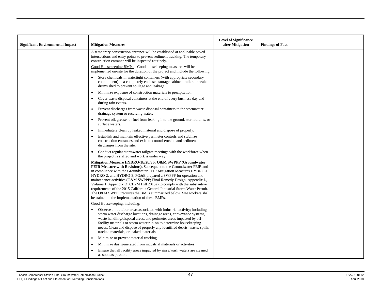| <b>Significant Environmental Impact</b> | <b>Mitigation Measures</b>                                                                                                                                                                                                                                                                                                                                                                                                                                                                                                                                                                                                          | <b>Level of Significance</b><br>after Mitigation | <b>Findings of Fact</b> |
|-----------------------------------------|-------------------------------------------------------------------------------------------------------------------------------------------------------------------------------------------------------------------------------------------------------------------------------------------------------------------------------------------------------------------------------------------------------------------------------------------------------------------------------------------------------------------------------------------------------------------------------------------------------------------------------------|--------------------------------------------------|-------------------------|
|                                         | A temporary construction entrance will be established at applicable paved<br>intersections and entry points to prevent sediment tracking. The temporary<br>construction entrance will be inspected routinely.                                                                                                                                                                                                                                                                                                                                                                                                                       |                                                  |                         |
|                                         | Good Housekeeping BMPs - Good housekeeping measures will be<br>implemented on-site for the duration of the project and include the following:                                                                                                                                                                                                                                                                                                                                                                                                                                                                                       |                                                  |                         |
|                                         | Store chemicals in watertight containers (with appropriate secondary<br>containment) in a completely enclosed storage cabinet, trailer, or sealed<br>drums shed to prevent spillage and leakage.                                                                                                                                                                                                                                                                                                                                                                                                                                    |                                                  |                         |
|                                         | Minimize exposure of construction materials to precipitation.<br>$\bullet$                                                                                                                                                                                                                                                                                                                                                                                                                                                                                                                                                          |                                                  |                         |
|                                         | Cover waste disposal containers at the end of every business day and<br>during rain events.                                                                                                                                                                                                                                                                                                                                                                                                                                                                                                                                         |                                                  |                         |
|                                         | Prevent discharges from waste disposal containers to the stormwater<br>drainage system or receiving water.                                                                                                                                                                                                                                                                                                                                                                                                                                                                                                                          |                                                  |                         |
|                                         | Prevent oil, grease, or fuel from leaking into the ground, storm drains, or<br>surface waters.                                                                                                                                                                                                                                                                                                                                                                                                                                                                                                                                      |                                                  |                         |
|                                         | Immediately clean up leaked material and dispose of properly.<br>$\bullet$                                                                                                                                                                                                                                                                                                                                                                                                                                                                                                                                                          |                                                  |                         |
|                                         | Establish and maintain effective perimeter controls and stabilize<br>construction entrances and exits to control erosion and sediment<br>discharges from the site.                                                                                                                                                                                                                                                                                                                                                                                                                                                                  |                                                  |                         |
|                                         | Conduct regular stormwater tailgate meetings with the workforce when<br>$\bullet$<br>the project is staffed and work is under way.                                                                                                                                                                                                                                                                                                                                                                                                                                                                                                  |                                                  |                         |
|                                         | Mitigation Measure HYDRO-1b/2b/3b: O&M SWPPP (Groundwater<br>FEIR Measure with Revisions). Subsequent to the Groundwater FEIR and<br>in compliance with the Groundwater FEIR Mitigation Measures HYDRO-1,<br>HYDRO-2, and HYDRO-3, PG&E prepared a SWPPP for operation and<br>maintenance activities (O&M SWPPP; Final Remedy Design, Appendix L,<br>Volume 1, Appendix D; CH2M Hill 2015a) to comply with the substantive<br>requirements of the 2015 California General Industrial Storm Water Permit.<br>The O&M SWPPP requires the BMPs summarized below. Site workers shall<br>be trained in the implementation of these BMPs. |                                                  |                         |
|                                         | Good Housekeeping, including:                                                                                                                                                                                                                                                                                                                                                                                                                                                                                                                                                                                                       |                                                  |                         |
|                                         | Observe all outdoor areas associated with industrial activity; including<br>storm water discharge locations, drainage areas, conveyance systems,<br>waste handling/disposal areas, and perimeter areas impacted by off-<br>facility materials or storm water run-on to determine housekeeping<br>needs. Clean and dispose of properly any identified debris, waste, spills,<br>tracked materials, or leaked materials                                                                                                                                                                                                               |                                                  |                         |
|                                         | Minimize or prevent material tracking                                                                                                                                                                                                                                                                                                                                                                                                                                                                                                                                                                                               |                                                  |                         |
|                                         | Minimize dust generated from industrial materials or activities                                                                                                                                                                                                                                                                                                                                                                                                                                                                                                                                                                     |                                                  |                         |
|                                         | Ensure that all facility areas impacted by rinse/wash waters are cleaned<br>as soon as possible                                                                                                                                                                                                                                                                                                                                                                                                                                                                                                                                     |                                                  |                         |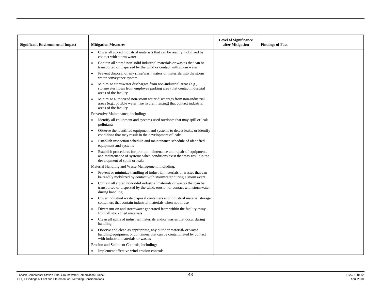| <b>Significant Environmental Impact</b> | <b>Mitigation Measures</b>                                                                                                                                                        | <b>Level of Significance</b><br>after Mitigation | <b>Findings of Fact</b> |
|-----------------------------------------|-----------------------------------------------------------------------------------------------------------------------------------------------------------------------------------|--------------------------------------------------|-------------------------|
|                                         | Cover all stored industrial materials that can be readily mobilized by<br>contact with storm water                                                                                |                                                  |                         |
|                                         | Contain all stored non-solid industrial materials or wastes that can be<br>transported or dispersed by the wind or contact with storm water                                       |                                                  |                         |
|                                         | Prevent disposal of any rinse/wash waters or materials into the storm<br>$\bullet$<br>water conveyance system                                                                     |                                                  |                         |
|                                         | Minimize stormwater discharges from non-industrial areas (e.g.,<br>stormwater flows from employee parking area) that contact industrial<br>areas of the facility                  |                                                  |                         |
|                                         | Minimize authorized non-storm water discharges from non-industrial<br>areas (e.g., potable water, fire hydrant testing) that contact industrial<br>areas of the facility          |                                                  |                         |
|                                         | Preventive Maintenance, including:                                                                                                                                                |                                                  |                         |
|                                         | Identify all equipment and systems used outdoors that may spill or leak<br>pollutants                                                                                             |                                                  |                         |
|                                         | Observe the identified equipment and systems to detect leaks, or identify<br>conditions that may result in the development of leaks                                               |                                                  |                         |
|                                         | Establish inspection schedule and maintenance schedule of identified<br>equipment and systems                                                                                     |                                                  |                         |
|                                         | Establish procedures for prompt maintenance and repair of equipment,<br>and maintenance of systems when conditions exist that may result in the<br>development of spills or leaks |                                                  |                         |
|                                         | Material Handling and Waste Management, including:                                                                                                                                |                                                  |                         |
|                                         | Prevent or minimize handling of industrial materials or wastes that can<br>$\bullet$<br>be readily mobilized by contact with stormwater during a storm event                      |                                                  |                         |
|                                         | Contain all stored non-solid industrial materials or wastes that can be<br>transported or dispersed by the wind, erosion or contact with stormwater<br>during handling            |                                                  |                         |
|                                         | Cover industrial waste disposal containers and industrial material storage<br>$\bullet$<br>containers that contain industrial materials when not in use                           |                                                  |                         |
|                                         | Divert run-on and stormwater generated from within the facility away<br>from all stockpiled materials                                                                             |                                                  |                         |
|                                         | Clean all spills of industrial materials and/or wastes that occur during<br>$\bullet$<br>handling                                                                                 |                                                  |                         |
|                                         | Observe and clean as appropriate, any outdoor material/ or waste<br>handling equipment or containers that can be contaminated by contact<br>with industrial materials or wastes   |                                                  |                         |
|                                         | Erosion and Sediment Controls, including:                                                                                                                                         |                                                  |                         |
|                                         | • Implement effective wind erosion controls                                                                                                                                       |                                                  |                         |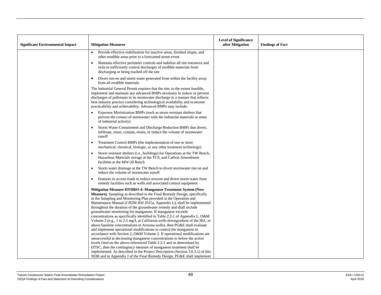| <b>Significant Environmental Impact</b> | <b>Mitigation Measures</b>                                                                                                                                                                                                                                                                                                                                                                                                                                                                                                                                                                                                                                                                                                                                                                                                                                                                                                                                                                                                                                                                                                                                                                                                 | <b>Level of Significance</b><br>after Mitigation | <b>Findings of Fact</b> |
|-----------------------------------------|----------------------------------------------------------------------------------------------------------------------------------------------------------------------------------------------------------------------------------------------------------------------------------------------------------------------------------------------------------------------------------------------------------------------------------------------------------------------------------------------------------------------------------------------------------------------------------------------------------------------------------------------------------------------------------------------------------------------------------------------------------------------------------------------------------------------------------------------------------------------------------------------------------------------------------------------------------------------------------------------------------------------------------------------------------------------------------------------------------------------------------------------------------------------------------------------------------------------------|--------------------------------------------------|-------------------------|
|                                         | Provide effective stabilization for inactive areas, finished slopes, and<br>other erodible areas prior to a forecasted storm event                                                                                                                                                                                                                                                                                                                                                                                                                                                                                                                                                                                                                                                                                                                                                                                                                                                                                                                                                                                                                                                                                         |                                                  |                         |
|                                         | Maintain effective perimeter controls and stabilize all site entrances and<br>exits to sufficiently control discharges of erodible materials from<br>discharging or being tracked off the site                                                                                                                                                                                                                                                                                                                                                                                                                                                                                                                                                                                                                                                                                                                                                                                                                                                                                                                                                                                                                             |                                                  |                         |
|                                         | Divert run-on and storm water generated from within the facility away<br>$\bullet$<br>from all erodible materials                                                                                                                                                                                                                                                                                                                                                                                                                                                                                                                                                                                                                                                                                                                                                                                                                                                                                                                                                                                                                                                                                                          |                                                  |                         |
|                                         | The Industrial General Permit requires that the site, to the extent feasible,<br>implement and maintain any advanced BMPs necessary to reduce or prevent<br>discharges of pollutants in its stormwater discharge in a manner that reflects<br>best industry practice considering technological availability and economic<br>practicability and achievability. Advanced BMPs may include:                                                                                                                                                                                                                                                                                                                                                                                                                                                                                                                                                                                                                                                                                                                                                                                                                                   |                                                  |                         |
|                                         | Exposure Minimization BMPs (such as storm resistant shelters that<br>prevent the contact of stormwater with the industrial materials or areas<br>of industrial activity)                                                                                                                                                                                                                                                                                                                                                                                                                                                                                                                                                                                                                                                                                                                                                                                                                                                                                                                                                                                                                                                   |                                                  |                         |
|                                         | Storm Water Containment and Discharge Reduction BMPs that divert,<br>infiltrate, reuse, contain, retain, or reduce the volume of stormwater<br>runoff                                                                                                                                                                                                                                                                                                                                                                                                                                                                                                                                                                                                                                                                                                                                                                                                                                                                                                                                                                                                                                                                      |                                                  |                         |
|                                         | Treatment Control BMPs (the implementation of one or more<br>mechanical, chemical, biologic, or any other treatment technology)                                                                                                                                                                                                                                                                                                                                                                                                                                                                                                                                                                                                                                                                                                                                                                                                                                                                                                                                                                                                                                                                                            |                                                  |                         |
|                                         | Storm resistant shelters (i.e., buildings) for Operations at the TW Bench,<br>Hazardous Materials storage at the TCS, and Carbon Amendment<br>facilities at the MW-20 Bench                                                                                                                                                                                                                                                                                                                                                                                                                                                                                                                                                                                                                                                                                                                                                                                                                                                                                                                                                                                                                                                |                                                  |                         |
|                                         | Storm water drainage at the TW Bench to divert stormwater run on and<br>reduce the volume of stormwater runoff                                                                                                                                                                                                                                                                                                                                                                                                                                                                                                                                                                                                                                                                                                                                                                                                                                                                                                                                                                                                                                                                                                             |                                                  |                         |
|                                         | Features in access roads to reduce erosion and divert storm water from<br>remedy facilities such as wells and associated control equipment                                                                                                                                                                                                                                                                                                                                                                                                                                                                                                                                                                                                                                                                                                                                                                                                                                                                                                                                                                                                                                                                                 |                                                  |                         |
|                                         | Mitigation Measure HYDRO-4: Manganese Treatment System (New<br><b>Measure).</b> Sampling as described in the Final Remedy Design, specifically<br>in the Sampling and Monitoring Plan provided in the Operation and<br>Maintenance Manual (CH2M Hill 2015a, Appendix L), shall be implemented<br>throughout the duration of the groundwater remedy and shall include<br>groundwater monitoring for manganese. If manganese exceeds<br>concentrations as specifically identified in Table 2.2-1 of Appendix L, O&M<br>Volume 2 (e.g., 1 to 2.5 mg/L at California wells downgradient of the IRZ, or<br>above baseline concentrations in Arizona wells), then PG&E shall evaluate<br>and implement operational modifications to control the manganese in<br>accordance with Section 2, O&M Volume 2. If operational modifications are<br>unsuccessful at decreasing manganese concentrations to below the action<br>levels cited on the above-referenced Table 2.2-1 and as determined by<br>DTSC, then the contingency measure of manganese treatment shall be<br>implemented. As described in the Project Description (Section 3.6.3.1) of this<br>SEIR and in Appendix J of the Final Remedy Design, PG&E shall implement |                                                  |                         |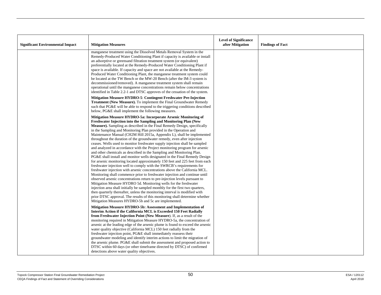| <b>Significant Environmental Impact</b> | <b>Mitigation Measures</b>                                                                                                                                                                                                                                                                                                                                                                                                                                                                                                                                                                                                                                                                                                                                                                                                                                                                                                                                                                                                                                                                                                                                                                                                                                                                                                                                                                                                                                                                                                              | <b>Level of Significance</b><br>after Mitigation | <b>Findings of Fact</b> |
|-----------------------------------------|-----------------------------------------------------------------------------------------------------------------------------------------------------------------------------------------------------------------------------------------------------------------------------------------------------------------------------------------------------------------------------------------------------------------------------------------------------------------------------------------------------------------------------------------------------------------------------------------------------------------------------------------------------------------------------------------------------------------------------------------------------------------------------------------------------------------------------------------------------------------------------------------------------------------------------------------------------------------------------------------------------------------------------------------------------------------------------------------------------------------------------------------------------------------------------------------------------------------------------------------------------------------------------------------------------------------------------------------------------------------------------------------------------------------------------------------------------------------------------------------------------------------------------------------|--------------------------------------------------|-------------------------|
|                                         | manganese treatment using the Dissolved Metals Removal System in the<br>Remedy-Produced Water Conditioning Plant if capacity is available or install<br>an adsorptive or greensand filtration treatment system (or equivalent)<br>preferentially located at the Remedy-Produced Water Conditioning Plant if<br>space is available. If capacity and space are not available at the Remedy-<br>Produced Water Conditioning Plant, the manganese treatment system could<br>be located at the TW Bench or the MW-20 Bench (after the IM-3 system is<br>decommissioned/removed). A manganese treatment system shall remain<br>operational until the manganese concentrations remain below concentrations<br>identified in Table 2.2-1 and DTSC approves of the cessation of the system.                                                                                                                                                                                                                                                                                                                                                                                                                                                                                                                                                                                                                                                                                                                                                      |                                                  |                         |
|                                         | Mitigation Measure HYDRO-5: Contingent Freshwater Pre-Injection<br>Treatment (New Measure). To implement the Final Groundwater Remedy<br>such that PG&E will be able to respond to the triggering conditions described<br>below, PG&E shall implement the following measures.                                                                                                                                                                                                                                                                                                                                                                                                                                                                                                                                                                                                                                                                                                                                                                                                                                                                                                                                                                                                                                                                                                                                                                                                                                                           |                                                  |                         |
|                                         | Mitigation Measure HYDRO-5a: Incorporate Arsenic Monitoring of<br>Freshwater Injection into the Sampling and Monitoring Plan (New<br>Measure). Sampling as described in the Final Remedy Design, specifically<br>in the Sampling and Monitoring Plan provided in the Operation and<br>Maintenance Manual (CH2M Hill 2015a, Appendix L), shall be implemented<br>throughout the duration of the groundwater remedy, even after injection<br>ceases. Wells used to monitor freshwater supply injection shall be sampled<br>and analyzed in accordance with the Project monitoring program for arsenic<br>and other chemicals as described in the Sampling and Monitoring Plan.<br>PG&E shall install and monitor wells designated in the Final Remedy Design<br>for arsenic monitoring located approximately 150 feet and 225 feet from each<br>freshwater injection well to comply with the SWRCB's requirements for<br>freshwater injection with arsenic concentrations above the California MCL.<br>Monitoring shall commence prior to freshwater injection and continue until<br>observed arsenic concentrations return to pre-injection levels pursuant to<br>Mitigation Measure HYDRO 5d. Monitoring wells for the freshwater<br>injection area shall initially be sampled monthly for the first two quarters,<br>then quarterly thereafter, unless the monitoring interval is modified with<br>prior DTSC approval. The results of this monitoring shall determine whether<br>Mitigation Measures HYDRO-5b and 5c are implemented. |                                                  |                         |
|                                         | Mitigation Measure HYDRO-5b: Assessment and Implementation of<br>Interim Action if the California MCL is Exceeded 150 Feet Radially<br>from Freshwater Injection Point (New Measure). If, as a result of the<br>monitoring required in Mitigation Measure HYDRO-5a, the concentration of<br>arsenic at the leading edge of the arsenic plume is found to exceed the arsenic<br>water quality objective (California MCL) 150 feet radially from the<br>freshwater injection point, PG&E shall immediately reassess their<br>groundwater modeling and identify interim actions to limit the migration of<br>the arsenic plume. PG&E shall submit the assessment and proposed action to<br>DTSC within 60 days (or other timeframe directed by DTSC) of confirmed<br>detections above water quality objectives.                                                                                                                                                                                                                                                                                                                                                                                                                                                                                                                                                                                                                                                                                                                            |                                                  |                         |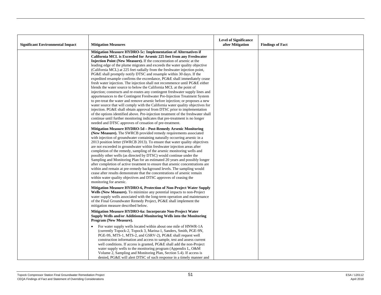| <b>Significant Environmental Impact</b> | <b>Mitigation Measures</b>                                                                                                                                                                                                                                                                                                                                                                                                                                                                                                                                                                                                                                                                                                                                                                                                                                                                                                                                                                                                                                                                                                                                                                                                                                                                                                     | <b>Level of Significance</b><br>after Mitigation | <b>Findings of Fact</b> |
|-----------------------------------------|--------------------------------------------------------------------------------------------------------------------------------------------------------------------------------------------------------------------------------------------------------------------------------------------------------------------------------------------------------------------------------------------------------------------------------------------------------------------------------------------------------------------------------------------------------------------------------------------------------------------------------------------------------------------------------------------------------------------------------------------------------------------------------------------------------------------------------------------------------------------------------------------------------------------------------------------------------------------------------------------------------------------------------------------------------------------------------------------------------------------------------------------------------------------------------------------------------------------------------------------------------------------------------------------------------------------------------|--------------------------------------------------|-------------------------|
|                                         | Mitigation Measure HYDRO-5c: Implementation of Alternatives if<br>California MCL is Exceeded for Arsenic 225 feet from any Freshwater<br>Injection Point (New Measure). If the concentration of arsenic at the<br>leading edge of the plume migrates and exceeds the water quality objective<br>(California MCL) at 225 feet radially from the freshwater injection point,<br>PG&E shall promptly notify DTSC and resample within 30 days. If the<br>expedited resample confirms the exceedance, PG&E shall immediately cease<br>fresh water injection. The injection shall not recommence until PG&E either<br>blends the water source to below the California MCL at the point of<br>injection; constructs and re-routes any contingent freshwater supply lines and<br>appurtenances to the Contingent Freshwater Pre-Injection Treatment System<br>to pre-treat the water and remove arsenic before injection; or proposes a new<br>water source that will comply with the California water quality objectives for<br>injection. PG&E shall obtain approval from DTSC prior to implementation<br>of the options identified above. Pre-injection treatment of the freshwater shall<br>continue until further monitoring indicates that pre-treatment is no longer<br>needed and DTSC approves of cessation of pre-treatment. |                                                  |                         |
|                                         | Mitigation Measure HYDRO-5d - Post-Remedy Arsenic Monitoring<br>(New Measure). The SWRCB provided remedy requirements associated<br>with injection of groundwater containing naturally occurring arsenic in a<br>2013 position letter (SWRCB 2013). To ensure that water quality objectives<br>are not exceeded in groundwater within freshwater injection areas after<br>completion of the remedy, sampling of the arsenic monitoring wells and<br>possibly other wells (as directed by DTSC) would continue under the<br>Sampling and Monitoring Plan for an estimated 20 years and possibly longer<br>after completion of active treatment to ensure that arsenic concentrations are<br>within and remain at pre-remedy background levels. The sampling would<br>cease after results demonstrate that the concentrations of arsenic remain<br>within water quality objectives and DTSC approves of ceasing the<br>monitoring for arsenic.                                                                                                                                                                                                                                                                                                                                                                                   |                                                  |                         |
|                                         | Mitigation Measure HYDRO-6, Protection of Non-Project Water Supply<br>Wells (New Measure). To minimize any potential impacts to non-Project<br>water supply wells associated with the long-term operation and maintenance<br>of the Final Groundwater Remedy Project, PG&E shall implement the<br>mitigation measure described below.                                                                                                                                                                                                                                                                                                                                                                                                                                                                                                                                                                                                                                                                                                                                                                                                                                                                                                                                                                                          |                                                  |                         |
|                                         | Mitigation Measure HYDRO-6a: Incorporate Non-Project Water<br>Supply Wells and/or Additional Monitoring Wells into the Monitoring<br>Program (New Measure).                                                                                                                                                                                                                                                                                                                                                                                                                                                                                                                                                                                                                                                                                                                                                                                                                                                                                                                                                                                                                                                                                                                                                                    |                                                  |                         |
|                                         | For water supply wells located within about one mile of HNWR-1A<br>(currently Topock-2, Topock 3, Marina-1, Sanders, Smith, PGE-9N,<br>PGE-9S, MTS-1, MTS-2, and GSRV-2), PG&E shall request well<br>construction information and access to sample, test and assess current<br>well conditions. If access is granted, PG&E shall add the non-Project<br>water supply wells to the monitoring program (Appendix L, O&M<br>Volume 2, Sampling and Monitoring Plan, Section 5.4). If access is<br>denied, PG&E will alert DTSC of such response in a timely manner and                                                                                                                                                                                                                                                                                                                                                                                                                                                                                                                                                                                                                                                                                                                                                            |                                                  |                         |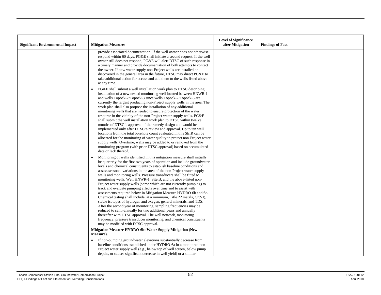| <b>Significant Environmental Impact</b> | <b>Mitigation Measures</b>                                                                                                                                                                                                                                                                                                                                                                                                                                                                                                                                                                                                                                                                                                                                                                                                                                                                                                                                                                                                                                                                                                                            | <b>Level of Significance</b><br>after Mitigation | <b>Findings of Fact</b> |
|-----------------------------------------|-------------------------------------------------------------------------------------------------------------------------------------------------------------------------------------------------------------------------------------------------------------------------------------------------------------------------------------------------------------------------------------------------------------------------------------------------------------------------------------------------------------------------------------------------------------------------------------------------------------------------------------------------------------------------------------------------------------------------------------------------------------------------------------------------------------------------------------------------------------------------------------------------------------------------------------------------------------------------------------------------------------------------------------------------------------------------------------------------------------------------------------------------------|--------------------------------------------------|-------------------------|
|                                         | provide associated documentation. If the well owner does not otherwise<br>respond within 60 days, PG&E shall initiate a second request. If the well<br>owner still does not respond, PG&E will alert DTSC of such response in<br>a timely manner and provide documentation of both attempts to contact<br>the owner. If new water supply non-Project wells are installed or<br>discovered in the general area in the future, DTSC may direct PG&E to<br>take additional action for access and add them to the wells listed above<br>at any time.                                                                                                                                                                                                                                                                                                                                                                                                                                                                                                                                                                                                      |                                                  |                         |
|                                         | PG&E shall submit a well installation work plan to DTSC describing<br>installation of a new nested monitoring well located between HNWR-1<br>and wells Topock-2/Topock-3 since wells Topock-2/Topock-3 are<br>currently the largest producing non-Project supply wells in the area. The<br>work plan shall also propose the installation of any additional<br>monitoring wells that are needed to ensure protection of the water<br>resource in the vicinity of the non-Project water supply wells. PG&E<br>shall submit the well installation work plan to DTSC within twelve<br>months of DTSC's approval of the remedy design and would be<br>implemented only after DTSC's review and approval. Up to ten well<br>locations from the total borehole count evaluated in this SEIR can be<br>allocated for the monitoring of water quality to protect non-Project water<br>supply wells. Overtime, wells may be added to or removed from the<br>monitoring program (with prior DTSC approval) based on accumulated<br>data or lack thereof.                                                                                                         |                                                  |                         |
|                                         | Monitoring of wells identified in this mitigation measure shall initially<br>$\bullet$<br>be quarterly for the first two years of operation and include groundwater<br>levels and chemical constituents to establish baseline conditions and<br>assess seasonal variations in the area of the non-Project water supply<br>wells and monitoring wells. Pressure transducers shall be fitted to<br>monitoring wells, Well HNWR-1, Site B, and the above-listed non-<br>Project water supply wells (some which are not currently pumping) to<br>track and evaluate pumping effects over time and to assist with<br>assessments required below in Mitigation Measure HYDRO-6b and 6c.<br>Chemical testing shall include, at a minimum, Title 22 metals, Cr(VI),<br>stable isotopes of hydrogen and oxygen, general minerals, and TDS.<br>After the second year of monitoring, sampling frequencies may be<br>reduced to semi-annually for two additional years and annually<br>thereafter with DTSC approval. The well network, monitoring<br>frequency, pressure transducer monitoring, and chemical constituents<br>may be modified with DTSC approval. |                                                  |                         |
|                                         | Mitigation Measure HYDRO-6b: Water Supply Mitigation (New<br>Measure).<br>If non-pumping groundwater elevations substantially decrease from<br>$\bullet$                                                                                                                                                                                                                                                                                                                                                                                                                                                                                                                                                                                                                                                                                                                                                                                                                                                                                                                                                                                              |                                                  |                         |
|                                         | baseline conditions established under HYDRO-6a in a monitored non-<br>Project water supply well (e.g., below top of well screen, below pump<br>depths, or causes significant decrease in well yield) or a similar                                                                                                                                                                                                                                                                                                                                                                                                                                                                                                                                                                                                                                                                                                                                                                                                                                                                                                                                     |                                                  |                         |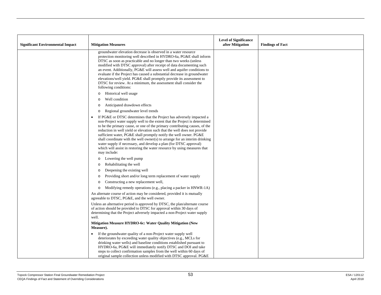|                                         |                                                                                                                                                                                                                                                                                                                                                                                                                                                                                                                                                                                                                                               | <b>Level of Significance</b> |                         |
|-----------------------------------------|-----------------------------------------------------------------------------------------------------------------------------------------------------------------------------------------------------------------------------------------------------------------------------------------------------------------------------------------------------------------------------------------------------------------------------------------------------------------------------------------------------------------------------------------------------------------------------------------------------------------------------------------------|------------------------------|-------------------------|
| <b>Significant Environmental Impact</b> | <b>Mitigation Measures</b>                                                                                                                                                                                                                                                                                                                                                                                                                                                                                                                                                                                                                    | after Mitigation             | <b>Findings of Fact</b> |
|                                         | groundwater elevation decrease is observed in a water resource<br>protection monitoring well described in HYDRO-6a, PG&E shall inform<br>DTSC as soon as practicable and no longer than two weeks (unless<br>modified with DTSC approval) after receipt of data documenting such<br>an event. Additionally, PG&E will assess well and aquifer conditions to<br>evaluate if the Project has caused a substantial decrease in groundwater<br>elevations/well yield. PG&E shall promptly provide its assessment to<br>DTSC for review. At a minimum, the assessment shall consider the<br>following conditions:                                  |                              |                         |
|                                         | Historical well usage<br>$\circ$                                                                                                                                                                                                                                                                                                                                                                                                                                                                                                                                                                                                              |                              |                         |
|                                         | Well condition<br>$\circ$                                                                                                                                                                                                                                                                                                                                                                                                                                                                                                                                                                                                                     |                              |                         |
|                                         | Anticipated drawdown effects<br>$\circ$<br>Regional groundwater level trends<br>$\circ$                                                                                                                                                                                                                                                                                                                                                                                                                                                                                                                                                       |                              |                         |
|                                         | If PG&E or DTSC determines that the Project has adversely impacted a<br>$\bullet$<br>non-Project water supply well to the extent that the Project is determined<br>to be the primary cause, or one of the primary contributing causes, of the<br>reduction in well yield or elevation such that the well does not provide<br>sufficient water, PG&E shall promptly notify the well owner. PG&E<br>shall coordinate with the well owner(s) to arrange for an interim drinking<br>water supply if necessary, and develop a plan (for DTSC approval)<br>which will assist in restoring the water resource by using measures that<br>may include: |                              |                         |
|                                         | Lowering the well pump<br>$\circ$                                                                                                                                                                                                                                                                                                                                                                                                                                                                                                                                                                                                             |                              |                         |
|                                         | Rehabilitating the well<br>$\circ$                                                                                                                                                                                                                                                                                                                                                                                                                                                                                                                                                                                                            |                              |                         |
|                                         | Deepening the existing well<br>$\circ$                                                                                                                                                                                                                                                                                                                                                                                                                                                                                                                                                                                                        |                              |                         |
|                                         | Providing short and/or long term replacement of water supply<br>$\circ$                                                                                                                                                                                                                                                                                                                                                                                                                                                                                                                                                                       |                              |                         |
|                                         | Constructing a new replacement well,<br>$\Omega$                                                                                                                                                                                                                                                                                                                                                                                                                                                                                                                                                                                              |                              |                         |
|                                         | Modifying remedy operations (e.g., placing a packer in HNWR-1A)<br>$\circ$<br>An alternate course of action may be considered, provided it is mutually<br>agreeable to DTSC, PG&E, and the well owner.                                                                                                                                                                                                                                                                                                                                                                                                                                        |                              |                         |
|                                         | Unless an alternative period is approved by DTSC, the plan/alternate course<br>of action should be provided to DTSC for approval within 30 days of<br>determining that the Project adversely impacted a non-Project water supply<br>well.                                                                                                                                                                                                                                                                                                                                                                                                     |                              |                         |
|                                         | <b>Mitigation Measure HYDRO-6c: Water Quality Mitigation (New</b><br>Measure).                                                                                                                                                                                                                                                                                                                                                                                                                                                                                                                                                                |                              |                         |
|                                         | If the groundwater quality of a non-Project water supply well<br>deteriorates by exceeding water quality objectives (e.g., MCLs for<br>drinking water wells) and baseline conditions established pursuant to<br>HYDRO-6a, PG&E will immediately notify DTSC and DOI and take<br>steps to collect confirmation samples from the well within 60 days of<br>original sample collection unless modified with DTSC approval. PG&E                                                                                                                                                                                                                  |                              |                         |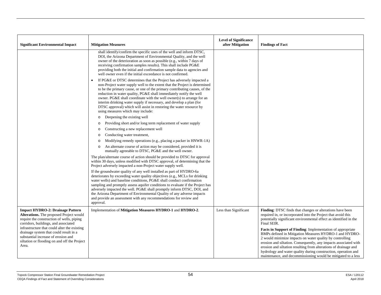| <b>Significant Environmental Impact</b>                                                                                                                                                | <b>Mitigation Measures</b>                                                                                                                                                                                                                                                                                                                                                                                                                                                                                                                                         | <b>Level of Significance</b><br>after Mitigation | <b>Findings of Fact</b>                                                                                                                                                                                                                                                                                                                                                                                                                                            |
|----------------------------------------------------------------------------------------------------------------------------------------------------------------------------------------|--------------------------------------------------------------------------------------------------------------------------------------------------------------------------------------------------------------------------------------------------------------------------------------------------------------------------------------------------------------------------------------------------------------------------------------------------------------------------------------------------------------------------------------------------------------------|--------------------------------------------------|--------------------------------------------------------------------------------------------------------------------------------------------------------------------------------------------------------------------------------------------------------------------------------------------------------------------------------------------------------------------------------------------------------------------------------------------------------------------|
|                                                                                                                                                                                        | shall identify/confirm the specific uses of the well and inform DTSC,<br>DOI, the Arizona Department of Environmental Quality, and the well<br>owner of the deterioration as soon as possible (e.g., within 7 days of<br>receiving confirmation samples results). This shall include PG&E<br>providing both the initial and confirmation sample data to agencies and<br>well owner even if the initial exceedance is not confirmed.                                                                                                                                |                                                  |                                                                                                                                                                                                                                                                                                                                                                                                                                                                    |
|                                                                                                                                                                                        | If PG&E or DTSC determines that the Project has adversely impacted a<br>non-Project water supply well to the extent that the Project is determined<br>to be the primary cause, or one of the primary contributing causes, of the<br>reduction in water quality, PG&E shall immediately notify the well<br>owner. PG&E shall coordinate with the well owner(s) to arrange for an<br>interim drinking water supply if necessary, and develop a plan (for<br>DTSC approval) which will assist in restoring the water resource by<br>using measures which may include: |                                                  |                                                                                                                                                                                                                                                                                                                                                                                                                                                                    |
|                                                                                                                                                                                        | Deepening the existing well<br>$\circ$                                                                                                                                                                                                                                                                                                                                                                                                                                                                                                                             |                                                  |                                                                                                                                                                                                                                                                                                                                                                                                                                                                    |
|                                                                                                                                                                                        | Providing short and/or long term replacement of water supply<br>$\circ$                                                                                                                                                                                                                                                                                                                                                                                                                                                                                            |                                                  |                                                                                                                                                                                                                                                                                                                                                                                                                                                                    |
|                                                                                                                                                                                        | Constructing a new replacement well<br>$\circ$                                                                                                                                                                                                                                                                                                                                                                                                                                                                                                                     |                                                  |                                                                                                                                                                                                                                                                                                                                                                                                                                                                    |
|                                                                                                                                                                                        | Conducting water treatment,<br>$\circ$                                                                                                                                                                                                                                                                                                                                                                                                                                                                                                                             |                                                  |                                                                                                                                                                                                                                                                                                                                                                                                                                                                    |
|                                                                                                                                                                                        | Modifying remedy operations (e.g., placing a packer in HNWR-1A)<br>$\circ$                                                                                                                                                                                                                                                                                                                                                                                                                                                                                         |                                                  |                                                                                                                                                                                                                                                                                                                                                                                                                                                                    |
|                                                                                                                                                                                        | An alternate course of action may be considered, provided it is<br>$\circ$<br>mutually agreeable to DTSC, PG&E and the well owner.                                                                                                                                                                                                                                                                                                                                                                                                                                 |                                                  |                                                                                                                                                                                                                                                                                                                                                                                                                                                                    |
|                                                                                                                                                                                        | The plan/alternate course of action should be provided to DTSC for approval<br>within 30 days, unless modified with DTSC approval, of determining that the<br>Project adversely impacted a non-Project water supply well.                                                                                                                                                                                                                                                                                                                                          |                                                  |                                                                                                                                                                                                                                                                                                                                                                                                                                                                    |
|                                                                                                                                                                                        | If the groundwater quality of any well installed as part of HYDRO-6a<br>deteriorates by exceeding water quality objectives (e.g., MCLs for drinking<br>water wells) and baseline conditions, PG&E shall conduct confirmation<br>sampling and promptly assess aquifer conditions to evaluate if the Project has<br>adversely impacted the well. PG&E shall promptly inform DTSC, DOI, and<br>the Arizona Department of Environmental Quality of any adverse impacts<br>and provide an assessment with any recommendations for review and<br>approval.               |                                                  |                                                                                                                                                                                                                                                                                                                                                                                                                                                                    |
| <b>Impact HYDRO-2: Drainage Pattern</b><br>Alterations. The proposed Project would<br>require the construction of wells, piping<br>corridors, buildings, and associated                | Implementation of Mitigation Measures HYDRO-1 and HYDRO-2.                                                                                                                                                                                                                                                                                                                                                                                                                                                                                                         | Less than Significant                            | Finding: DTSC finds that changes or alterations have been<br>required in, or incorporated into the Project that avoid this<br>potentially significant environmental effect as identified in the<br>Final SEIR.                                                                                                                                                                                                                                                     |
| infrastructure that could alter the existing<br>drainage system that could result in a<br>substantial increase of erosion and<br>siltation or flooding on and off the Project<br>Area. |                                                                                                                                                                                                                                                                                                                                                                                                                                                                                                                                                                    |                                                  | <b>Facts in Support of Finding:</b> Implementation of appropriate<br>BMPs defined in Mitigation Measures HYDRO-1 and HYDRO-<br>2 would minimize impacts on water quality by controlling<br>erosion and siltation. Consequently, any impacts associated with<br>erosion and siltation resulting from alterations of drainage and<br>hydrology and water quality during construction, operation and<br>maintenance, and decommissioning would be mitigated to a less |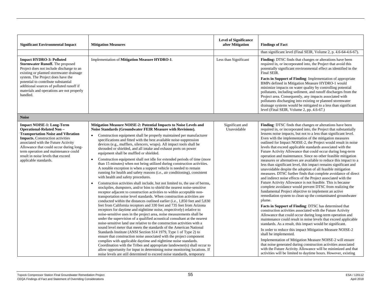| <b>Significant Environmental Impact</b>                                                                                                                                                                                                                                                                                                              | <b>Mitigation Measures</b>                                                                                                                                                                                                                                                                                                                                                                                                                                                                                                                                                                                                                                                                                                                                                                                                                                                                                                                                                                                                                                                                                                                                                                                                                                                                                                                                                                                                                                                                                                                                                                                                                                                                                                                                                                                                                                                                                                                                                                                                                                                                                                                                               | <b>Level of Significance</b><br>after Mitigation | <b>Findings of Fact</b><br>than significant level (Final SEIR, Volume 2, p. 4.6-64-4.6-67).                                                                                                                                                                                                                                                                                                                                                                                                                                                                                                                                                                                                                                                                                                                                                                                                                                                                                                                                                                                                                                                                                                                                                                                                                                                                                                                                                                                                                                                                                                                                                                                                                                                                                                                      |
|------------------------------------------------------------------------------------------------------------------------------------------------------------------------------------------------------------------------------------------------------------------------------------------------------------------------------------------------------|--------------------------------------------------------------------------------------------------------------------------------------------------------------------------------------------------------------------------------------------------------------------------------------------------------------------------------------------------------------------------------------------------------------------------------------------------------------------------------------------------------------------------------------------------------------------------------------------------------------------------------------------------------------------------------------------------------------------------------------------------------------------------------------------------------------------------------------------------------------------------------------------------------------------------------------------------------------------------------------------------------------------------------------------------------------------------------------------------------------------------------------------------------------------------------------------------------------------------------------------------------------------------------------------------------------------------------------------------------------------------------------------------------------------------------------------------------------------------------------------------------------------------------------------------------------------------------------------------------------------------------------------------------------------------------------------------------------------------------------------------------------------------------------------------------------------------------------------------------------------------------------------------------------------------------------------------------------------------------------------------------------------------------------------------------------------------------------------------------------------------------------------------------------------------|--------------------------------------------------|------------------------------------------------------------------------------------------------------------------------------------------------------------------------------------------------------------------------------------------------------------------------------------------------------------------------------------------------------------------------------------------------------------------------------------------------------------------------------------------------------------------------------------------------------------------------------------------------------------------------------------------------------------------------------------------------------------------------------------------------------------------------------------------------------------------------------------------------------------------------------------------------------------------------------------------------------------------------------------------------------------------------------------------------------------------------------------------------------------------------------------------------------------------------------------------------------------------------------------------------------------------------------------------------------------------------------------------------------------------------------------------------------------------------------------------------------------------------------------------------------------------------------------------------------------------------------------------------------------------------------------------------------------------------------------------------------------------------------------------------------------------------------------------------------------------|
| <b>Impact HYDRO-3: Polluted</b><br><b>Stormwater Runoff.</b> The proposed<br>Project does not include discharge to an<br>existing or planned stormwater drainage<br>system. The Project does have the<br>potential to contribute substantial<br>additional sources of polluted runoff if<br>materials and operations are not properly<br>handled.    | Implementation of Mitigation Measure HYDRO-1.                                                                                                                                                                                                                                                                                                                                                                                                                                                                                                                                                                                                                                                                                                                                                                                                                                                                                                                                                                                                                                                                                                                                                                                                                                                                                                                                                                                                                                                                                                                                                                                                                                                                                                                                                                                                                                                                                                                                                                                                                                                                                                                            | Less than Significant                            | Finding: DTSC finds that changes or alterations have been<br>required in, or incorporated into, the Project that avoid this<br>potentially significant environmental effect as identified in the<br>Final SEIR.<br>Facts in Support of Finding: Implementation of appropriate<br>BMPs defined in Mitigation Measure HYDRO-1 would<br>minimize impacts on water quality by controlling potential<br>pollutants, including sediment, and runoff discharges from the<br>Project area. Consequently, any impacts associated with<br>pollutants discharging into existing or planned stormwater<br>drainage systems would be mitigated to a less than significant<br>level (Final SEIR, Volume 2, pp. 4.6-67.)                                                                                                                                                                                                                                                                                                                                                                                                                                                                                                                                                                                                                                                                                                                                                                                                                                                                                                                                                                                                                                                                                                        |
| <b>Noise</b>                                                                                                                                                                                                                                                                                                                                         |                                                                                                                                                                                                                                                                                                                                                                                                                                                                                                                                                                                                                                                                                                                                                                                                                                                                                                                                                                                                                                                                                                                                                                                                                                                                                                                                                                                                                                                                                                                                                                                                                                                                                                                                                                                                                                                                                                                                                                                                                                                                                                                                                                          |                                                  |                                                                                                                                                                                                                                                                                                                                                                                                                                                                                                                                                                                                                                                                                                                                                                                                                                                                                                                                                                                                                                                                                                                                                                                                                                                                                                                                                                                                                                                                                                                                                                                                                                                                                                                                                                                                                  |
| <b>Impact NOISE-1: Long-Term</b><br><b>Operational-Related Non-</b><br><b>Transportation Noise and Vibration</b><br><b>Impacts.</b> Construction activities<br>associated with the Future Activity<br>Allowance that could occur during long-<br>term operation and maintenance could<br>result in noise levels that exceed<br>applicable standards. | Mitigation Measure NOISE-2: Potential Impacts to Noise Levels and<br>Noise Standards (Groundwater FEIR Measure with Revisions).<br>Construction equipment shall be properly maintained per manufacturer<br>$\bullet$<br>specifications and fitted with the best available noise-suppression<br>devices (e.g., mufflers, silencers, wraps). All impact tools shall be<br>shrouded or shielded, and all intake and exhaust ports on power<br>equipment shall be muffled or shielded.<br>Construction equipment shall not idle for extended periods of time (more<br>$\bullet$<br>than 15 minutes) when not being utilized during construction activities.<br>A notable exception is when a support vehicle is needed to remain<br>running for health and safety reasons (i.e., air conditioning), consistent<br>with health and safety procedures.<br>Construction activities shall include, but not limited to, the use of berms,<br>$\bullet$<br>stockpiles, dumpsters, and/or bins to shield the nearest noise-sensitive<br>receptor adjacent to construction activities to within acceptable non-<br>transportation noise level standards. When construction activities are<br>conducted within the distances outlined earlier (i.e., 1,850 feet and 5,830)<br>feet from California receptors and 330 feet and 735 feet from Arizona<br>receptors for daytime and nighttime noise, respectively) relative to<br>noise-sensitive uses in the project area, noise measurements shall be<br>under the supervision of a qualified acoustical consultant at the nearest<br>noise-sensitive land use relative to the construction activities with a<br>sound level meter that meets the standards of the American National<br>Standards Institute (ANSI Section S14 1979, Type 1 of Type 2) to<br>ensure that construction noise associated with the project component<br>complies with applicable daytime and nighttime noise standards.<br>Coordination with the Tribes and appropriate landowner(s) shall occur to<br>allow opportunity for input in determining noise monitoring locations. If<br>noise levels are still determined to exceed noise standards, temporary | Significant and<br>Unavoidable                   | Finding: DTSC finds that changes or alterations have been<br>required in, or incorporated into, the Project that substantially<br>lessens noise impacts, but not to a less than significant level.<br>Even with the implementation of the mitigation measures<br>outlined for Impact NOISE-2, the Project would result in noise<br>levels that exceed applicable standards associated with the<br>Future Activity Allowance that could occur during long-term<br>operation and maintenance. Since no other feasible mitigation<br>measures or alternatives are available to reduce this impact to a<br>less than significant level, this impact remains significant and<br>unavoidable despite the adoption of all feasible mitigation<br>measures. DTSC further finds that complete avoidance of direct<br>and indirect noise effects of the Project associated with the<br>Future Activity Allowance is not feasible. This is because<br>complete avoidance would prevent DTSC from realizing the<br>fundamental Project objective to implement an active<br>remediation system to clean up the contaminated groundwater<br>plume.<br>Facts in Support of Finding: DTSC has determined that<br>construction activities associated with the Future Activity<br>Allowance that could occur during long-term operation and<br>maintenance could result in noise levels that exceed applicable<br>standards. As a result, this impact would be significant.<br>In order to reduce this impact Mitigation Measure NOISE-2<br>shall be implemented.<br>Implementation of Mitigation Measure NOISE-2 will ensure<br>that noise generated during construction activities associated<br>with the Future Activity Allowance will be minimized and that<br>activities will be limited to daytime hours. However, existing |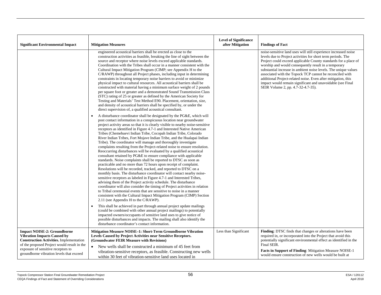|                                                                                                                                                                                                                                                             |                                                                                                                                                                                                                                                                                                                                                                                                                                                                                                                                                                                                                                                                                                                                                                                                                                                                                                                                                                                                                                                                                                                                                                                                                                                                                                                                                                                                                                                                       | <b>Level of Significance</b> |                                                                                                                                                                                                                                                                                                                                                                                                                                                                                                                                                                |
|-------------------------------------------------------------------------------------------------------------------------------------------------------------------------------------------------------------------------------------------------------------|-----------------------------------------------------------------------------------------------------------------------------------------------------------------------------------------------------------------------------------------------------------------------------------------------------------------------------------------------------------------------------------------------------------------------------------------------------------------------------------------------------------------------------------------------------------------------------------------------------------------------------------------------------------------------------------------------------------------------------------------------------------------------------------------------------------------------------------------------------------------------------------------------------------------------------------------------------------------------------------------------------------------------------------------------------------------------------------------------------------------------------------------------------------------------------------------------------------------------------------------------------------------------------------------------------------------------------------------------------------------------------------------------------------------------------------------------------------------------|------------------------------|----------------------------------------------------------------------------------------------------------------------------------------------------------------------------------------------------------------------------------------------------------------------------------------------------------------------------------------------------------------------------------------------------------------------------------------------------------------------------------------------------------------------------------------------------------------|
| <b>Significant Environmental Impact</b>                                                                                                                                                                                                                     | <b>Mitigation Measures</b>                                                                                                                                                                                                                                                                                                                                                                                                                                                                                                                                                                                                                                                                                                                                                                                                                                                                                                                                                                                                                                                                                                                                                                                                                                                                                                                                                                                                                                            | after Mitigation             | <b>Findings of Fact</b>                                                                                                                                                                                                                                                                                                                                                                                                                                                                                                                                        |
|                                                                                                                                                                                                                                                             | engineered acoustical barriers shall be erected as close to the<br>construction activities as feasible, breaking the line of sight between the<br>source and receptor where noise levels exceed applicable standards.<br>Coordination with the Tribes shall occur in a manner consistent with the<br>Cultural Impact Mitigation Program (CIMP; see Appendix H to the<br>C/RAWP) throughout all Project phases, including input in determining<br>constraints in locating temporary noise barriers to avoid or minimize<br>physical impact to cultural resources. All acoustical barriers shall be<br>constructed with material having a minimum surface weight of 2 pounds<br>per square foot or greater and a demonstrated Sound Transmission Class<br>(STC) rating of 25 or greater as defined by the American Society for<br>Testing and Materials' Test Method E90. Placement, orientation, size,<br>and density of acoustical barriers shall be specified by, or under the<br>direct supervision of, a qualified acoustical consultant.                                                                                                                                                                                                                                                                                                                                                                                                                          |                              | noise-sensitive land uses will still experience increased noise<br>levels due to Project activities for short term periods. The<br>Project could exceed applicable County standards for a place of<br>worship and would consequently result in a temporary<br>substantial increase in ambient noise levels. The unique values<br>associated with the Topock TCP cannot be reconciled with<br>additional Project-related noise. Even after mitigation, this<br>impact would remain significant and unavoidable (see Final<br>SEIR Volume 2, pp. 4.7-32-4.7-35). |
|                                                                                                                                                                                                                                                             | A disturbance coordinator shall be designated by the PG&E, which will<br>$\bullet$<br>post contact information in a conspicuous location near groundwater<br>project activity areas so that it is clearly visible to nearby noise-sensitive<br>receptors as identified in Figure 4.7-1 and Interested Native American<br>Tribes (Chemehuevi Indian Tribe, Cocopah Indian Tribe, Colorado<br>River Indian Tribes, Fort Mojave Indian Tribe, and the Hualapai Indian<br>Tribe). The coordinator will manage and thoroughly investigate<br>complaints resulting from the Project-related noise to ensure resolution.<br>Reoccurring disturbances will be evaluated by a qualified acoustical<br>consultant retained by PG&E to ensure compliance with applicable<br>standards. Noise complaints shall be reported to DTSC as soon as<br>practicable and no more than 72 hours upon receipt of complaint.<br>Resolutions will be recorded, tracked, and reported to DTSC on a<br>monthly basis. The disturbance coordinator will contact nearby noise-<br>sensitive receptors as labeled in Figure 4.7-1 and Interested Tribes,<br>advising them of the Project activity schedule. The disturbance<br>coordinator will also consider the timing of Project activities in relation<br>to Tribal ceremonial events that are sensitive to noise in a manner<br>consistent with the Cultural Impact Mitigation Program (CIMP) Section<br>2.11 (see Appendix H to the C/RAWP). |                              |                                                                                                                                                                                                                                                                                                                                                                                                                                                                                                                                                                |
|                                                                                                                                                                                                                                                             | This shall be achieved in part through annual project update mailings<br>$\bullet$<br>(could be combined with other annual project mailings) to potentially<br>impacted owners/occupants of sensitive land uses to give notice of<br>possible disturbances and impacts. The mailing shall also identify the<br>disturbance coordinator's contact information.                                                                                                                                                                                                                                                                                                                                                                                                                                                                                                                                                                                                                                                                                                                                                                                                                                                                                                                                                                                                                                                                                                         |                              |                                                                                                                                                                                                                                                                                                                                                                                                                                                                                                                                                                |
| <b>Impact NOISE-2: Groundborne</b><br><b>Vibration Impacts Caused by</b><br><b>Construction Activities.</b> Implementation<br>of the proposed Project would result in the<br>exposure of sensitive receptors to<br>groundborne vibration levels that exceed | <b>Mitigation Measure NOISE-1: Short-Term Groundborne Vibration</b><br>Levels Caused by Project Activities near Sensitive Receptors.<br>(Groundwater FEIR Measure with Revisions)<br>New wells shall be constructed a minimum of 45 feet from<br>$\bullet$<br>vibration-sensitive receptors, as feasible. Constructing new wells<br>within 30 feet of vibration-sensitive land uses located in                                                                                                                                                                                                                                                                                                                                                                                                                                                                                                                                                                                                                                                                                                                                                                                                                                                                                                                                                                                                                                                                        | Less than Significant        | Finding: DTSC finds that changes or alterations have been<br>required in, or incorporated into the Project that avoid this<br>potentially significant environmental effect as identified in the<br>Final SEIR.<br>Facts in Support of Finding: Mitigation Measure NOISE-1<br>would ensure construction of new wells would be built at                                                                                                                                                                                                                          |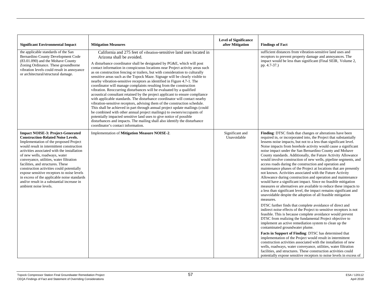| <b>Significant Environmental Impact</b>                                                                                                                                                                                                                                                                                                                                                                                                                                                                                                                       | <b>Mitigation Measures</b>                                                                                                                                                                                                                                                                                                                                                                                                                                                                                                                                                                                                                                                                                                                                                                                                                                                                                                                                                                                                                                                                                                                                                                                                                          | <b>Level of Significance</b><br>after Mitigation | <b>Findings of Fact</b>                                                                                                                                                                                                                                                                                                                                                                                                                                                                                                                                                                                                                                                                                                                                                                                                                                                                                                                                                                                                                                                                                                                                                                                                                                                                                                                                                                                                                                                                                                                                                                                                                                                                                                                                                               |
|---------------------------------------------------------------------------------------------------------------------------------------------------------------------------------------------------------------------------------------------------------------------------------------------------------------------------------------------------------------------------------------------------------------------------------------------------------------------------------------------------------------------------------------------------------------|-----------------------------------------------------------------------------------------------------------------------------------------------------------------------------------------------------------------------------------------------------------------------------------------------------------------------------------------------------------------------------------------------------------------------------------------------------------------------------------------------------------------------------------------------------------------------------------------------------------------------------------------------------------------------------------------------------------------------------------------------------------------------------------------------------------------------------------------------------------------------------------------------------------------------------------------------------------------------------------------------------------------------------------------------------------------------------------------------------------------------------------------------------------------------------------------------------------------------------------------------------|--------------------------------------------------|---------------------------------------------------------------------------------------------------------------------------------------------------------------------------------------------------------------------------------------------------------------------------------------------------------------------------------------------------------------------------------------------------------------------------------------------------------------------------------------------------------------------------------------------------------------------------------------------------------------------------------------------------------------------------------------------------------------------------------------------------------------------------------------------------------------------------------------------------------------------------------------------------------------------------------------------------------------------------------------------------------------------------------------------------------------------------------------------------------------------------------------------------------------------------------------------------------------------------------------------------------------------------------------------------------------------------------------------------------------------------------------------------------------------------------------------------------------------------------------------------------------------------------------------------------------------------------------------------------------------------------------------------------------------------------------------------------------------------------------------------------------------------------------|
| the applicable standards of the San<br>Bernardino County Development Code<br>(83.01.090) and the Mohave County<br>Zoning Ordinance. These groundborne<br>vibration levels could result in annoyance<br>or architectural/structural damage.                                                                                                                                                                                                                                                                                                                    | California and 275 feet of vibration-sensitive land uses located in<br>Arizona shall be avoided.<br>A disturbance coordinator shall be designated by PG&E, which will post<br>contact information in conspicuous locations near Project activity areas such<br>as on construction fencing or trailers, but with consideration to culturally<br>sensitive areas such as the Topock Maze. Signage will be clearly visible to<br>nearby vibration-sensitive receptors as identified in Figure 4.7-1. The<br>coordinator will manage complaints resulting from the construction<br>vibration. Reoccurring disturbances will be evaluated by a qualified<br>acoustical consultant retained by the project applicant to ensure compliance<br>with applicable standards. The disturbance coordinator will contact nearby<br>vibration-sensitive receptors, advising them of the construction schedule.<br>This shall be achieved in part through annual project update mailings (could<br>be combined with other annual project mailings) to owners/occupants of<br>potentially impacted sensitive land uses to give notice of possible<br>disturbances and impacts. The mailing shall also identify the disturbance<br>coordinator's contact information. |                                                  | sufficient distances from vibration-sensitive land uses and<br>receptors to prevent property damage and annoyances. The<br>impact would be less than significant (Final SEIR, Volume 2,<br>pp. 4.7-37.)                                                                                                                                                                                                                                                                                                                                                                                                                                                                                                                                                                                                                                                                                                                                                                                                                                                                                                                                                                                                                                                                                                                                                                                                                                                                                                                                                                                                                                                                                                                                                                               |
| <b>Impact NOISE-3: Project-Generated</b><br><b>Construction-Related Noise Levels.</b><br>Implementation of the proposed Project<br>would result in intermittent construction<br>activities associated with the installation<br>of new wells, roadways, water<br>conveyance, utilities, water filtration<br>facilities, and structures. These<br>construction activities could potentially<br>expose sensitive receptors to noise levels<br>in excess of the applicable noise standards<br>and/or result in a substantial increase in<br>ambient noise levels. | Implementation of Mitigation Measure NOISE-2.                                                                                                                                                                                                                                                                                                                                                                                                                                                                                                                                                                                                                                                                                                                                                                                                                                                                                                                                                                                                                                                                                                                                                                                                       | Significant and<br>Unavoidable                   | Finding: DTSC finds that changes or alterations have been<br>required in, or incorporated into, the Project that substantially<br>lessens noise impacts, but not to a less than significant level.<br>Noise impacts from borehole activity would cause a significant<br>noise impact under the San Bernardino County and Mohave<br>County standards. Additionally, the Future Activity Allowance<br>would involve construction of new wells, pipeline segments, and<br>access roads during the construction and operation and<br>maintenance phases of the Project at locations that are presently<br>not known. Activities associated with the Future Activity<br>Allowance during construction and operation and maintenance<br>would have a significant impact. Since no feasible mitigation<br>measures or alternatives are available to reduce these impacts to<br>a less than significant level, the impact remains significant and<br>unavoidable despite the adoption of all feasible mitigation<br>measures.<br>DTSC further finds that complete avoidance of direct and<br>indirect noise effects of the Project to sensitive receptors is not<br>feasible. This is because complete avoidance would prevent<br>DTSC from realizing the fundamental Project objective to<br>implement an active remediation system to clean up the<br>contaminated groundwater plume.<br>Facts in Support of Finding: DTSC has determined that<br>implementation of the Project would result in intermittent<br>construction activities associated with the installation of new<br>wells, roadways, water conveyance, utilities, water filtration<br>facilities, and structures. These construction activities could<br>potentially expose sensitive receptors to noise levels in excess of |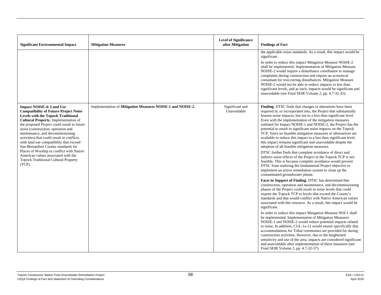| <b>Significant Environmental Impact</b>                                                                                                                                                                                                                                                                                                                                                                                              | <b>Mitigation Measures</b>                                 | <b>Level of Significance</b><br>after Mitigation | <b>Findings of Fact</b>                                                                                                                                                                                                                                                                                                                                                                                                                                                                                                                                                                                                                                |
|--------------------------------------------------------------------------------------------------------------------------------------------------------------------------------------------------------------------------------------------------------------------------------------------------------------------------------------------------------------------------------------------------------------------------------------|------------------------------------------------------------|--------------------------------------------------|--------------------------------------------------------------------------------------------------------------------------------------------------------------------------------------------------------------------------------------------------------------------------------------------------------------------------------------------------------------------------------------------------------------------------------------------------------------------------------------------------------------------------------------------------------------------------------------------------------------------------------------------------------|
|                                                                                                                                                                                                                                                                                                                                                                                                                                      |                                                            |                                                  | the applicable noise standards. As a result, this impact would be<br>significant.<br>In order to reduce this impact Mitigation Measure NOISE-2<br>shall be implemented. Implementation of Mitigation Measure<br>NOISE-2 would require a disturbance coordinator to manage<br>complaints during construction and require an acoustical<br>consultant for reoccurring disturbances. Mitigation Measure<br>NOISE-2 would not be able to reduce impacts to less than<br>significant levels, and as such, impacts would be significant and<br>unavoidable (see Final SEIR Volume 2, pp. 4.7-32-35).                                                         |
| <b>Impact NOISE-4: Land Use</b><br><b>Compatibility of Future Project Noise</b><br><b>Levels with the Topock Traditional</b><br><b>Cultural Property.</b> Implementation of<br>the proposed Project could result in future<br>noise (construction, operation and<br>maintenance, and decommissioning<br>activities) that could result in conflicts<br>with land use compatibility that exceed<br>San Bernardino County standards for | Implementation of Mitigation Measures NOISE-1 and NOISE-2. | Significant and<br>Unavoidable                   | Finding: DTSC finds that changes or alterations have been<br>required in, or incorporated into, the Project that substantially<br>lessens noise impacts, but not to a less than significant level.<br>Even with the implementation of the mitigation measures<br>outlined for Impact NOISE-1 and NOISE-2, the Project has the<br>potential to result in significant noise impacts on the Topock<br>TCP. Since no feasible mitigation measures or alternatives are<br>available to reduce this impact to a less than significant level,<br>this impact remains significant and unavoidable despite the<br>adoption of all feasible mitigation measures. |
| Places of Worship or conflict with Native<br>American values associated with the<br><b>Topock Traditional Cultural Property</b><br>(TCP).                                                                                                                                                                                                                                                                                            |                                                            |                                                  | DTSC further finds that complete avoidance of direct and<br>indirect noise effects of the Project to the Topock TCP is not<br>feasible. This is because complete avoidance would prevent<br>DTSC from realizing the fundamental Project objective to<br>implement an active remediation system to clean up the<br>contaminated groundwater plume.                                                                                                                                                                                                                                                                                                      |
|                                                                                                                                                                                                                                                                                                                                                                                                                                      |                                                            |                                                  | Facts in Support of Finding: DTSC has determined that<br>construction, operation and maintenance, and decommissioning<br>phases of the Project could result in noise levels that could<br>expose the Topock TCP to levels that exceed the County's<br>standards and that would conflict with Native American values<br>associated with this resource. As a result, this impact would be<br>significant.                                                                                                                                                                                                                                                |
|                                                                                                                                                                                                                                                                                                                                                                                                                                      |                                                            |                                                  | In order to reduce this impact Mitigation Measure NOI-1 shall<br>be implemented. Implementation of Mitigation Measures<br>NOISE-1 and NOISE-2 would reduce potential impacts related<br>to noise. In addition, CUL-1a-12 would ensure specifically that<br>accommodations for Tribal ceremonies are provided for during<br>construction activities. However, due to the heightened<br>sensitivity and use of the area, impacts are considered significant<br>and unavoidable after implementation of these measures (see<br>Final SEIR Volume 2, pp. 4.7-32-37).                                                                                       |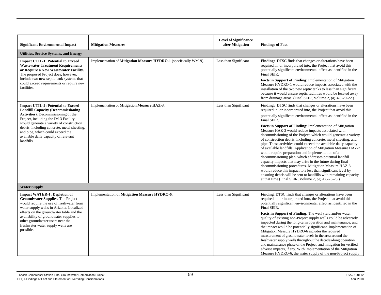|                                                                                                                                                                                                                                                               |                                                                   | <b>Level of Significance</b> |                                                                                                                                                                                                                                                                                                                                                                                                                                                                                                                                                                                                                                                                                                                                                                                                                                |
|---------------------------------------------------------------------------------------------------------------------------------------------------------------------------------------------------------------------------------------------------------------|-------------------------------------------------------------------|------------------------------|--------------------------------------------------------------------------------------------------------------------------------------------------------------------------------------------------------------------------------------------------------------------------------------------------------------------------------------------------------------------------------------------------------------------------------------------------------------------------------------------------------------------------------------------------------------------------------------------------------------------------------------------------------------------------------------------------------------------------------------------------------------------------------------------------------------------------------|
| <b>Significant Environmental Impact</b>                                                                                                                                                                                                                       | <b>Mitigation Measures</b>                                        | after Mitigation             | <b>Findings of Fact</b>                                                                                                                                                                                                                                                                                                                                                                                                                                                                                                                                                                                                                                                                                                                                                                                                        |
| <b>Utilities, Service Systems, and Energy</b>                                                                                                                                                                                                                 |                                                                   |                              |                                                                                                                                                                                                                                                                                                                                                                                                                                                                                                                                                                                                                                                                                                                                                                                                                                |
| <b>Impact UTIL-1: Potential to Exceed</b><br><b>Wastewater Treatment Requirements</b><br>or Require a New Wastewater Facility.<br>The proposed Project does, however,<br>include two new septic tank systems that<br>could exceed requirements or require new | Implementation of Mitigation Measure HYDRO-1 (specifically WM-9). | Less than Significant        | Finding: DTSC finds that changes or alterations have been<br>required in, or incorporated into, the Project that avoid this<br>potentially significant environmental effect as identified in the<br>Final SEIR.<br>Facts in Support of Finding: Implementation of Mitigation<br>Measure HYDRO-1 would reduce impacts associated with the                                                                                                                                                                                                                                                                                                                                                                                                                                                                                       |
| facilities.                                                                                                                                                                                                                                                   |                                                                   |                              | installation of the two new septic tanks to less than significant<br>because it would ensure septic facilities would be located away<br>from drainage areas. (Final SEIR, Volume 2, pg. 4.8-20-22.)                                                                                                                                                                                                                                                                                                                                                                                                                                                                                                                                                                                                                            |
| <b>Impact UTIL-2: Potential to Exceed</b><br><b>Landfill Capacity (Decommissioning</b><br>Activities). Decommissioning of the<br>Project, including the IM-3 Facility,                                                                                        | Implementation of Mitigation Measure HAZ-3.                       | Less than Significant        | Finding: DTSC finds that changes or alterations have been<br>required in, or incorporated into, the Project that avoid this                                                                                                                                                                                                                                                                                                                                                                                                                                                                                                                                                                                                                                                                                                    |
|                                                                                                                                                                                                                                                               |                                                                   | Final SEIR.                  | potentially significant environmental effect as identified in the                                                                                                                                                                                                                                                                                                                                                                                                                                                                                                                                                                                                                                                                                                                                                              |
| would generate a variety of construction<br>debris, including concrete, metal sheeting,<br>and pipe, which could exceed the<br>available daily capacity of relevant<br>landfills.                                                                             |                                                                   |                              | Facts in Support of Finding: Implementation of Mitigation<br>Measure HAZ-3 would reduce impacts associated with<br>decommissioning of the Project, which would generate a variety<br>of construction debris, including concrete, metal sheeting, and<br>pipe. These activities could exceed the available daily capacity<br>of available landfills. Application of Mitigation Measure HAZ-3<br>would require preparation and implementation of a<br>decommissioning plan, which addresses potential landfill<br>capacity impacts that may arise in the future during final<br>decommissioning procedures. Mitigation Measure HAZ-3<br>would reduce this impact to a less than significant level by<br>ensuring debris will be sent to landfills with remaining capacity<br>at that time (Final SEIR, Volume 2, pg. 4.8-23-25.) |
| <b>Water Supply</b>                                                                                                                                                                                                                                           |                                                                   |                              |                                                                                                                                                                                                                                                                                                                                                                                                                                                                                                                                                                                                                                                                                                                                                                                                                                |
| <b>Impact WATER-1: Depletion of</b><br>Groundwater Supplies. The Project<br>would require the use of freshwater from<br>water supply wells in Arizona. Localized                                                                                              | Implementation of Mitigation Measure HYDRO-6.                     | Less than Significant        | Finding: DTSC finds that changes or alterations have been<br>required in, or incorporated into, the Project that avoid this<br>potentially significant environmental effect as identified in the<br>Final SEIR.                                                                                                                                                                                                                                                                                                                                                                                                                                                                                                                                                                                                                |
| effects on the groundwater table and the<br>availability of groundwater supplies to<br>other groundwater users near the<br>freshwater water supply wells are<br>possible.                                                                                     |                                                                   |                              | Facts in Support of Finding: The well yield and/or water<br>quality of existing non-Project supply wells could be adversely<br>impacted during the long-term operation and maintenance, and<br>the impact would be potentially significant. Implementation of<br>Mitigation Measure HYDRO-6 includes the required<br>measurement of groundwater levels in the area around the<br>freshwater supply wells throughout the decades-long operation<br>and maintenance phase of the Project, and mitigation for verified<br>adverse impacts, if any. With implementation of the Mitigation<br>Measure HYDRO-6, the water supply of the non-Project supply                                                                                                                                                                           |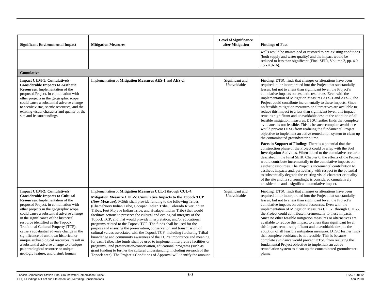| <b>Significant Environmental Impact</b>                                                                                                                                                                                                                                                                                                                                                                                                                                                                                                                                                                                             | <b>Mitigation Measures</b>                                                                                                                                                                                                                                                                                                                                                                                                                                                                                                                                                                                                                                                                                                                                                                                                                                                                                                                                                                                                                                                                                                                             | <b>Level of Significance</b><br>after Mitigation | <b>Findings of Fact</b>                                                                                                                                                                                                                                                                                                                                                                                                                                                                                                                                                                                                                                                                                                                                                                                                                                                                                                                                                                                                                                                                                                                                                                                                                                                                                                                                                                                                                                                                                                                                                                   |
|-------------------------------------------------------------------------------------------------------------------------------------------------------------------------------------------------------------------------------------------------------------------------------------------------------------------------------------------------------------------------------------------------------------------------------------------------------------------------------------------------------------------------------------------------------------------------------------------------------------------------------------|--------------------------------------------------------------------------------------------------------------------------------------------------------------------------------------------------------------------------------------------------------------------------------------------------------------------------------------------------------------------------------------------------------------------------------------------------------------------------------------------------------------------------------------------------------------------------------------------------------------------------------------------------------------------------------------------------------------------------------------------------------------------------------------------------------------------------------------------------------------------------------------------------------------------------------------------------------------------------------------------------------------------------------------------------------------------------------------------------------------------------------------------------------|--------------------------------------------------|-------------------------------------------------------------------------------------------------------------------------------------------------------------------------------------------------------------------------------------------------------------------------------------------------------------------------------------------------------------------------------------------------------------------------------------------------------------------------------------------------------------------------------------------------------------------------------------------------------------------------------------------------------------------------------------------------------------------------------------------------------------------------------------------------------------------------------------------------------------------------------------------------------------------------------------------------------------------------------------------------------------------------------------------------------------------------------------------------------------------------------------------------------------------------------------------------------------------------------------------------------------------------------------------------------------------------------------------------------------------------------------------------------------------------------------------------------------------------------------------------------------------------------------------------------------------------------------------|
|                                                                                                                                                                                                                                                                                                                                                                                                                                                                                                                                                                                                                                     |                                                                                                                                                                                                                                                                                                                                                                                                                                                                                                                                                                                                                                                                                                                                                                                                                                                                                                                                                                                                                                                                                                                                                        |                                                  | wells would be maintained or restored to pre-existing conditions<br>(both supply and water quality) and the impact would be<br>reduced to less than significant (Final SEIR, Volume 2, pp. 4.9-<br>$15 - 4.9 - 16$ .                                                                                                                                                                                                                                                                                                                                                                                                                                                                                                                                                                                                                                                                                                                                                                                                                                                                                                                                                                                                                                                                                                                                                                                                                                                                                                                                                                      |
| <b>Cumulative</b>                                                                                                                                                                                                                                                                                                                                                                                                                                                                                                                                                                                                                   |                                                                                                                                                                                                                                                                                                                                                                                                                                                                                                                                                                                                                                                                                                                                                                                                                                                                                                                                                                                                                                                                                                                                                        |                                                  |                                                                                                                                                                                                                                                                                                                                                                                                                                                                                                                                                                                                                                                                                                                                                                                                                                                                                                                                                                                                                                                                                                                                                                                                                                                                                                                                                                                                                                                                                                                                                                                           |
| <b>Impact CUM-1: Cumulatively</b><br><b>Considerable Impacts to Aesthetic</b><br>Resources. Implementation of the<br>proposed Project, in combination with<br>other projects in the geographic scope,<br>could cause a substantial adverse change<br>to scenic vistas, scenic resources, and the<br>existing visual character and quality of the<br>site and its surroundings.                                                                                                                                                                                                                                                      | Implementation of Mitigation Measures AES-1 and AES-2.                                                                                                                                                                                                                                                                                                                                                                                                                                                                                                                                                                                                                                                                                                                                                                                                                                                                                                                                                                                                                                                                                                 | Significant and<br>Unavoidable                   | Finding: DTSC finds that changes or alterations have been<br>required in, or incorporated into the Project that substantially<br>lessen, but not to a less than significant level, the Project's<br>cumulative impacts on aesthetic resources. Even with the<br>implementation of Mitigation Measures AES-1 and AES-2, the<br>Project could contribute incrementally to these impacts. Since<br>no feasible mitigation measures or alternatives are available to<br>reduce this impact to a less than significant level, this impact<br>remains significant and unavoidable despite the adoption of all<br>feasible mitigation measures. DTSC further finds that complete<br>avoidance is not feasible. This is because complete avoidance<br>would prevent DTSC from realizing the fundamental Project<br>objective to implement an active remediation system to clean up<br>the contaminated groundwater plume.<br>Facts in Support of Finding: There is a potential that the<br>construction phase of the Project could overlap with the Soil<br>Investigation Activities. When added to the cumulative scenario<br>described in the Final SEIR, Chapter 6, the effects of the Project<br>would contribute incrementally to the cumulative impacts on<br>aesthetic resources. The Project's incremental contribution to<br>aesthetic impacts and, particularly with respect to the potential<br>to substantially degrade the existing visual character or quality<br>of the site and its surroundings, is considered cumulatively<br>considerable and a significant cumulative impact. |
| <b>Impact CUM-2: Cumulatively</b><br><b>Considerable Impacts to Cultural</b><br>Resources. Implementation of the<br>proposed Project, in combination with<br>other projects in the geographic scope,<br>could cause a substantial adverse change<br>in the significance of the historical<br>resource identified as the Topock<br>Traditional Cultural Property (TCP);<br>cause a substantial adverse change in the<br>significance of unknown historical or<br>unique archaeological resources; result in<br>a substantial adverse change to a unique<br>paleontological resource or unique<br>geologic feature; and disturb human | Implementation of Mitigation Measures CUL-1 through CUL-4.<br>Mitigation Measure CUL-5: Cumulative Impacts to the Topock TCP<br>(New Measure). PG&E shall provide funding to the following Tribes<br>(Chemehuevi Indian Tribe, Cocopah Indian Tribe, Colorado River Indian<br>Tribes, Fort Mojave Indian Tribe, and Hualapai Indian Tribe) that would<br>facilitate actions to preserve the cultural and ecological integrity of the<br>Topock TCP, and that would provide interpretation, and/or educational<br>programs related to the Topock TCP. The funds shall be used for the<br>purposes of ensuring the preservation, conservation and transmission of<br>cultural values associated with the Topock TCP, including furthering Tribal<br>knowledge and community awareness of the TCP's importance and meaning<br>for each Tribe. The funds shall be used to implement interpretive facilities or<br>programs, land preservation/conservation, educational programs (such as<br>grant funding to further the cultural understanding, including research of the<br>Topock area). The Project's Conditions of Approval will identify the amount | Significant and<br>Unavoidable                   | Finding: DTSC finds that changes or alterations have been<br>required in, or incorporated into the Project that substantially<br>lessen, but not to a less than significant level, the Project's<br>cumulative impacts on cultural resources. Even with the<br>implementation of Mitigation Measures CUL-1 through CUL-5,<br>the Project could contribute incrementally to these impacts.<br>Since no other feasible mitigation measures or alternatives are<br>available to reduce this impact to a less than significant level,<br>this impact remains significant and unavoidable despite the<br>adoption of all feasible mitigation measures. DTSC further finds<br>that complete avoidance is not feasible. This is because<br>complete avoidance would prevent DTSC from realizing the<br>fundamental Project objective to implement an active<br>remediation system to clean up the contaminated groundwater<br>plume.                                                                                                                                                                                                                                                                                                                                                                                                                                                                                                                                                                                                                                                             |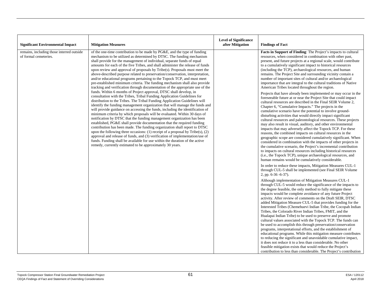| <b>Significant Environmental Impact</b>                            | <b>Mitigation Measures</b>                                                                                                                                                                                                                                                                                                                                                                                                                                                                                                                                                                                                                                                                                                                                                                                                                                                                                                                                                                                                                                                                                                                                                                                                                                                                                                                                                                                                                                                                                                                                                                                                                                                                                                                                   | <b>Level of Significance</b><br>after Mitigation | <b>Findings of Fact</b>                                                                                                                                                                                                                                                                                                                                                                                                                                                                                                                                                                                                                                                                                                                                                                                                                                                                                                                                                                                                                                                                                                                                                                                                                                                                                                                                                                                                                                                                                                                                                                                                                                                                                                                                                       |
|--------------------------------------------------------------------|--------------------------------------------------------------------------------------------------------------------------------------------------------------------------------------------------------------------------------------------------------------------------------------------------------------------------------------------------------------------------------------------------------------------------------------------------------------------------------------------------------------------------------------------------------------------------------------------------------------------------------------------------------------------------------------------------------------------------------------------------------------------------------------------------------------------------------------------------------------------------------------------------------------------------------------------------------------------------------------------------------------------------------------------------------------------------------------------------------------------------------------------------------------------------------------------------------------------------------------------------------------------------------------------------------------------------------------------------------------------------------------------------------------------------------------------------------------------------------------------------------------------------------------------------------------------------------------------------------------------------------------------------------------------------------------------------------------------------------------------------------------|--------------------------------------------------|-------------------------------------------------------------------------------------------------------------------------------------------------------------------------------------------------------------------------------------------------------------------------------------------------------------------------------------------------------------------------------------------------------------------------------------------------------------------------------------------------------------------------------------------------------------------------------------------------------------------------------------------------------------------------------------------------------------------------------------------------------------------------------------------------------------------------------------------------------------------------------------------------------------------------------------------------------------------------------------------------------------------------------------------------------------------------------------------------------------------------------------------------------------------------------------------------------------------------------------------------------------------------------------------------------------------------------------------------------------------------------------------------------------------------------------------------------------------------------------------------------------------------------------------------------------------------------------------------------------------------------------------------------------------------------------------------------------------------------------------------------------------------------|
| remains, including those interred outside<br>of formal cemeteries. | of the one-time contribution to be made by PG&E, and the type of funding<br>mechanism to be utilized as determined by DTSC. The funding mechanism<br>shall provide for the management of individual, separate funds of equal<br>amounts for each of the five Tribes, and shall administer the release of funds<br>upon review and approval of proposals by Tribe(s). Proposals must meet the<br>above-described purpose related to preservation/conservation, interpretation,<br>and/or educational programs pertaining to the Topock TCP, and must meet<br>pre-established minimum criteria. The funding mechanism shall also provide<br>tracking and verification through documentation of the appropriate use of the<br>funds. Within 6 months of Project approval, DTSC shall develop, in<br>consultation with the Tribes, Tribal Funding Application Guidelines for<br>distribution to the Tribes. The Tribal Funding Application Guidelines will<br>identify the funding management organization that will manage the funds and<br>will provide guidance on accessing the funds, including the identification of<br>minimum criteria by which proposals will be evaluated. Within 30 days of<br>notification by DTSC that the funding management organization has been<br>established, PG&E shall provide documentation that the required funding<br>contribution has been made. The funding organization shall report to DTSC<br>upon the following three occasions: (1) receipt of a proposal by $\text{Tribe}(s)$ , (2)<br>approval and release of funds, and (3) verification of implementation/use of<br>funds. Funding shall be available for use within the duration of the active<br>remedy, currently estimated to be approximately 30 years. |                                                  | Facts in Support of Finding: The Project's impacts to cultural<br>resources, when considered in combination with other past,<br>present, and future projects at a regional scale, would contribute<br>to a cumulatively significant impact to historical resources<br>(including the TCP), archaeological resources, and human<br>remains. The Project Site and surrounding vicinity contain a<br>number of important sites of cultural and/or archaeological<br>importance that are integral to the cultural traditions of Native<br>American Tribes located throughout the region.<br>Projects that have already been implemented or may occur in the<br>foreseeable future at or near the Project Site that could impact<br>cultural resources are described in the Final SEIR Volume 2,<br>Chapter 6, "Cumulative Impacts." The projects in the<br>cumulative scenario have the potential to involve ground-<br>disturbing activities that would directly impact significant<br>cultural resources and paleontological resources. These projects<br>may also result in visual, auditory, and other environmental<br>impacts that may adversely affect the Topock TCP. For these<br>reasons, the combined impacts on cultural resources in the<br>geographic scope are considered cumulatively significant. When<br>considered in combination with the impacts of other projects in<br>the cumulative scenario, the Project's incremental contribution<br>to impacts on cultural resources including historical resources<br>(i.e., the Topock TCP), unique archaeological resources, and<br>human remains would be cumulatively considerable.<br>In order to reduce these impacts, Mitigation Measures CUL-1<br>through CUL-5 shall be implemented (see Final SEIR Volume |
|                                                                    |                                                                                                                                                                                                                                                                                                                                                                                                                                                                                                                                                                                                                                                                                                                                                                                                                                                                                                                                                                                                                                                                                                                                                                                                                                                                                                                                                                                                                                                                                                                                                                                                                                                                                                                                                              |                                                  | 2, pp. 6-36 -6-37).<br>Although implementation of Mitigation Measures CUL-1<br>through CUL-5 would reduce the significance of the impacts to<br>the degree feasible, the only method to fully mitigate these<br>impacts would be complete avoidance of any future Project<br>activity. After review of comments on the Draft SEIR, DTSC<br>added Mitigation Measure CUL-5 that provides funding for the<br>Interested Tribes (Chemehuevi Indian Tribe, the Cocopah Indian<br>Tribes, the Colorado River Indian Tribes, FMIT, and the<br>Hualapai Indian Tribe) to be used to preserve and promote<br>cultural values associated with the Topock TCP. The funds can<br>be used to accomplish this through preservation/conservation<br>programs, interpretational efforts, and the establishment of<br>educational programs. While this mitigation measure contributes<br>to reducing the significant and unavoidable cumulative impact,<br>it does not reduce it to a less than considerable. No other<br>feasible mitigation exists that would reduce the Project's<br>contribution to less than considerable. The Project's contribution                                                                                                                                                                                                                                                                                                                                                                                                                                                                                                                                                                                                                                    |